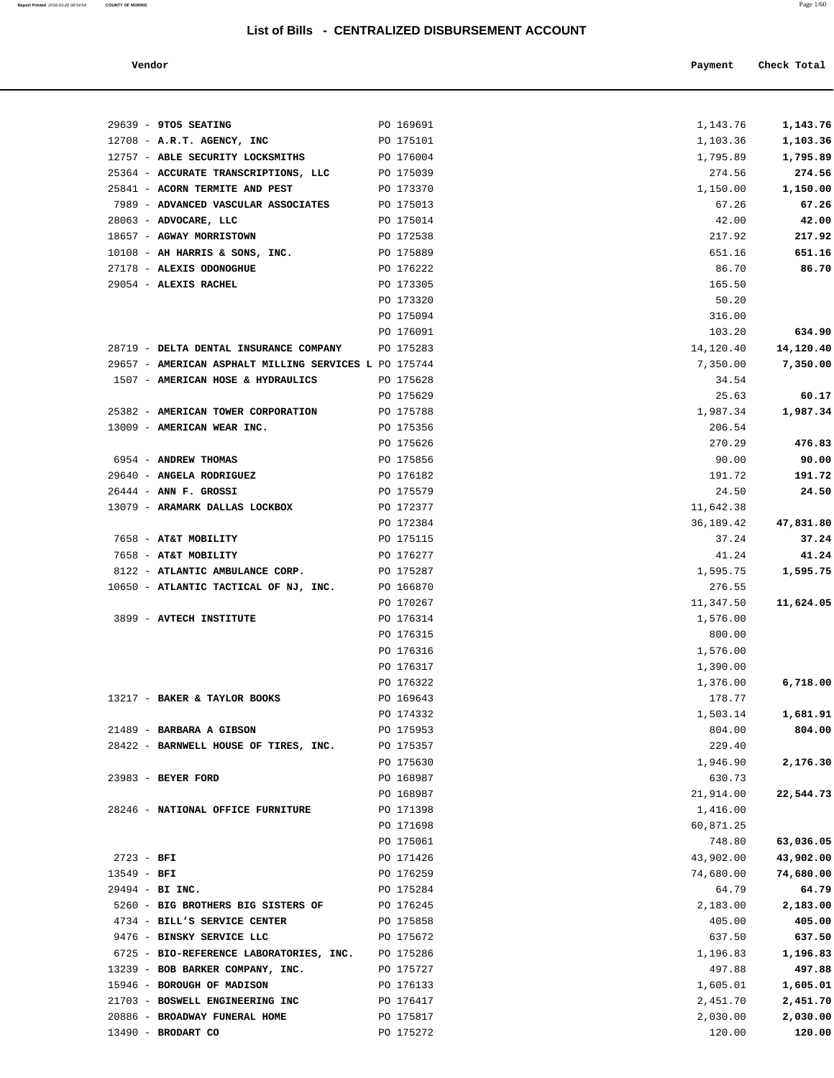| Vendor                  |           | Payment  | Check Total |
|-------------------------|-----------|----------|-------------|
| 39 - 9TO5 SEATING       | PO 169691 | 1,143.76 | 1,143.76    |
| 08 - A.R.T. AGENCY, INC | PO 175101 | 1,103.36 | 1,103.36    |

| 29639 - 9TO5 SEATING                                                   | PO 169691              | 1,143.76            | 1,143.76           |
|------------------------------------------------------------------------|------------------------|---------------------|--------------------|
| 12708 - A.R.T. AGENCY, INC                                             | PO 175101              | 1,103.36            | 1,103.36           |
| 12757 - ABLE SECURITY LOCKSMITHS                                       | PO 176004              | 1,795.89            | 1,795.89           |
| 25364 - ACCURATE TRANSCRIPTIONS, LLC<br>25841 - ACORN TERMITE AND PEST | PO 175039              | 274.56              | 274.56             |
| 7989 - ADVANCED VASCULAR ASSOCIATES                                    | PO 173370<br>PO 175013 | 1,150.00<br>67.26   | 1,150.00<br>67.26  |
| 28063 - ADVOCARE, LLC                                                  | PO 175014              | 42.00               | 42.00              |
| 18657 - AGWAY MORRISTOWN                                               | PO 172538              | 217.92              | 217.92             |
| $10108$ - AH HARRIS & SONS, INC.                                       | PO 175889              | 651.16              | 651.16             |
| 27178 - ALEXIS ODONOGHUE                                               | PO 176222              | 86.70               | 86.70              |
| 29054 - ALEXIS RACHEL                                                  | PO 173305              | 165.50              |                    |
|                                                                        | PO 173320              | 50.20               |                    |
|                                                                        | PO 175094              | 316.00              |                    |
|                                                                        | PO 176091              | 103.20              | 634.90             |
| 28719 - DELTA DENTAL INSURANCE COMPANY                                 | PO 175283              | 14,120.40           | 14,120.40          |
| 29657 - AMERICAN ASPHALT MILLING SERVICES L PO 175744                  |                        | 7,350.00            | 7,350.00           |
| 1507 - AMERICAN HOSE & HYDRAULICS                                      | PO 175628              | 34.54               |                    |
|                                                                        | PO 175629              | 25.63               | 60.17              |
| 25382 - AMERICAN TOWER CORPORATION                                     | PO 175788              | 1,987.34            | 1,987.34           |
| 13009 - AMERICAN WEAR INC.                                             | PO 175356              | 206.54              |                    |
|                                                                        | PO 175626              | 270.29              | 476.83             |
| 6954 - ANDREW THOMAS                                                   | PO 175856              | 90.00               | 90.00              |
| 29640 - ANGELA RODRIGUEZ                                               | PO 176182              | 191.72              | 191.72             |
| $26444$ - ANN F. GROSSI                                                | PO 175579              | 24.50               | 24.50              |
| 13079 - ARAMARK DALLAS LOCKBOX                                         | PO 172377              | 11,642.38           |                    |
|                                                                        | PO 172384              | 36,189.42           | 47,831.80          |
| 7658 - AT&T MOBILITY                                                   | PO 175115              | 37.24               | 37.24              |
| 7658 - AT&T MOBILITY                                                   | PO 176277              | 41.24               | 41.24              |
| 8122 - ATLANTIC AMBULANCE CORP.                                        | PO 175287              | 1,595.75            | 1,595.75           |
| 10650 - ATLANTIC TACTICAL OF NJ, INC.                                  | PO 166870              | 276.55              |                    |
|                                                                        | PO 170267              | 11,347.50           | 11,624.05          |
| 3899 - AVTECH INSTITUTE                                                | PO 176314              | 1,576.00            |                    |
|                                                                        | PO 176315              | 800.00              |                    |
|                                                                        | PO 176316              | 1,576.00            |                    |
|                                                                        | PO 176317              | 1,390.00            |                    |
|                                                                        | PO 176322              | 1,376.00            | 6,718.00           |
| 13217 - BAKER & TAYLOR BOOKS                                           | PO 169643              | 178.77              |                    |
|                                                                        | PO 174332              | 1,503.14            | 1,681.91           |
| 21489 - BARBARA A GIBSON                                               | PO 175953              | 804.00              | 804.00             |
| 28422 - BARNWELL HOUSE OF TIRES, INC.                                  | PO 175357              | 229.40              |                    |
|                                                                        | PO 175630              | 1,946.90            | 2,176.30           |
| 23983 - BEYER FORD                                                     | PO 168987              | 630.73              |                    |
|                                                                        | PO 168987              | 21,914.00           | 22,544.73          |
| 28246 - NATIONAL OFFICE FURNITURE                                      | PO 171398              | 1,416.00            |                    |
|                                                                        | PO 171698              | 60,871.25           |                    |
| $2723 - BFI$                                                           | PO 175061              | 748.80<br>43,902.00 | 63,036.05          |
| $13549 - BFI$                                                          | PO 171426<br>PO 176259 | 74,680.00           | 43,902.00          |
| 29494 - BI INC.                                                        | PO 175284              | 64.79               | 74,680.00<br>64.79 |
| 5260 - BIG BROTHERS BIG SISTERS OF                                     | PO 176245              | 2,183.00            | 2,183.00           |
| 4734 - BILL'S SERVICE CENTER                                           | PO 175858              | 405.00              | 405.00             |
| 9476 - BINSKY SERVICE LLC                                              | PO 175672              | 637.50              | 637.50             |
| 6725 - BIO-REFERENCE LABORATORIES, INC.                                | PO 175286              | 1,196.83            | 1,196.83           |
| 13239 - BOB BARKER COMPANY, INC.                                       | PO 175727              | 497.88              | 497.88             |
| 15946 - BOROUGH OF MADISON                                             | PO 176133              | 1,605.01            | 1,605.01           |
| 21703 - BOSWELL ENGINEERING INC                                        | PO 176417              | 2,451.70            | 2,451.70           |
| 20886 - BROADWAY FUNERAL HOME                                          | PO 175817              | 2,030.00            | 2,030.00           |
|                                                                        |                        |                     |                    |

13490 - **BRODART CO** PO 175272 120.00 **120.00**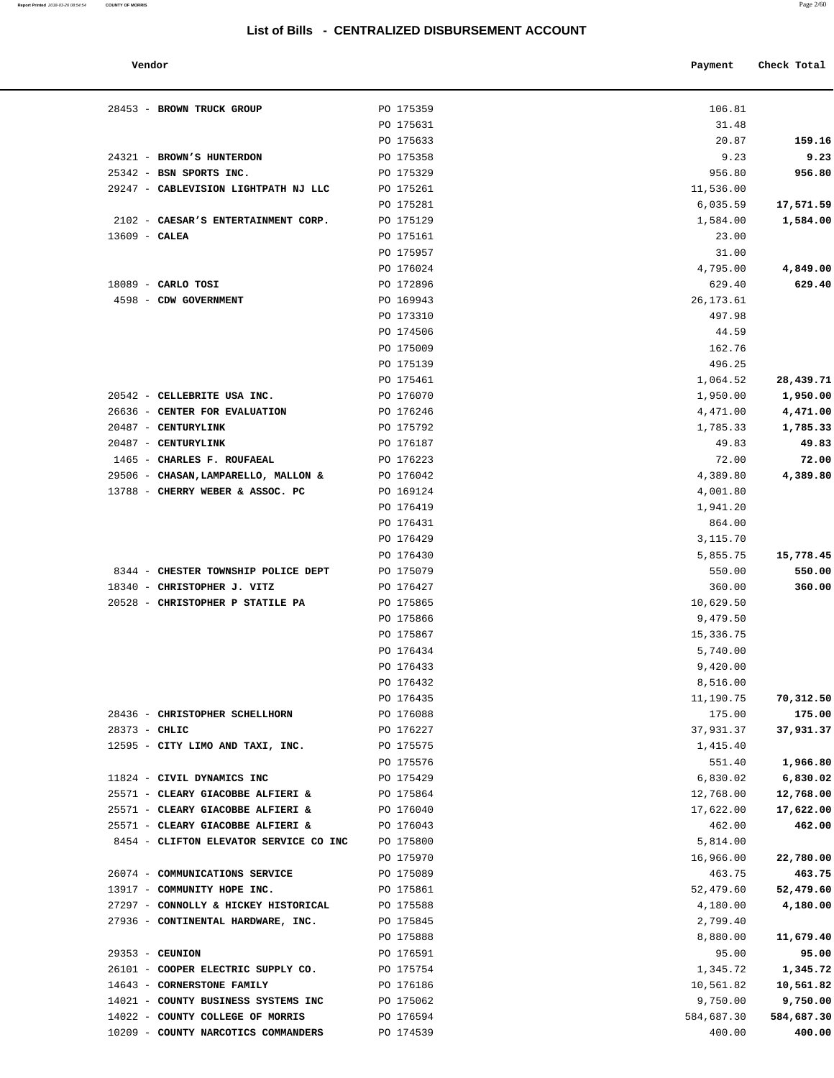| Report Printed 2018-03-26 08:54:54 | <b>COUNTY OF MORRIS</b> | Page 2/60 |
|------------------------------------|-------------------------|-----------|
|                                    |                         |           |

| Vendor                                 |           | Payment    | Check Total |
|----------------------------------------|-----------|------------|-------------|
| 28453 - BROWN TRUCK GROUP              | PO 175359 | 106.81     |             |
|                                        | PO 175631 | 31.48      |             |
|                                        | PO 175633 | 20.87      | 159.16      |
| 24321 - BROWN'S HUNTERDON              | PO 175358 | 9.23       | 9.23        |
| 25342 - BSN SPORTS INC.                | PO 175329 | 956.80     | 956.80      |
| 29247 - CABLEVISION LIGHTPATH NJ LLC   | PO 175261 | 11,536.00  |             |
|                                        | PO 175281 | 6,035.59   | 17,571.59   |
| 2102 - CAESAR'S ENTERTAINMENT CORP.    | PO 175129 | 1,584.00   | 1,584.00    |
| $13609$ - CALEA                        | PO 175161 | 23.00      |             |
|                                        | PO 175957 | 31.00      |             |
|                                        | PO 176024 | 4,795.00   | 4,849.00    |
| $18089$ - CARLO TOSI                   | PO 172896 | 629.40     | 629.40      |
| 4598 - CDW GOVERNMENT                  | PO 169943 | 26, 173.61 |             |
|                                        | PO 173310 | 497.98     |             |
|                                        | PO 174506 | 44.59      |             |
|                                        | PO 175009 | 162.76     |             |
|                                        | PO 175139 | 496.25     |             |
|                                        | PO 175461 | 1,064.52   | 28,439.71   |
| 20542 - CELLEBRITE USA INC.            | PO 176070 | 1,950.00   | 1,950.00    |
| 26636 - CENTER FOR EVALUATION          | PO 176246 | 4,471.00   | 4,471.00    |
| 20487 - CENTURYLINK                    | PO 175792 | 1,785.33   | 1,785.33    |
| 20487 - CENTURYLINK                    | PO 176187 | 49.83      | 49.83       |
| 1465 - CHARLES F. ROUFAEAL             | PO 176223 | 72.00      | 72.00       |
| 29506 - CHASAN, LAMPARELLO, MALLON &   | PO 176042 | 4,389.80   | 4,389.80    |
| 13788 - CHERRY WEBER & ASSOC. PC       | PO 169124 | 4,001.80   |             |
|                                        | PO 176419 | 1,941.20   |             |
|                                        | PO 176431 | 864.00     |             |
|                                        | PO 176429 | 3,115.70   |             |
|                                        | PO 176430 | 5,855.75   | 15,778.45   |
| 8344 - CHESTER TOWNSHIP POLICE DEPT    | PO 175079 | 550.00     | 550.00      |
| 18340 - CHRISTOPHER J. VITZ            | PO 176427 | 360.00     | 360.00      |
| 20528 - CHRISTOPHER P STATILE PA       | PO 175865 | 10,629.50  |             |
|                                        | PO 175866 | 9,479.50   |             |
|                                        | PO 175867 | 15,336.75  |             |
|                                        | PO 176434 | 5,740.00   |             |
|                                        | PO 176433 | 9,420.00   |             |
|                                        | PO 176432 | 8,516.00   |             |
|                                        | PO 176435 | 11,190.75  | 70,312.50   |
| 28436 - CHRISTOPHER SCHELLHORN         | PO 176088 | 175.00     | 175.00      |
| 28373 - CHLIC                          | PO 176227 | 37,931.37  | 37,931.37   |
| 12595 - CITY LIMO AND TAXI, INC.       | PO 175575 | 1,415.40   |             |
|                                        | PO 175576 | 551.40     | 1,966.80    |
| 11824 - CIVIL DYNAMICS INC             | PO 175429 | 6,830.02   | 6,830.02    |
| 25571 - CLEARY GIACOBBE ALFIERI &      | PO 175864 | 12,768.00  | 12,768.00   |
| 25571 - CLEARY GIACOBBE ALFIERI &      | PO 176040 | 17,622.00  | 17,622.00   |
| 25571 - CLEARY GIACOBBE ALFIERI &      | PO 176043 | 462.00     | 462.00      |
| 8454 - CLIFTON ELEVATOR SERVICE CO INC | PO 175800 | 5,814.00   |             |
|                                        | PO 175970 | 16,966.00  | 22,780.00   |
| 26074 - COMMUNICATIONS SERVICE         | PO 175089 | 463.75     | 463.75      |
| 13917 - COMMUNITY HOPE INC.            | PO 175861 | 52,479.60  | 52,479.60   |
| 27297 - CONNOLLY & HICKEY HISTORICAL   | PO 175588 | 4,180.00   | 4,180.00    |
| 27936 - CONTINENTAL HARDWARE, INC.     | PO 175845 | 2,799.40   |             |
|                                        | PO 175888 | 8,880.00   | 11,679.40   |
| 29353 - CEUNION                        | PO 176591 | 95.00      | 95.00       |
| 26101 - COOPER ELECTRIC SUPPLY CO.     | PO 175754 | 1,345.72   | 1,345.72    |
| 14643 - CORNERSTONE FAMILY             | PO 176186 | 10,561.82  | 10,561.82   |
| 14021 - COUNTY BUSINESS SYSTEMS INC    | PO 175062 | 9,750.00   | 9,750.00    |
| 14022 - COUNTY COLLEGE OF MORRIS       | PO 176594 | 584,687.30 | 584,687.30  |
| 10209 - COUNTY NARCOTICS COMMANDERS    | PO 174539 | 400.00     | 400.00      |
|                                        |           |            |             |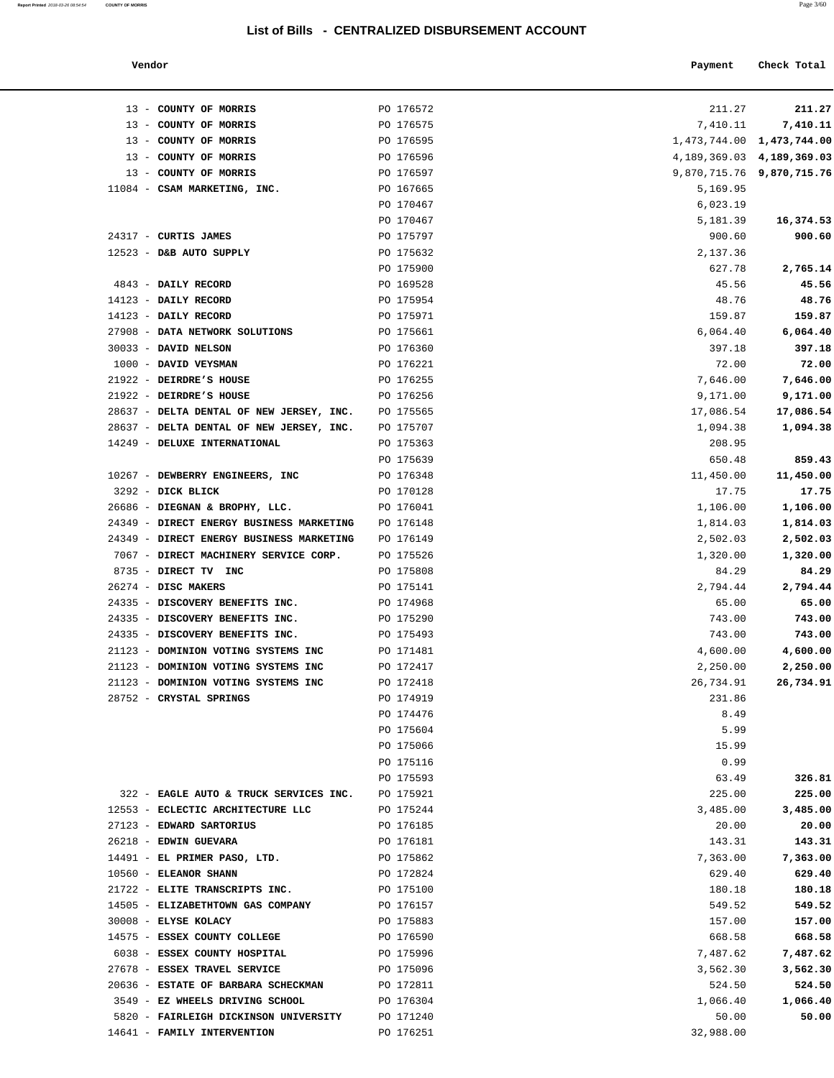| Report Printed 2018-03-26 08:54:54 | <b>COUNTY OF MORRIS</b> |                                          |                                                  |            | Page 3/60                       |
|------------------------------------|-------------------------|------------------------------------------|--------------------------------------------------|------------|---------------------------------|
|                                    |                         |                                          | List of Bills - CENTRALIZED DISBURSEMENT ACCOUNT |            |                                 |
|                                    | Vendor                  |                                          |                                                  | Payment    | Check Total                     |
|                                    |                         |                                          |                                                  |            |                                 |
|                                    |                         | 13 - COUNTY OF MORRIS                    | PO 176572                                        | 211.27     | 211.27                          |
|                                    |                         | 13 - COUNTY OF MORRIS                    | PO 176575                                        | 7,410.11   | 7,410.11                        |
|                                    |                         | 13 - COUNTY OF MORRIS                    | PO 176595                                        |            | 1, 473, 744.00 1, 473, 744.00   |
|                                    |                         | 13 - COUNTY OF MORRIS                    | PO 176596                                        |            | 4, 189, 369. 03 4, 189, 369. 03 |
|                                    |                         | 13 - COUNTY OF MORRIS                    | PO 176597                                        |            | 9,870,715.76 9,870,715.76       |
|                                    |                         | 11084 - CSAM MARKETING, INC.             | PO 167665                                        | 5,169.95   |                                 |
|                                    |                         |                                          | PO 170467                                        | 6,023.19   |                                 |
|                                    |                         |                                          | PO 170467                                        | 5,181.39   | 16,374.53                       |
|                                    |                         | 24317 - CURTIS JAMES                     | PO 175797                                        | 900.60     | 900.60                          |
|                                    |                         | 12523 - D&B AUTO SUPPLY                  | PO 175632                                        | 2,137.36   |                                 |
|                                    |                         |                                          | PO 175900                                        | 627.78     | 2,765.14                        |
|                                    |                         | 4843 - DAILY RECORD                      | PO 169528                                        | 45.56      | 45.56                           |
|                                    |                         | 14123 - DAILY RECORD                     | PO 175954                                        | 48.76      | 48.76                           |
|                                    |                         | 14123 - DAILY RECORD                     | PO 175971                                        | 159.87     | 159.87                          |
|                                    |                         | 27908 - DATA NETWORK SOLUTIONS           | PO 175661                                        | 6,064.40   | 6,064.40                        |
|                                    |                         | 30033 - DAVID NELSON                     | PO 176360                                        | 397.18     | 397.18                          |
|                                    |                         | 1000 - DAVID VEYSMAN                     | PO 176221                                        | 72.00      | 72.00                           |
|                                    |                         | 21922 - DEIRDRE'S HOUSE                  | PO 176255                                        | 7,646.00   | 7,646.00                        |
|                                    |                         | 21922 - DEIRDRE'S HOUSE                  | PO 176256                                        | 9,171.00   | 9,171.00                        |
|                                    |                         | 28637 - DELTA DENTAL OF NEW JERSEY, INC. | PO 175565                                        | 17,086.54  | 17,086.54                       |
|                                    |                         | 28637 - DELTA DENTAL OF NEW JERSEY, INC. | PO 175707                                        | 1,094.38   | 1,094.38                        |
|                                    |                         | 14249 - DELUXE INTERNATIONAL             | PO 175363                                        | 208.95     |                                 |
|                                    |                         |                                          | PO 175639                                        | 650.48     | 859.43                          |
|                                    |                         | 10267 - DEWBERRY ENGINEERS, INC          | PO 176348                                        | 11,450.00  | 11,450.00                       |
|                                    |                         | 3292 - DICK BLICK                        | PO 170128                                        | 17.75      | 17.75                           |
|                                    |                         | 26686 - DIEGNAN & BROPHY, LLC.           | PO 176041                                        | 1,106.00   | 1,106.00                        |
|                                    |                         | 24349 - DIRECT ENERGY BUSINESS MARKETING | PO 176148                                        | 1,814.03   | 1,814.03                        |
|                                    |                         | 24349 - DIRECT ENERGY BUSINESS MARKETING | PO 176149                                        | 2,502.03   | 2,502.03                        |
|                                    |                         | 7067 - DIRECT MACHINERY SERVICE CORP.    | PO 175526                                        | 1,320.00   | 1,320.00                        |
|                                    |                         | 8735 - DIRECT TV INC                     | PO 175808                                        | 84.29      | 84.29                           |
|                                    |                         | 26274 - DISC MAKERS                      | PO 175141                                        | 2,794.44   | 2,794.44                        |
|                                    |                         | 24335 - DISCOVERY BENEFITS INC.          | PO 174968                                        | 65.00      | 65.00                           |
|                                    |                         | 24335 - DISCOVERY BENEFITS INC.          | PO 175290                                        | 743.00     | 743.00                          |
|                                    |                         | 24335 - DISCOVERY BENEFITS INC.          | PO 175493                                        | 743.00     | 743.00                          |
|                                    |                         | 21123 - DOMINION VOTING SYSTEMS INC      | PO 171481                                        | 4,600.00   | 4,600.00                        |
|                                    |                         | 21123 - DOMINION VOTING SYSTEMS INC      | PO 172417                                        | 2,250.00   | 2,250.00                        |
|                                    |                         | 21123 - DOMINION VOTING SYSTEMS INC      | PO 172418                                        | 26,734.91  | 26,734.91                       |
|                                    |                         | 28752 - CRYSTAL SPRINGS                  | PO 174919                                        | 231.86     |                                 |
|                                    |                         |                                          | PO 174476                                        | 8.49       |                                 |
|                                    |                         |                                          | DO 175604                                        | $F \Omega$ |                                 |

| 13 - COUNTY OF MORRIS                    | PO 176575 | 7,410.11                        | 7,410.11  |
|------------------------------------------|-----------|---------------------------------|-----------|
| 13 - COUNTY OF MORRIS                    | PO 176595 | 1,473,744.00 1,473,744.00       |           |
| 13 - COUNTY OF MORRIS                    | PO 176596 | 4, 189, 369. 03 4, 189, 369. 03 |           |
| 13 - COUNTY OF MORRIS                    | PO 176597 | 9,870,715.76 9,870,715.76       |           |
| 11084 - CSAM MARKETING, INC.             | PO 167665 | 5,169.95                        |           |
|                                          | PO 170467 | 6,023.19                        |           |
|                                          | PO 170467 | 5,181.39                        | 16,374.53 |
| 24317 - CURTIS JAMES                     | PO 175797 | 900.60                          | 900.60    |
| 12523 - D&B AUTO SUPPLY                  | PO 175632 | 2,137.36                        |           |
|                                          | PO 175900 | 627.78                          | 2,765.14  |
| 4843 - DAILY RECORD                      | PO 169528 | 45.56                           | 45.56     |
| 14123 - DAILY RECORD                     | PO 175954 | 48.76                           | 48.76     |
| 14123 - DAILY RECORD                     | PO 175971 | 159.87                          | 159.87    |
| 27908 - DATA NETWORK SOLUTIONS           | PO 175661 | 6,064.40                        | 6,064.40  |
| 30033 - DAVID NELSON                     | PO 176360 | 397.18                          | 397.18    |
| 1000 - DAVID VEYSMAN                     | PO 176221 | 72.00                           | 72.00     |
| 21922 - DEIRDRE'S HOUSE                  | PO 176255 | 7,646.00                        | 7,646.00  |
| 21922 - DEIRDRE'S HOUSE                  | PO 176256 | 9,171.00                        | 9,171.00  |
| 28637 - DELTA DENTAL OF NEW JERSEY, INC. | PO 175565 | 17,086.54                       | 17,086.54 |
| 28637 - DELTA DENTAL OF NEW JERSEY, INC. | PO 175707 | 1,094.38                        | 1,094.38  |
| 14249 - DELUXE INTERNATIONAL             | PO 175363 | 208.95                          |           |
|                                          | PO 175639 | 650.48                          | 859.43    |
| 10267 - DEWBERRY ENGINEERS, INC          | PO 176348 | 11,450.00                       | 11,450.00 |
| 3292 - DICK BLICK                        | PO 170128 | 17.75                           | 17.75     |
| 26686 - DIEGNAN & BROPHY, LLC.           | PO 176041 | 1,106.00                        | 1,106.00  |
| 24349 - DIRECT ENERGY BUSINESS MARKETING | PO 176148 | 1,814.03                        | 1,814.03  |
| 24349 - DIRECT ENERGY BUSINESS MARKETING | PO 176149 | 2,502.03                        | 2,502.03  |
| 7067 - DIRECT MACHINERY SERVICE CORP.    | PO 175526 | 1,320.00                        | 1,320.00  |
| 8735 - DIRECT TV INC                     | PO 175808 | 84.29                           | 84.29     |
| 26274 - DISC MAKERS                      | PO 175141 | 2,794.44                        | 2,794.44  |
| 24335 - DISCOVERY BENEFITS INC.          | PO 174968 | 65.00                           | 65.00     |
| 24335 - DISCOVERY BENEFITS INC.          | PO 175290 | 743.00                          | 743.00    |
| 24335 - DISCOVERY BENEFITS INC.          | PO 175493 | 743.00                          | 743.00    |
| 21123 - DOMINION VOTING SYSTEMS INC      | PO 171481 | 4,600.00                        | 4,600.00  |
| 21123 - DOMINION VOTING SYSTEMS INC      | PO 172417 | 2,250.00                        | 2,250.00  |
| 21123 - DOMINION VOTING SYSTEMS INC      | PO 172418 | 26,734.91                       | 26,734.91 |
| 28752 - CRYSTAL SPRINGS                  | PO 174919 | 231.86                          |           |
|                                          | PO 174476 | 8.49                            |           |
|                                          | PO 175604 | 5.99                            |           |
|                                          | PO 175066 | 15.99                           |           |
|                                          | PO 175116 | 0.99                            |           |
|                                          | PO 175593 | 63.49                           | 326.81    |
| 322 - EAGLE AUTO & TRUCK SERVICES INC.   | PO 175921 | 225.00                          | 225.00    |
| 12553 - ECLECTIC ARCHITECTURE LLC        | PO 175244 | 3,485.00                        | 3,485.00  |
| 27123 - EDWARD SARTORIUS                 | PO 176185 | 20.00                           | 20.00     |
| 26218 - EDWIN GUEVARA                    | PO 176181 | 143.31                          | 143.31    |
| 14491 - EL PRIMER PASO, LTD.             | PO 175862 | 7,363.00                        | 7,363.00  |
| 10560 - ELEANOR SHANN                    | PO 172824 | 629.40                          | 629.40    |
| 21722 - ELITE TRANSCRIPTS INC.           | PO 175100 | 180.18                          | 180.18    |
| 14505 - ELIZABETHTOWN GAS COMPANY        | PO 176157 | 549.52                          | 549.52    |
| 30008 - ELYSE KOLACY                     | PO 175883 | 157.00                          | 157.00    |
| 14575 - ESSEX COUNTY COLLEGE             | PO 176590 | 668.58                          | 668.58    |
| 6038 - ESSEX COUNTY HOSPITAL             | PO 175996 | 7,487.62                        | 7,487.62  |
| 27678 - ESSEX TRAVEL SERVICE             | PO 175096 | 3,562.30                        | 3,562.30  |
| 20636 - ESTATE OF BARBARA SCHECKMAN      | PO 172811 | 524.50                          | 524.50    |
| 3549 - EZ WHEELS DRIVING SCHOOL          | PO 176304 | 1,066.40                        | 1,066.40  |
| 5820 - FAIRLEIGH DICKINSON UNIVERSITY    | PO 171240 | 50.00                           | 50.00     |
| 14641 - FAMILY INTERVENTION              | PO 176251 | 32,988.00                       |           |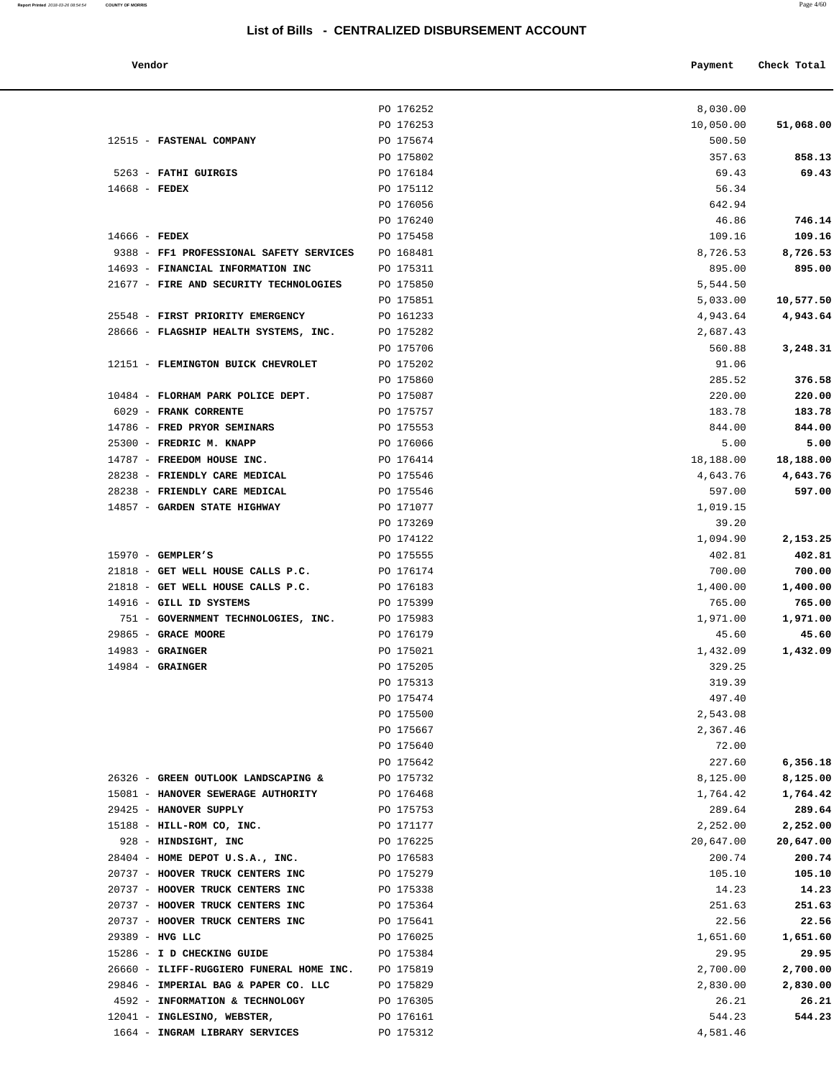#### **Vendor Payment Check Total**

**Report Printed** 2018-03-26 08:54:54 **COUNTY OF MORRIS** Page 4/60

|                      | 8,030.00             |
|----------------------|----------------------|
| 51,068.00            | 10,050.00            |
|                      | 500.50               |
| 858.13<br>69.43      | 357.63<br>69.43      |
|                      | 56.34                |
|                      | 642.94               |
| 746.14               | 46.86                |
| 109.16               | 109.16               |
| 8,726.53             | 8,726.53             |
| 895.00               | 895.00               |
|                      | 5,544.50             |
| 10,577.50            | 5,033.00             |
| 4,943.64             | 4,943.64             |
|                      | 2,687.43             |
| 3,248.31             | 560.88               |
| 376.58               | 91.06<br>285.52      |
| 220.00               | 220.00               |
| 183.78               | 183.78               |
| 844.00               | 844.00               |
| 5.00                 | 5.00                 |
| 18,188.00            | 18,188.00            |
| 4,643.76             | 4,643.76             |
| 597.00               | 597.00               |
|                      | 1,019.15             |
|                      | 39.20                |
| 2,153.25             | 1,094.90             |
| 402.81               | 402.81               |
| 700.00               | 700.00               |
| 1,400.00<br>765.00   | 1,400.00<br>765.00   |
| 1,971.00             | 1,971.00             |
| 45.60                | 45.60                |
| 1,432.09             | 1,432.09             |
|                      | 329.25               |
|                      | 319.39               |
|                      | 497.40               |
|                      | 2,543.08             |
|                      | 2,367.46             |
|                      | 72.00                |
| 6,356.18             | 227.60               |
| 8,125.00<br>1,764.42 | 8,125.00<br>1,764.42 |
| 289.64               | 289.64               |
| 2,252.00             | 2,252.00             |
| 20,647.00            | 20,647.00            |
| 200.74               | 200.74               |
| 105.10               | 105.10               |
| 14.23                | 14.23                |
| 251.63               | 251.63               |
| 22.56                | 22.56                |
| 1,651.60             | 1,651.60             |
| 29.95                | 29.95                |
| 2,700.00             | 2,700.00             |
| 2,830.00             | 2,830.00             |
| 26.21<br>544.23      | 26.21<br>544.23      |
|                      | 4,581.46             |
|                      |                      |
|                      |                      |

|                                                         | PO 176252 | 8,030.00  |                  |
|---------------------------------------------------------|-----------|-----------|------------------|
|                                                         | PO 176253 | 10,050.00 | 51,068.00        |
| 12515 - FASTENAL COMPANY                                | PO 175674 | 500.50    |                  |
|                                                         | PO 175802 | 357.63    | 858.13           |
| 5263 - FATHI GUIRGIS                                    | PO 176184 | 69.43     | 69.43            |
| $14668$ - FEDEX                                         | PO 175112 | 56.34     |                  |
|                                                         | PO 176056 | 642.94    |                  |
|                                                         | PO 176240 | 46.86     | 746.14           |
| $14666$ - FEDEX                                         | PO 175458 | 109.16    | 109.16           |
| 9388 - FF1 PROFESSIONAL SAFETY SERVICES                 | PO 168481 | 8,726.53  | 8,726.53         |
| 14693 - FINANCIAL INFORMATION INC                       | PO 175311 | 895.00    | 895.00           |
| 21677 - FIRE AND SECURITY TECHNOLOGIES                  | PO 175850 | 5,544.50  |                  |
|                                                         | PO 175851 | 5,033.00  | 10,577.50        |
| 25548 - FIRST PRIORITY EMERGENCY                        | PO 161233 | 4,943.64  | 4,943.64         |
| 28666 - FLAGSHIP HEALTH SYSTEMS, INC.                   | PO 175282 | 2,687.43  |                  |
|                                                         | PO 175706 | 560.88    | 3,248.31         |
| 12151 - FLEMINGTON BUICK CHEVROLET                      | PO 175202 | 91.06     |                  |
|                                                         | PO 175860 | 285.52    | 376.58           |
| 10484 - FLORHAM PARK POLICE DEPT.                       | PO 175087 | 220.00    | 220.00           |
| 6029 - FRANK CORRENTE                                   | PO 175757 | 183.78    | 183.78           |
| 14786 - FRED PRYOR SEMINARS                             | PO 175553 | 844.00    | 844.00           |
| 25300 - FREDRIC M. KNAPP                                | PO 176066 | 5.00      | 5.00             |
| 14787 - FREEDOM HOUSE INC.                              | PO 176414 | 18,188.00 | 18,188.00        |
| 28238 - FRIENDLY CARE MEDICAL                           | PO 175546 | 4,643.76  | 4,643.76         |
| 28238 - FRIENDLY CARE MEDICAL                           | PO 175546 | 597.00    | 597.00           |
| 14857 - GARDEN STATE HIGHWAY                            | PO 171077 | 1,019.15  |                  |
|                                                         | PO 173269 | 39.20     |                  |
|                                                         | PO 174122 | 1,094.90  | 2,153.25         |
| $15970$ - GEMPLER'S                                     | PO 175555 | 402.81    | 402.81           |
| 21818 - GET WELL HOUSE CALLS P.C.                       | PO 176174 | 700.00    | 700.00           |
| 21818 - GET WELL HOUSE CALLS P.C.                       | PO 176183 | 1,400.00  | 1,400.00         |
| 14916 - GILL ID SYSTEMS                                 | PO 175399 | 765.00    | 765.00           |
| 751 - GOVERNMENT TECHNOLOGIES, INC.                     | PO 175983 | 1,971.00  | 1,971.00         |
| 29865 - GRACE MOORE                                     | PO 176179 | 45.60     | 45.60            |
| $14983$ - GRAINGER                                      | PO 175021 | 1,432.09  | 1,432.09         |
| $14984 -$ GRAINGER                                      | PO 175205 | 329.25    |                  |
|                                                         | PO 175313 | 319.39    |                  |
|                                                         | PO 175474 | 497.40    |                  |
|                                                         | PO 175500 | 2,543.08  |                  |
|                                                         | PO 175667 | 2,367.46  |                  |
|                                                         | PO 175640 | 72.00     |                  |
|                                                         | PO 175642 | 227.60    | 6,356.18         |
| 26326 - GREEN OUTLOOK LANDSCAPING &                     | PO 175732 | 8,125.00  | 8,125.00         |
| 15081 - HANOVER SEWERAGE AUTHORITY                      | PO 176468 | 1,764.42  | 1,764.42         |
| 29425 - HANOVER SUPPLY                                  | PO 175753 | 289.64    | 289.64           |
| 15188 - HILL-ROM CO, INC.                               | PO 171177 | 2,252.00  |                  |
|                                                         |           |           | 2,252.00         |
| 928 - HINDSIGHT, INC<br>28404 - HOME DEPOT U.S.A., INC. | PO 176225 | 20,647.00 | 20,647.00        |
|                                                         | PO 176583 | 200.74    | 200.74<br>105.10 |
| 20737 - HOOVER TRUCK CENTERS INC                        | PO 175279 | 105.10    |                  |
| 20737 - HOOVER TRUCK CENTERS INC                        | PO 175338 | 14.23     | 14.23            |
| 20737 - HOOVER TRUCK CENTERS INC                        | PO 175364 | 251.63    | 251.63           |
| 20737 - HOOVER TRUCK CENTERS INC                        | PO 175641 | 22.56     | 22.56            |
| 29389 - HVG LLC                                         | PO 176025 | 1,651.60  | 1,651.60         |
| 15286 - I D CHECKING GUIDE                              | PO 175384 | 29.95     | 29.95            |
| 26660 - ILIFF-RUGGIERO FUNERAL HOME INC.                | PO 175819 | 2,700.00  | 2,700.00         |
| 29846 - IMPERIAL BAG & PAPER CO. LLC                    | PO 175829 | 2,830.00  | 2,830.00         |
| 4592 - INFORMATION & TECHNOLOGY                         | PO 176305 | 26.21     | 26.21            |
| 12041 - INGLESINO, WEBSTER,                             | PO 176161 | 544.23    | 544.23           |
| 1664 - INGRAM LIBRARY SERVICES                          | PO 175312 | 4,581.46  |                  |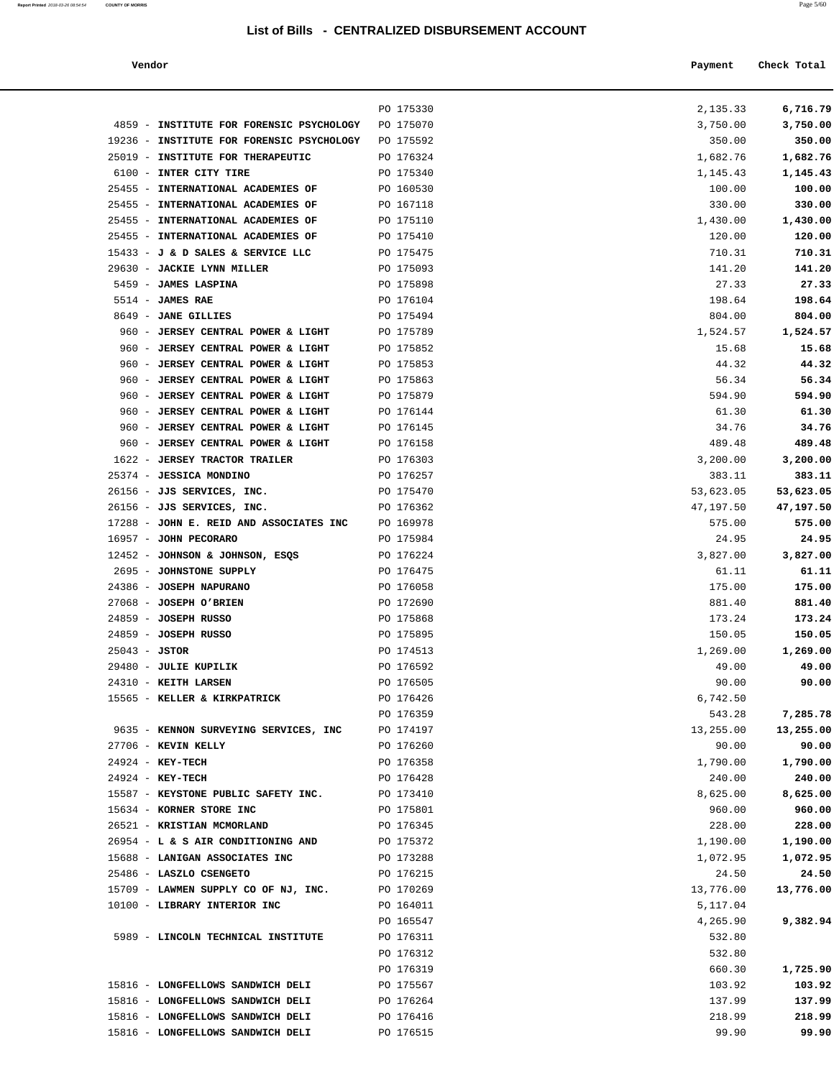#### **List of Bills - CENTRALIZED DISBURSEMENT ACCOUNT**

| Vendor                                    |           | Payment   | Check Total |
|-------------------------------------------|-----------|-----------|-------------|
|                                           | PO 175330 | 2,135.33  | 6,716.79    |
| 4859 - INSTITUTE FOR FORENSIC PSYCHOLOGY  | PO 175070 | 3,750.00  | 3,750.00    |
| 19236 - INSTITUTE FOR FORENSIC PSYCHOLOGY | PO 175592 | 350.00    | 350.00      |
| 25019 - INSTITUTE FOR THERAPEUTIC         | PO 176324 | 1,682.76  | 1,682.76    |
| 6100 - INTER CITY TIRE                    | PO 175340 | 1,145.43  | 1,145.43    |
| 25455 - INTERNATIONAL ACADEMIES OF        | PO 160530 | 100.00    | 100.00      |
| 25455 - INTERNATIONAL ACADEMIES OF        | PO 167118 | 330.00    | 330.00      |
| 25455 - INTERNATIONAL ACADEMIES OF        | PO 175110 | 1,430.00  | 1,430.00    |
| 25455 - INTERNATIONAL ACADEMIES OF        | PO 175410 | 120.00    | 120.00      |
| 15433 - J & D SALES & SERVICE LLC         | PO 175475 | 710.31    | 710.31      |
| 29630 - JACKIE LYNN MILLER                | PO 175093 | 141.20    | 141.20      |
| 5459 - JAMES LASPINA                      | PO 175898 | 27.33     | 27.33       |
| $5514$ - JAMES RAE                        | PO 176104 | 198.64    | 198.64      |
| 8649 - JANE GILLIES                       | PO 175494 | 804.00    | 804.00      |
| 960 - JERSEY CENTRAL POWER & LIGHT        | PO 175789 | 1,524.57  | 1,524.57    |
| 960 - JERSEY CENTRAL POWER & LIGHT        | PO 175852 | 15.68     | 15.68       |
| 960 - JERSEY CENTRAL POWER & LIGHT        | PO 175853 | 44.32     | 44.32       |
| 960 - JERSEY CENTRAL POWER & LIGHT        | PO 175863 | 56.34     | 56.34       |
| 960 - JERSEY CENTRAL POWER & LIGHT        | PO 175879 | 594.90    | 594.90      |
| 960 - JERSEY CENTRAL POWER & LIGHT        | PO 176144 | 61.30     | 61.30       |
| 960 - JERSEY CENTRAL POWER & LIGHT        | PO 176145 | 34.76     | 34.76       |
| 960 - JERSEY CENTRAL POWER & LIGHT        | PO 176158 | 489.48    | 489.48      |
| 1622 - JERSEY TRACTOR TRAILER             | PO 176303 | 3,200.00  | 3,200.00    |
| 25374 - JESSICA MONDINO                   | PO 176257 | 383.11    | 383.11      |
| 26156 - JJS SERVICES, INC.                | PO 175470 | 53,623.05 | 53,623.05   |
| 26156 - JJS SERVICES, INC.                | PO 176362 | 47,197.50 | 47,197.50   |
| 17288 - JOHN E. REID AND ASSOCIATES INC   | PO 169978 | 575.00    | 575.00      |
| 16957 - JOHN PECORARO                     | PO 175984 | 24.95     | 24.95       |
| 12452 - JOHNSON & JOHNSON, ESQS           | PO 176224 | 3,827.00  | 3,827.00    |
| 2695 - JOHNSTONE SUPPLY                   | PO 176475 | 61.11     | 61.11       |
| 24386 - JOSEPH NAPURANO                   | PO 176058 | 175.00    | 175.00      |
| 27068 - JOSEPH O'BRIEN                    | PO 172690 | 881.40    | 881.40      |
| 24859 - JOSEPH RUSSO                      | PO 175868 | 173.24    | 173.24      |
| 24859 - JOSEPH RUSSO                      | PO 175895 | 150.05    | 150.05      |
| $25043 - JSTOR$                           | PO 174513 | 1,269.00  | 1,269.00    |
| 29480 - JULIE KUPILIK                     | PO 176592 | 49.00     | 49.00       |
| 24310 - KEITH LARSEN                      | PO 176505 | 90.00     | 90.00       |
| 15565 - KELLER & KIRKPATRICK              | PO 176426 | 6,742.50  |             |
|                                           | PO 176359 | 543.28    | 7,285.78    |
| 9635 - KENNON SURVEYING SERVICES, INC     | PO 174197 | 13,255.00 | 13,255.00   |
| 27706 - KEVIN KELLY                       | PO 176260 | 90.00     | 90.00       |
| 24924 - KEY-TECH                          | PO 176358 | 1,790.00  | 1,790.00    |
| $24924 - KEY-TECH$                        | PO 176428 | 240.00    | 240.00      |
| 15587 - KEYSTONE PUBLIC SAFETY INC.       | PO 173410 | 8,625.00  | 8,625.00    |
| 15634 - KORNER STORE INC                  | PO 175801 | 960.00    | 960.00      |
| 26521 - KRISTIAN MCMORLAND                | PO 176345 | 228.00    | 228.00      |

26954 - **L & S AIR CONDITIONING AND** PO 175372 1,190.00 **1,190.00**

| 15688 - LANIGAN ASSOCIATES INC       | PO 173288 | 1,072.95  | 1,072.95  |
|--------------------------------------|-----------|-----------|-----------|
| 25486 - LASZLO CSENGETO              | PO 176215 | 24.50     | 24.50     |
| 15709 - LAWMEN SUPPLY CO OF NJ, INC. | PO 170269 | 13,776.00 | 13,776.00 |
| 10100 - LIBRARY INTERIOR INC         | PO 164011 | 5,117.04  |           |
|                                      | PO 165547 | 4,265.90  | 9,382.94  |
| 5989 - LINCOLN TECHNICAL INSTITUTE   | PO 176311 | 532.80    |           |
|                                      | PO 176312 | 532.80    |           |
|                                      | PO 176319 | 660.30    | 1,725.90  |
| 15816 - LONGFELLOWS SANDWICH DELI    | PO 175567 | 103.92    | 103.92    |
| 15816 - LONGFELLOWS SANDWICH DELI    | PO 176264 | 137.99    | 137.99    |
| 15816 - LONGFELLOWS SANDWICH DELI    | PO 176416 | 218.99    | 218.99    |
| 15816 - LONGFELLOWS SANDWICH DELI    | PO 176515 | 99.90     | 99.90     |
|                                      |           |           |           |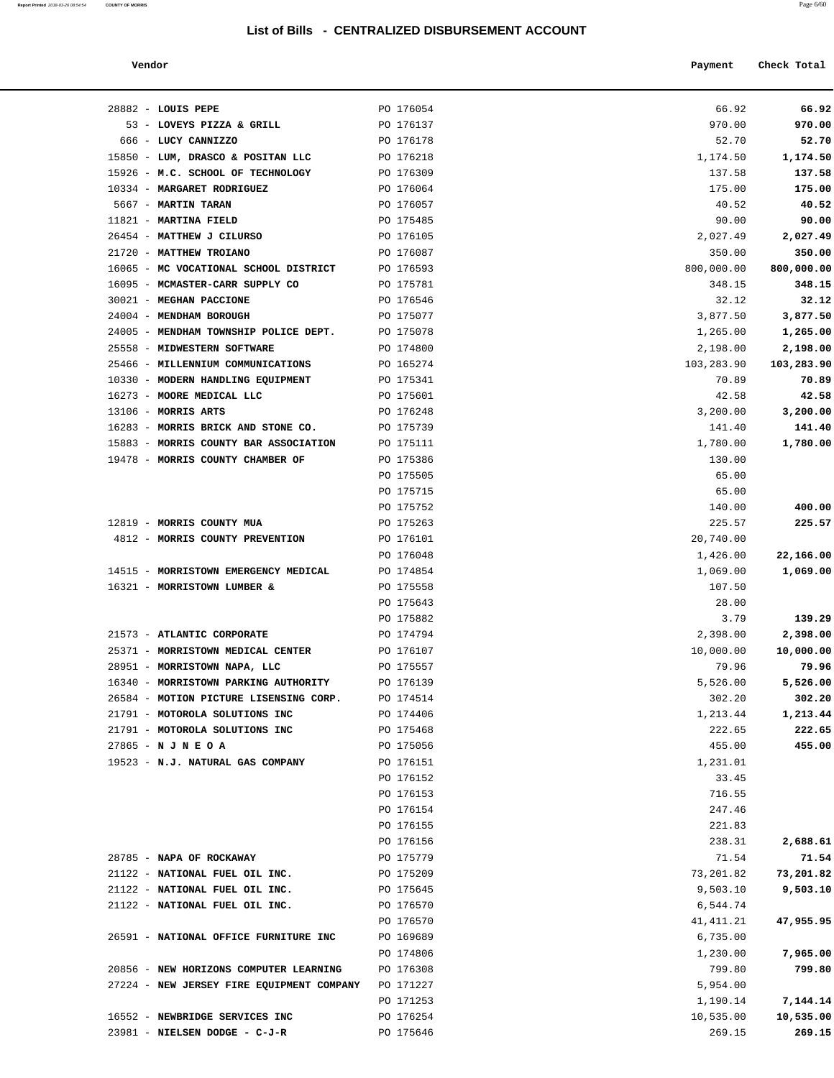| Report Printed 2018-03-26 08:54:54 | <b>COUNTY OF MORRIS</b> |  | Page 6/60 |
|------------------------------------|-------------------------|--|-----------|
|                                    |                         |  |           |

| Vendor                                                          |                        | Payment             | Check Total         |
|-----------------------------------------------------------------|------------------------|---------------------|---------------------|
| 28882 - LOUIS PEPE                                              | PO 176054              | 66.92               | 66.92               |
| 53 - LOVEYS PIZZA & GRILL                                       | PO 176137              | 970.00              | 970.00              |
| 666 - LUCY CANNIZZO                                             | PO 176178              | 52.70               | 52.70               |
| 15850 - LUM, DRASCO & POSITAN LLC                               | PO 176218              | 1,174.50            | 1,174.50            |
| 15926 - M.C. SCHOOL OF TECHNOLOGY                               | PO 176309              | 137.58              | 137.58              |
| 10334 - MARGARET RODRIGUEZ                                      | PO 176064              | 175.00              | 175.00              |
| 5667 - MARTIN TARAN                                             | PO 176057              | 40.52               | 40.52               |
| 11821 - MARTINA FIELD                                           | PO 175485              | 90.00               | 90.00               |
| 26454 - MATTHEW J CILURSO                                       | PO 176105              | 2,027.49            | 2,027.49            |
| 21720 - MATTHEW TROIANO                                         | PO 176087              | 350.00              | 350.00              |
| 16065 - MC VOCATIONAL SCHOOL DISTRICT                           | PO 176593              | 800,000.00          | 800,000.00          |
| 16095 - MCMASTER-CARR SUPPLY CO                                 | PO 175781              | 348.15              | 348.15              |
| 30021 - MEGHAN PACCIONE                                         | PO 176546              | 32.12               | 32.12               |
| 24004 - MENDHAM BOROUGH                                         | PO 175077              | 3,877.50            | 3,877.50            |
| 24005 - MENDHAM TOWNSHIP POLICE DEPT.                           | PO 175078              | 1,265.00            | 1,265.00            |
| 25558 - MIDWESTERN SOFTWARE                                     | PO 174800              | 2,198.00            | 2,198.00            |
| 25466 - MILLENNIUM COMMUNICATIONS                               | PO 165274              | 103,283.90          | 103,283.90          |
| 10330 - MODERN HANDLING EQUIPMENT                               | PO 175341              | 70.89               | 70.89               |
| 16273 - MOORE MEDICAL LLC                                       | PO 175601              | 42.58               | 42.58               |
| 13106 - MORRIS ARTS                                             | PO 176248              | 3,200.00            | 3,200.00            |
| 16283 - MORRIS BRICK AND STONE CO.                              | PO 175739              | 141.40              | 141.40              |
| 15883 - MORRIS COUNTY BAR ASSOCIATION                           | PO 175111              | 1,780.00            | 1,780.00            |
| 19478 - MORRIS COUNTY CHAMBER OF                                | PO 175386              | 130.00              |                     |
|                                                                 | PO 175505<br>PO 175715 | 65.00<br>65.00      |                     |
|                                                                 | PO 175752              |                     | 400.00              |
| 12819 - MORRIS COUNTY MUA                                       | PO 175263              | 140.00<br>225.57    | 225.57              |
| 4812 - MORRIS COUNTY PREVENTION                                 | PO 176101              | 20,740.00           |                     |
|                                                                 | PO 176048              | 1,426.00            | 22,166.00           |
| 14515 - MORRISTOWN EMERGENCY MEDICAL                            | PO 174854              | 1,069.00            | 1,069.00            |
| 16321 - MORRISTOWN LUMBER &                                     | PO 175558              | 107.50              |                     |
|                                                                 | PO 175643              | 28.00               |                     |
|                                                                 | PO 175882              | 3.79                | 139.29              |
| 21573 - ATLANTIC CORPORATE                                      | PO 174794              | 2,398.00            | 2,398.00            |
| 25371 - MORRISTOWN MEDICAL CENTER                               | PO 176107              | 10,000.00           | 10,000.00           |
| 28951 - MORRISTOWN NAPA, LLC                                    | PO 175557              | 79.96               | 79.96               |
| 16340 - MORRISTOWN PARKING AUTHORITY                            | PO 176139              | 5,526.00            | 5,526.00            |
| 26584 - MOTION PICTURE LISENSING CORP.                          | PO 174514              | 302.20              | 302.20              |
| 21791 - MOTOROLA SOLUTIONS INC                                  | PO 174406              | 1,213.44            | 1,213.44            |
| 21791 - MOTOROLA SOLUTIONS INC                                  | PO 175468              | 222.65              | 222.65              |
| $27865 - N J N E O A$                                           | PO 175056              | 455.00              | 455.00              |
| 19523 - N.J. NATURAL GAS COMPANY                                | PO 176151              | 1,231.01            |                     |
|                                                                 | PO 176152              | 33.45               |                     |
|                                                                 | PO 176153              | 716.55              |                     |
|                                                                 | PO 176154              | 247.46              |                     |
|                                                                 | PO 176155              | 221.83              |                     |
|                                                                 | PO 176156              | 238.31              | 2,688.61            |
| 28785 - NAPA OF ROCKAWAY                                        | PO 175779              | 71.54               | 71.54               |
| 21122 - NATIONAL FUEL OIL INC.                                  | PO 175209              | 73,201.82           | 73,201.82           |
| 21122 - NATIONAL FUEL OIL INC.                                  | PO 175645              | 9,503.10            | 9,503.10            |
| 21122 - NATIONAL FUEL OIL INC.                                  | PO 176570              | 6,544.74            |                     |
|                                                                 | PO 176570              | 41,411.21           | 47,955.95           |
| 26591 - NATIONAL OFFICE FURNITURE INC                           | PO 169689              | 6,735.00            |                     |
|                                                                 | PO 174806              | 1,230.00            | 7,965.00            |
| 20856 - NEW HORIZONS COMPUTER LEARNING                          | PO 176308              | 799.80              | 799.80              |
| 27224 - NEW JERSEY FIRE EQUIPMENT COMPANY                       | PO 171227              | 5,954.00            |                     |
|                                                                 | PO 171253              | 1,190.14            | 7,144.14            |
| 16552 - NEWBRIDGE SERVICES INC<br>23981 - NIELSEN DODGE - C-J-R | PO 176254<br>PO 175646 | 10,535.00<br>269.15 | 10,535.00<br>269.15 |
|                                                                 |                        |                     |                     |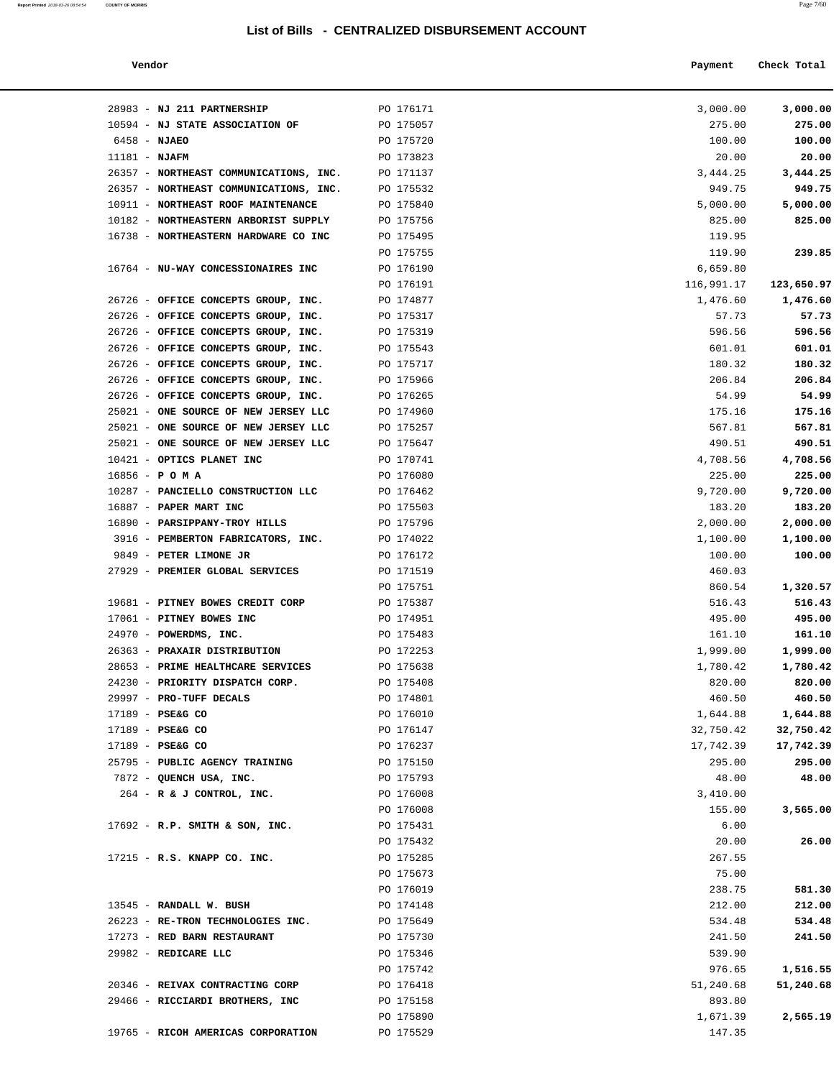| Report Printed 2018-03-26 08:54:54 | <b>COUNTY OF MORRIS</b> | Page 7/60 |
|------------------------------------|-------------------------|-----------|
|                                    |                         |           |
|                                    |                         |           |

| Vendor                                                       |                        | Payment          | Check Total |
|--------------------------------------------------------------|------------------------|------------------|-------------|
| 28983 - NJ 211 PARTNERSHIP                                   | PO 176171              | 3,000.00         | 3,000.00    |
| 10594 - NJ STATE ASSOCIATION OF                              | PO 175057              | 275.00           | 275.00      |
| $6458 - NJABO$                                               | PO 175720              | 100.00           | 100.00      |
| $11181 - NJAFM$                                              | PO 173823              | 20.00            | 20.00       |
| 26357 - NORTHEAST COMMUNICATIONS, INC.                       | PO 171137              | 3,444.25         | 3,444.25    |
| 26357 - NORTHEAST COMMUNICATIONS, INC.                       | PO 175532              | 949.75           | 949.75      |
| 10911 - NORTHEAST ROOF MAINTENANCE                           | PO 175840              | 5,000.00         | 5,000.00    |
| 10182 - NORTHEASTERN ARBORIST SUPPLY                         | PO 175756              | 825.00           | 825.00      |
| 16738 - NORTHEASTERN HARDWARE CO INC                         | PO 175495              | 119.95           |             |
|                                                              | PO 175755              | 119.90           | 239.85      |
| 16764 - NU-WAY CONCESSIONAIRES INC                           | PO 176190              | 6,659.80         |             |
|                                                              | PO 176191              | 116,991.17       | 123,650.97  |
| 26726 - OFFICE CONCEPTS GROUP, INC.                          | PO 174877              | 1,476.60         | 1,476.60    |
| 26726 - OFFICE CONCEPTS GROUP, INC.                          | PO 175317              | 57.73            | 57.73       |
| 26726 - OFFICE CONCEPTS GROUP, INC.                          | PO 175319              | 596.56           | 596.56      |
| 26726 - OFFICE CONCEPTS GROUP, INC.                          | PO 175543              | 601.01           | 601.01      |
| 26726 - OFFICE CONCEPTS GROUP, INC.                          | PO 175717              | 180.32           | 180.32      |
| 26726 - OFFICE CONCEPTS GROUP, INC.                          | PO 175966              | 206.84           | 206.84      |
| 26726 - OFFICE CONCEPTS GROUP, INC.                          | PO 176265              | 54.99            | 54.99       |
| 25021 - ONE SOURCE OF NEW JERSEY LLC                         | PO 174960              | 175.16           | 175.16      |
| 25021 - ONE SOURCE OF NEW JERSEY LLC                         | PO 175257              | 567.81           | 567.81      |
| 25021 - ONE SOURCE OF NEW JERSEY LLC                         | PO 175647              | 490.51           | 490.51      |
| 10421 - OPTICS PLANET INC                                    | PO 170741              | 4,708.56         | 4,708.56    |
| $16856 - P$ O M A                                            | PO 176080              | 225.00           | 225.00      |
| 10287 - PANCIELLO CONSTRUCTION LLC                           | PO 176462              | 9,720.00         | 9,720.00    |
| 16887 - PAPER MART INC                                       | PO 175503              | 183.20           | 183.20      |
| 16890 - PARSIPPANY-TROY HILLS                                | PO 175796              | 2,000.00         | 2,000.00    |
| 3916 - PEMBERTON FABRICATORS, INC.<br>9849 - PETER LIMONE JR | PO 174022<br>PO 176172 | 1,100.00         | 1,100.00    |
| 27929 - PREMIER GLOBAL SERVICES                              | PO 171519              | 100.00<br>460.03 | 100.00      |
|                                                              | PO 175751              | 860.54           | 1,320.57    |
| 19681 - PITNEY BOWES CREDIT CORP                             | PO 175387              | 516.43           | 516.43      |
| 17061 - PITNEY BOWES INC                                     | PO 174951              | 495.00           | 495.00      |
| 24970 - POWERDMS, INC.                                       | PO 175483              | 161.10           | 161.10      |
| 26363 - PRAXAIR DISTRIBUTION                                 | PO 172253              | 1,999.00         | 1,999.00    |
| 28653 - PRIME HEALTHCARE SERVICES                            | PO 175638              | 1,780.42         | 1,780.42    |
| 24230 - PRIORITY DISPATCH CORP.                              | PO 175408              | 820.00           | 820.00      |
| 29997 - PRO-TUFF DECALS                                      | PO 174801              | 460.50           | 460.50      |
| 17189 - PSE&G CO                                             | PO 176010              | 1,644.88         | 1,644.88    |
| 17189 - PSE&G CO                                             | PO 176147              | 32,750.42        | 32,750.42   |
| 17189 - PSE&G CO                                             | PO 176237              | 17,742.39        | 17,742.39   |
| 25795 - PUBLIC AGENCY TRAINING                               | PO 175150              | 295.00           | 295.00      |
| 7872 - QUENCH USA, INC.                                      | PO 175793              | 48.00            | 48.00       |
| 264 - R & J CONTROL, INC.                                    | PO 176008              | 3,410.00         |             |
|                                                              | PO 176008              | 155.00           | 3,565.00    |
| $17692$ - R.P. SMITH & SON, INC.                             | PO 175431              | 6.00             |             |
|                                                              | PO 175432              | 20.00            | 26.00       |
| 17215 - R.S. KNAPP CO. INC.                                  | PO 175285              | 267.55           |             |
|                                                              | PO 175673              | 75.00            |             |
|                                                              | PO 176019              | 238.75           | 581.30      |
| 13545 - RANDALL W. BUSH                                      | PO 174148              | 212.00           | 212.00      |
| 26223 - RE-TRON TECHNOLOGIES INC.                            | PO 175649              | 534.48           | 534.48      |
| 17273 - RED BARN RESTAURANT                                  | PO 175730              | 241.50           | 241.50      |
| 29982 - REDICARE LLC                                         | PO 175346              | 539.90           |             |
|                                                              | PO 175742              | 976.65           | 1,516.55    |
| 20346 - REIVAX CONTRACTING CORP                              | PO 176418              | 51,240.68        | 51,240.68   |
| 29466 - RICCIARDI BROTHERS, INC                              | PO 175158              | 893.80           |             |
|                                                              | PO 175890              | 1,671.39         | 2,565.19    |
| 19765 - RICOH AMERICAS CORPORATION                           | PO 175529              | 147.35           |             |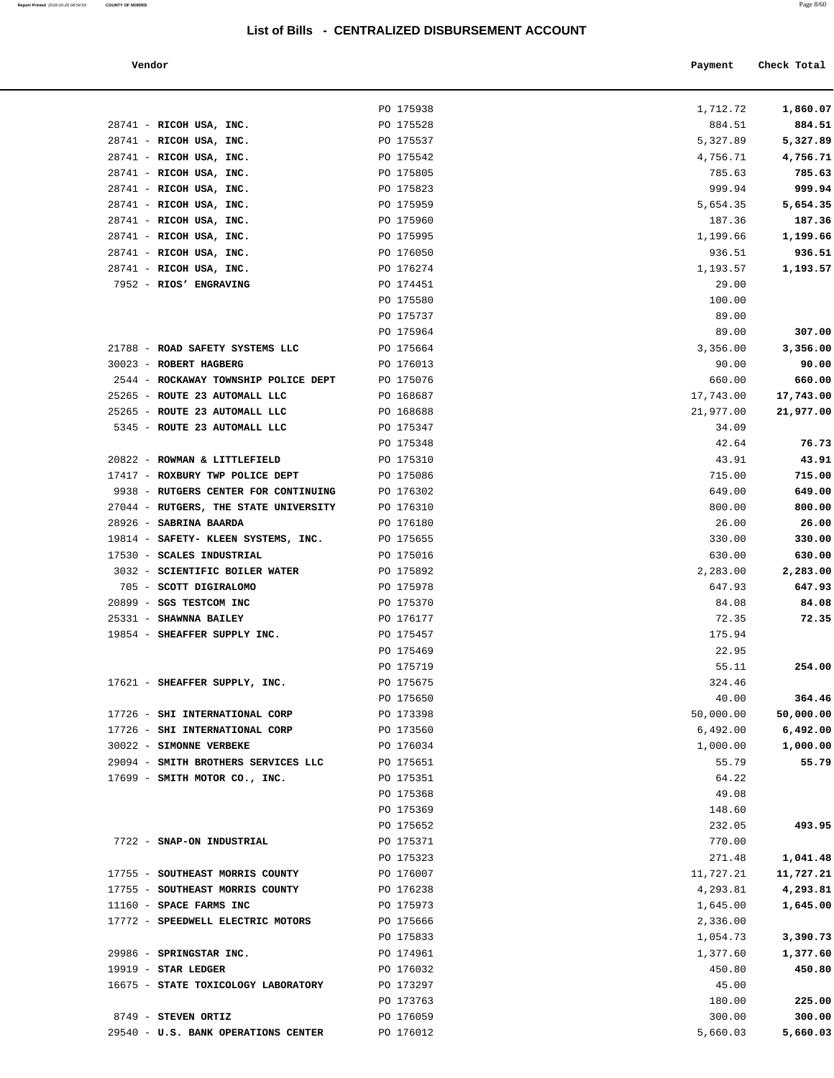#### **Vendor Payment Check Total**

**Report Printed** 2018-03-26 08:54:54 **COUNTY OF MORRIS** Page 8/60

| 1,860.07          | 1,712.72  |
|-------------------|-----------|
| 884.51            | 884.51    |
| 5,327.89          | 5,327.89  |
| 4,756.71          | 4,756.71  |
| 785.63            | 785.63    |
| 999.94            | 999.94    |
| 5,654.35          | 5,654.35  |
| 187.36            | 187.36    |
| 1,199.66          | 1,199.66  |
| 936.51            | 936.51    |
| 1,193.57          | 1,193.57  |
|                   | 29.00     |
|                   | 100.00    |
|                   | 89.00     |
|                   | 89.00     |
| 307.00            |           |
| 3,356.00<br>90.00 | 3,356.00  |
|                   | 90.00     |
| 660.00            | 660.00    |
| 17,743.00         | 17,743.00 |
| 21,977.00         | 21,977.00 |
|                   | 34.09     |
| 76.73             | 42.64     |
| 43.91             | 43.91     |
| 715.00            | 715.00    |
| 649.00            | 649.00    |
| 800.00            | 800.00    |
| 26.00             | 26.00     |
| 330.00            | 330.00    |
| 630.00            | 630.00    |
| 2,283.00          | 2,283.00  |
| 647.93            | 647.93    |
| 84.08             | 84.08     |
| 72.35             | 72.35     |
|                   | 175.94    |
|                   | 22.95     |
| 254.00            | 55.11     |
|                   | 324.46    |
| 364.46            | 40.00     |
| 50,000.00         | 50,000.00 |
| 6,492.00          | 6,492.00  |
| 1,000.00          | 1,000.00  |
| 55.79             | 55.79     |
|                   | 64.22     |
|                   | 49.08     |
|                   | 148.60    |
| 493.95            | 232.05    |
|                   | 770.00    |
| 1,041.48          | 271.48    |
| 11,727.21         | 11,727.21 |
| 4,293.81          | 4,293.81  |
| 1,645.00          | 1,645.00  |
|                   | 2,336.00  |
| 3,390.73          | 1,054.73  |
| 1,377.60          | 1,377.60  |
| 450.80            | 450.80    |
|                   | 45.00     |
| 225.00            | 180.00    |
| 300.00            | 300.00    |
| 5,660.03          | 5,660.03  |
|                   |           |

|                                                                | PO 175938              | 1,712.72           | 1,860.07               |
|----------------------------------------------------------------|------------------------|--------------------|------------------------|
| 28741 - RICOH USA, INC.                                        | PO 175528              | 884.51             | 884.51                 |
| 28741 - RICOH USA, INC.                                        | PO 175537              | 5,327.89           | 5,327.89               |
| $28741$ - RICOH USA, INC.                                      | PO 175542              | 4,756.71           | 4,756.71               |
| $28741$ - RICOH USA, INC.                                      | PO 175805              | 785.63             | 785.63                 |
| 28741 - RICOH USA, INC.                                        | PO 175823              | 999.94             | 999.94                 |
| 28741 - RICOH USA, INC.                                        | PO 175959              | 5,654.35           | 5,654.35               |
| 28741 - RICOH USA, INC.                                        | PO 175960              | 187.36             | 187.36                 |
| $28741$ - RICOH USA, INC.                                      | PO 175995              | 1,199.66           | 1,199.66               |
| 28741 - RICOH USA, INC.                                        | PO 176050              | 936.51             | 936.51                 |
| 28741 - RICOH USA, INC.                                        | PO 176274              | 1,193.57           | 1,193.57               |
| 7952 - RIOS' ENGRAVING                                         | PO 174451              | 29.00              |                        |
|                                                                | PO 175580              | 100.00             |                        |
|                                                                | PO 175737              | 89.00              |                        |
|                                                                | PO 175964              | 89.00              | 307.00                 |
| 21788 - ROAD SAFETY SYSTEMS LLC                                | PO 175664              | 3,356.00           | 3,356.00               |
| 30023 - ROBERT HAGBERG                                         | PO 176013              | 90.00              | 90.00                  |
| 2544 - ROCKAWAY TOWNSHIP POLICE DEPT                           | PO 175076              | 660.00             | 660.00                 |
| 25265 - ROUTE 23 AUTOMALL LLC<br>25265 - ROUTE 23 AUTOMALL LLC | PO 168687<br>PO 168688 | 17,743.00          | 17,743.00<br>21,977.00 |
| 5345 - ROUTE 23 AUTOMALL LLC                                   | PO 175347              | 21,977.00<br>34.09 |                        |
|                                                                | PO 175348              | 42.64              | 76.73                  |
| 20822 - ROWMAN & LITTLEFIELD                                   | PO 175310              | 43.91              | 43.91                  |
| 17417 - ROXBURY TWP POLICE DEPT                                | PO 175086              | 715.00             | 715.00                 |
| 9938 - RUTGERS CENTER FOR CONTINUING                           | PO 176302              | 649.00             | 649.00                 |
| 27044 - RUTGERS, THE STATE UNIVERSITY                          | PO 176310              | 800.00             | 800.00                 |
| 28926 - SABRINA BAARDA                                         | PO 176180              | 26.00              | 26.00                  |
| 19814 - SAFETY- KLEEN SYSTEMS, INC.                            | PO 175655              | 330.00             | 330.00                 |
| 17530 - SCALES INDUSTRIAL                                      | PO 175016              | 630.00             | 630.00                 |
| 3032 - SCIENTIFIC BOILER WATER                                 | PO 175892              | 2,283.00           | 2,283.00               |
| 705 - SCOTT DIGIRALOMO                                         | PO 175978              | 647.93             | 647.93                 |
| 20899 - SGS TESTCOM INC                                        | PO 175370              | 84.08              | 84.08                  |
| 25331 - SHAWNNA BAILEY                                         | PO 176177              | 72.35              | 72.35                  |
| 19854 - SHEAFFER SUPPLY INC.                                   | PO 175457              | 175.94             |                        |
|                                                                | PO 175469              | 22.95              |                        |
|                                                                | PO 175719              | 55.11              | 254.00                 |
| 17621 - SHEAFFER SUPPLY, INC.                                  | PO 175675              | 324.46             |                        |
|                                                                | PO 175650              | 40.00              | 364.46                 |
| 17726 - SHI INTERNATIONAL CORP                                 | PO 173398              | 50,000.00          | 50,000.00              |
| 17726 - SHI INTERNATIONAL CORP                                 | PO 173560              | 6,492.00           | 6,492.00               |
| 30022 - SIMONNE VERBEKE                                        | PO 176034              | 1,000.00           | 1,000.00               |
| 29094 - SMITH BROTHERS SERVICES LLC                            | PO 175651              | 55.79              | 55.79                  |
| 17699 - SMITH MOTOR CO., INC.                                  | PO 175351              | 64.22              |                        |
|                                                                | PO 175368<br>PO 175369 | 49.08<br>148.60    |                        |
|                                                                | PO 175652              | 232.05             | 493.95                 |
| 7722 - SNAP-ON INDUSTRIAL                                      | PO 175371              | 770.00             |                        |
|                                                                | PO 175323              | 271.48             | 1,041.48               |
| 17755 - SOUTHEAST MORRIS COUNTY                                | PO 176007              | 11,727.21          | 11,727.21              |
| 17755 - SOUTHEAST MORRIS COUNTY                                | PO 176238              | 4,293.81           | 4,293.81               |
| 11160 - SPACE FARMS INC                                        | PO 175973              | 1,645.00           | 1,645.00               |
| 17772 - SPEEDWELL ELECTRIC MOTORS                              | PO 175666              | 2,336.00           |                        |
|                                                                | PO 175833              | 1,054.73           | 3,390.73               |
| 29986 - SPRINGSTAR INC.                                        | PO 174961              | 1,377.60           | 1,377.60               |
| $19919$ - STAR LEDGER                                          | PO 176032              | 450.80             | 450.80                 |
| 16675 - STATE TOXICOLOGY LABORATORY                            | PO 173297              | 45.00              |                        |
|                                                                | PO 173763              | 180.00             | 225.00                 |
| 8749 - STEVEN ORTIZ                                            | PO 176059              | 300.00             | 300.00                 |
| 29540 - U.S. BANK OPERATIONS CENTER                            | PO 176012              | 5,660.03           | 5,660.03               |
|                                                                |                        |                    |                        |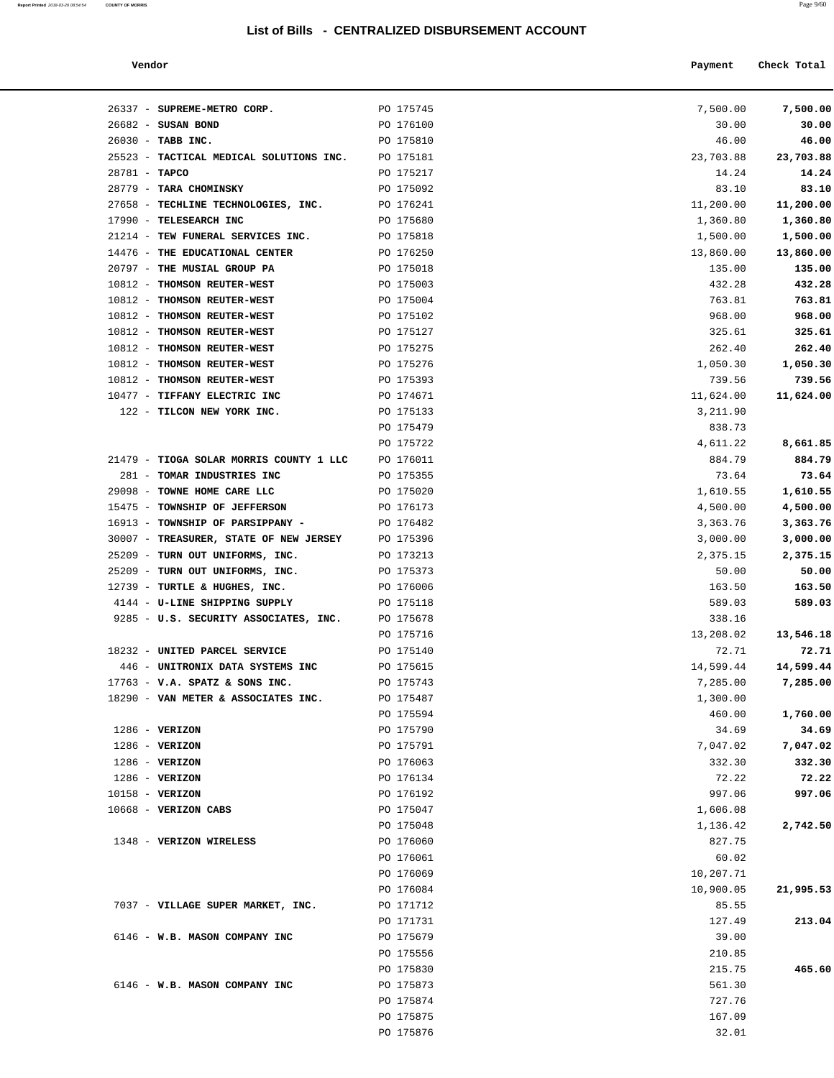| Report Printed 2018-03-26 08:54:54<br>the contract of the contract of the contract of the contract of the contract of the contract of the contract of | <b>COUNTY OF MORRIS</b> | Page $9/60$ |
|-------------------------------------------------------------------------------------------------------------------------------------------------------|-------------------------|-------------|
|                                                                                                                                                       |                         |             |

| Vendor                                  |           | Payment   | Check Total |
|-----------------------------------------|-----------|-----------|-------------|
| 26337 - SUPREME-METRO CORP.             | PO 175745 | 7,500.00  | 7,500.00    |
| 26682 - SUSAN BOND                      | PO 176100 | 30.00     | 30.00       |
| 26030 - TABB INC.                       | PO 175810 | 46.00     | 46.00       |
| 25523 - TACTICAL MEDICAL SOLUTIONS INC. | PO 175181 | 23,703.88 | 23,703.88   |
| $28781 - TAPCO$                         | PO 175217 | 14.24     | 14.24       |
| 28779 - TARA CHOMINSKY                  | PO 175092 | 83.10     | 83.10       |
| 27658 - TECHLINE TECHNOLOGIES, INC.     | PO 176241 | 11,200.00 | 11,200.00   |
| 17990 - TELESEARCH INC                  | PO 175680 | 1,360.80  | 1,360.80    |
| 21214 - TEW FUNERAL SERVICES INC.       | PO 175818 | 1,500.00  | 1,500.00    |
| 14476 - THE EDUCATIONAL CENTER          | PO 176250 | 13,860.00 | 13,860.00   |
| 20797 - THE MUSIAL GROUP PA             | PO 175018 | 135.00    | 135.00      |
| 10812 - THOMSON REUTER-WEST             | PO 175003 | 432.28    | 432.28      |
| 10812 - THOMSON REUTER-WEST             | PO 175004 | 763.81    | 763.81      |
| 10812 - THOMSON REUTER-WEST             | PO 175102 | 968.00    | 968.00      |
| 10812 - THOMSON REUTER-WEST             | PO 175127 | 325.61    | 325.61      |
| 10812 - THOMSON REUTER-WEST             | PO 175275 | 262.40    | 262.40      |
| 10812 - THOMSON REUTER-WEST             | PO 175276 | 1,050.30  | 1,050.30    |
| 10812 - THOMSON REUTER-WEST             | PO 175393 | 739.56    | 739.56      |
| 10477 - TIFFANY ELECTRIC INC            | PO 174671 | 11,624.00 | 11,624.00   |
| 122 - TILCON NEW YORK INC.              | PO 175133 | 3,211.90  |             |
|                                         | PO 175479 | 838.73    |             |
|                                         | PO 175722 | 4,611.22  | 8,661.85    |
| 21479 - TIOGA SOLAR MORRIS COUNTY 1 LLC | PO 176011 | 884.79    | 884.79      |
| 281 - TOMAR INDUSTRIES INC              | PO 175355 | 73.64     | 73.64       |
| 29098 - TOWNE HOME CARE LLC             | PO 175020 | 1,610.55  | 1,610.55    |
| 15475 - TOWNSHIP OF JEFFERSON           | PO 176173 | 4,500.00  | 4,500.00    |
| 16913 - TOWNSHIP OF PARSIPPANY -        | PO 176482 | 3,363.76  | 3,363.76    |
| 30007 - TREASURER, STATE OF NEW JERSEY  | PO 175396 | 3,000.00  | 3,000.00    |
| 25209 - TURN OUT UNIFORMS, INC.         | PO 173213 | 2,375.15  | 2,375.15    |
| 25209 - TURN OUT UNIFORMS, INC.         | PO 175373 | 50.00     | 50.00       |
| 12739 - TURTLE & HUGHES, INC.           | PO 176006 | 163.50    | 163.50      |
| 4144 - U-LINE SHIPPING SUPPLY           | PO 175118 | 589.03    | 589.03      |
| 9285 - U.S. SECURITY ASSOCIATES, INC.   | PO 175678 | 338.16    |             |
|                                         | PO 175716 | 13,208.02 | 13,546.18   |
| 18232 - UNITED PARCEL SERVICE           | PO 175140 | 72.71     | 72.71       |
| 446 - UNITRONIX DATA SYSTEMS INC        | PO 175615 | 14,599.44 | 14,599.44   |
| $17763$ - V.A. SPATZ & SONS INC.        | PO 175743 | 7,285.00  | 7,285.00    |
| 18290 - VAN METER & ASSOCIATES INC.     | PO 175487 | 1,300.00  |             |
|                                         | PO 175594 | 460.00    | 1,760.00    |
| $1286$ - VERIZON                        | PO 175790 | 34.69     | 34.69       |
| $1286$ - VERIZON                        | PO 175791 | 7,047.02  | 7,047.02    |
| $1286 - VERIZON$                        | PO 176063 | 332.30    | 332.30      |
| $1286$ - VERIZON                        | PO 176134 | 72.22     | 72.22       |
| $10158 - VERIZON$                       | PO 176192 | 997.06    | 997.06      |
| $10668$ - VERIZON CABS                  | PO 175047 | 1,606.08  |             |
|                                         | PO 175048 | 1,136.42  | 2,742.50    |
| 1348 - VERIZON WIRELESS                 | PO 176060 | 827.75    |             |
|                                         | PO 176061 | 60.02     |             |
|                                         | PO 176069 | 10,207.71 |             |
|                                         | PO 176084 | 10,900.05 | 21,995.53   |
| 7037 - VILLAGE SUPER MARKET, INC.       | PO 171712 | 85.55     |             |
|                                         | PO 171731 | 127.49    | 213.04      |
| 6146 - W.B. MASON COMPANY INC           | PO 175679 | 39.00     |             |
|                                         | PO 175556 | 210.85    |             |
|                                         | PO 175830 | 215.75    | 465.60      |
| 6146 - W.B. MASON COMPANY INC           | PO 175873 | 561.30    |             |
|                                         | PO 175874 | 727.76    |             |
|                                         | PO 175875 | 167.09    |             |
|                                         | PO 175876 | 32.01     |             |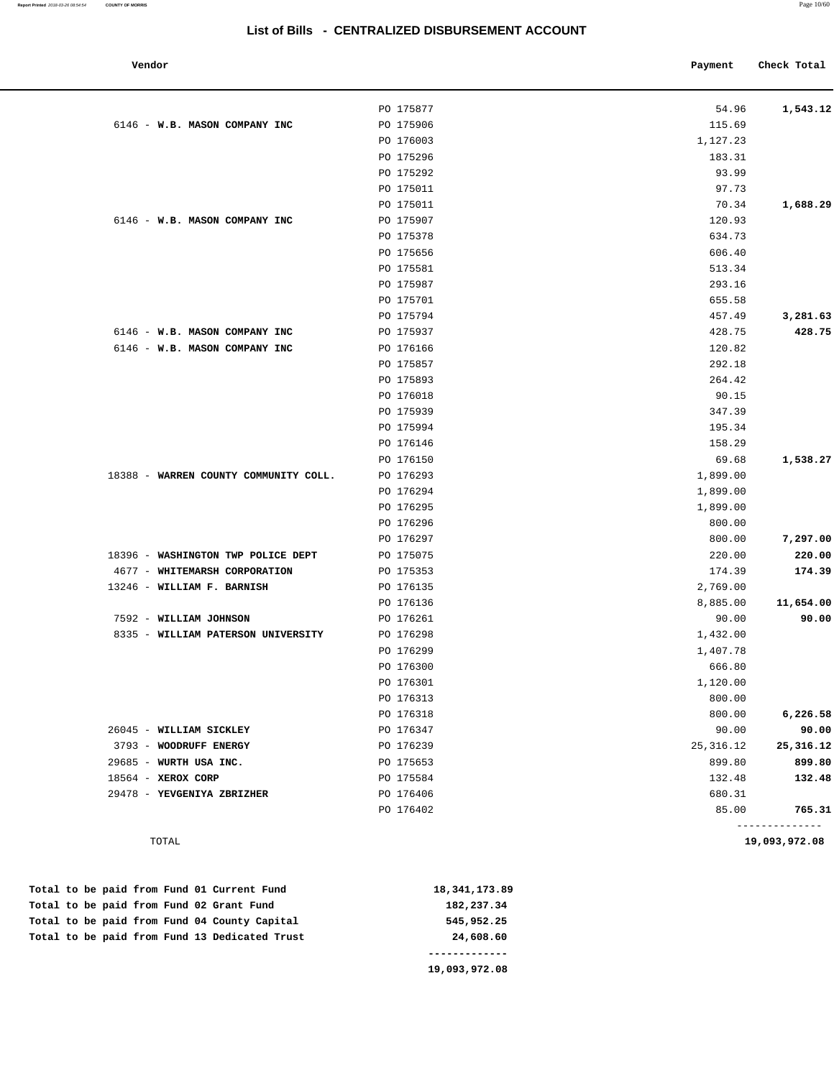|  | end<br>- | ١C |  |
|--|----------|----|--|
|  |          |    |  |

| Vendor                                |           | Payment    | Check Total |
|---------------------------------------|-----------|------------|-------------|
|                                       | PO 175877 | 54.96      | 1,543.12    |
| 6146 - W.B. MASON COMPANY INC         | PO 175906 | 115.69     |             |
|                                       | PO 176003 | 1,127.23   |             |
|                                       | PO 175296 | 183.31     |             |
|                                       | PO 175292 | 93.99      |             |
|                                       | PO 175011 | 97.73      |             |
|                                       | PO 175011 | 70.34      | 1,688.29    |
| 6146 - W.B. MASON COMPANY INC         | PO 175907 | 120.93     |             |
|                                       | PO 175378 | 634.73     |             |
|                                       | PO 175656 | 606.40     |             |
|                                       | PO 175581 | 513.34     |             |
|                                       | PO 175987 | 293.16     |             |
|                                       | PO 175701 | 655.58     |             |
|                                       | PO 175794 | 457.49     | 3,281.63    |
| 6146 - W.B. MASON COMPANY INC         | PO 175937 | 428.75     | 428.75      |
| 6146 - W.B. MASON COMPANY INC         | PO 176166 | 120.82     |             |
|                                       | PO 175857 | 292.18     |             |
|                                       | PO 175893 | 264.42     |             |
|                                       | PO 176018 | 90.15      |             |
|                                       | PO 175939 | 347.39     |             |
|                                       | PO 175994 | 195.34     |             |
|                                       | PO 176146 | 158.29     |             |
|                                       | PO 176150 | 69.68      | 1,538.27    |
| 18388 - WARREN COUNTY COMMUNITY COLL. | PO 176293 | 1,899.00   |             |
|                                       | PO 176294 | 1,899.00   |             |
|                                       | PO 176295 | 1,899.00   |             |
|                                       | PO 176296 | 800.00     |             |
|                                       | PO 176297 | 800.00     | 7,297.00    |
| 18396 - WASHINGTON TWP POLICE DEPT    | PO 175075 | 220.00     | 220.00      |
| 4677 - WHITEMARSH CORPORATION         | PO 175353 | 174.39     | 174.39      |
| 13246 - WILLIAM F. BARNISH            | PO 176135 | 2,769.00   |             |
|                                       | PO 176136 | 8,885.00   | 11,654.00   |
| 7592 - WILLIAM JOHNSON                | PO 176261 | 90.00      | 90.00       |
| 8335 - WILLIAM PATERSON UNIVERSITY    | PO 176298 | 1,432.00   |             |
|                                       | PO 176299 | 1,407.78   |             |
|                                       | PO 176300 | 666.80     |             |
|                                       | PO 176301 | 1,120.00   |             |
|                                       | PO 176313 | 800.00     |             |
|                                       | PO 176318 | 800.00     | 6,226.58    |
| 26045 - WILLIAM SICKLEY               | PO 176347 | 90.00      | 90.00       |
| 3793 - WOODRUFF ENERGY                | PO 176239 | 25, 316.12 | 25,316.12   |
| 29685 - WURTH USA INC.                | PO 175653 | 899.80     | 899.80      |
| 18564 - XEROX CORP                    | PO 175584 | 132.48     | 132.48      |
| 29478 - YEVGENIYA ZBRIZHER            | PO 176406 | 680.31     |             |
|                                       | PO 176402 | 85.00      | 765.31      |

 **Total to be paid from Fund 01 Current Fund 18,341,173.89 Total to be paid from Fund 02 Grant Fund 182,237.34 Total to be paid from Fund 04 County Capital 545,952.25 Total to be paid from Fund 13 Dedicated Trust 24,608.60 -------------**

**19,093,972.08** 

TOTAL **19,093,972.08**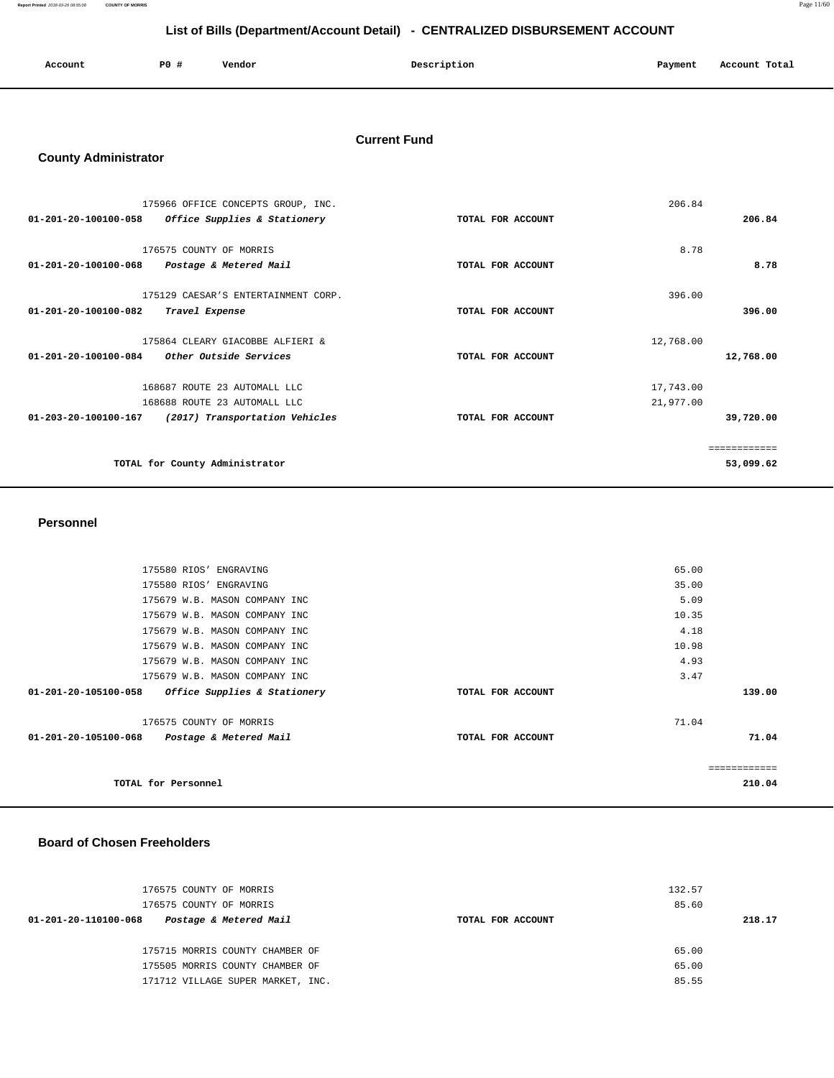**Report Printed** 2018-03-26 08:55:08 **COUNTY OF MORRIS** Page 11/60

## **List of Bills (Department/Account Detail) - CENTRALIZED DISBURSEMENT ACCOUNT**

| Account<br>. | PO# | Vendor | Description<br>$\sim$ $\sim$ | Payment | Account Total<br>. |
|--------------|-----|--------|------------------------------|---------|--------------------|
|              |     |        |                              |         |                    |

## **Current Fund**

## **County Administrator**

| 175966 OFFICE CONCEPTS GROUP, INC.                     |                   | 206.84    |              |
|--------------------------------------------------------|-------------------|-----------|--------------|
| 01-201-20-100100-058<br>Office Supplies & Stationery   | TOTAL FOR ACCOUNT |           | 206.84       |
| 176575 COUNTY OF MORRIS                                |                   | 8.78      |              |
| 01-201-20-100100-068<br>Postage & Metered Mail         | TOTAL FOR ACCOUNT |           | 8.78         |
| 175129 CAESAR'S ENTERTAINMENT CORP.                    |                   | 396.00    |              |
| 01-201-20-100100-082<br>Travel Expense                 | TOTAL FOR ACCOUNT |           | 396.00       |
| 175864 CLEARY GIACOBBE ALFIERI &                       |                   | 12,768.00 |              |
| 01-201-20-100100-084<br>Other Outside Services         | TOTAL FOR ACCOUNT |           | 12,768.00    |
| 168687 ROUTE 23 AUTOMALL LLC                           |                   | 17,743.00 |              |
| 168688 ROUTE 23 AUTOMALL LLC                           |                   | 21,977.00 |              |
| 01-203-20-100100-167<br>(2017) Transportation Vehicles | TOTAL FOR ACCOUNT |           | 39,720.00    |
|                                                        |                   |           | ============ |
| TOTAL for County Administrator                         |                   |           | 53,099.62    |

#### **Personnel**

| 175580 RIOS' ENGRAVING                               |                   | 65.00        |
|------------------------------------------------------|-------------------|--------------|
| 175580 RIOS' ENGRAVING                               |                   | 35.00        |
| 175679 W.B. MASON COMPANY INC                        |                   | 5.09         |
| 175679 W.B. MASON COMPANY INC                        |                   | 10.35        |
| 175679 W.B. MASON COMPANY INC                        |                   | 4.18         |
| 175679 W.B. MASON COMPANY INC                        |                   | 10.98        |
| 175679 W.B. MASON COMPANY INC                        |                   | 4.93         |
| 175679 W.B. MASON COMPANY INC                        |                   | 3.47         |
| Office Supplies & Stationery<br>01-201-20-105100-058 | TOTAL FOR ACCOUNT | 139.00       |
| 176575 COUNTY OF MORRIS                              |                   | 71.04        |
| 01-201-20-105100-068<br>Postage & Metered Mail       | TOTAL FOR ACCOUNT | 71.04        |
|                                                      |                   |              |
|                                                      |                   | ============ |
| TOTAL for Personnel                                  |                   | 210.04       |

#### **Board of Chosen Freeholders**

| 176575 COUNTY OF MORRIS<br>176575 COUNTY OF MORRIS | 132.57<br>85.60   |        |
|----------------------------------------------------|-------------------|--------|
| Postage & Metered Mail<br>01-201-20-110100-068     | TOTAL FOR ACCOUNT | 218.17 |
| 175715 MORRIS COUNTY CHAMBER OF                    | 65.00             |        |
| 175505 MORRIS COUNTY CHAMBER OF                    | 65.00             |        |
| 171712 VILLAGE SUPER MARKET, INC.                  | 85.55             |        |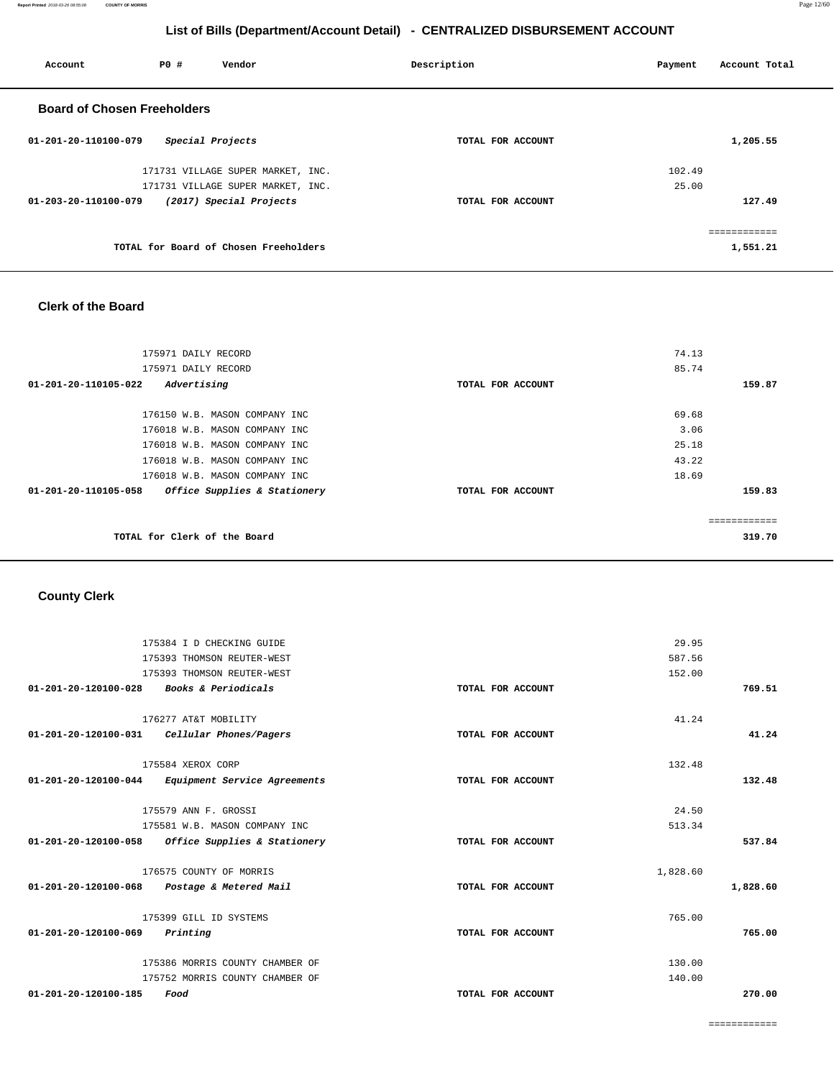**Report Printed** 2018-03-26 08:55:08 **COUNTY OF MORRIS** Page 12/60

# **List of Bills (Department/Account Detail) - CENTRALIZED DISBURSEMENT ACCOUNT**

| Account                            | PO#              | Vendor                                | Description       | Payment | Account Total |
|------------------------------------|------------------|---------------------------------------|-------------------|---------|---------------|
| <b>Board of Chosen Freeholders</b> |                  |                                       |                   |         |               |
| 01-201-20-110100-079               | Special Projects |                                       | TOTAL FOR ACCOUNT |         | 1,205.55      |
|                                    |                  | 171731 VILLAGE SUPER MARKET, INC.     |                   | 102.49  |               |
|                                    |                  | 171731 VILLAGE SUPER MARKET, INC.     |                   | 25.00   |               |
| 01-203-20-110100-079               |                  | (2017) Special Projects               | TOTAL FOR ACCOUNT |         | 127.49        |
|                                    |                  |                                       |                   |         | ============  |
|                                    |                  | TOTAL for Board of Chosen Freeholders |                   |         | 1,551.21      |
|                                    |                  |                                       |                   |         |               |

#### **Clerk of the Board**

| 175971 DAILY RECORD                                  |                   | 74.13        |
|------------------------------------------------------|-------------------|--------------|
| 175971 DAILY RECORD                                  |                   | 85.74        |
| 01-201-20-110105-022<br>Advertising                  | TOTAL FOR ACCOUNT | 159.87       |
| 176150 W.B. MASON COMPANY INC                        |                   | 69.68        |
| 176018 W.B. MASON COMPANY INC                        |                   | 3.06         |
| 176018 W.B. MASON COMPANY INC                        |                   | 25.18        |
| 176018 W.B. MASON COMPANY INC                        |                   | 43.22        |
| 176018 W.B. MASON COMPANY INC                        |                   | 18.69        |
| 01-201-20-110105-058<br>Office Supplies & Stationery | TOTAL FOR ACCOUNT | 159.83       |
|                                                      |                   |              |
|                                                      |                   | ============ |
| TOTAL for Clerk of the Board                         |                   | 319.70       |
|                                                      |                   |              |

# **County Clerk**

| 175384 I D CHECKING GUIDE                         |                   | 29.95    |
|---------------------------------------------------|-------------------|----------|
| 175393 THOMSON REUTER-WEST                        |                   | 587.56   |
| 175393 THOMSON REUTER-WEST                        |                   | 152.00   |
| 01-201-20-120100-028 Books & Periodicals          | TOTAL FOR ACCOUNT | 769.51   |
| 176277 AT&T MOBILITY                              |                   | 41.24    |
| 01-201-20-120100-031 Cellular Phones/Pagers       | TOTAL FOR ACCOUNT | 41.24    |
|                                                   |                   |          |
| 175584 XEROX CORP                                 |                   | 132.48   |
| 01-201-20-120100-044 Equipment Service Agreements | TOTAL FOR ACCOUNT | 132.48   |
|                                                   |                   |          |
| 175579 ANN F. GROSSI                              |                   | 24.50    |
| 175581 W.B. MASON COMPANY INC                     |                   | 513.34   |
| 01-201-20-120100-058 Office Supplies & Stationery | TOTAL FOR ACCOUNT | 537.84   |
| 176575 COUNTY OF MORRIS                           |                   | 1,828.60 |
| 01-201-20-120100-068 Postage & Metered Mail       | TOTAL FOR ACCOUNT | 1,828.60 |
|                                                   |                   |          |
| 175399 GILL ID SYSTEMS                            |                   | 765.00   |
| $01 - 201 - 20 - 120100 - 069$<br>Printing        | TOTAL FOR ACCOUNT | 765.00   |
| 175386 MORRIS COUNTY CHAMBER OF                   |                   | 130.00   |
| 175752 MORRIS COUNTY CHAMBER OF                   |                   | 140.00   |
| $01 - 201 - 20 - 120100 - 185$<br>Food            | TOTAL FOR ACCOUNT | 270.00   |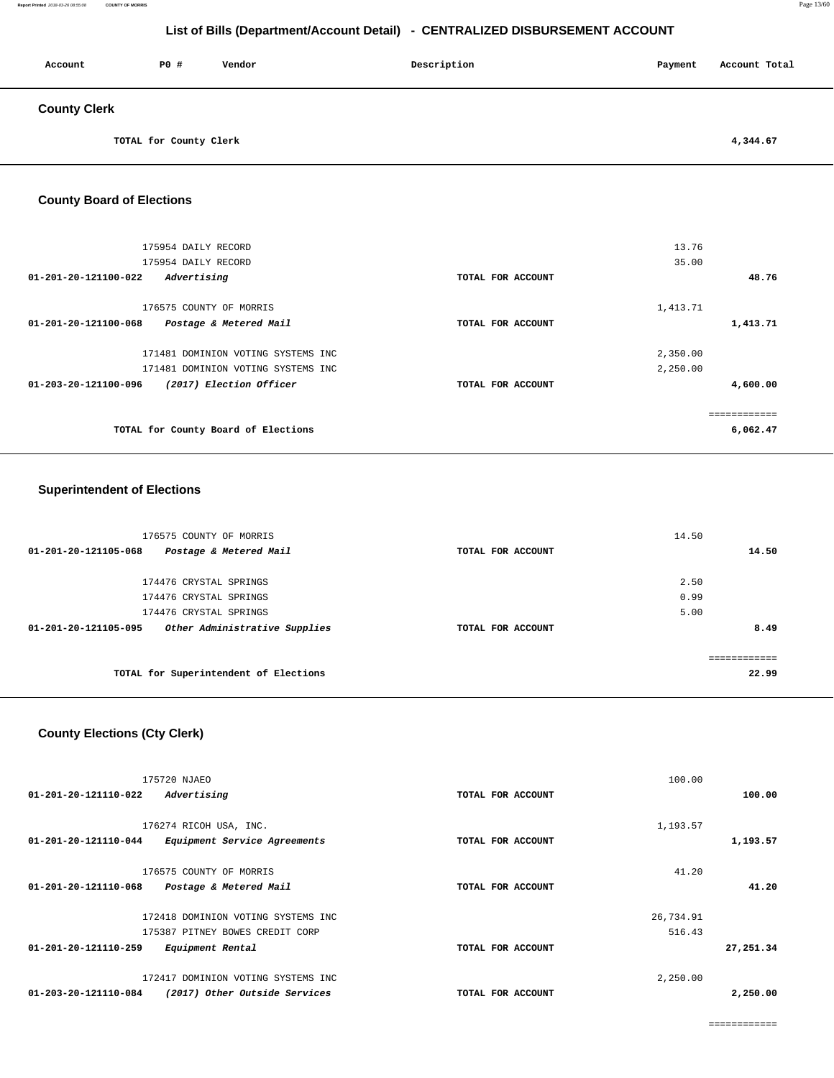| Account             | <b>PO #</b>            | Vendor | Description | Payment | Account Total |
|---------------------|------------------------|--------|-------------|---------|---------------|
| <b>County Clerk</b> |                        |        |             |         |               |
|                     | TOTAL for County Clerk |        |             |         | 4,344.67      |

### **County Board of Elections**

| 175954 DAILY RECORD                                      |                   | 13.76        |
|----------------------------------------------------------|-------------------|--------------|
| 175954 DAILY RECORD                                      |                   | 35.00        |
| $01 - 201 - 20 - 121100 - 022$<br>Advertising            | TOTAL FOR ACCOUNT | 48.76        |
| 176575 COUNTY OF MORRIS                                  |                   | 1,413.71     |
| $01 - 201 - 20 - 121100 - 068$<br>Postage & Metered Mail | TOTAL FOR ACCOUNT | 1,413.71     |
| 171481 DOMINION VOTING SYSTEMS INC                       |                   | 2,350.00     |
| 171481 DOMINION VOTING SYSTEMS INC                       |                   | 2,250.00     |
| (2017) Election Officer<br>01-203-20-121100-096          | TOTAL FOR ACCOUNT | 4,600.00     |
|                                                          |                   | ------------ |
| TOTAL for County Board of Elections                      |                   | 6,062.47     |

### **Superintendent of Elections**

| 176575 COUNTY OF MORRIS                               |                   | 14.50 |
|-------------------------------------------------------|-------------------|-------|
| Postage & Metered Mail<br>01-201-20-121105-068        | TOTAL FOR ACCOUNT | 14.50 |
| 174476 CRYSTAL SPRINGS                                |                   | 2.50  |
| 174476 CRYSTAL SPRINGS                                |                   | 0.99  |
| 174476 CRYSTAL SPRINGS                                |                   | 5.00  |
| Other Administrative Supplies<br>01-201-20-121105-095 | TOTAL FOR ACCOUNT | 8.49  |
|                                                       |                   |       |
| TOTAL for Superintendent of Elections                 |                   | 22.99 |

# **County Elections (Cty Clerk)**

| 175720 NJAEO                                          |                   | 100.00    |            |
|-------------------------------------------------------|-------------------|-----------|------------|
| 01-201-20-121110-022<br>Advertising                   | TOTAL FOR ACCOUNT |           | 100.00     |
| 176274 RICOH USA, INC.                                |                   | 1,193.57  |            |
| 01-201-20-121110-044<br>Equipment Service Agreements  | TOTAL FOR ACCOUNT |           | 1,193.57   |
| 176575 COUNTY OF MORRIS                               |                   | 41.20     |            |
| 01-201-20-121110-068<br>Postage & Metered Mail        | TOTAL FOR ACCOUNT |           | 41.20      |
| 172418 DOMINION VOTING SYSTEMS INC                    |                   | 26,734.91 |            |
| 175387 PITNEY BOWES CREDIT CORP                       |                   | 516.43    |            |
| 01-201-20-121110-259<br>Equipment Rental              | TOTAL FOR ACCOUNT |           | 27, 251.34 |
| 172417 DOMINION VOTING SYSTEMS INC                    |                   | 2,250.00  |            |
| 01-203-20-121110-084<br>(2017) Other Outside Services | TOTAL FOR ACCOUNT |           | 2,250.00   |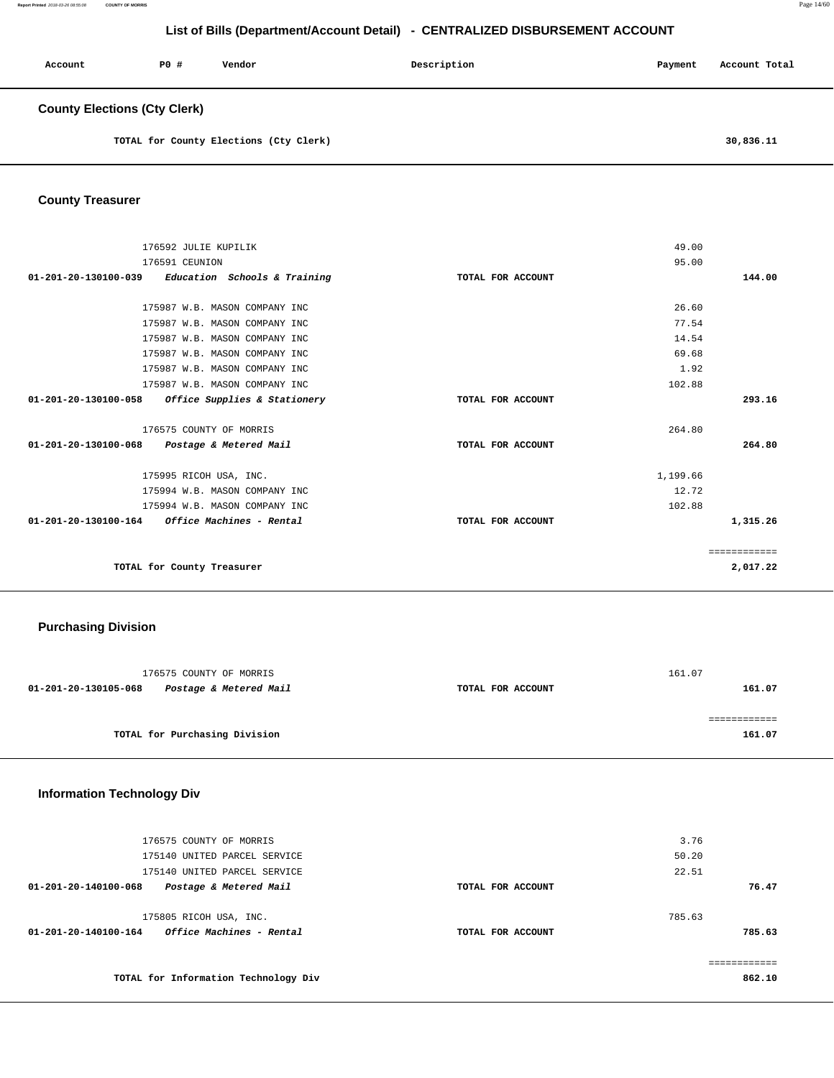| Account                             | PO# | Vendor | Description | Payment | Account Total |
|-------------------------------------|-----|--------|-------------|---------|---------------|
| <b>County Elections (Cty Clerk)</b> |     |        |             |         |               |

**TOTAL for County Elections (Cty Clerk) 30,836.11** 

# **County Treasurer**

| 176592 JULIE KUPILIK                                    |                   | 49.00    |              |
|---------------------------------------------------------|-------------------|----------|--------------|
| 176591 CEUNION                                          |                   | 95.00    |              |
| $01-201-20-130100-039$ Education Schools & Training     | TOTAL FOR ACCOUNT |          | 144.00       |
|                                                         |                   |          |              |
| 175987 W.B. MASON COMPANY INC                           |                   | 26.60    |              |
| 175987 W.B. MASON COMPANY INC                           |                   | 77.54    |              |
| 175987 W.B. MASON COMPANY INC                           |                   | 14.54    |              |
| 175987 W.B. MASON COMPANY INC                           |                   | 69.68    |              |
| 175987 W.B. MASON COMPANY INC                           |                   | 1.92     |              |
| 175987 W.B. MASON COMPANY INC                           |                   | 102.88   |              |
| 01-201-20-130100-058<br>Office Supplies & Stationery    | TOTAL FOR ACCOUNT |          | 293.16       |
| 176575 COUNTY OF MORRIS                                 |                   | 264.80   |              |
| 01-201-20-130100-068 Postage & Metered Mail             | TOTAL FOR ACCOUNT |          | 264.80       |
| 175995 RICOH USA, INC.                                  |                   | 1,199.66 |              |
| 175994 W.B. MASON COMPANY INC                           |                   | 12.72    |              |
| 175994 W.B. MASON COMPANY INC                           |                   | 102.88   |              |
| $01 - 201 - 20 - 130100 - 164$ Office Machines - Rental | TOTAL FOR ACCOUNT |          | 1,315.26     |
|                                                         |                   |          | ============ |
| TOTAL for County Treasurer                              |                   |          | 2,017.22     |

### **Purchasing Division**

|                      | 176575 COUNTY OF MORRIS       |                   | 161.07 |        |
|----------------------|-------------------------------|-------------------|--------|--------|
| 01-201-20-130105-068 | Postage & Metered Mail        | TOTAL FOR ACCOUNT |        | 161.07 |
|                      |                               |                   |        |        |
|                      |                               |                   |        |        |
|                      | TOTAL for Purchasing Division |                   |        | 161.07 |
|                      |                               |                   |        |        |

### **Information Technology Div**

| 176575 COUNTY OF MORRIS<br>175140 UNITED PARCEL SERVICE<br>175140 UNITED PARCEL SERVICE  |                   | 3.76<br>50.20<br>22.51 |
|------------------------------------------------------------------------------------------|-------------------|------------------------|
| 01-201-20-140100-068<br>Postage & Metered Mail                                           | TOTAL FOR ACCOUNT | 76.47                  |
| 175805 RICOH USA, INC.<br><i><b>Office Machines - Rental</b></i><br>01-201-20-140100-164 | TOTAL FOR ACCOUNT | 785.63<br>785.63       |
| TOTAL for Information Technology Div                                                     |                   | 862.10                 |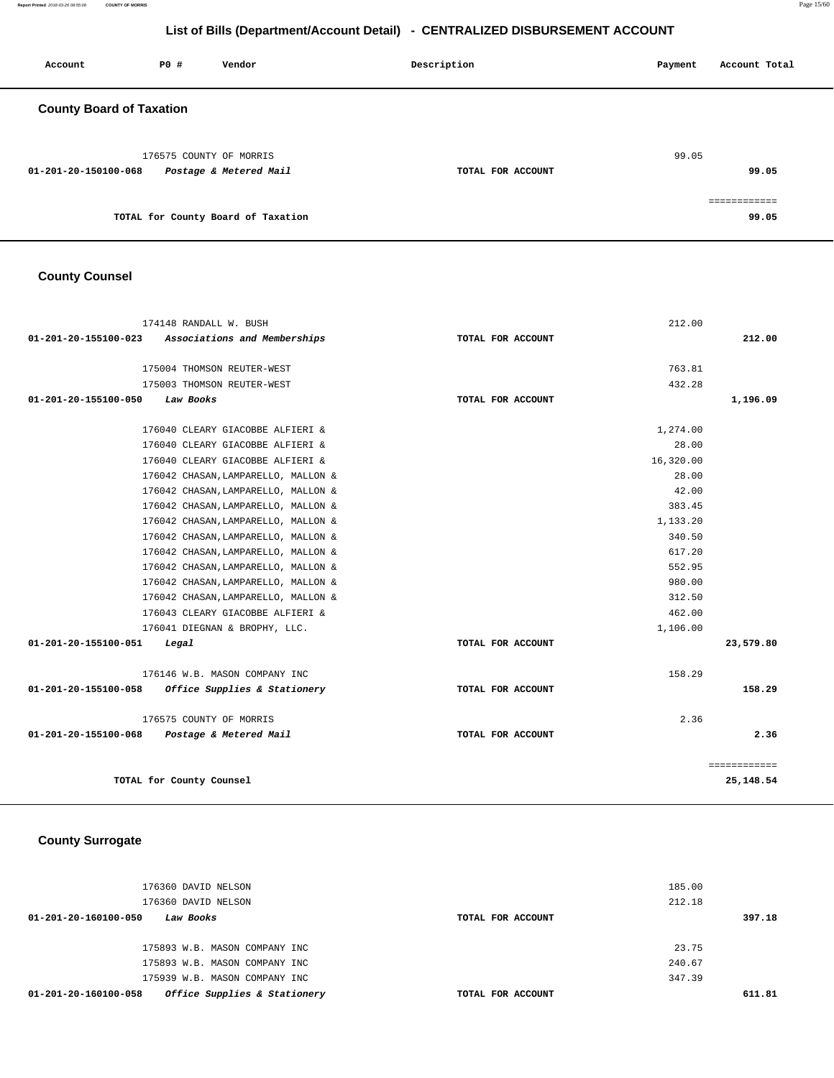**Report Printed** 2018-03-26 08:55:08 **COUNTY OF MORRIS** Page 15/60

# **List of Bills (Department/Account Detail) - CENTRALIZED DISBURSEMENT ACCOUNT**

| Account                         | P0 #                    | Vendor                             | Description       | Payment | Account Total |
|---------------------------------|-------------------------|------------------------------------|-------------------|---------|---------------|
| <b>County Board of Taxation</b> |                         |                                    |                   |         |               |
| 01-201-20-150100-068            | 176575 COUNTY OF MORRIS | Postage & Metered Mail             | TOTAL FOR ACCOUNT | 99.05   | 99.05         |
|                                 |                         | TOTAL for County Board of Taxation |                   |         | 99.05         |

## **County Counsel**

| 174148 RANDALL W. BUSH                               | 212.00            |              |
|------------------------------------------------------|-------------------|--------------|
| 01-201-20-155100-023 Associations and Memberships    | TOTAL FOR ACCOUNT | 212.00       |
|                                                      |                   |              |
| 175004 THOMSON REUTER-WEST                           | 763.81<br>432.28  |              |
| 175003 THOMSON REUTER-WEST<br>01-201-20-155100-050   |                   | 1,196.09     |
| Law Books                                            | TOTAL FOR ACCOUNT |              |
| 176040 CLEARY GIACOBBE ALFIERI &                     | 1,274.00          |              |
| 176040 CLEARY GIACOBBE ALFIERI &                     | 28.00             |              |
| 176040 CLEARY GIACOBBE ALFIERI &                     | 16,320.00         |              |
| 176042 CHASAN, LAMPARELLO, MALLON &                  | 28.00             |              |
| 176042 CHASAN, LAMPARELLO, MALLON &                  | 42.00             |              |
| 176042 CHASAN, LAMPARELLO, MALLON &                  | 383.45            |              |
| 176042 CHASAN, LAMPARELLO, MALLON &                  | 1,133.20          |              |
| 176042 CHASAN, LAMPARELLO, MALLON &                  | 340.50            |              |
| 176042 CHASAN, LAMPARELLO, MALLON &                  | 617.20            |              |
| 176042 CHASAN, LAMPARELLO, MALLON &                  | 552.95            |              |
| 176042 CHASAN, LAMPARELLO, MALLON &                  | 980.00            |              |
| 176042 CHASAN, LAMPARELLO, MALLON &                  | 312.50            |              |
| 176043 CLEARY GIACOBBE ALFIERI &                     | 462.00            |              |
| 176041 DIEGNAN & BROPHY, LLC.                        | 1,106.00          |              |
| 01-201-20-155100-051<br>Legal                        | TOTAL FOR ACCOUNT | 23,579.80    |
| 176146 W.B. MASON COMPANY INC                        | 158.29            |              |
| 01-201-20-155100-058<br>Office Supplies & Stationery | TOTAL FOR ACCOUNT | 158.29       |
| 176575 COUNTY OF MORRIS                              | 2.36              |              |
| 01-201-20-155100-068<br>Postage & Metered Mail       | TOTAL FOR ACCOUNT | 2.36         |
|                                                      |                   | ============ |
| TOTAL for County Counsel                             |                   | 25, 148.54   |
|                                                      |                   |              |

# **County Surrogate**

| 176360 DAVID NELSON                                  |                   | 185.00 |        |
|------------------------------------------------------|-------------------|--------|--------|
| 176360 DAVID NELSON                                  |                   | 212.18 |        |
| 01-201-20-160100-050<br>Law Books                    | TOTAL FOR ACCOUNT |        | 397.18 |
|                                                      |                   |        |        |
| 175893 W.B. MASON COMPANY INC                        |                   | 23.75  |        |
| 175893 W.B. MASON COMPANY INC                        |                   | 240.67 |        |
| 175939 W.B. MASON COMPANY INC                        |                   | 347.39 |        |
| Office Supplies & Stationery<br>01-201-20-160100-058 | TOTAL FOR ACCOUNT |        | 611.81 |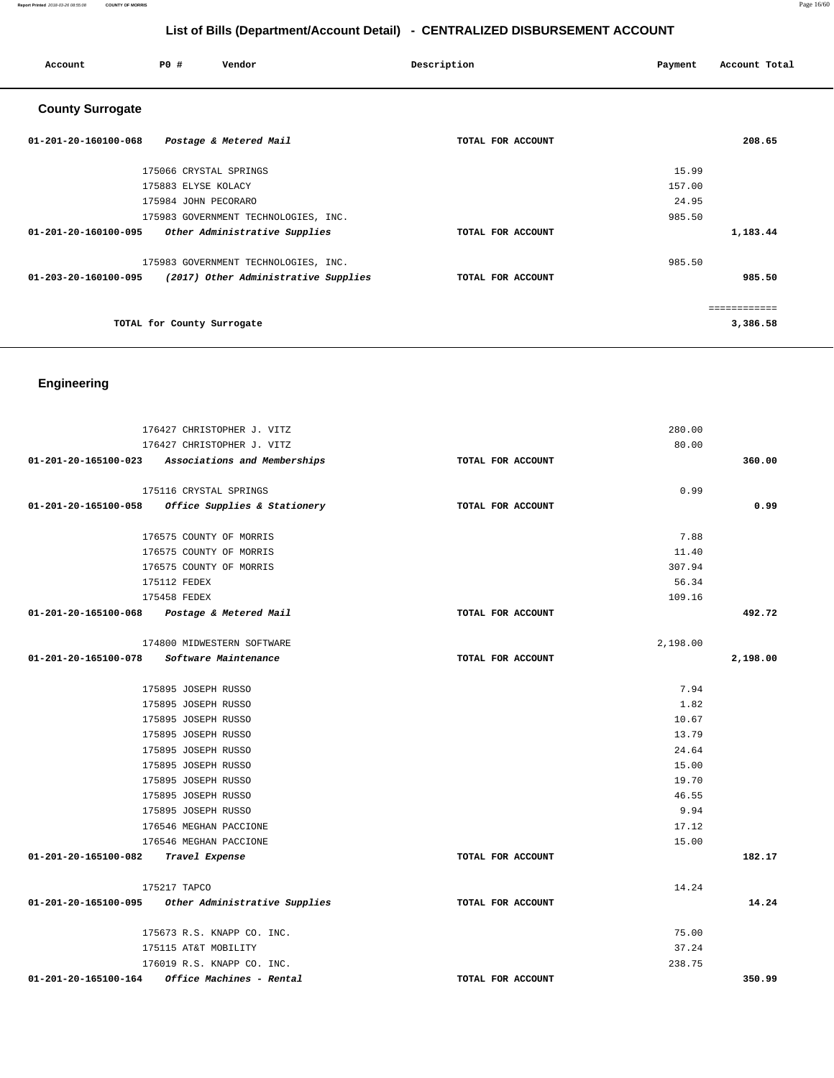#### **Report Printed** 2018-03-26 08:55:08 **COUNTY OF MORRIS** Page 16/60

# **List of Bills (Department/Account Detail) - CENTRALIZED DISBURSEMENT ACCOUNT**

| Account                 | P0 #                       | Vendor                               | Description       | Payment | Account Total |
|-------------------------|----------------------------|--------------------------------------|-------------------|---------|---------------|
| <b>County Surrogate</b> |                            |                                      |                   |         |               |
| 01-201-20-160100-068    |                            | Postage & Metered Mail               | TOTAL FOR ACCOUNT |         | 208.65        |
|                         | 175066 CRYSTAL SPRINGS     |                                      |                   | 15.99   |               |
|                         | 175883 ELYSE KOLACY        |                                      |                   | 157.00  |               |
|                         | 175984 JOHN PECORARO       |                                      |                   | 24.95   |               |
|                         |                            | 175983 GOVERNMENT TECHNOLOGIES, INC. |                   | 985.50  |               |
| 01-201-20-160100-095    |                            | Other Administrative Supplies        | TOTAL FOR ACCOUNT |         | 1,183.44      |
|                         |                            | 175983 GOVERNMENT TECHNOLOGIES, INC. |                   | 985.50  |               |
| 01-203-20-160100-095    |                            | (2017) Other Administrative Supplies | TOTAL FOR ACCOUNT |         | 985.50        |
|                         |                            |                                      |                   |         | ============  |
|                         | TOTAL for County Surrogate |                                      |                   |         | 3,386.58      |

# **Engineering**

|                                     | 176427 CHRISTOPHER J. VITZ                         | 280.00            |          |
|-------------------------------------|----------------------------------------------------|-------------------|----------|
|                                     | 176427 CHRISTOPHER J. VITZ                         | 80.00             |          |
|                                     | 01-201-20-165100-023 Associations and Memberships  | TOTAL FOR ACCOUNT | 360.00   |
|                                     | 175116 CRYSTAL SPRINGS                             | 0.99              |          |
|                                     | 01-201-20-165100-058 Office Supplies & Stationery  | TOTAL FOR ACCOUNT | 0.99     |
|                                     | 176575 COUNTY OF MORRIS                            | 7.88              |          |
|                                     | 176575 COUNTY OF MORRIS                            | 11.40             |          |
|                                     | 176575 COUNTY OF MORRIS                            | 307.94            |          |
|                                     | 175112 FEDEX                                       | 56.34             |          |
|                                     | 175458 FEDEX                                       | 109.16            |          |
|                                     | 01-201-20-165100-068 Postage & Metered Mail        | TOTAL FOR ACCOUNT | 492.72   |
|                                     | 174800 MIDWESTERN SOFTWARE                         | 2,198.00          |          |
| 01-201-20-165100-078                | Software Maintenance                               | TOTAL FOR ACCOUNT | 2,198.00 |
|                                     | 175895 JOSEPH RUSSO                                | 7.94              |          |
|                                     | 175895 JOSEPH RUSSO                                | 1.82              |          |
|                                     | 175895 JOSEPH RUSSO                                | 10.67             |          |
|                                     | 175895 JOSEPH RUSSO                                | 13.79             |          |
|                                     | 175895 JOSEPH RUSSO                                | 24.64             |          |
|                                     | 175895 JOSEPH RUSSO                                | 15.00             |          |
|                                     | 175895 JOSEPH RUSSO                                | 19.70             |          |
|                                     | 175895 JOSEPH RUSSO                                | 46.55             |          |
|                                     | 175895 JOSEPH RUSSO                                | 9.94              |          |
|                                     | 176546 MEGHAN PACCIONE                             | 17.12             |          |
|                                     | 176546 MEGHAN PACCIONE                             | 15.00             |          |
| 01-201-20-165100-082 Travel Expense |                                                    | TOTAL FOR ACCOUNT | 182.17   |
|                                     | 175217 TAPCO                                       | 14.24             |          |
|                                     | 01-201-20-165100-095 Other Administrative Supplies | TOTAL FOR ACCOUNT | 14.24    |
|                                     | 175673 R.S. KNAPP CO. INC.                         | 75.00             |          |
|                                     | 175115 AT&T MOBILITY                               | 37.24             |          |
|                                     | 176019 R.S. KNAPP CO. INC.                         | 238.75            |          |
| 01-201-20-165100-164                | Office Machines - Rental                           | TOTAL FOR ACCOUNT | 350.99   |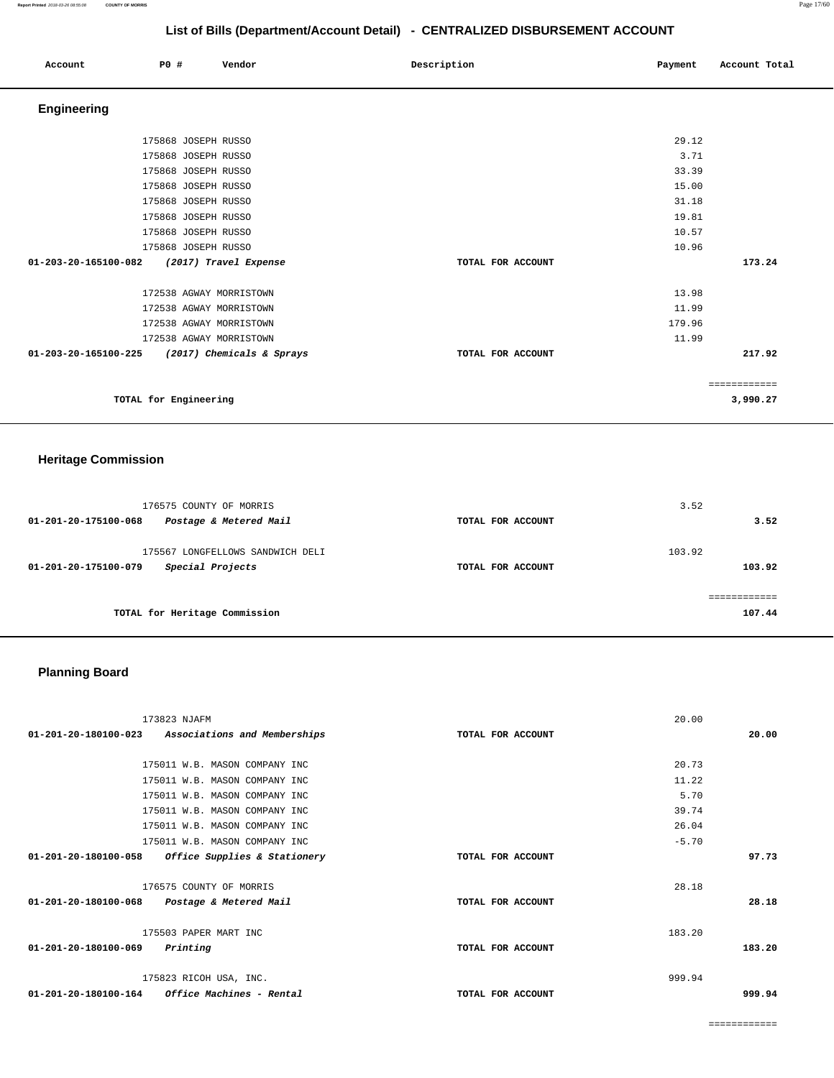| Account                                      | P0 #                                                                                                                                                                                 | Vendor                                             | Description                            | Payment                                                             | Account Total                    |
|----------------------------------------------|--------------------------------------------------------------------------------------------------------------------------------------------------------------------------------------|----------------------------------------------------|----------------------------------------|---------------------------------------------------------------------|----------------------------------|
| Engineering                                  |                                                                                                                                                                                      |                                                    |                                        |                                                                     |                                  |
|                                              | 175868 JOSEPH RUSSO<br>175868 JOSEPH RUSSO<br>175868 JOSEPH RUSSO<br>175868 JOSEPH RUSSO<br>175868 JOSEPH RUSSO<br>175868 JOSEPH RUSSO<br>175868 JOSEPH RUSSO<br>175868 JOSEPH RUSSO |                                                    |                                        | 29.12<br>3.71<br>33.39<br>15.00<br>31.18<br>19.81<br>10.57<br>10.96 |                                  |
| 01-203-20-165100-082<br>01-203-20-165100-225 | 172538 AGWAY MORRISTOWN<br>172538 AGWAY MORRISTOWN<br>172538 AGWAY MORRISTOWN<br>172538 AGWAY MORRISTOWN                                                                             | (2017) Travel Expense<br>(2017) Chemicals & Sprays | TOTAL FOR ACCOUNT<br>TOTAL FOR ACCOUNT | 13.98<br>11.99<br>179.96<br>11.99                                   | 173.24<br>217.92<br>============ |
|                                              | TOTAL for Engineering                                                                                                                                                                |                                                    |                                        |                                                                     | 3,990.27                         |

# **Heritage Commission**

| 176575 COUNTY OF MORRIS<br>Postage & Metered Mail<br>01-201-20-175100-068 | TOTAL FOR ACCOUNT | 3.52<br>3.52 |
|---------------------------------------------------------------------------|-------------------|--------------|
| 175567 LONGFELLOWS SANDWICH DELI                                          |                   | 103.92       |
| Special Projects<br>01-201-20-175100-079                                  | TOTAL FOR ACCOUNT | 103.92       |
|                                                                           |                   |              |
| TOTAL for Heritage Commission                                             |                   | 107.44       |

# **Planning Board**

| 173823 NJAFM                                      |                   | 20.00   |
|---------------------------------------------------|-------------------|---------|
| 01-201-20-180100-023 Associations and Memberships | TOTAL FOR ACCOUNT | 20.00   |
|                                                   |                   |         |
| 175011 W.B. MASON COMPANY INC                     |                   | 20.73   |
| 175011 W.B. MASON COMPANY INC                     |                   | 11.22   |
| 175011 W.B. MASON COMPANY INC                     |                   | 5.70    |
| 175011 W.B. MASON COMPANY INC                     |                   | 39.74   |
| 175011 W.B. MASON COMPANY INC                     |                   | 26.04   |
| 175011 W.B. MASON COMPANY INC                     |                   | $-5.70$ |
| 01-201-20-180100-058 Office Supplies & Stationery | TOTAL FOR ACCOUNT | 97.73   |
|                                                   |                   |         |
| 176575 COUNTY OF MORRIS                           |                   | 28.18   |
| 01-201-20-180100-068 Postage & Metered Mail       | TOTAL FOR ACCOUNT | 28.18   |
|                                                   |                   |         |
| 175503 PAPER MART INC                             |                   | 183.20  |
| 01-201-20-180100-069<br>Printing                  | TOTAL FOR ACCOUNT | 183.20  |
|                                                   |                   |         |
| 175823 RICOH USA, INC.                            |                   | 999.94  |
| $01-201-20-180100-164$ Office Machines - Rental   | TOTAL FOR ACCOUNT | 999.94  |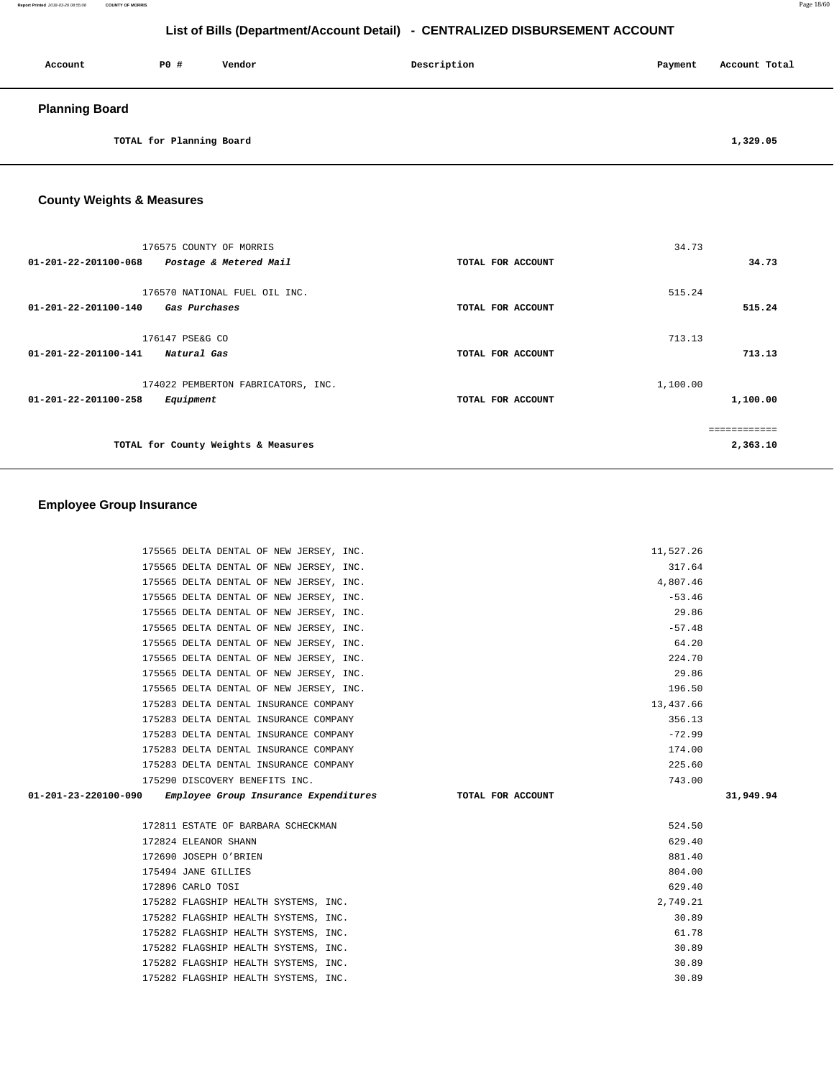| Account               | P0 #                     | Vendor | Description | Payment | Account Total |
|-----------------------|--------------------------|--------|-------------|---------|---------------|
| <b>Planning Board</b> |                          |        |             |         |               |
|                       | TOTAL for Planning Board |        |             |         | 1,329.05      |

# **County Weights & Measures**

| 176575 COUNTY OF MORRIS<br>01-201-22-201100-068<br>Postage & Metered Mail | TOTAL FOR ACCOUNT | 34.73    | 34.73                    |
|---------------------------------------------------------------------------|-------------------|----------|--------------------------|
| 176570 NATIONAL FUEL OIL INC.<br>01-201-22-201100-140<br>Gas Purchases    | TOTAL FOR ACCOUNT | 515.24   | 515.24                   |
| 176147 PSE&G CO<br>$01 - 201 - 22 - 201100 - 141$<br>Natural Gas          | TOTAL FOR ACCOUNT | 713.13   | 713.13                   |
| 174022 PEMBERTON FABRICATORS, INC.<br>01-201-22-201100-258<br>Equipment   | TOTAL FOR ACCOUNT | 1,100.00 | 1,100.00                 |
| TOTAL for County Weights & Measures                                       |                   |          | ============<br>2,363.10 |

### **Employee Group Insurance**

| 175565 DELTA DENTAL OF NEW JERSEY, INC.                                         | 11,527.26 |           |
|---------------------------------------------------------------------------------|-----------|-----------|
| 175565 DELTA DENTAL OF NEW JERSEY, INC.                                         | 317.64    |           |
| 175565 DELTA DENTAL OF NEW JERSEY, INC.                                         | 4,807.46  |           |
| 175565 DELTA DENTAL OF NEW JERSEY, INC.                                         | $-53.46$  |           |
| 175565 DELTA DENTAL OF NEW JERSEY, INC.                                         | 29.86     |           |
| 175565 DELTA DENTAL OF NEW JERSEY, INC.                                         | $-57.48$  |           |
| 175565 DELTA DENTAL OF NEW JERSEY, INC.                                         | 64.20     |           |
| 175565 DELTA DENTAL OF NEW JERSEY, INC.                                         | 224.70    |           |
| 175565 DELTA DENTAL OF NEW JERSEY, INC.                                         | 29.86     |           |
| 175565 DELTA DENTAL OF NEW JERSEY, INC.                                         | 196.50    |           |
| 175283 DELTA DENTAL INSURANCE COMPANY                                           | 13,437.66 |           |
| 175283 DELTA DENTAL INSURANCE COMPANY                                           | 356.13    |           |
| 175283 DELTA DENTAL INSURANCE COMPANY                                           | $-72.99$  |           |
| 175283 DELTA DENTAL INSURANCE COMPANY                                           | 174.00    |           |
| 175283 DELTA DENTAL INSURANCE COMPANY                                           | 225.60    |           |
| 175290 DISCOVERY BENEFITS INC.                                                  | 743.00    |           |
| 01-201-23-220100-090 Employee Group Insurance Expenditures<br>TOTAL FOR ACCOUNT |           | 31,949.94 |
|                                                                                 |           |           |
| 172811 ESTATE OF BARBARA SCHECKMAN                                              | 524.50    |           |
| 172824 ELEANOR SHANN                                                            | 629.40    |           |
| 172690 JOSEPH O'BRIEN                                                           | 881.40    |           |
| 175494 JANE GILLIES                                                             | 804.00    |           |
| 172896 CARLO TOSI                                                               | 629.40    |           |
| 175282 FLAGSHIP HEALTH SYSTEMS, INC.                                            | 2,749.21  |           |
| 175282 FLAGSHIP HEALTH SYSTEMS, INC.                                            | 30.89     |           |
| 175282 FLAGSHIP HEALTH SYSTEMS, INC.                                            | 61.78     |           |
| 175282 FLAGSHIP HEALTH SYSTEMS, INC.                                            | 30.89     |           |
| 175282 FLAGSHIP HEALTH SYSTEMS, INC.                                            | 30.89     |           |
| 175282 FLAGSHIP HEALTH SYSTEMS, INC.                                            | 30.89     |           |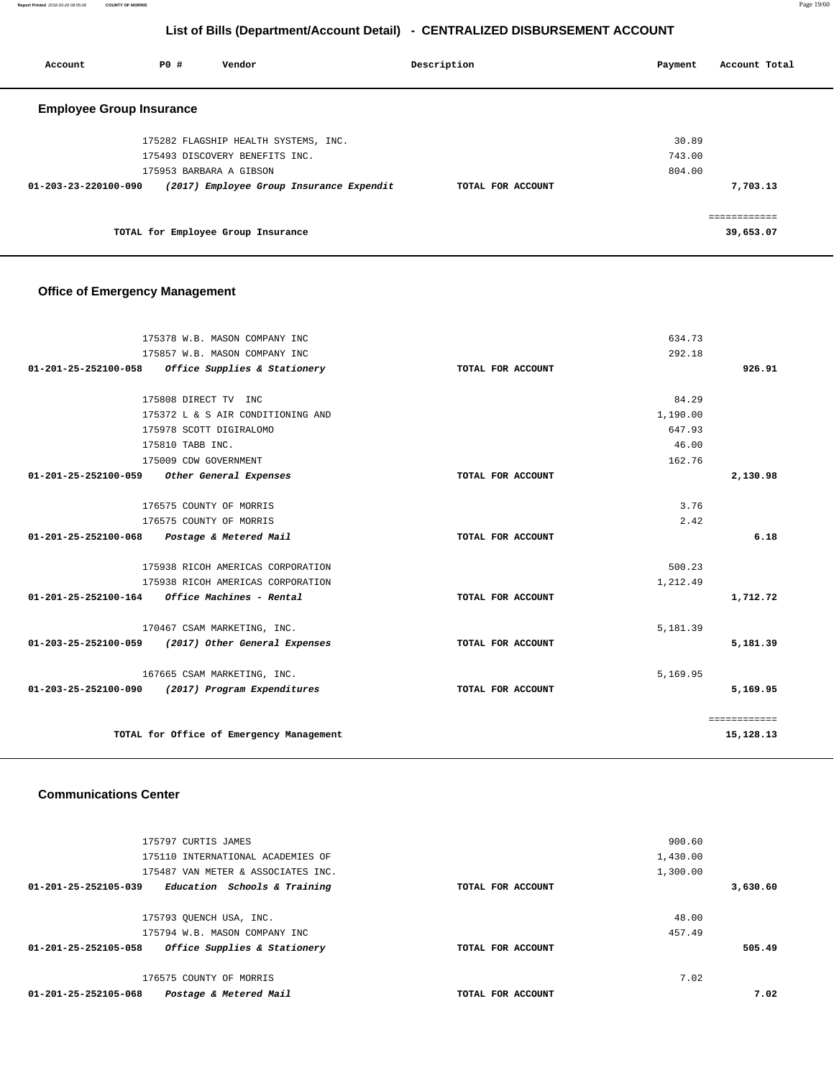**Report Printed** 2018-03-26 08:55:08 **COUNTY OF MORRIS** Page 19/60

## **List of Bills (Department/Account Detail) - CENTRALIZED DISBURSEMENT ACCOUNT**

| Account                         | P0 #                    | Vendor                                   | Description |                   | Payment | Account Total |
|---------------------------------|-------------------------|------------------------------------------|-------------|-------------------|---------|---------------|
| <b>Employee Group Insurance</b> |                         |                                          |             |                   |         |               |
|                                 |                         | 175282 FLAGSHIP HEALTH SYSTEMS, INC.     |             |                   | 30.89   |               |
|                                 |                         | 175493 DISCOVERY BENEFITS INC.           |             |                   | 743.00  |               |
|                                 | 175953 BARBARA A GIBSON |                                          |             |                   | 804.00  |               |
| 01-203-23-220100-090            |                         | (2017) Employee Group Insurance Expendit |             | TOTAL FOR ACCOUNT |         | 7,703.13      |
|                                 |                         |                                          |             |                   |         |               |
|                                 |                         | TOTAL for Employee Group Insurance       |             |                   |         | 39,653.07     |

## **Office of Emergency Management**

| 175378 W.B. MASON COMPANY INC                         |                   | 634.73   |              |
|-------------------------------------------------------|-------------------|----------|--------------|
| 175857 W.B. MASON COMPANY INC                         |                   | 292.18   |              |
| 01-201-25-252100-058 Office Supplies & Stationery     | TOTAL FOR ACCOUNT |          | 926.91       |
|                                                       |                   |          |              |
| 175808 DIRECT TV INC                                  |                   | 84.29    |              |
| 175372 L & S AIR CONDITIONING AND                     |                   | 1,190.00 |              |
| 175978 SCOTT DIGIRALOMO                               |                   | 647.93   |              |
| 175810 TABB INC.                                      |                   | 46.00    |              |
| 175009 CDW GOVERNMENT                                 |                   | 162.76   |              |
| 01-201-25-252100-059 Other General Expenses           | TOTAL FOR ACCOUNT |          | 2,130.98     |
|                                                       |                   |          |              |
| 176575 COUNTY OF MORRIS                               |                   | 3.76     |              |
| 176575 COUNTY OF MORRIS                               |                   | 2.42     |              |
| 01-201-25-252100-068 Postage & Metered Mail           | TOTAL FOR ACCOUNT |          | 6.18         |
| 175938 RICOH AMERICAS CORPORATION                     |                   | 500.23   |              |
| 175938 RICOH AMERICAS CORPORATION                     |                   | 1,212.49 |              |
|                                                       |                   |          |              |
| 01-201-25-252100-164 Office Machines - Rental         | TOTAL FOR ACCOUNT |          | 1,712.72     |
| 170467 CSAM MARKETING, INC.                           |                   | 5,181.39 |              |
| 01-203-25-252100-059<br>(2017) Other General Expenses | TOTAL FOR ACCOUNT |          | 5,181.39     |
| 167665 CSAM MARKETING, INC.                           |                   | 5,169.95 |              |
| 01-203-25-252100-090<br>(2017) Program Expenditures   | TOTAL FOR ACCOUNT |          | 5,169.95     |
|                                                       |                   |          | ============ |
| TOTAL for Office of Emergency Management              |                   |          | 15,128.13    |

#### **Communications Center**

| 175797 CURTIS JAMES                                  |                   | 900.60   |
|------------------------------------------------------|-------------------|----------|
| 175110 INTERNATIONAL ACADEMIES OF                    |                   | 1,430.00 |
| 175487 VAN METER & ASSOCIATES INC.                   |                   | 1,300.00 |
| 01-201-25-252105-039<br>Education Schools & Training | TOTAL FOR ACCOUNT | 3,630.60 |
|                                                      |                   |          |
| 175793 OUENCH USA, INC.                              |                   | 48.00    |
| 175794 W.B. MASON COMPANY INC                        |                   | 457.49   |
| Office Supplies & Stationery<br>01-201-25-252105-058 | TOTAL FOR ACCOUNT | 505.49   |
|                                                      |                   |          |
| 176575 COUNTY OF MORRIS                              |                   | 7.02     |
| 01-201-25-252105-068<br>Postage & Metered Mail       | TOTAL FOR ACCOUNT | 7.02     |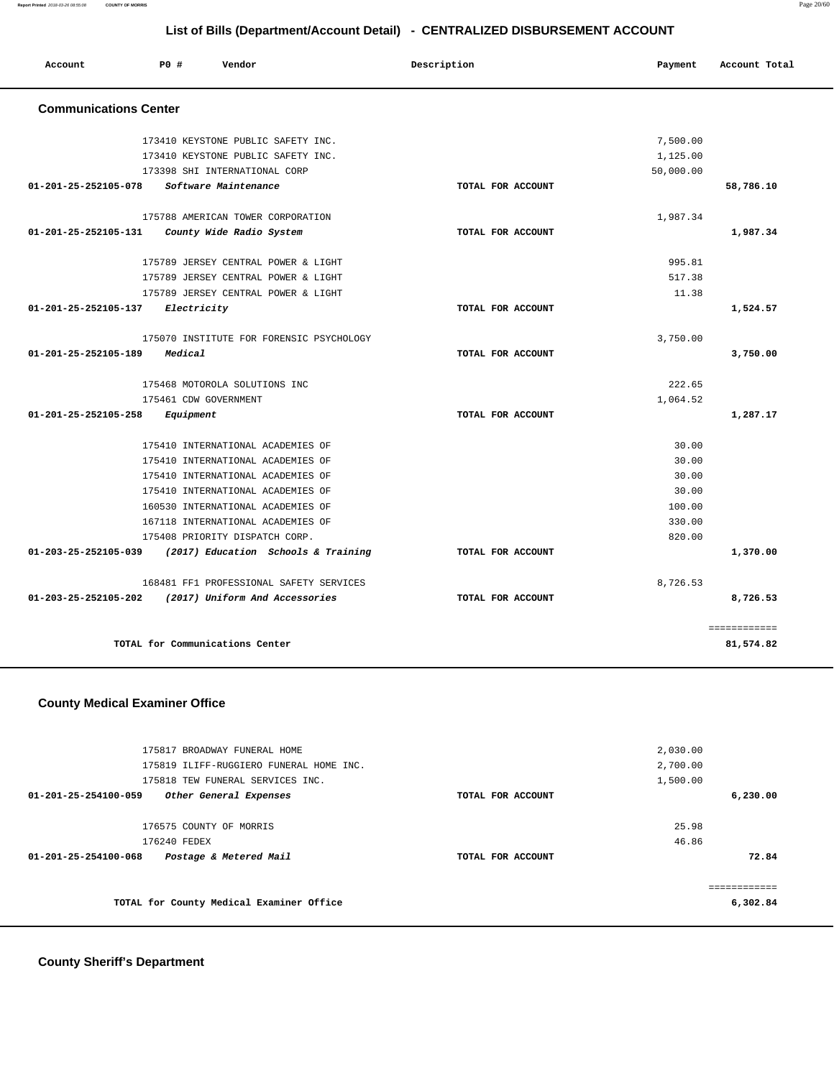**Report Printed** 2018-03-26 08:55:08 **COUNTY OF MORRIS** Page 20/60

# **List of Bills (Department/Account Detail) - CENTRALIZED DISBURSEMENT ACCOUNT**

| Account                      | PO#         | Vendor                                   | Description       | Payment   | Account Total             |
|------------------------------|-------------|------------------------------------------|-------------------|-----------|---------------------------|
| <b>Communications Center</b> |             |                                          |                   |           |                           |
|                              |             | 173410 KEYSTONE PUBLIC SAFETY INC.       |                   | 7,500.00  |                           |
|                              |             | 173410 KEYSTONE PUBLIC SAFETY INC.       |                   | 1,125.00  |                           |
|                              |             | 173398 SHI INTERNATIONAL CORP            |                   | 50,000.00 |                           |
| 01-201-25-252105-078         |             | Software Maintenance                     | TOTAL FOR ACCOUNT |           | 58,786.10                 |
|                              |             | 175788 AMERICAN TOWER CORPORATION        |                   | 1,987.34  |                           |
| 01-201-25-252105-131         |             | County Wide Radio System                 | TOTAL FOR ACCOUNT |           | 1,987.34                  |
|                              |             | 175789 JERSEY CENTRAL POWER & LIGHT      |                   | 995.81    |                           |
|                              |             | 175789 JERSEY CENTRAL POWER & LIGHT      |                   | 517.38    |                           |
|                              |             | 175789 JERSEY CENTRAL POWER & LIGHT      |                   | 11.38     |                           |
| 01-201-25-252105-137         | Electricity |                                          | TOTAL FOR ACCOUNT |           | 1,524.57                  |
|                              |             | 175070 INSTITUTE FOR FORENSIC PSYCHOLOGY |                   | 3,750.00  |                           |
| 01-201-25-252105-189         | Medical     |                                          | TOTAL FOR ACCOUNT |           | 3,750.00                  |
|                              |             | 175468 MOTOROLA SOLUTIONS INC            |                   | 222.65    |                           |
|                              |             | 175461 CDW GOVERNMENT                    |                   | 1,064.52  |                           |
| 01-201-25-252105-258         | Equipment   |                                          | TOTAL FOR ACCOUNT |           | 1,287.17                  |
|                              |             | 175410 INTERNATIONAL ACADEMIES OF        |                   | 30.00     |                           |
|                              |             | 175410 INTERNATIONAL ACADEMIES OF        |                   | 30.00     |                           |
|                              |             | 175410 INTERNATIONAL ACADEMIES OF        |                   | 30.00     |                           |
|                              |             | 175410 INTERNATIONAL ACADEMIES OF        |                   | 30.00     |                           |
|                              |             | 160530 INTERNATIONAL ACADEMIES OF        |                   | 100.00    |                           |
|                              |             | 167118 INTERNATIONAL ACADEMIES OF        |                   | 330.00    |                           |
|                              |             | 175408 PRIORITY DISPATCH CORP.           |                   | 820.00    |                           |
| 01-203-25-252105-039         |             | (2017) Education Schools & Training      | TOTAL FOR ACCOUNT |           | 1,370.00                  |
|                              |             | 168481 FF1 PROFESSIONAL SAFETY SERVICES  |                   | 8,726.53  |                           |
| 01-203-25-252105-202         |             | (2017) Uniform And Accessories           | TOTAL FOR ACCOUNT |           | 8,726.53                  |
|                              |             | TOTAL for Communications Center          |                   |           | ============<br>81,574.82 |

## **County Medical Examiner Office**

| 175817 BROADWAY FUNERAL HOME<br>175819 ILIFF-RUGGIERO FUNERAL HOME INC.<br>175818 TEW FUNERAL SERVICES INC. |                   | 2,030.00<br>2,700.00<br>1,500.00 |
|-------------------------------------------------------------------------------------------------------------|-------------------|----------------------------------|
| $01 - 201 - 25 - 254100 - 059$<br>Other General Expenses                                                    | TOTAL FOR ACCOUNT | 6,230.00                         |
| 176575 COUNTY OF MORRIS<br>176240 FEDEX                                                                     |                   | 25.98<br>46.86                   |
| Postage & Metered Mail<br>01-201-25-254100-068                                                              | TOTAL FOR ACCOUNT | 72.84                            |
| TOTAL for County Medical Examiner Office                                                                    |                   | 6,302.84                         |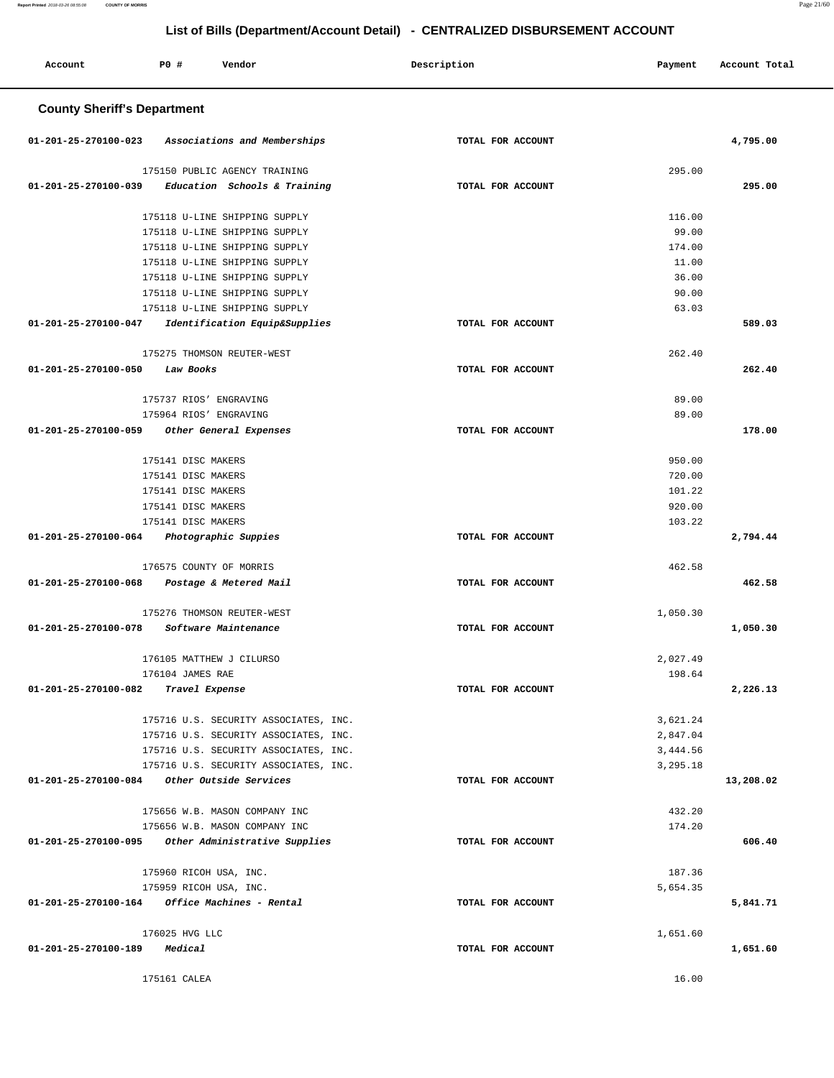**Report Printed** 2018-03-26 08:55:08 **COUNTY OF MORRIS** Page 21/60

# **List of Bills (Department/Account Detail) - CENTRALIZED DISBURSEMENT ACCOUNT**

| Account                                                 | P0 #                     | Vendor                                                         | Description       | Payment        | Account Total |
|---------------------------------------------------------|--------------------------|----------------------------------------------------------------|-------------------|----------------|---------------|
| <b>County Sheriff's Department</b>                      |                          |                                                                |                   |                |               |
| 01-201-25-270100-023                                    |                          | Associations and Memberships                                   | TOTAL FOR ACCOUNT |                | 4,795.00      |
| 01-201-25-270100-039                                    |                          | 175150 PUBLIC AGENCY TRAINING<br>Education Schools & Training  | TOTAL FOR ACCOUNT | 295.00         | 295.00        |
|                                                         |                          |                                                                |                   |                |               |
|                                                         |                          | 175118 U-LINE SHIPPING SUPPLY                                  |                   | 116.00         |               |
|                                                         |                          | 175118 U-LINE SHIPPING SUPPLY                                  |                   | 99.00          |               |
|                                                         |                          | 175118 U-LINE SHIPPING SUPPLY                                  |                   | 174.00         |               |
|                                                         |                          | 175118 U-LINE SHIPPING SUPPLY<br>175118 U-LINE SHIPPING SUPPLY |                   | 11.00<br>36.00 |               |
|                                                         |                          | 175118 U-LINE SHIPPING SUPPLY                                  |                   | 90.00          |               |
|                                                         |                          | 175118 U-LINE SHIPPING SUPPLY                                  |                   | 63.03          |               |
| 01-201-25-270100-047                                    |                          | Identification Equip&Supplies                                  | TOTAL FOR ACCOUNT |                | 589.03        |
|                                                         |                          |                                                                |                   |                |               |
| 01-201-25-270100-050                                    |                          | 175275 THOMSON REUTER-WEST                                     | TOTAL FOR ACCOUNT | 262.40         | 262.40        |
|                                                         | Law Books                |                                                                |                   |                |               |
|                                                         | 175737 RIOS' ENGRAVING   |                                                                |                   | 89.00          |               |
|                                                         | 175964 RIOS' ENGRAVING   |                                                                |                   | 89.00          |               |
| 01-201-25-270100-059                                    |                          | Other General Expenses                                         | TOTAL FOR ACCOUNT |                | 178.00        |
|                                                         | 175141 DISC MAKERS       |                                                                |                   | 950.00         |               |
|                                                         | 175141 DISC MAKERS       |                                                                |                   | 720.00         |               |
|                                                         | 175141 DISC MAKERS       |                                                                |                   | 101.22         |               |
|                                                         | 175141 DISC MAKERS       |                                                                |                   | 920.00         |               |
|                                                         | 175141 DISC MAKERS       |                                                                |                   | 103.22         |               |
| 01-201-25-270100-064                                    |                          | Photographic Suppies                                           | TOTAL FOR ACCOUNT |                | 2,794.44      |
|                                                         | 176575 COUNTY OF MORRIS  |                                                                |                   | 462.58         |               |
| 01-201-25-270100-068                                    |                          | Postage & Metered Mail                                         | TOTAL FOR ACCOUNT |                | 462.58        |
|                                                         |                          | 175276 THOMSON REUTER-WEST                                     |                   | 1,050.30       |               |
| 01-201-25-270100-078                                    |                          | Software Maintenance                                           | TOTAL FOR ACCOUNT |                | 1,050.30      |
|                                                         | 176105 MATTHEW J CILURSO |                                                                |                   | 2,027.49       |               |
|                                                         | 176104 JAMES RAE         |                                                                |                   | 198.64         |               |
| 01-201-25-270100-082                                    | Travel Expense           |                                                                | TOTAL FOR ACCOUNT |                | 2,226.13      |
|                                                         |                          | 175716 U.S. SECURITY ASSOCIATES, INC.                          |                   | 3,621.24       |               |
|                                                         |                          | 175716 U.S. SECURITY ASSOCIATES, INC.                          |                   | 2,847.04       |               |
|                                                         |                          | 175716 U.S. SECURITY ASSOCIATES, INC.                          |                   | 3,444.56       |               |
|                                                         |                          | 175716 U.S. SECURITY ASSOCIATES, INC.                          |                   | 3,295.18       |               |
| 01-201-25-270100-084                                    |                          | <i>Other Outside Services</i>                                  | TOTAL FOR ACCOUNT |                | 13,208.02     |
|                                                         |                          | 175656 W.B. MASON COMPANY INC                                  |                   | 432.20         |               |
|                                                         |                          | 175656 W.B. MASON COMPANY INC                                  |                   | 174.20         |               |
| 01-201-25-270100-095                                    |                          | Other Administrative Supplies                                  | TOTAL FOR ACCOUNT |                | 606.40        |
|                                                         | 175960 RICOH USA, INC.   |                                                                |                   | 187.36         |               |
|                                                         | 175959 RICOH USA, INC.   |                                                                |                   | 5,654.35       |               |
| $01 - 201 - 25 - 270100 - 164$ Office Machines - Rental |                          |                                                                | TOTAL FOR ACCOUNT |                | 5,841.71      |
|                                                         | 176025 HVG LLC           |                                                                |                   | 1,651.60       |               |
| 01-201-25-270100-189                                    | Medical                  |                                                                | TOTAL FOR ACCOUNT |                | 1,651.60      |
|                                                         |                          |                                                                |                   |                |               |
|                                                         | 175161 CALEA             |                                                                |                   | 16.00          |               |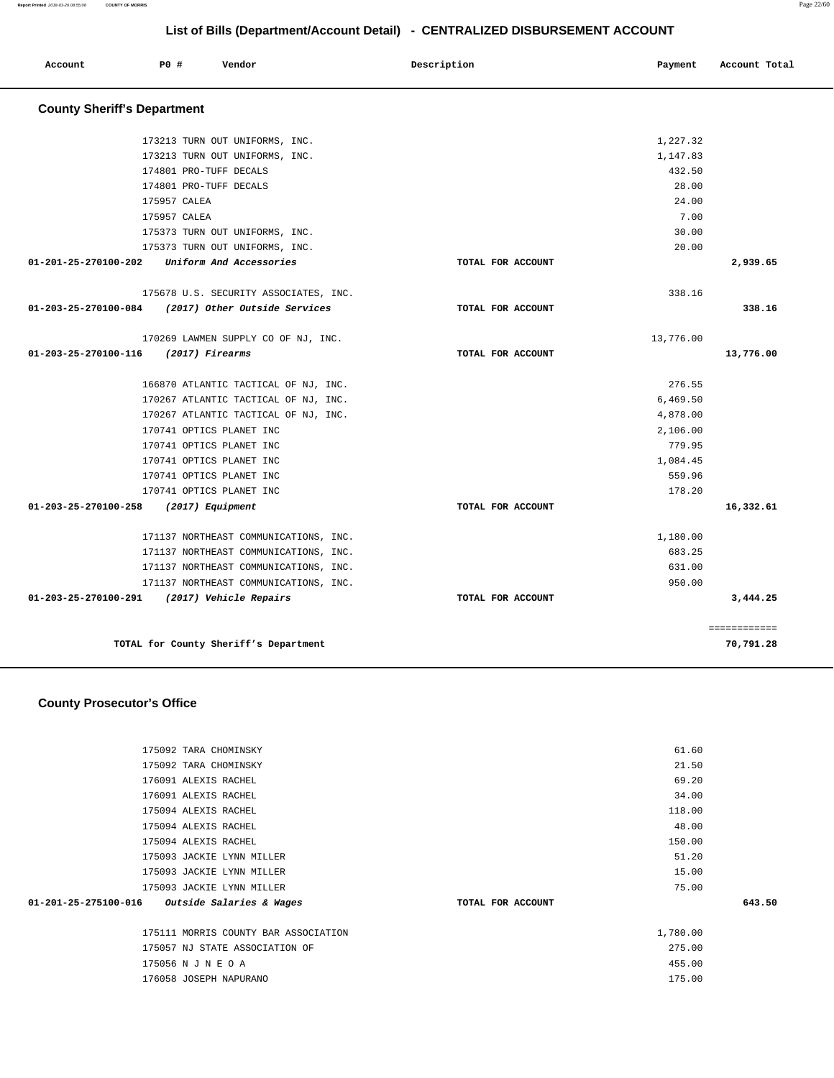| Account              | PO#                                | Vendor                                | Description       | Payment   | Account Total |
|----------------------|------------------------------------|---------------------------------------|-------------------|-----------|---------------|
|                      | <b>County Sheriff's Department</b> |                                       |                   |           |               |
|                      |                                    | 173213 TURN OUT UNIFORMS, INC.        |                   | 1,227.32  |               |
|                      |                                    | 173213 TURN OUT UNIFORMS, INC.        |                   | 1,147.83  |               |
|                      | 174801 PRO-TUFF DECALS             |                                       |                   | 432.50    |               |
|                      | 174801 PRO-TUFF DECALS             |                                       |                   | 28.00     |               |
|                      | 175957 CALEA                       |                                       |                   | 24.00     |               |
|                      | 175957 CALEA                       |                                       |                   | 7.00      |               |
|                      |                                    | 175373 TURN OUT UNIFORMS, INC.        |                   | 30.00     |               |
|                      |                                    | 175373 TURN OUT UNIFORMS, INC.        |                   | 20.00     |               |
| 01-201-25-270100-202 |                                    | Uniform And Accessories               | TOTAL FOR ACCOUNT |           | 2,939.65      |
|                      |                                    | 175678 U.S. SECURITY ASSOCIATES, INC. |                   | 338.16    |               |
| 01-203-25-270100-084 |                                    | (2017) Other Outside Services         | TOTAL FOR ACCOUNT |           | 338.16        |
|                      |                                    | 170269 LAWMEN SUPPLY CO OF NJ, INC.   |                   | 13,776.00 |               |
| 01-203-25-270100-116 | (2017) Firearms                    |                                       | TOTAL FOR ACCOUNT |           | 13,776.00     |
|                      |                                    | 166870 ATLANTIC TACTICAL OF NJ, INC.  |                   | 276.55    |               |
|                      |                                    | 170267 ATLANTIC TACTICAL OF NJ, INC.  |                   | 6,469.50  |               |
|                      |                                    | 170267 ATLANTIC TACTICAL OF NJ, INC.  |                   | 4,878.00  |               |
|                      | 170741 OPTICS PLANET INC           |                                       |                   | 2,106.00  |               |
|                      | 170741 OPTICS PLANET INC           |                                       |                   | 779.95    |               |
|                      | 170741 OPTICS PLANET INC           |                                       |                   | 1,084.45  |               |
|                      | 170741 OPTICS PLANET INC           |                                       |                   | 559.96    |               |
|                      | 170741 OPTICS PLANET INC           |                                       |                   | 178.20    |               |
| 01-203-25-270100-258 | (2017) Equipment                   |                                       | TOTAL FOR ACCOUNT |           | 16,332.61     |
|                      |                                    | 171137 NORTHEAST COMMUNICATIONS, INC. |                   | 1,180.00  |               |
|                      |                                    | 171137 NORTHEAST COMMUNICATIONS, INC. |                   | 683.25    |               |
|                      |                                    | 171137 NORTHEAST COMMUNICATIONS, INC. |                   | 631.00    |               |
|                      |                                    | 171137 NORTHEAST COMMUNICATIONS, INC. |                   | 950.00    |               |
| 01-203-25-270100-291 |                                    | (2017) Vehicle Repairs                | TOTAL FOR ACCOUNT |           | 3,444.25      |
|                      |                                    |                                       |                   |           | ============  |
|                      |                                    | TOTAL for County Sheriff's Department |                   |           | 70,791.28     |

## **County Prosecutor's Office**

|                   | 61.60    |        |
|-------------------|----------|--------|
|                   | 21.50    |        |
|                   | 69.20    |        |
|                   | 34.00    |        |
|                   | 118.00   |        |
|                   | 48.00    |        |
|                   | 150.00   |        |
|                   | 51.20    |        |
|                   | 15.00    |        |
|                   | 75.00    |        |
| TOTAL FOR ACCOUNT |          | 643.50 |
|                   | 1,780.00 |        |
|                   | 275.00   |        |
|                   | 455.00   |        |
|                   |          |        |

176058 JOSEPH NAPURANO 175.00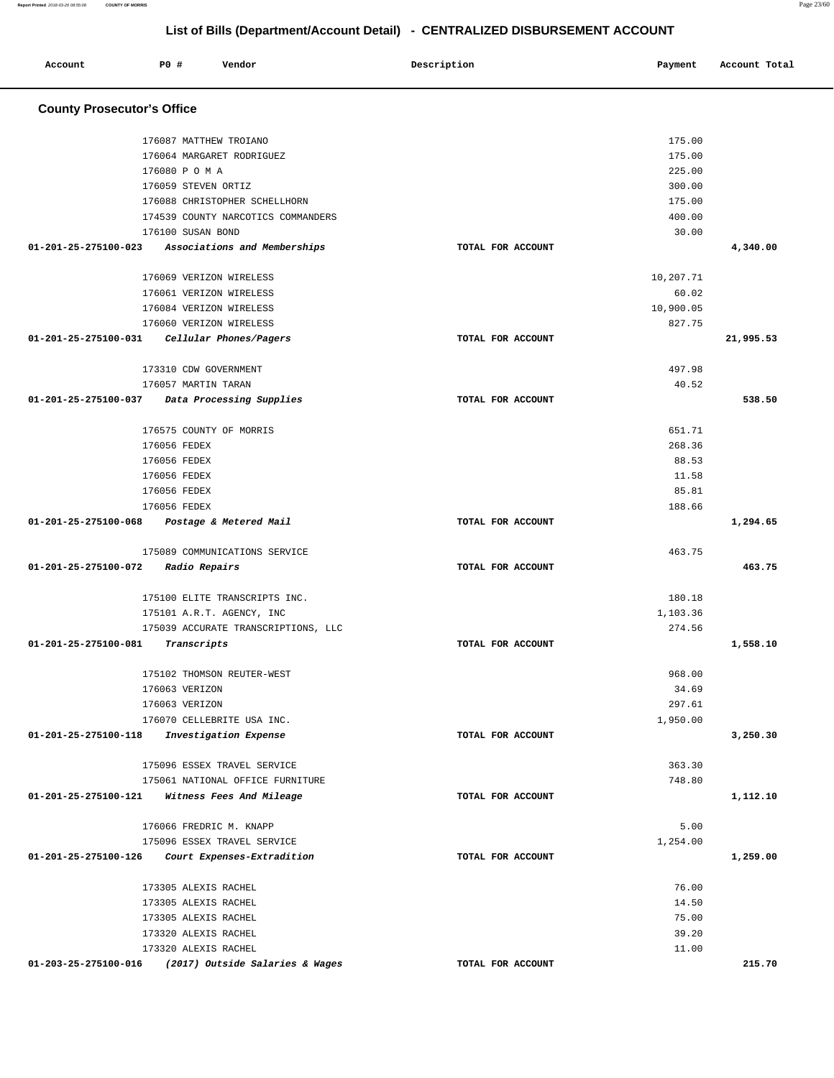| Account                           | P0 #              | Vendor                                                    | Description       | Payment   | Account Total |
|-----------------------------------|-------------------|-----------------------------------------------------------|-------------------|-----------|---------------|
| <b>County Prosecutor's Office</b> |                   |                                                           |                   |           |               |
|                                   |                   | 176087 MATTHEW TROIANO                                    |                   | 175.00    |               |
|                                   |                   | 176064 MARGARET RODRIGUEZ                                 |                   | 175.00    |               |
|                                   | 176080 P O M A    |                                                           |                   | 225.00    |               |
|                                   |                   | 176059 STEVEN ORTIZ                                       |                   | 300.00    |               |
|                                   |                   | 176088 CHRISTOPHER SCHELLHORN                             |                   | 175.00    |               |
|                                   |                   | 174539 COUNTY NARCOTICS COMMANDERS                        |                   | 400.00    |               |
|                                   | 176100 SUSAN BOND |                                                           |                   | 30.00     |               |
| 01-201-25-275100-023              |                   | Associations and Memberships                              | TOTAL FOR ACCOUNT |           | 4,340.00      |
|                                   |                   |                                                           |                   |           |               |
|                                   |                   | 176069 VERIZON WIRELESS                                   |                   | 10,207.71 |               |
|                                   |                   | 176061 VERIZON WIRELESS                                   |                   | 60.02     |               |
|                                   |                   | 176084 VERIZON WIRELESS                                   |                   | 10,900.05 |               |
|                                   |                   | 176060 VERIZON WIRELESS                                   |                   | 827.75    |               |
| 01-201-25-275100-031              |                   | Cellular Phones/Pagers                                    | TOTAL FOR ACCOUNT |           | 21,995.53     |
|                                   |                   | 173310 CDW GOVERNMENT                                     |                   | 497.98    |               |
|                                   |                   | 176057 MARTIN TARAN                                       |                   | 40.52     |               |
| 01-201-25-275100-037              |                   | Data Processing Supplies                                  | TOTAL FOR ACCOUNT |           | 538.50        |
|                                   |                   |                                                           |                   |           |               |
|                                   |                   | 176575 COUNTY OF MORRIS                                   |                   | 651.71    |               |
|                                   | 176056 FEDEX      |                                                           |                   | 268.36    |               |
|                                   | 176056 FEDEX      |                                                           |                   | 88.53     |               |
|                                   | 176056 FEDEX      |                                                           |                   | 11.58     |               |
|                                   | 176056 FEDEX      |                                                           |                   | 85.81     |               |
| 01-201-25-275100-068              | 176056 FEDEX      |                                                           | TOTAL FOR ACCOUNT | 188.66    | 1,294.65      |
|                                   |                   | Postage & Metered Mail                                    |                   |           |               |
|                                   |                   | 175089 COMMUNICATIONS SERVICE                             |                   | 463.75    |               |
| 01-201-25-275100-072              |                   | <i>Radio Repairs</i>                                      | TOTAL FOR ACCOUNT |           | 463.75        |
|                                   |                   | 175100 ELITE TRANSCRIPTS INC.                             |                   | 180.18    |               |
|                                   |                   | 175101 A.R.T. AGENCY, INC                                 |                   | 1,103.36  |               |
|                                   |                   | 175039 ACCURATE TRANSCRIPTIONS, LLC                       |                   | 274.56    |               |
| 01-201-25-275100-081              |                   | Transcripts                                               | TOTAL FOR ACCOUNT |           | 1,558.10      |
|                                   |                   |                                                           |                   |           |               |
|                                   |                   | 175102 THOMSON REUTER-WEST                                |                   | 968.00    |               |
|                                   | 176063 VERIZON    |                                                           |                   | 34.69     |               |
|                                   | 176063 VERIZON    |                                                           |                   | 297.61    |               |
|                                   |                   | 176070 CELLEBRITE USA INC.                                |                   | 1,950.00  |               |
| 01-201-25-275100-118              |                   | Investigation Expense                                     | TOTAL FOR ACCOUNT |           | 3,250.30      |
|                                   |                   | 175096 ESSEX TRAVEL SERVICE                               |                   | 363.30    |               |
|                                   |                   | 175061 NATIONAL OFFICE FURNITURE                          |                   | 748.80    |               |
| 01-201-25-275100-121              |                   | Witness Fees And Mileage                                  | TOTAL FOR ACCOUNT |           | 1,112.10      |
|                                   |                   |                                                           |                   |           |               |
|                                   |                   | 176066 FREDRIC M. KNAPP                                   |                   | 5.00      |               |
| 01-201-25-275100-126              |                   | 175096 ESSEX TRAVEL SERVICE<br>Court Expenses-Extradition | TOTAL FOR ACCOUNT | 1,254.00  | 1,259.00      |
|                                   |                   |                                                           |                   |           |               |
|                                   |                   | 173305 ALEXIS RACHEL                                      |                   | 76.00     |               |
|                                   |                   | 173305 ALEXIS RACHEL                                      |                   | 14.50     |               |
|                                   |                   | 173305 ALEXIS RACHEL                                      |                   | 75.00     |               |
|                                   |                   | 173320 ALEXIS RACHEL                                      |                   | 39.20     |               |
|                                   |                   | 173320 ALEXIS RACHEL                                      |                   | 11.00     |               |
| 01-203-25-275100-016              |                   | (2017) Outside Salaries & Wages                           | TOTAL FOR ACCOUNT |           | 215.70        |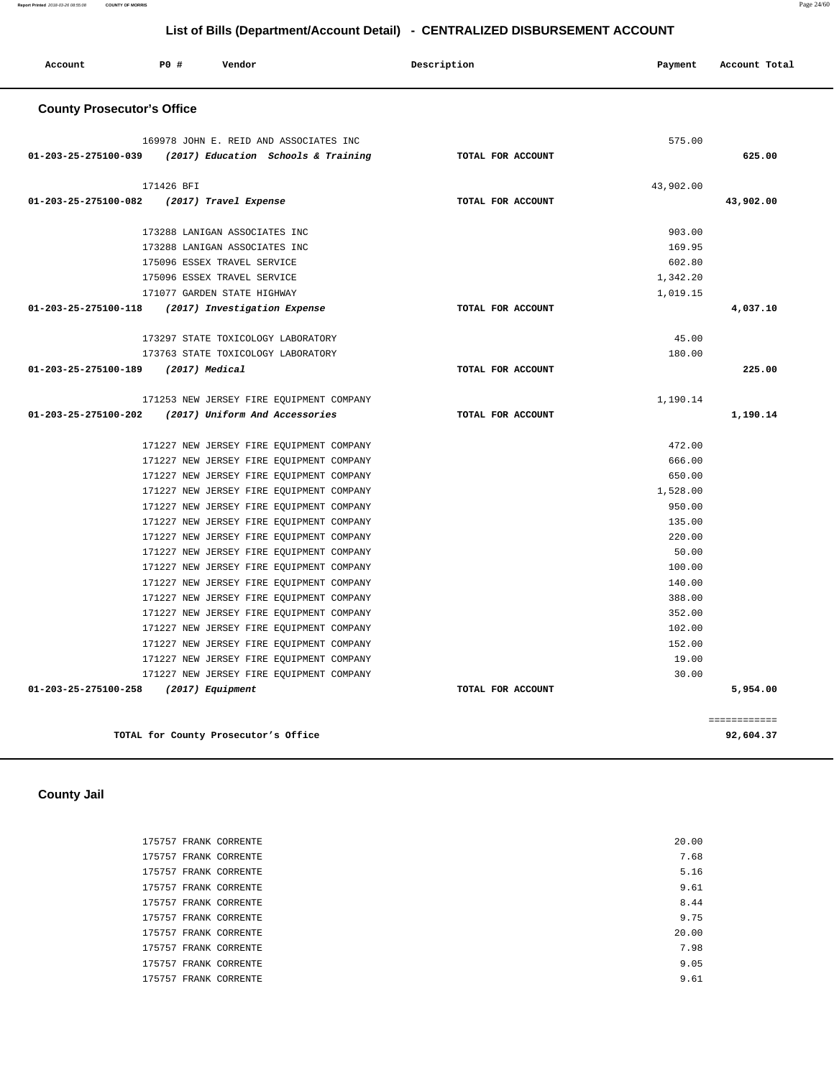**Report Printed** 2018-03-26 08:55:08 **COUNTY OF MORRIS** Page 24/60

## **List of Bills (Department/Account Detail) - CENTRALIZED DISBURSEMENT ACCOUNT**

| Account                           | P0 #             | Vendor                                                                               | Description       | Payment          | Account Total |
|-----------------------------------|------------------|--------------------------------------------------------------------------------------|-------------------|------------------|---------------|
| <b>County Prosecutor's Office</b> |                  |                                                                                      |                   |                  |               |
|                                   |                  | 169978 JOHN E. REID AND ASSOCIATES INC                                               |                   | 575.00           |               |
|                                   |                  | 01-203-25-275100-039 (2017) Education Schools & Training                             | TOTAL FOR ACCOUNT |                  | 625.00        |
|                                   |                  |                                                                                      |                   |                  |               |
|                                   | 171426 BFI       |                                                                                      |                   | 43,902.00        |               |
| 01-203-25-275100-082              |                  | (2017) Travel Expense                                                                | TOTAL FOR ACCOUNT |                  | 43,902.00     |
|                                   |                  |                                                                                      |                   |                  |               |
|                                   |                  | 173288 LANIGAN ASSOCIATES INC                                                        |                   | 903.00           |               |
|                                   |                  | 173288 LANIGAN ASSOCIATES INC<br>175096 ESSEX TRAVEL SERVICE                         |                   | 169.95<br>602.80 |               |
|                                   |                  | 175096 ESSEX TRAVEL SERVICE                                                          |                   | 1,342.20         |               |
|                                   |                  | 171077 GARDEN STATE HIGHWAY                                                          |                   | 1,019.15         |               |
|                                   |                  | 01-203-25-275100-118 (2017) Investigation Expense                                    | TOTAL FOR ACCOUNT |                  | 4,037.10      |
|                                   |                  |                                                                                      |                   |                  |               |
|                                   |                  | 173297 STATE TOXICOLOGY LABORATORY                                                   |                   | 45.00            |               |
|                                   |                  | 173763 STATE TOXICOLOGY LABORATORY                                                   |                   | 180.00           |               |
| 01-203-25-275100-189              | (2017) Medical   |                                                                                      | TOTAL FOR ACCOUNT |                  | 225.00        |
|                                   |                  |                                                                                      |                   |                  |               |
|                                   |                  | 171253 NEW JERSEY FIRE EQUIPMENT COMPANY                                             |                   | 1,190.14         |               |
| 01-203-25-275100-202              |                  | (2017) Uniform And Accessories                                                       | TOTAL FOR ACCOUNT |                  | 1,190.14      |
|                                   |                  | 171227 NEW JERSEY FIRE EQUIPMENT COMPANY                                             |                   | 472.00           |               |
|                                   |                  | 171227 NEW JERSEY FIRE EQUIPMENT COMPANY                                             |                   | 666.00           |               |
|                                   |                  | 171227 NEW JERSEY FIRE EQUIPMENT COMPANY                                             |                   | 650.00           |               |
|                                   |                  | 171227 NEW JERSEY FIRE EQUIPMENT COMPANY                                             |                   | 1,528.00         |               |
|                                   |                  | 171227 NEW JERSEY FIRE EQUIPMENT COMPANY                                             |                   | 950.00           |               |
|                                   |                  | 171227 NEW JERSEY FIRE EQUIPMENT COMPANY                                             |                   | 135.00           |               |
|                                   |                  | 171227 NEW JERSEY FIRE EQUIPMENT COMPANY                                             |                   | 220.00           |               |
|                                   |                  | 171227 NEW JERSEY FIRE EQUIPMENT COMPANY                                             |                   | 50.00            |               |
|                                   |                  | 171227 NEW JERSEY FIRE EQUIPMENT COMPANY                                             |                   | 100.00           |               |
|                                   |                  | 171227 NEW JERSEY FIRE EQUIPMENT COMPANY                                             |                   | 140.00           |               |
|                                   |                  | 171227 NEW JERSEY FIRE EQUIPMENT COMPANY                                             |                   | 388.00           |               |
|                                   |                  | 171227 NEW JERSEY FIRE EQUIPMENT COMPANY                                             |                   | 352.00           |               |
|                                   |                  | 171227 NEW JERSEY FIRE EQUIPMENT COMPANY                                             |                   | 102.00           |               |
|                                   |                  | 171227 NEW JERSEY FIRE EQUIPMENT COMPANY<br>171227 NEW JERSEY FIRE EQUIPMENT COMPANY |                   | 152.00<br>19.00  |               |
|                                   |                  | 171227 NEW JERSEY FIRE EQUIPMENT COMPANY                                             |                   | 30.00            |               |
| $01 - 203 - 25 - 275100 - 258$    | (2017) Equipment |                                                                                      | TOTAL FOR ACCOUNT |                  | 5,954.00      |
|                                   |                  |                                                                                      |                   |                  |               |
|                                   |                  |                                                                                      |                   |                  | ============  |
|                                   |                  | TOTAL for County Prosecutor's Office                                                 |                   |                  | 92,604.37     |

**County Jail** 

| 175757 FRANK CORRENTE | 20.00 |
|-----------------------|-------|
| 175757 FRANK CORRENTE | 7.68  |
| 175757 FRANK CORRENTE | 5.16  |
| 175757 FRANK CORRENTE | 9.61  |
| 175757 FRANK CORRENTE | 8.44  |
| 175757 FRANK CORRENTE | 9.75  |
| 175757 FRANK CORRENTE | 20.00 |
| 175757 FRANK CORRENTE | 7.98  |
| 175757 FRANK CORRENTE | 9.05  |
| 175757 FRANK CORRENTE | 9.61  |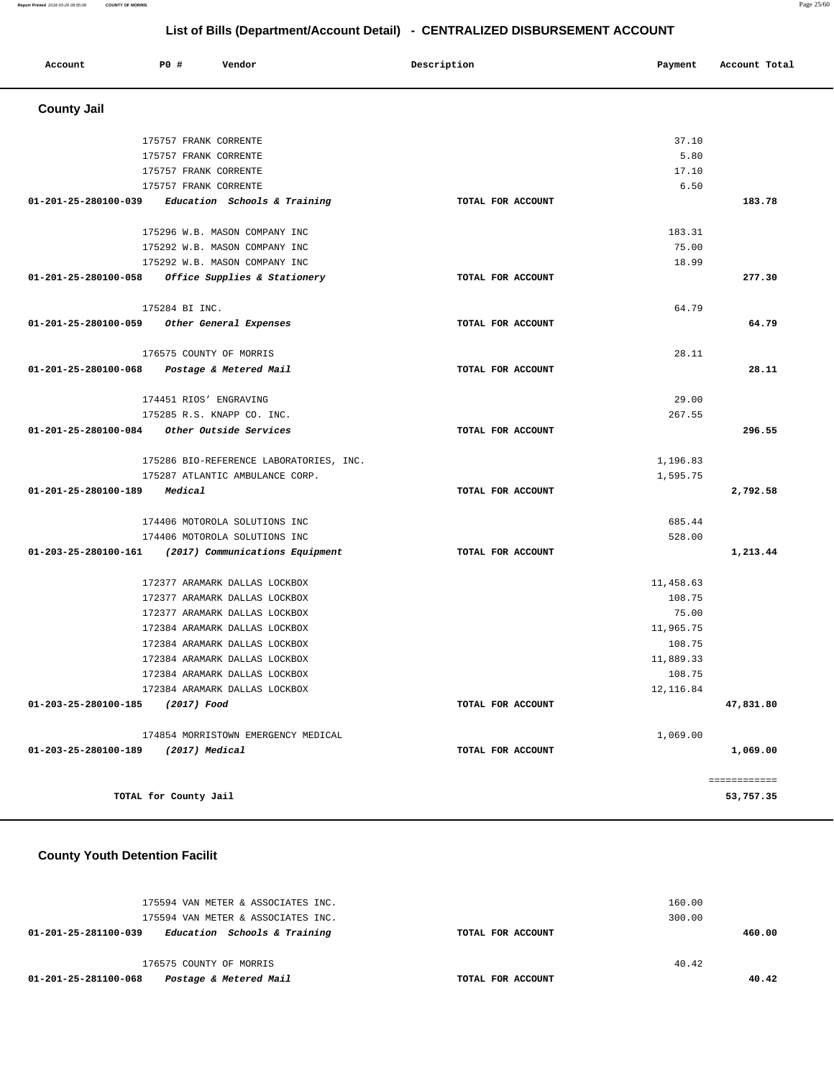| Account              | <b>PO #</b><br>Vendor                       | Description       | Payment   | Account Total |
|----------------------|---------------------------------------------|-------------------|-----------|---------------|
| <b>County Jail</b>   |                                             |                   |           |               |
|                      | 175757 FRANK CORRENTE                       |                   | 37.10     |               |
|                      | 175757 FRANK CORRENTE                       |                   | 5.80      |               |
|                      | 175757 FRANK CORRENTE                       |                   | 17.10     |               |
|                      | 175757 FRANK CORRENTE                       |                   | 6.50      |               |
| 01-201-25-280100-039 | Education Schools & Training                | TOTAL FOR ACCOUNT |           | 183.78        |
|                      | 175296 W.B. MASON COMPANY INC               |                   | 183.31    |               |
|                      | 175292 W.B. MASON COMPANY INC               |                   | 75.00     |               |
|                      | 175292 W.B. MASON COMPANY INC               |                   | 18.99     |               |
| 01-201-25-280100-058 | <i>Office Supplies &amp; Stationery</i>     | TOTAL FOR ACCOUNT |           | 277.30        |
|                      | 175284 BI INC.                              |                   | 64.79     |               |
|                      | 01-201-25-280100-059 Other General Expenses | TOTAL FOR ACCOUNT |           | 64.79         |
|                      | 176575 COUNTY OF MORRIS                     |                   | 28.11     |               |
| 01-201-25-280100-068 | Postage & Metered Mail                      | TOTAL FOR ACCOUNT |           | 28.11         |
|                      | 174451 RIOS' ENGRAVING                      |                   | 29.00     |               |
|                      | 175285 R.S. KNAPP CO. INC.                  |                   | 267.55    |               |
| 01-201-25-280100-084 | <i>Other Outside Services</i>               | TOTAL FOR ACCOUNT |           | 296.55        |
|                      | 175286 BIO-REFERENCE LABORATORIES, INC.     |                   | 1,196.83  |               |
|                      | 175287 ATLANTIC AMBULANCE CORP.             |                   | 1,595.75  |               |
| 01-201-25-280100-189 | Medical                                     | TOTAL FOR ACCOUNT |           | 2,792.58      |
|                      | 174406 MOTOROLA SOLUTIONS INC               |                   | 685.44    |               |
|                      | 174406 MOTOROLA SOLUTIONS INC               |                   | 528.00    |               |
| 01-203-25-280100-161 | (2017) Communications Equipment             | TOTAL FOR ACCOUNT |           | 1,213.44      |
|                      | 172377 ARAMARK DALLAS LOCKBOX               |                   | 11,458.63 |               |
|                      | 172377 ARAMARK DALLAS LOCKBOX               |                   | 108.75    |               |
|                      | 172377 ARAMARK DALLAS LOCKBOX               |                   | 75.00     |               |
|                      | 172384 ARAMARK DALLAS LOCKBOX               |                   | 11,965.75 |               |
|                      | 172384 ARAMARK DALLAS LOCKBOX               |                   | 108.75    |               |
|                      | 172384 ARAMARK DALLAS LOCKBOX               |                   | 11,889.33 |               |
|                      | 172384 ARAMARK DALLAS LOCKBOX               |                   | 108.75    |               |
|                      | 172384 ARAMARK DALLAS LOCKBOX               |                   | 12,116.84 |               |
| 01-203-25-280100-185 | (2017) Food                                 | TOTAL FOR ACCOUNT |           | 47,831.80     |
|                      | 174854 MORRISTOWN EMERGENCY MEDICAL         |                   | 1,069.00  |               |
| 01-203-25-280100-189 | (2017) Medical                              | TOTAL FOR ACCOUNT |           | 1,069.00      |
|                      |                                             |                   |           | ============  |
|                      | TOTAL for County Jail                       |                   |           | 53,757.35     |

# **County Youth Detention Facilit**

| 01-201-25-281100-068<br>Postage & Metered Mail       | TOTAL FOR ACCOUNT |        | 40.42  |
|------------------------------------------------------|-------------------|--------|--------|
| 176575 COUNTY OF MORRIS                              |                   | 40.42  |        |
| Education Schools & Training<br>01-201-25-281100-039 | TOTAL FOR ACCOUNT |        | 460.00 |
| 175594 VAN METER & ASSOCIATES INC.                   |                   | 300.00 |        |
| 175594 VAN METER & ASSOCIATES INC.                   |                   | 160.00 |        |
|                                                      |                   |        |        |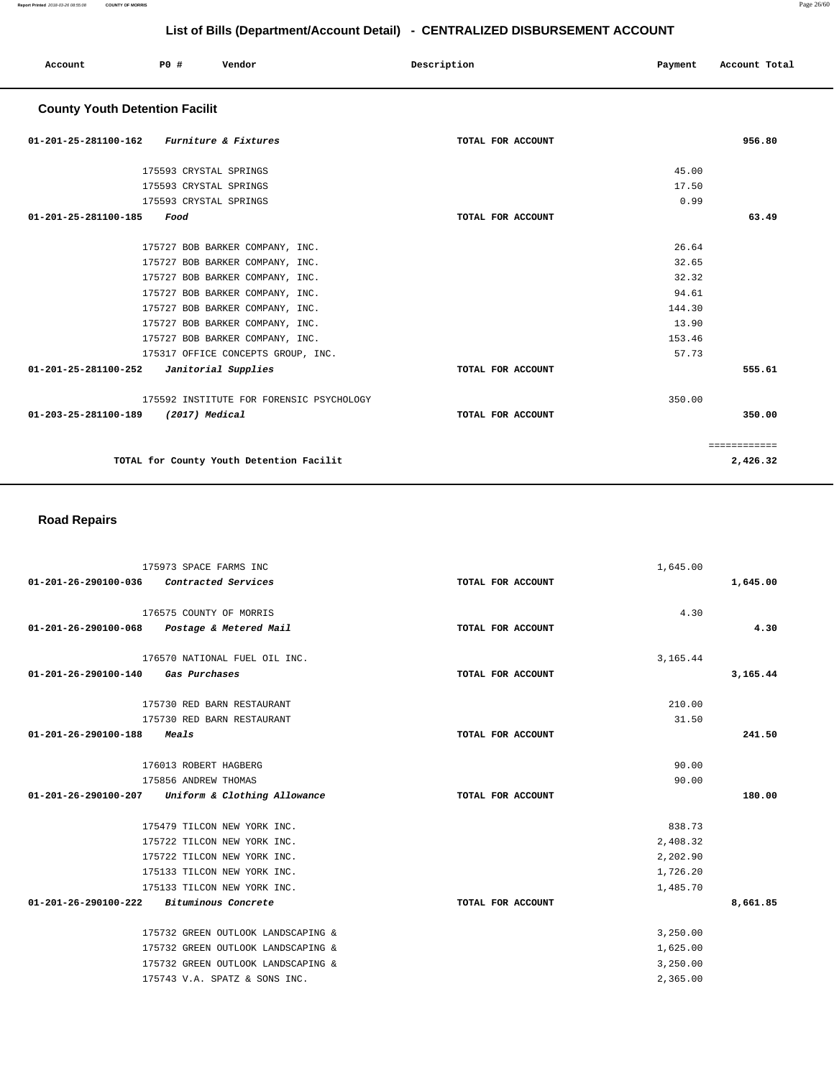| Account                                   | PO#  | Vendor                                   | Description       | Payment | Account Total |
|-------------------------------------------|------|------------------------------------------|-------------------|---------|---------------|
| <b>County Youth Detention Facilit</b>     |      |                                          |                   |         |               |
| 01-201-25-281100-162 Furniture & Fixtures |      |                                          | TOTAL FOR ACCOUNT |         | 956.80        |
|                                           |      | 175593 CRYSTAL SPRINGS                   |                   | 45.00   |               |
|                                           |      | 175593 CRYSTAL SPRINGS                   |                   | 17.50   |               |
|                                           |      | 175593 CRYSTAL SPRINGS                   |                   | 0.99    |               |
| 01-201-25-281100-185                      | Food |                                          | TOTAL FOR ACCOUNT |         | 63.49         |
|                                           |      | 175727 BOB BARKER COMPANY, INC.          |                   | 26.64   |               |
|                                           |      | 175727 BOB BARKER COMPANY, INC.          |                   | 32.65   |               |
|                                           |      | 175727 BOB BARKER COMPANY, INC.          |                   | 32.32   |               |
|                                           |      | 175727 BOB BARKER COMPANY, INC.          |                   | 94.61   |               |
|                                           |      | 175727 BOB BARKER COMPANY, INC.          |                   | 144.30  |               |
|                                           |      | 175727 BOB BARKER COMPANY, INC.          |                   | 13.90   |               |
|                                           |      | 175727 BOB BARKER COMPANY, INC.          |                   | 153.46  |               |
|                                           |      | 175317 OFFICE CONCEPTS GROUP, INC.       |                   | 57.73   |               |
| 01-201-25-281100-252 Janitorial Supplies  |      |                                          | TOTAL FOR ACCOUNT |         | 555.61        |
|                                           |      | 175592 INSTITUTE FOR FORENSIC PSYCHOLOGY |                   | 350.00  |               |
| 01-203-25-281100-189                      |      | (2017) Medical                           | TOTAL FOR ACCOUNT |         | 350.00        |
|                                           |      |                                          |                   |         | ============  |
|                                           |      | TOTAL for County Youth Detention Facilit |                   |         | 2,426.32      |

**Road Repairs** 

|                      | 175973 SPACE FARMS INC                            |                   | 1,645.00 |          |
|----------------------|---------------------------------------------------|-------------------|----------|----------|
| 01-201-26-290100-036 | Contracted Services                               | TOTAL FOR ACCOUNT |          | 1,645.00 |
|                      |                                                   |                   |          |          |
|                      | 176575 COUNTY OF MORRIS                           |                   | 4.30     |          |
| 01-201-26-290100-068 | Postage & Metered Mail                            | TOTAL FOR ACCOUNT |          | 4.30     |
|                      | 176570 NATIONAL FUEL OIL INC.                     |                   | 3,165.44 |          |
| 01-201-26-290100-140 | Gas Purchases                                     | TOTAL FOR ACCOUNT |          | 3,165.44 |
|                      |                                                   |                   |          |          |
|                      | 175730 RED BARN RESTAURANT                        |                   | 210.00   |          |
|                      | 175730 RED BARN RESTAURANT                        |                   | 31.50    |          |
| 01-201-26-290100-188 | <i><b>Meals</b></i>                               | TOTAL FOR ACCOUNT |          | 241.50   |
|                      |                                                   |                   |          |          |
|                      | 176013 ROBERT HAGBERG                             |                   | 90.00    |          |
|                      | 175856 ANDREW THOMAS                              |                   | 90.00    |          |
|                      | 01-201-26-290100-207 Uniform & Clothing Allowance | TOTAL FOR ACCOUNT |          | 180.00   |
|                      |                                                   |                   |          |          |
|                      | 175479 TILCON NEW YORK INC.                       |                   | 838.73   |          |
|                      | 175722 TILCON NEW YORK INC.                       |                   | 2,408.32 |          |
|                      | 175722 TILCON NEW YORK INC.                       |                   | 2,202.90 |          |
|                      | 175133 TILCON NEW YORK INC.                       |                   | 1,726.20 |          |
|                      | 175133 TILCON NEW YORK INC.                       |                   | 1,485.70 |          |
| 01-201-26-290100-222 | Bituminous Concrete                               | TOTAL FOR ACCOUNT |          | 8,661.85 |
|                      | 175732 GREEN OUTLOOK LANDSCAPING &                |                   | 3,250.00 |          |
|                      | 175732 GREEN OUTLOOK LANDSCAPING &                |                   | 1,625.00 |          |
|                      |                                                   |                   |          |          |
|                      | 175732 GREEN OUTLOOK LANDSCAPING &                |                   | 3,250.00 |          |
|                      | 175743 V.A. SPATZ & SONS INC.                     |                   | 2,365.00 |          |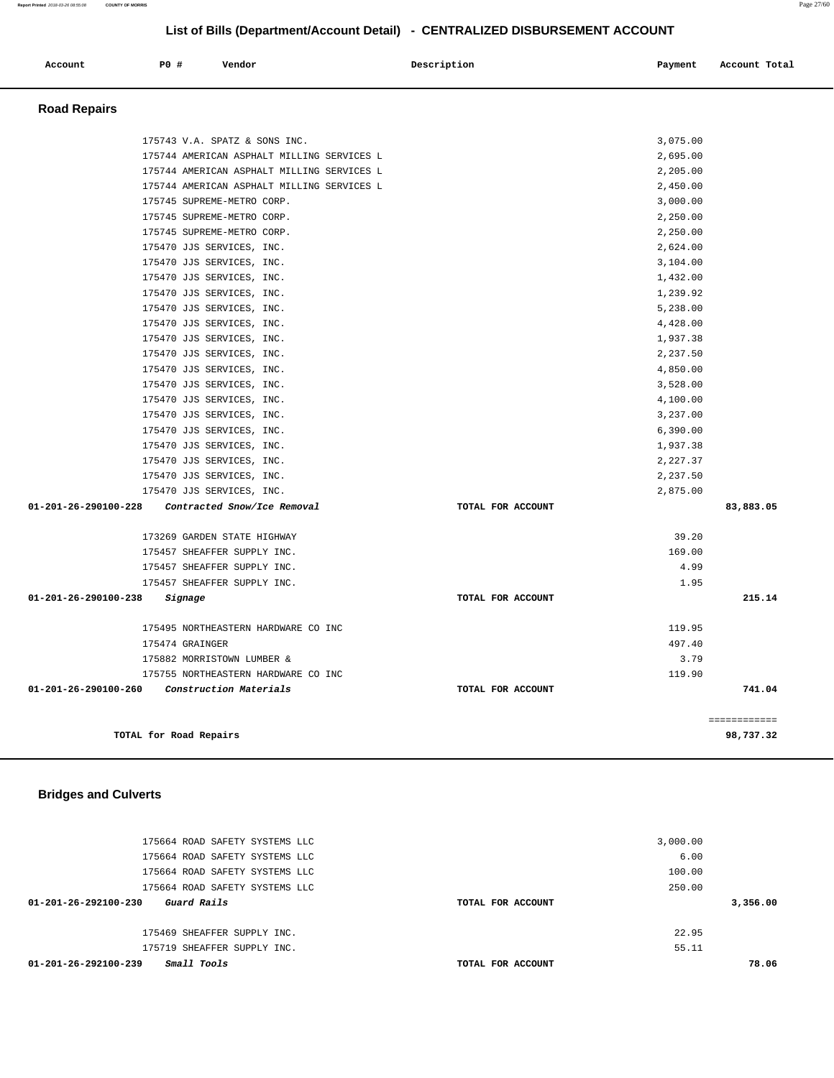**Report Printed** 2018-03-26 08:55:08 **COUNTY OF MORRIS** Page 27/60

# **List of Bills (Department/Account Detail) - CENTRALIZED DISBURSEMENT ACCOUNT**

| Account             | PO# | Vendor                                                                                                                                                                                                                                                                                                       | Description | Payment       | Account Total |
|---------------------|-----|--------------------------------------------------------------------------------------------------------------------------------------------------------------------------------------------------------------------------------------------------------------------------------------------------------------|-------------|---------------|---------------|
| <b>Road Repairs</b> |     |                                                                                                                                                                                                                                                                                                              |             |               |               |
|                     |     | 175743 V.A. SPATZ & SONS INC.<br>$\frac{1}{2}$ = = = 0.000 $\frac{1}{2}$ = 0.000 $\frac{1}{2}$ = 0.000 $\frac{1}{2}$ = 0.000 $\frac{1}{2}$ = 0.000 $\frac{1}{2}$ = 0.000 $\frac{1}{2}$ = 0.000 $\frac{1}{2}$ = 0.000 $\frac{1}{2}$ = 0.000 $\frac{1}{2}$ = 0.000 $\frac{1}{2}$ = 0.000 $\frac{1}{2}$ = 0.000 |             | 3,075.00<br>. |               |

| 175743 V.A. SPATZ & SONS INC.                       |                   | 3,075.00 |                           |
|-----------------------------------------------------|-------------------|----------|---------------------------|
| 175744 AMERICAN ASPHALT MILLING SERVICES L          |                   | 2,695.00 |                           |
| 175744 AMERICAN ASPHALT MILLING SERVICES L          |                   | 2,205.00 |                           |
| 175744 AMERICAN ASPHALT MILLING SERVICES L          |                   | 2,450.00 |                           |
| 175745 SUPREME-METRO CORP.                          |                   | 3,000.00 |                           |
| 175745 SUPREME-METRO CORP.                          |                   | 2,250.00 |                           |
| 175745 SUPREME-METRO CORP.                          |                   | 2,250.00 |                           |
| 175470 JJS SERVICES, INC.                           |                   | 2,624.00 |                           |
| 175470 JJS SERVICES, INC.                           |                   | 3,104.00 |                           |
| 175470 JJS SERVICES, INC.                           |                   | 1,432.00 |                           |
| 175470 JJS SERVICES, INC.                           |                   | 1,239.92 |                           |
| 175470 JJS SERVICES, INC.                           |                   | 5,238.00 |                           |
| 175470 JJS SERVICES, INC.                           |                   | 4,428.00 |                           |
| 175470 JJS SERVICES, INC.                           |                   | 1,937.38 |                           |
| 175470 JJS SERVICES, INC.                           |                   | 2,237.50 |                           |
| 175470 JJS SERVICES, INC.                           |                   | 4,850.00 |                           |
| 175470 JJS SERVICES, INC.                           |                   | 3,528.00 |                           |
| 175470 JJS SERVICES, INC.                           |                   | 4,100.00 |                           |
| 175470 JJS SERVICES, INC.                           |                   | 3,237.00 |                           |
| 175470 JJS SERVICES, INC.                           |                   | 6,390.00 |                           |
| 175470 JJS SERVICES, INC.                           |                   | 1,937.38 |                           |
| 175470 JJS SERVICES, INC.                           |                   | 2,227.37 |                           |
| 175470 JJS SERVICES, INC.                           |                   | 2,237.50 |                           |
| 175470 JJS SERVICES, INC.                           |                   | 2,875.00 |                           |
| 01-201-26-290100-228<br>Contracted Snow/Ice Removal | TOTAL FOR ACCOUNT |          | 83,883.05                 |
| 173269 GARDEN STATE HIGHWAY                         |                   | 39.20    |                           |
| 175457 SHEAFFER SUPPLY INC.                         |                   | 169.00   |                           |
| 175457 SHEAFFER SUPPLY INC.                         |                   | 4.99     |                           |
| 175457 SHEAFFER SUPPLY INC.                         |                   | 1.95     |                           |
| 01-201-26-290100-238<br>Signage                     | TOTAL FOR ACCOUNT |          | 215.14                    |
| 175495 NORTHEASTERN HARDWARE CO INC                 |                   | 119.95   |                           |
| 175474 GRAINGER                                     |                   | 497.40   |                           |
| 175882 MORRISTOWN LUMBER &                          |                   | 3.79     |                           |
| 175755 NORTHEASTERN HARDWARE CO INC                 |                   | 119.90   |                           |
| 01-201-26-290100-260<br>Construction Materials      | TOTAL FOR ACCOUNT |          | 741.04                    |
| TOTAL for Road Repairs                              |                   |          | ============<br>98,737.32 |
|                                                     |                   |          |                           |

## **Bridges and Culverts**

| 175664 ROAD SAFETY SYSTEMS LLC                | 3,000.00          |          |
|-----------------------------------------------|-------------------|----------|
| 175664 ROAD SAFETY SYSTEMS LLC                | 6.00              |          |
| 175664 ROAD SAFETY SYSTEMS LLC                | 100.00            |          |
| 175664 ROAD SAFETY SYSTEMS LLC                | 250.00            |          |
| $01 - 201 - 26 - 292100 - 230$<br>Guard Rails | TOTAL FOR ACCOUNT | 3,356.00 |
|                                               |                   |          |
| 175469 SHEAFFER SUPPLY INC.                   | 22.95             |          |
| 175719 SHEAFFER SUPPLY INC.                   | 55.11             |          |
| <i>Small Tools</i><br>01-201-26-292100-239    | TOTAL FOR ACCOUNT | 78.06    |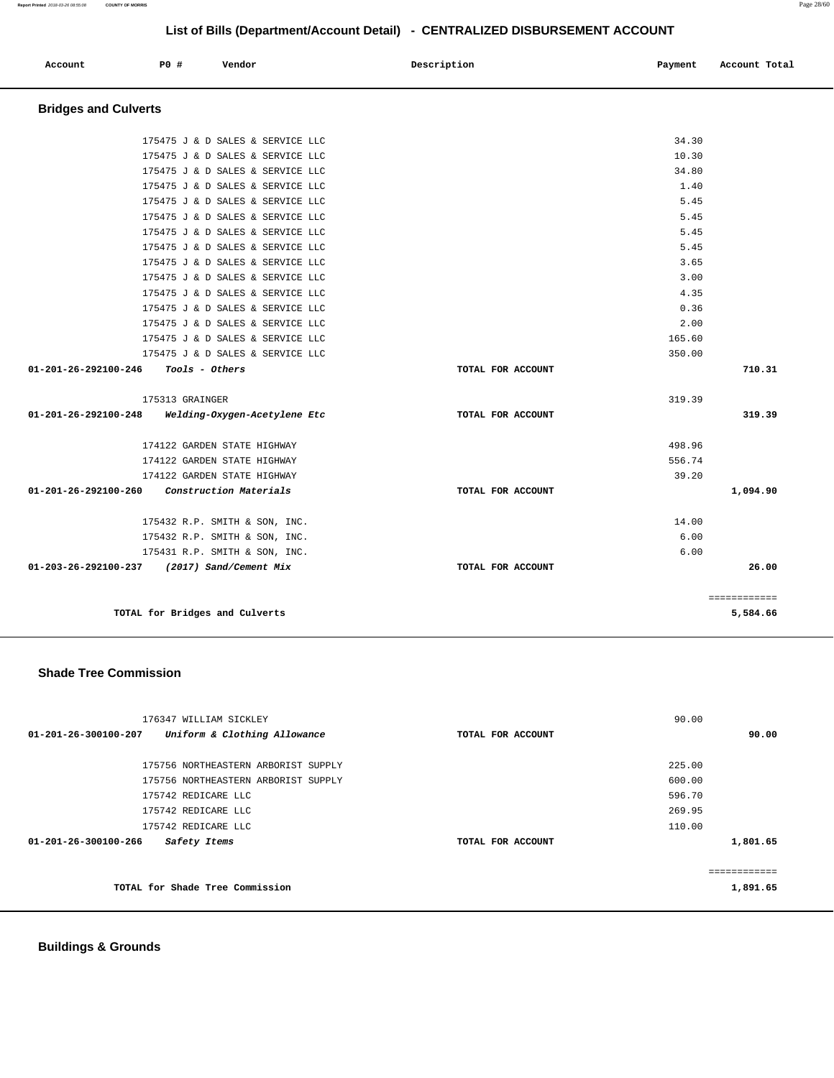| Account | <b>PO #</b> | Vendor<br>. | Description | Payment | Account Total |
|---------|-------------|-------------|-------------|---------|---------------|
|         |             |             |             |         |               |

## **Bridges and Culverts**

| 175475 J & D SALES & SERVICE LLC                     |                   | 34.30  |              |
|------------------------------------------------------|-------------------|--------|--------------|
| 175475 J & D SALES & SERVICE LLC                     |                   | 10.30  |              |
| 175475 J & D SALES & SERVICE LLC                     |                   | 34.80  |              |
| 175475 J & D SALES & SERVICE LLC                     |                   | 1.40   |              |
| 175475 J & D SALES & SERVICE LLC                     |                   | 5.45   |              |
| 175475 J & D SALES & SERVICE LLC                     |                   | 5.45   |              |
| 175475 J & D SALES & SERVICE LLC                     |                   | 5.45   |              |
| 175475 J & D SALES & SERVICE LLC                     |                   | 5.45   |              |
| 175475 J & D SALES & SERVICE LLC                     |                   | 3.65   |              |
| 175475 J & D SALES & SERVICE LLC                     |                   | 3.00   |              |
| 175475 J & D SALES & SERVICE LLC                     |                   | 4.35   |              |
| 175475 J & D SALES & SERVICE LLC                     |                   | 0.36   |              |
| 175475 J & D SALES & SERVICE LLC                     |                   | 2.00   |              |
| 175475 J & D SALES & SERVICE LLC                     |                   | 165.60 |              |
| 175475 J & D SALES & SERVICE LLC                     |                   | 350.00 |              |
| 01-201-26-292100-246<br>Tools - Others               | TOTAL FOR ACCOUNT |        | 710.31       |
| 175313 GRAINGER                                      |                   | 319.39 |              |
| Welding-Oxygen-Acetylene Etc<br>01-201-26-292100-248 | TOTAL FOR ACCOUNT |        | 319.39       |
| 174122 GARDEN STATE HIGHWAY                          |                   | 498.96 |              |
| 174122 GARDEN STATE HIGHWAY                          |                   | 556.74 |              |
| 174122 GARDEN STATE HIGHWAY                          |                   | 39.20  |              |
| 01-201-26-292100-260<br>Construction Materials       | TOTAL FOR ACCOUNT |        | 1,094.90     |
| 175432 R.P. SMITH & SON, INC.                        |                   | 14.00  |              |
| 175432 R.P. SMITH & SON, INC.                        |                   | 6.00   |              |
| 175431 R.P. SMITH & SON, INC.                        |                   | 6.00   |              |
| 01-203-26-292100-237<br>(2017) Sand/Cement Mix       | TOTAL FOR ACCOUNT |        | 26.00        |
|                                                      |                   |        | ============ |
| TOTAL for Bridges and Culverts                       |                   |        | 5,584.66     |

## **Shade Tree Commission**

| 176347 WILLIAM SICKLEY                               |                   | 90.00        |
|------------------------------------------------------|-------------------|--------------|
| Uniform & Clothing Allowance<br>01-201-26-300100-207 | TOTAL FOR ACCOUNT | 90.00        |
|                                                      |                   |              |
| 175756 NORTHEASTERN ARBORIST SUPPLY                  |                   | 225.00       |
| 175756 NORTHEASTERN ARBORIST SUPPLY                  |                   | 600.00       |
| 175742 REDICARE LLC                                  |                   | 596.70       |
| 175742 REDICARE LLC                                  |                   | 269.95       |
| 175742 REDICARE LLC                                  |                   | 110.00       |
| $01 - 201 - 26 - 300100 - 266$<br>Safety Items       | TOTAL FOR ACCOUNT | 1,801.65     |
|                                                      |                   |              |
|                                                      |                   | ============ |
| TOTAL for Shade Tree Commission                      |                   | 1,891.65     |
|                                                      |                   |              |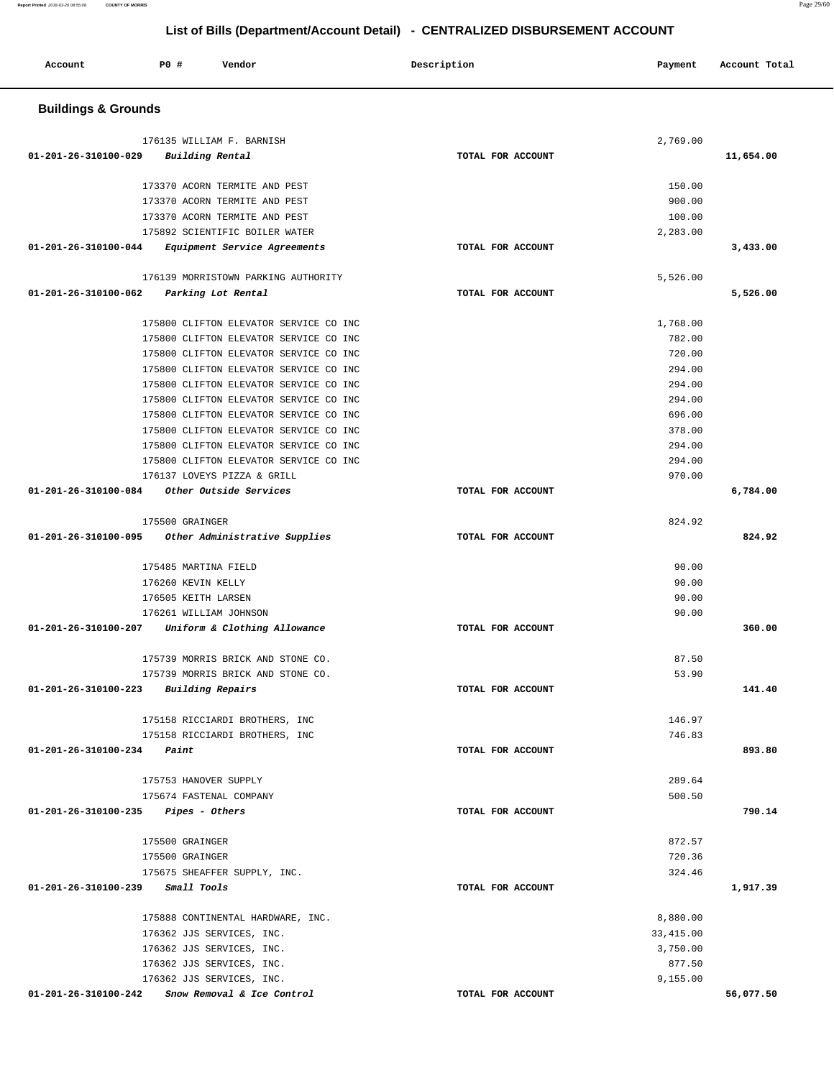| <b>Buildings &amp; Grounds</b>                                 |                   |            |           |
|----------------------------------------------------------------|-------------------|------------|-----------|
|                                                                |                   |            |           |
| 176135 WILLIAM F. BARNISH                                      |                   | 2,769.00   |           |
| 01-201-26-310100-029<br>Building Rental                        | TOTAL FOR ACCOUNT |            | 11,654.00 |
|                                                                |                   |            |           |
| 173370 ACORN TERMITE AND PEST                                  |                   | 150.00     |           |
| 173370 ACORN TERMITE AND PEST<br>173370 ACORN TERMITE AND PEST |                   | 900.00     |           |
|                                                                |                   | 100.00     |           |
| 175892 SCIENTIFIC BOILER WATER                                 |                   | 2,283.00   |           |
| 01-201-26-310100-044<br>Equipment Service Agreements           | TOTAL FOR ACCOUNT |            | 3,433.00  |
| 176139 MORRISTOWN PARKING AUTHORITY                            |                   | 5,526.00   |           |
| 01-201-26-310100-062                                           | TOTAL FOR ACCOUNT |            |           |
| Parking Lot Rental                                             |                   |            | 5,526.00  |
| 175800 CLIFTON ELEVATOR SERVICE CO INC                         |                   | 1,768.00   |           |
|                                                                |                   |            |           |
| 175800 CLIFTON ELEVATOR SERVICE CO INC                         |                   | 782.00     |           |
| 175800 CLIFTON ELEVATOR SERVICE CO INC                         |                   | 720.00     |           |
| 175800 CLIFTON ELEVATOR SERVICE CO INC                         |                   | 294.00     |           |
| 175800 CLIFTON ELEVATOR SERVICE CO INC                         |                   | 294.00     |           |
| 175800 CLIFTON ELEVATOR SERVICE CO INC                         |                   | 294.00     |           |
| 175800 CLIFTON ELEVATOR SERVICE CO INC                         |                   | 696.00     |           |
| 175800 CLIFTON ELEVATOR SERVICE CO INC                         |                   | 378.00     |           |
| 175800 CLIFTON ELEVATOR SERVICE CO INC                         |                   | 294.00     |           |
| 175800 CLIFTON ELEVATOR SERVICE CO INC                         |                   | 294.00     |           |
| 176137 LOVEYS PIZZA & GRILL                                    |                   | 970.00     |           |
| 01-201-26-310100-084 Other Outside Services                    | TOTAL FOR ACCOUNT |            | 6,784.00  |
|                                                                |                   |            |           |
| 175500 GRAINGER                                                |                   | 824.92     |           |
| 01-201-26-310100-095 Other Administrative Supplies             | TOTAL FOR ACCOUNT |            | 824.92    |
|                                                                |                   |            |           |
| 175485 MARTINA FIELD                                           |                   | 90.00      |           |
| 176260 KEVIN KELLY                                             |                   | 90.00      |           |
| 176505 KEITH LARSEN                                            |                   | 90.00      |           |
| 176261 WILLIAM JOHNSON                                         |                   | 90.00      |           |
| $01 - 201 - 26 - 310100 - 207$<br>Uniform & Clothing Allowance | TOTAL FOR ACCOUNT |            | 360.00    |
|                                                                |                   |            |           |
| 175739 MORRIS BRICK AND STONE CO.                              |                   | 87.50      |           |
| 175739 MORRIS BRICK AND STONE CO.                              |                   | 53.90      |           |
| 01-201-26-310100-223 Building Repairs                          | TOTAL FOR ACCOUNT |            | 141.40    |
|                                                                |                   |            |           |
| 175158 RICCIARDI BROTHERS, INC                                 |                   | 146.97     |           |
| 175158 RICCIARDI BROTHERS, INC                                 |                   | 746.83     |           |
| $01 - 201 - 26 - 310100 - 234$ Paint                           | TOTAL FOR ACCOUNT |            | 893.80    |
|                                                                |                   |            |           |
| 175753 HANOVER SUPPLY                                          |                   | 289.64     |           |
| 175674 FASTENAL COMPANY                                        |                   | 500.50     |           |
| $01-201-26-310100-235$ Pipes - Others                          | TOTAL FOR ACCOUNT |            | 790.14    |
|                                                                |                   |            |           |
| 175500 GRAINGER                                                |                   | 872.57     |           |
| 175500 GRAINGER                                                |                   | 720.36     |           |
| 175675 SHEAFFER SUPPLY, INC.                                   |                   | 324.46     |           |
| $01 - 201 - 26 - 310100 - 239$ Small Tools                     | TOTAL FOR ACCOUNT |            | 1,917.39  |
|                                                                |                   |            |           |
| 175888 CONTINENTAL HARDWARE, INC.                              |                   | 8,880.00   |           |
| 176362 JJS SERVICES, INC.                                      |                   | 33, 415.00 |           |
| 176362 JJS SERVICES, INC.                                      |                   | 3,750.00   |           |
| 176362 JJS SERVICES, INC.                                      |                   | 877.50     |           |
| 176362 JJS SERVICES, INC.                                      |                   | 9,155.00   |           |
| 01-201-26-310100-242 Snow Removal & Ice Control                | TOTAL FOR ACCOUNT |            | 56,077.50 |

 **Account P0 # Vendor Description Payment Account Total**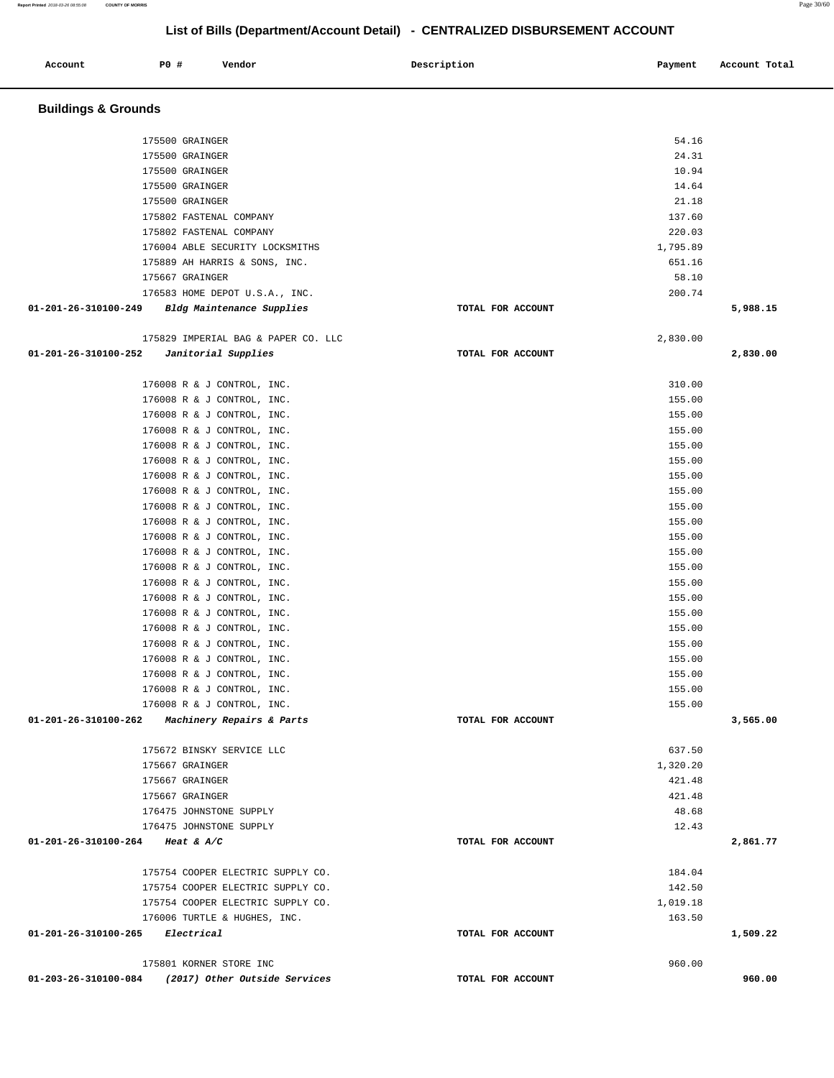**Report Printed** 2018-03-26 08:55:08 **COUNTY OF MORRIS** Page 30/60

# **List of Bills (Department/Account Detail) - CENTRALIZED DISBURSEMENT ACCOUNT**

| Account                                   | P0 #                         | Vendor                               | Description       | Payment  | Account Total |
|-------------------------------------------|------------------------------|--------------------------------------|-------------------|----------|---------------|
| <b>Buildings &amp; Grounds</b>            |                              |                                      |                   |          |               |
|                                           | 175500 GRAINGER              |                                      |                   | 54.16    |               |
|                                           | 175500 GRAINGER              |                                      |                   | 24.31    |               |
|                                           | 175500 GRAINGER              |                                      |                   | 10.94    |               |
|                                           | 175500 GRAINGER              |                                      |                   | 14.64    |               |
|                                           | 175500 GRAINGER              |                                      |                   | 21.18    |               |
|                                           | 175802 FASTENAL COMPANY      |                                      |                   | 137.60   |               |
|                                           | 175802 FASTENAL COMPANY      |                                      |                   | 220.03   |               |
|                                           |                              | 176004 ABLE SECURITY LOCKSMITHS      |                   | 1,795.89 |               |
|                                           |                              | 175889 AH HARRIS & SONS, INC.        |                   | 651.16   |               |
|                                           | 175667 GRAINGER              |                                      |                   | 58.10    |               |
|                                           |                              | 176583 HOME DEPOT U.S.A., INC.       |                   | 200.74   |               |
| 01-201-26-310100-249                      |                              | Bldg Maintenance Supplies            | TOTAL FOR ACCOUNT |          | 5,988.15      |
|                                           |                              | 175829 IMPERIAL BAG & PAPER CO. LLC  |                   | 2,830.00 |               |
| 01-201-26-310100-252                      | Janitorial Supplies          |                                      | TOTAL FOR ACCOUNT |          | 2,830.00      |
|                                           | 176008 R & J CONTROL, INC.   |                                      |                   | 310.00   |               |
|                                           | 176008 R & J CONTROL, INC.   |                                      |                   | 155.00   |               |
|                                           | 176008 R & J CONTROL, INC.   |                                      |                   | 155.00   |               |
|                                           | 176008 R & J CONTROL, INC.   |                                      |                   | 155.00   |               |
|                                           | 176008 R & J CONTROL, INC.   |                                      |                   | 155.00   |               |
|                                           | 176008 R & J CONTROL, INC.   |                                      |                   | 155.00   |               |
|                                           | 176008 R & J CONTROL, INC.   |                                      |                   | 155.00   |               |
|                                           | 176008 R & J CONTROL, INC.   |                                      |                   | 155.00   |               |
|                                           | 176008 R & J CONTROL, INC.   |                                      |                   | 155.00   |               |
|                                           | 176008 R & J CONTROL, INC.   |                                      |                   | 155.00   |               |
|                                           | 176008 R & J CONTROL, INC.   |                                      |                   | 155.00   |               |
|                                           | 176008 R & J CONTROL, INC.   |                                      |                   | 155.00   |               |
|                                           | 176008 R & J CONTROL, INC.   |                                      |                   | 155.00   |               |
|                                           | 176008 R & J CONTROL, INC.   |                                      |                   | 155.00   |               |
|                                           | 176008 R & J CONTROL, INC.   |                                      |                   | 155.00   |               |
|                                           | 176008 R & J CONTROL, INC.   |                                      |                   | 155.00   |               |
|                                           | 176008 R & J CONTROL, INC.   |                                      |                   | 155.00   |               |
|                                           | 176008 R & J CONTROL, INC.   |                                      |                   | 155.00   |               |
|                                           | 176008 R & J CONTROL, INC.   |                                      |                   | 155.00   |               |
|                                           | 176008 R & J CONTROL, INC.   |                                      |                   | 155.00   |               |
|                                           | 176008 R & J CONTROL, INC.   |                                      |                   | 155.00   |               |
|                                           | 176008 R & J CONTROL, INC.   |                                      |                   | 155.00   |               |
| 01-201-26-310100-262                      |                              | <i>Machinery Repairs &amp; Parts</i> | TOTAL FOR ACCOUNT |          | 3,565.00      |
|                                           | 175672 BINSKY SERVICE LLC    |                                      |                   | 637.50   |               |
|                                           | 175667 GRAINGER              |                                      |                   | 1,320.20 |               |
|                                           | 175667 GRAINGER              |                                      |                   | 421.48   |               |
|                                           | 175667 GRAINGER              |                                      |                   | 421.48   |               |
|                                           | 176475 JOHNSTONE SUPPLY      |                                      |                   | 48.68    |               |
|                                           | 176475 JOHNSTONE SUPPLY      |                                      |                   | 12.43    |               |
| 01-201-26-310100-264 Heat & A/C           |                              |                                      | TOTAL FOR ACCOUNT |          | 2,861.77      |
|                                           |                              | 175754 COOPER ELECTRIC SUPPLY CO.    |                   | 184.04   |               |
|                                           |                              | 175754 COOPER ELECTRIC SUPPLY CO.    |                   | 142.50   |               |
|                                           |                              | 175754 COOPER ELECTRIC SUPPLY CO.    |                   | 1,019.18 |               |
|                                           | 176006 TURTLE & HUGHES, INC. |                                      |                   | 163.50   |               |
| $01 - 201 - 26 - 310100 - 265$ Electrical |                              |                                      | TOTAL FOR ACCOUNT |          | 1,509.22      |
|                                           | 175801 KORNER STORE INC      |                                      |                   | 960.00   |               |
| 01-203-26-310100-084                      |                              | (2017) Other Outside Services        | TOTAL FOR ACCOUNT |          | 960.00        |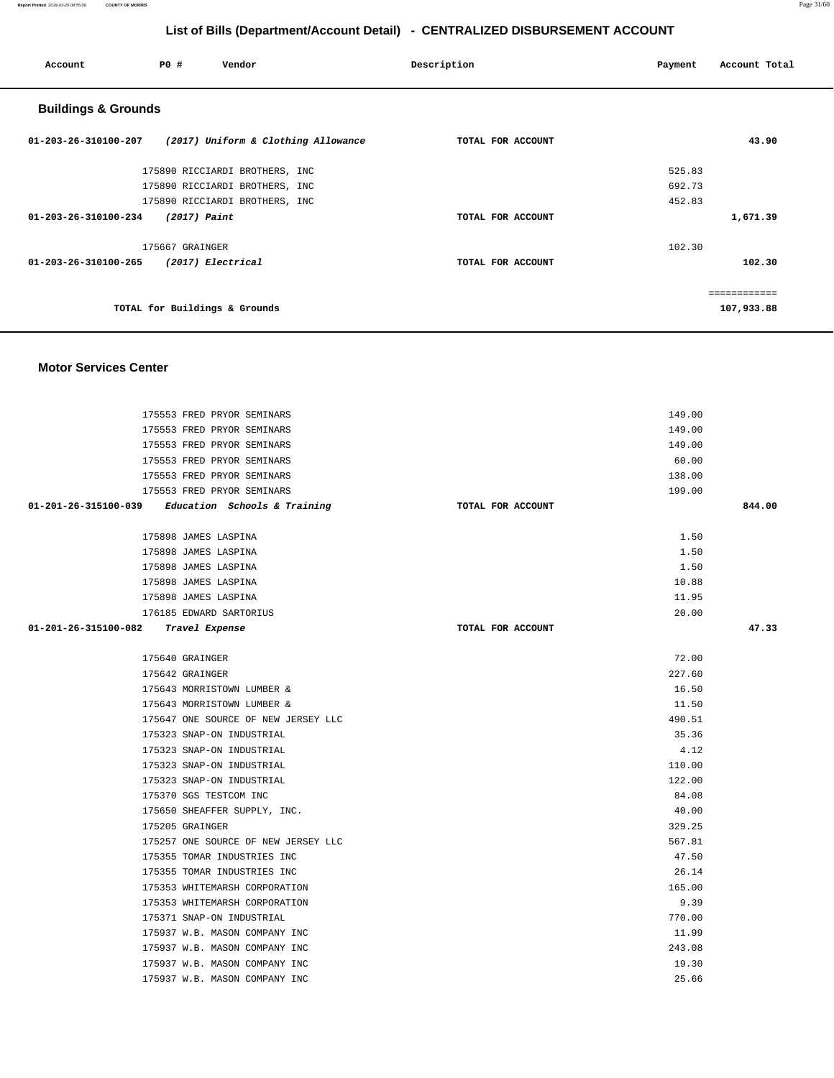**Report Printed** 2018-03-26 08:55:08 **COUNTY OF MORRIS** Page 31/60

# **List of Bills (Department/Account Detail) - CENTRALIZED DISBURSEMENT ACCOUNT**

| Account                        | PO#                           | Vendor                                                   | Description       | Account Total<br>Payment |
|--------------------------------|-------------------------------|----------------------------------------------------------|-------------------|--------------------------|
| <b>Buildings &amp; Grounds</b> |                               |                                                          |                   |                          |
|                                |                               | 01-203-26-310100-207 (2017) Uniform & Clothing Allowance | TOTAL FOR ACCOUNT | 43.90                    |
|                                |                               | 175890 RICCIARDI BROTHERS, INC                           |                   | 525.83                   |
|                                |                               | 175890 RICCIARDI BROTHERS, INC                           |                   | 692.73                   |
|                                |                               | 175890 RICCIARDI BROTHERS, INC                           |                   | 452.83                   |
| 01-203-26-310100-234           | $(2017)$ Paint                |                                                          | TOTAL FOR ACCOUNT | 1,671.39                 |
|                                | 175667 GRAINGER               |                                                          |                   | 102.30                   |
| 01-203-26-310100-265           |                               | (2017) Electrical                                        | TOTAL FOR ACCOUNT | 102.30                   |
|                                |                               |                                                          |                   | ============             |
|                                | TOTAL for Buildings & Grounds |                                                          |                   | 107,933.88               |

#### **Motor Services Center**

| 175553 FRED PRYOR SEMINARS                          |                   | 149.00 |        |
|-----------------------------------------------------|-------------------|--------|--------|
| 175553 FRED PRYOR SEMINARS                          |                   | 149.00 |        |
| 175553 FRED PRYOR SEMINARS                          |                   | 149.00 |        |
| 175553 FRED PRYOR SEMINARS                          |                   | 60.00  |        |
| 175553 FRED PRYOR SEMINARS                          |                   | 138.00 |        |
| 175553 FRED PRYOR SEMINARS                          |                   | 199.00 |        |
| $01-201-26-315100-039$ Education Schools & Training | TOTAL FOR ACCOUNT |        | 844.00 |
| 175898 JAMES LASPINA                                |                   | 1.50   |        |
| 175898 JAMES LASPINA                                |                   | 1.50   |        |
| 175898 JAMES LASPINA                                |                   | 1.50   |        |
| 175898 JAMES LASPINA                                |                   | 10.88  |        |
| 175898 JAMES LASPINA                                |                   | 11.95  |        |
| 176185 EDWARD SARTORIUS                             |                   | 20.00  |        |
| 01-201-26-315100-082 Travel Expense                 | TOTAL FOR ACCOUNT |        | 47.33  |
| 175640 GRAINGER                                     |                   | 72.00  |        |
| 175642 GRAINGER                                     |                   | 227.60 |        |
| 175643 MORRISTOWN LUMBER &                          |                   | 16.50  |        |
| 175643 MORRISTOWN LUMBER &                          |                   | 11.50  |        |
| 175647 ONE SOURCE OF NEW JERSEY LLC                 |                   | 490.51 |        |
| 175323 SNAP-ON INDUSTRIAL                           |                   | 35.36  |        |
| 175323 SNAP-ON INDUSTRIAL                           |                   | 4.12   |        |
| 175323 SNAP-ON INDUSTRIAL                           |                   | 110.00 |        |
| 175323 SNAP-ON INDUSTRIAL                           |                   | 122.00 |        |
| 175370 SGS TESTCOM INC                              |                   | 84.08  |        |
| 175650 SHEAFFER SUPPLY, INC.                        |                   | 40.00  |        |
| 175205 GRAINGER                                     |                   | 329.25 |        |
| 175257 ONE SOURCE OF NEW JERSEY LLC                 |                   | 567.81 |        |
| 175355 TOMAR INDUSTRIES INC                         |                   | 47.50  |        |
| 175355 TOMAR INDUSTRIES INC                         |                   | 26.14  |        |
| 175353 WHITEMARSH CORPORATION                       |                   | 165.00 |        |
| 175353 WHITEMARSH CORPORATION                       |                   | 9.39   |        |
| 175371 SNAP-ON INDUSTRIAL                           |                   | 770.00 |        |
| 175937 W.B. MASON COMPANY INC                       |                   | 11.99  |        |
| 175937 W.B. MASON COMPANY INC                       |                   | 243.08 |        |
| 175937 W.B. MASON COMPANY INC                       |                   | 19.30  |        |
| 175937 W.B. MASON COMPANY INC                       |                   | 25.66  |        |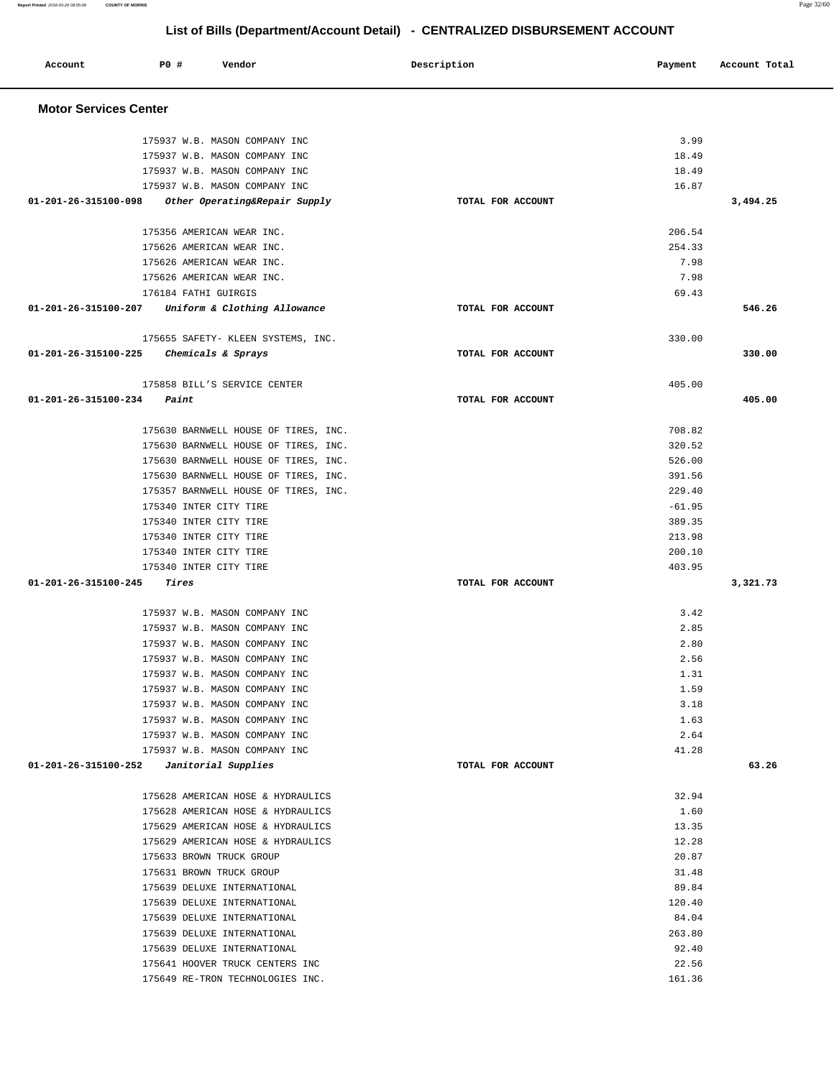**Report Printed** 2018-03-26 08:55:08 **COUNTY OF MORRIS** Page 32/60

# **List of Bills (Department/Account Detail) - CENTRALIZED DISBURSEMENT ACCOUNT**

| Account                                            | P0 # |                      | Vendor                               | Description       | Payment  | Account Total |
|----------------------------------------------------|------|----------------------|--------------------------------------|-------------------|----------|---------------|
| <b>Motor Services Center</b>                       |      |                      |                                      |                   |          |               |
|                                                    |      |                      | 175937 W.B. MASON COMPANY INC        |                   | 3.99     |               |
|                                                    |      |                      | 175937 W.B. MASON COMPANY INC        |                   | 18.49    |               |
|                                                    |      |                      | 175937 W.B. MASON COMPANY INC        |                   | 18.49    |               |
|                                                    |      |                      | 175937 W.B. MASON COMPANY INC        |                   | 16.87    |               |
| 01-201-26-315100-098 Other Operating&Repair Supply |      |                      |                                      | TOTAL FOR ACCOUNT |          | 3,494.25      |
|                                                    |      |                      | 175356 AMERICAN WEAR INC.            |                   | 206.54   |               |
|                                                    |      |                      | 175626 AMERICAN WEAR INC.            |                   | 254.33   |               |
|                                                    |      |                      | 175626 AMERICAN WEAR INC.            |                   | 7.98     |               |
|                                                    |      |                      | 175626 AMERICAN WEAR INC.            |                   | 7.98     |               |
|                                                    |      | 176184 FATHI GUIRGIS |                                      |                   | 69.43    |               |
| 01-201-26-315100-207 Uniform & Clothing Allowance  |      |                      |                                      | TOTAL FOR ACCOUNT |          | 546.26        |
|                                                    |      |                      | 175655 SAFETY- KLEEN SYSTEMS, INC.   |                   | 330.00   |               |
| 01-201-26-315100-225 Chemicals & Sprays            |      |                      |                                      | TOTAL FOR ACCOUNT |          | 330.00        |
|                                                    |      |                      | 175858 BILL'S SERVICE CENTER         |                   | 405.00   |               |
| $01-201-26-315100-234$ Paint                       |      |                      |                                      | TOTAL FOR ACCOUNT |          | 405.00        |
|                                                    |      |                      | 175630 BARNWELL HOUSE OF TIRES, INC. |                   | 708.82   |               |
|                                                    |      |                      | 175630 BARNWELL HOUSE OF TIRES, INC. |                   | 320.52   |               |
|                                                    |      |                      | 175630 BARNWELL HOUSE OF TIRES, INC. |                   | 526.00   |               |
|                                                    |      |                      | 175630 BARNWELL HOUSE OF TIRES, INC. |                   | 391.56   |               |
|                                                    |      |                      | 175357 BARNWELL HOUSE OF TIRES, INC. |                   | 229.40   |               |
|                                                    |      |                      | 175340 INTER CITY TIRE               |                   | $-61.95$ |               |
|                                                    |      |                      | 175340 INTER CITY TIRE               |                   | 389.35   |               |
|                                                    |      |                      | 175340 INTER CITY TIRE               |                   | 213.98   |               |
|                                                    |      |                      | 175340 INTER CITY TIRE               |                   | 200.10   |               |
|                                                    |      |                      | 175340 INTER CITY TIRE               |                   | 403.95   |               |
| 01-201-26-315100-245                               |      | Tires                |                                      | TOTAL FOR ACCOUNT |          | 3,321.73      |
|                                                    |      |                      | 175937 W.B. MASON COMPANY INC        |                   | 3.42     |               |
|                                                    |      |                      | 175937 W.B. MASON COMPANY INC        |                   | 2.85     |               |
|                                                    |      |                      | 175937 W.B. MASON COMPANY INC        |                   | 2.80     |               |
|                                                    |      |                      | 175937 W.B. MASON COMPANY INC        |                   | 2.56     |               |
|                                                    |      |                      | 175937 W.B. MASON COMPANY INC        |                   | 1.31     |               |
|                                                    |      |                      | 175937 W.B. MASON COMPANY INC        |                   | 1.59     |               |
|                                                    |      |                      | 175937 W.B. MASON COMPANY INC        |                   | 3.18     |               |
|                                                    |      |                      | 175937 W.B. MASON COMPANY INC        |                   | 1.63     |               |
|                                                    |      |                      | 175937 W.B. MASON COMPANY INC        |                   | 2.64     |               |
|                                                    |      |                      | 175937 W.B. MASON COMPANY INC        |                   | 41.28    |               |
| $01-201-26-315100-252$ Janitorial Supplies         |      |                      |                                      | TOTAL FOR ACCOUNT |          | 63.26         |
|                                                    |      |                      | 175628 AMERICAN HOSE & HYDRAULICS    |                   | 32.94    |               |
|                                                    |      |                      | 175628 AMERICAN HOSE & HYDRAULICS    |                   | 1.60     |               |
|                                                    |      |                      | 175629 AMERICAN HOSE & HYDRAULICS    |                   | 13.35    |               |
|                                                    |      |                      | 175629 AMERICAN HOSE & HYDRAULICS    |                   | 12.28    |               |
|                                                    |      |                      | 175633 BROWN TRUCK GROUP             |                   | 20.87    |               |
|                                                    |      |                      | 175631 BROWN TRUCK GROUP             |                   | 31.48    |               |
|                                                    |      |                      | 175639 DELUXE INTERNATIONAL          |                   | 89.84    |               |
|                                                    |      |                      | 175639 DELUXE INTERNATIONAL          |                   | 120.40   |               |
|                                                    |      |                      | 175639 DELUXE INTERNATIONAL          |                   | 84.04    |               |
|                                                    |      |                      | 175639 DELUXE INTERNATIONAL          |                   | 263.80   |               |
|                                                    |      |                      | 175639 DELUXE INTERNATIONAL          |                   | 92.40    |               |
|                                                    |      |                      | 175641 HOOVER TRUCK CENTERS INC      |                   | 22.56    |               |
|                                                    |      |                      | 175649 RE-TRON TECHNOLOGIES INC.     |                   | 161.36   |               |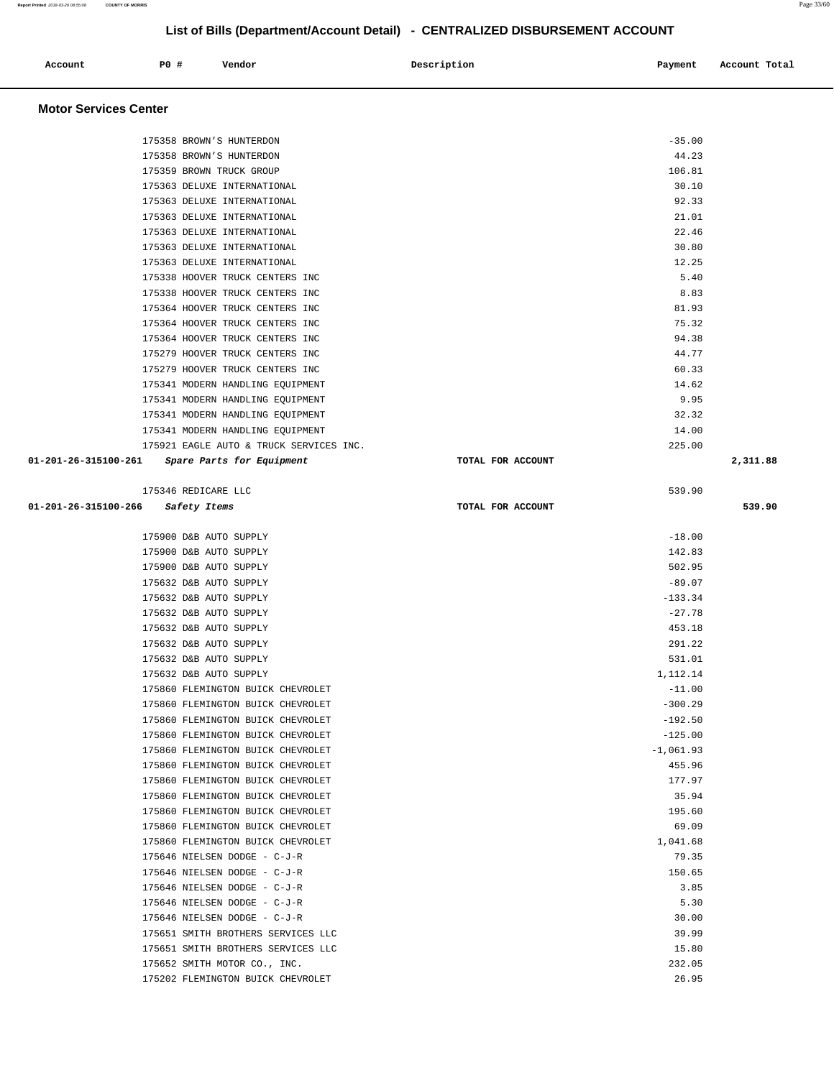| Account | <b>PO #</b> | Vendor | Description | Payment | Account Total |
|---------|-------------|--------|-------------|---------|---------------|
|         |             |        |             |         |               |
|         |             |        |             |         |               |

### **Motor Services Center**

|                                                | 175358 BROWN'S HUNTERDON                                          |                   | $-35.00$        |
|------------------------------------------------|-------------------------------------------------------------------|-------------------|-----------------|
|                                                | 175358 BROWN'S HUNTERDON                                          |                   | 44.23           |
|                                                | 175359 BROWN TRUCK GROUP                                          |                   | 106.81          |
|                                                | 175363 DELUXE INTERNATIONAL                                       |                   | 30.10           |
|                                                | 175363 DELUXE INTERNATIONAL                                       |                   | 92.33           |
|                                                | 175363 DELUXE INTERNATIONAL                                       |                   | 21.01           |
|                                                | 175363 DELUXE INTERNATIONAL                                       |                   | 22.46           |
|                                                | 175363 DELUXE INTERNATIONAL                                       |                   | 30.80           |
|                                                | 175363 DELUXE INTERNATIONAL                                       |                   | 12.25           |
|                                                | 175338 HOOVER TRUCK CENTERS INC                                   |                   | 5.40            |
|                                                | 175338 HOOVER TRUCK CENTERS INC                                   |                   | 8.83            |
|                                                | 175364 HOOVER TRUCK CENTERS INC                                   |                   | 81.93           |
|                                                | 175364 HOOVER TRUCK CENTERS INC                                   |                   | 75.32           |
|                                                | 175364 HOOVER TRUCK CENTERS INC                                   |                   | 94.38           |
|                                                | 175279 HOOVER TRUCK CENTERS INC                                   |                   | 44.77           |
|                                                | 175279 HOOVER TRUCK CENTERS INC                                   |                   | 60.33           |
|                                                | 175341 MODERN HANDLING EQUIPMENT                                  |                   | 14.62           |
|                                                | 175341 MODERN HANDLING EQUIPMENT                                  |                   | 9.95            |
|                                                | 175341 MODERN HANDLING EQUIPMENT                                  |                   | 32.32           |
|                                                | 175341 MODERN HANDLING EQUIPMENT                                  |                   | 14.00           |
|                                                | 175921 EAGLE AUTO & TRUCK SERVICES INC.                           |                   | 225.00          |
| 01-201-26-315100-261 Spare Parts for Equipment |                                                                   | TOTAL FOR ACCOUNT | 2,311.88        |
|                                                |                                                                   |                   |                 |
|                                                | 175346 REDICARE LLC                                               |                   | 539.90          |
| 01-201-26-315100-266                           | Safety Items                                                      | TOTAL FOR ACCOUNT | 539.90          |
|                                                |                                                                   |                   |                 |
|                                                | 175900 D&B AUTO SUPPLY                                            |                   | $-18.00$        |
|                                                | 175900 D&B AUTO SUPPLY                                            |                   | 142.83          |
|                                                | 175900 D&B AUTO SUPPLY                                            |                   | 502.95          |
|                                                | 175632 D&B AUTO SUPPLY                                            |                   | $-89.07$        |
|                                                | 175632 D&B AUTO SUPPLY                                            |                   | $-133.34$       |
|                                                | 175632 D&B AUTO SUPPLY                                            |                   | $-27.78$        |
|                                                | 175632 D&B AUTO SUPPLY                                            |                   | 453.18          |
|                                                | 175632 D&B AUTO SUPPLY                                            |                   | 291.22          |
|                                                | 175632 D&B AUTO SUPPLY                                            |                   | 531.01          |
|                                                | 175632 D&B AUTO SUPPLY                                            |                   | 1,112.14        |
|                                                | 175860 FLEMINGTON BUICK CHEVROLET                                 |                   | $-11.00$        |
|                                                | 175860 FLEMINGTON BUICK CHEVROLET                                 |                   | $-300.29$       |
|                                                | 175860 FLEMINGTON BUICK CHEVROLET                                 |                   | $-192.50$       |
|                                                | 175860 FLEMINGTON BUICK CHEVROLET                                 |                   | $-125.00$       |
|                                                | 175860 FLEMINGTON BUICK CHEVROLET                                 |                   | -1,061.93       |
|                                                | 175860 FLEMINGTON BUICK CHEVROLET                                 |                   | 455.96          |
|                                                | 175860 FLEMINGTON BUICK CHEVROLET                                 |                   | 177.97          |
|                                                | 175860 FLEMINGTON BUICK CHEVROLET                                 |                   | 35.94           |
|                                                | 175860 FLEMINGTON BUICK CHEVROLET                                 |                   | 195.60          |
|                                                | 175860 FLEMINGTON BUICK CHEVROLET                                 |                   | 69.09           |
|                                                | 175860 FLEMINGTON BUICK CHEVROLET                                 |                   | 1,041.68        |
|                                                | 175646 NIELSEN DODGE - C-J-R                                      |                   | 79.35           |
|                                                | 175646 NIELSEN DODGE - C-J-R                                      |                   | 150.65          |
|                                                | 175646 NIELSEN DODGE - C-J-R                                      |                   | 3.85            |
|                                                | 175646 NIELSEN DODGE - C-J-R                                      |                   | 5.30            |
|                                                | 175646 NIELSEN DODGE - C-J-R                                      |                   | 30.00           |
|                                                | 175651 SMITH BROTHERS SERVICES LLC                                |                   | 39.99           |
|                                                | 175651 SMITH BROTHERS SERVICES LLC                                |                   | 15.80           |
|                                                | 175652 SMITH MOTOR CO., INC.<br>175202 FLEMINGTON BUICK CHEVROLET |                   | 232.05<br>26.95 |
|                                                |                                                                   |                   |                 |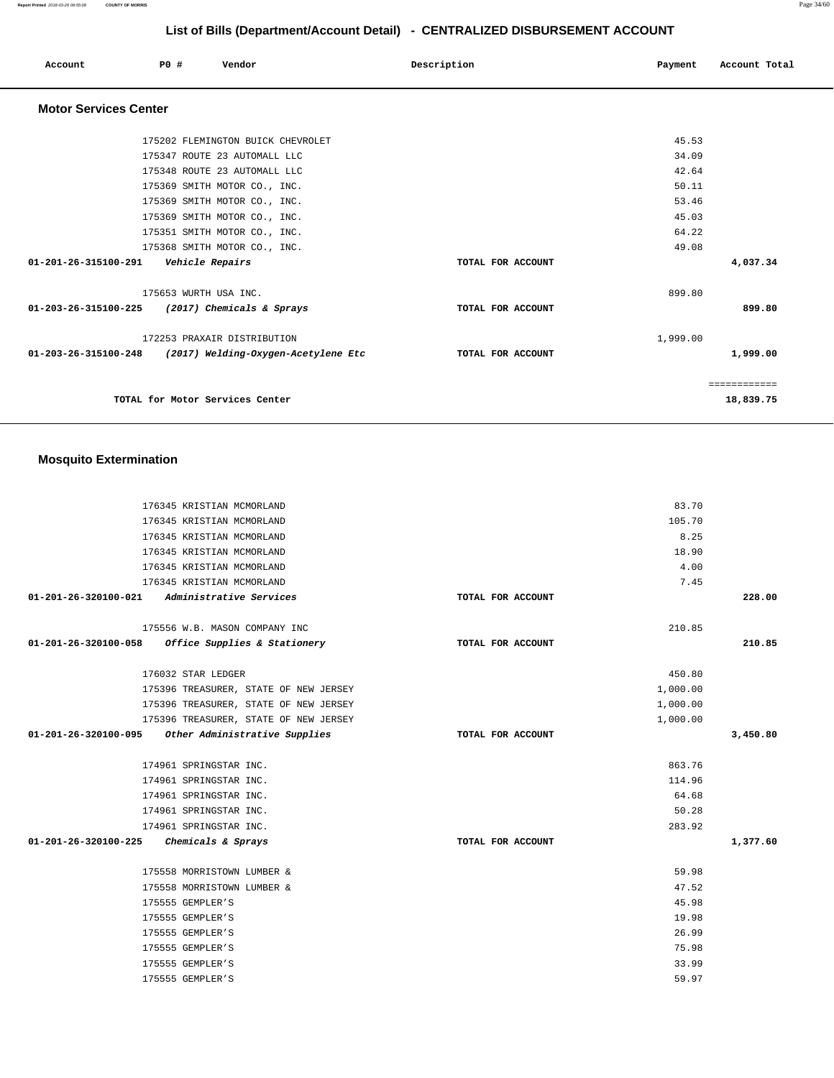**Report Printed** 2018-03-26 08:55:08 **COUNTY OF MORRIS** Page 34/60

# **List of Bills (Department/Account Detail) - CENTRALIZED DISBURSEMENT ACCOUNT**

| Account                      | <b>PO #</b> | Vendor                                                                                                                                                                                                                                                            | Description       | Payment                                                              | Account Total             |  |
|------------------------------|-------------|-------------------------------------------------------------------------------------------------------------------------------------------------------------------------------------------------------------------------------------------------------------------|-------------------|----------------------------------------------------------------------|---------------------------|--|
| <b>Motor Services Center</b> |             |                                                                                                                                                                                                                                                                   |                   |                                                                      |                           |  |
|                              |             | 175202 FLEMINGTON BUICK CHEVROLET<br>175347 ROUTE 23 AUTOMALL LLC<br>175348 ROUTE 23 AUTOMALL LLC<br>175369 SMITH MOTOR CO., INC.<br>175369 SMITH MOTOR CO., INC.<br>175369 SMITH MOTOR CO., INC.<br>175351 SMITH MOTOR CO., INC.<br>175368 SMITH MOTOR CO., INC. |                   | 45.53<br>34.09<br>42.64<br>50.11<br>53.46<br>45.03<br>64.22<br>49.08 |                           |  |
| 01-201-26-315100-291         |             | Vehicle Repairs                                                                                                                                                                                                                                                   | TOTAL FOR ACCOUNT |                                                                      | 4,037.34                  |  |
|                              |             | 175653 WURTH USA INC.<br>01-203-26-315100-225 (2017) Chemicals & Sprays                                                                                                                                                                                           | TOTAL FOR ACCOUNT | 899.80                                                               | 899.80                    |  |
|                              |             | 172253 PRAXAIR DISTRIBUTION<br>01-203-26-315100-248 (2017) Welding-Oxygen-Acetylene Etc                                                                                                                                                                           | TOTAL FOR ACCOUNT | 1,999.00                                                             | 1,999.00                  |  |
|                              |             | TOTAL for Motor Services Center                                                                                                                                                                                                                                   |                   |                                                                      | ============<br>18,839.75 |  |

# **Mosquito Extermination**

| 176345 KRISTIAN MCMORLAND                          |                   | 83.70    |          |
|----------------------------------------------------|-------------------|----------|----------|
| 176345 KRISTIAN MCMORLAND                          |                   | 105.70   |          |
| 176345 KRISTIAN MCMORLAND                          |                   | 8.25     |          |
| 176345 KRISTIAN MCMORLAND                          |                   | 18.90    |          |
| 176345 KRISTIAN MCMORLAND                          |                   | 4.00     |          |
| 176345 KRISTIAN MCMORLAND                          |                   | 7.45     |          |
| 01-201-26-320100-021 Administrative Services       | TOTAL FOR ACCOUNT |          | 228.00   |
| 175556 W.B. MASON COMPANY INC                      |                   | 210.85   |          |
| 01-201-26-320100-058 Office Supplies & Stationery  | TOTAL FOR ACCOUNT |          | 210.85   |
| 176032 STAR LEDGER                                 |                   | 450.80   |          |
| 175396 TREASURER, STATE OF NEW JERSEY              |                   | 1,000.00 |          |
| 175396 TREASURER, STATE OF NEW JERSEY              |                   | 1,000.00 |          |
| 175396 TREASURER, STATE OF NEW JERSEY              |                   | 1,000.00 |          |
| 01-201-26-320100-095 Other Administrative Supplies | TOTAL FOR ACCOUNT |          | 3,450.80 |
| 174961 SPRINGSTAR INC.                             |                   | 863.76   |          |
| 174961 SPRINGSTAR INC.                             |                   | 114.96   |          |
| 174961 SPRINGSTAR INC.                             |                   | 64.68    |          |
| 174961 SPRINGSTAR INC.                             |                   | 50.28    |          |
| 174961 SPRINGSTAR INC.                             |                   | 283.92   |          |
| 01-201-26-320100-225<br>Chemicals & Sprays         | TOTAL FOR ACCOUNT |          | 1,377.60 |
| 175558 MORRISTOWN LUMBER &                         |                   | 59.98    |          |
| 175558 MORRISTOWN LUMBER &                         |                   | 47.52    |          |
| 175555 GEMPLER'S                                   |                   | 45.98    |          |
| 175555 GEMPLER'S                                   |                   | 19.98    |          |
| 175555 GEMPLER'S                                   |                   | 26.99    |          |
| 175555 GEMPLER'S                                   |                   | 75.98    |          |
| 175555 GEMPLER'S                                   |                   | 33.99    |          |
| 175555 GEMPLER'S                                   |                   | 59.97    |          |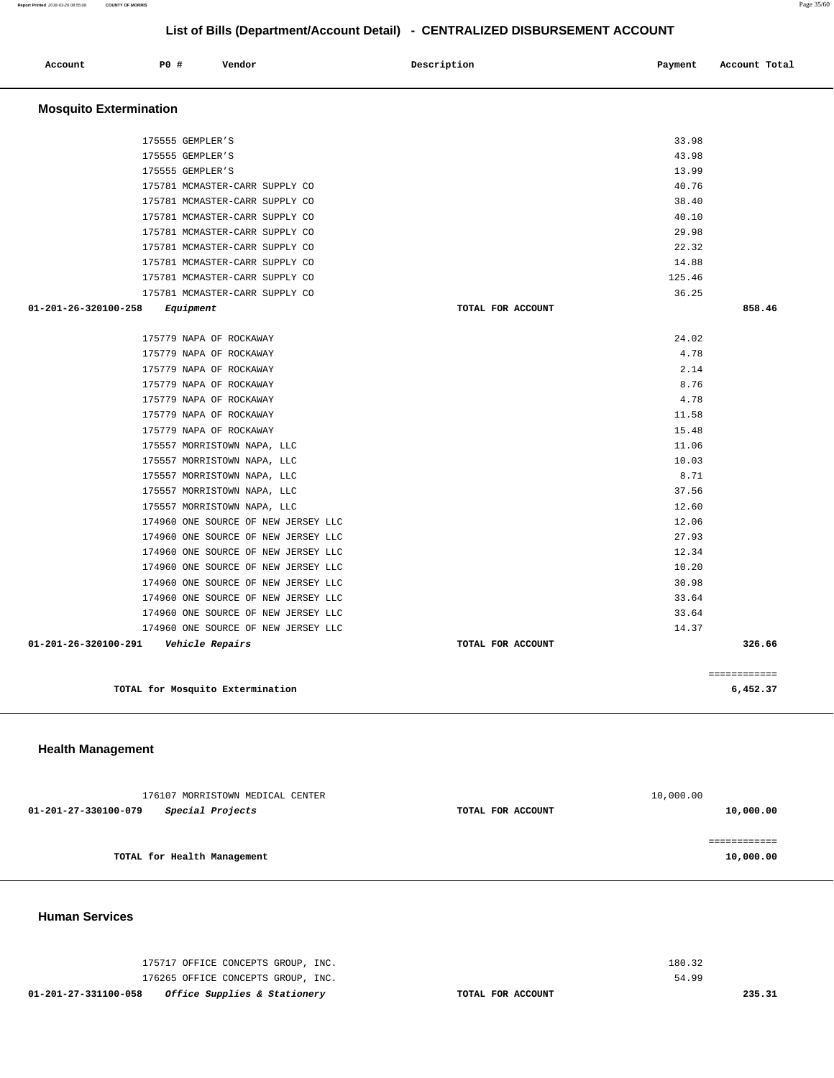| Account                       | P0 # | Vendor                              | Description       | Payment | Account Total |
|-------------------------------|------|-------------------------------------|-------------------|---------|---------------|
| <b>Mosquito Extermination</b> |      |                                     |                   |         |               |
|                               |      |                                     |                   |         |               |
|                               |      | 175555 GEMPLER'S                    |                   | 33.98   |               |
|                               |      | 175555 GEMPLER'S                    |                   | 43.98   |               |
|                               |      | 175555 GEMPLER'S                    |                   | 13.99   |               |
|                               |      | 175781 MCMASTER-CARR SUPPLY CO      |                   | 40.76   |               |
|                               |      | 175781 MCMASTER-CARR SUPPLY CO      |                   | 38.40   |               |
|                               |      | 175781 MCMASTER-CARR SUPPLY CO      |                   | 40.10   |               |
|                               |      | 175781 MCMASTER-CARR SUPPLY CO      |                   | 29.98   |               |
|                               |      | 175781 MCMASTER-CARR SUPPLY CO      |                   | 22.32   |               |
|                               |      | 175781 MCMASTER-CARR SUPPLY CO      |                   | 14.88   |               |
|                               |      | 175781 MCMASTER-CARR SUPPLY CO      |                   | 125.46  |               |
|                               |      | 175781 MCMASTER-CARR SUPPLY CO      |                   | 36.25   |               |
| 01-201-26-320100-258          |      | Equipment                           | TOTAL FOR ACCOUNT |         | 858.46        |
|                               |      |                                     |                   |         |               |
|                               |      | 175779 NAPA OF ROCKAWAY             |                   | 24.02   |               |
|                               |      | 175779 NAPA OF ROCKAWAY             |                   | 4.78    |               |
|                               |      | 175779 NAPA OF ROCKAWAY             |                   | 2.14    |               |
|                               |      | 175779 NAPA OF ROCKAWAY             |                   | 8.76    |               |
|                               |      | 175779 NAPA OF ROCKAWAY             |                   | 4.78    |               |
|                               |      | 175779 NAPA OF ROCKAWAY             |                   | 11.58   |               |
|                               |      | 175779 NAPA OF ROCKAWAY             |                   | 15.48   |               |
|                               |      | 175557 MORRISTOWN NAPA, LLC         |                   | 11.06   |               |
|                               |      | 175557 MORRISTOWN NAPA, LLC         |                   | 10.03   |               |
|                               |      | 175557 MORRISTOWN NAPA, LLC         |                   | 8.71    |               |
|                               |      | 175557 MORRISTOWN NAPA, LLC         |                   | 37.56   |               |
|                               |      | 175557 MORRISTOWN NAPA, LLC         |                   | 12.60   |               |
|                               |      | 174960 ONE SOURCE OF NEW JERSEY LLC |                   | 12.06   |               |
|                               |      | 174960 ONE SOURCE OF NEW JERSEY LLC |                   | 27.93   |               |
|                               |      | 174960 ONE SOURCE OF NEW JERSEY LLC |                   | 12.34   |               |
|                               |      | 174960 ONE SOURCE OF NEW JERSEY LLC |                   | 10.20   |               |
|                               |      | 174960 ONE SOURCE OF NEW JERSEY LLC |                   | 30.98   |               |
|                               |      | 174960 ONE SOURCE OF NEW JERSEY LLC |                   | 33.64   |               |
|                               |      | 174960 ONE SOURCE OF NEW JERSEY LLC |                   | 33.64   |               |
|                               |      | 174960 ONE SOURCE OF NEW JERSEY LLC |                   | 14.37   |               |
| 01-201-26-320100-291          |      | Vehicle Repairs                     | TOTAL FOR ACCOUNT |         | 326.66        |
|                               |      |                                     |                   |         | ============  |
|                               |      | TOTAL for Mosquito Extermination    |                   |         | 6,452.37      |
|                               |      |                                     |                   |         |               |

## **Health Management**

| 176107 MORRISTOWN MEDICAL CENTER         |                   | 10,000.00 |
|------------------------------------------|-------------------|-----------|
| Special Projects<br>01-201-27-330100-079 | TOTAL FOR ACCOUNT | 10,000.00 |
|                                          |                   |           |
|                                          |                   |           |
| TOTAL for Health Management              |                   | 10,000.00 |
|                                          |                   |           |

#### **Human Services**

| 175717 OFFICE CONCEPTS GROUP, INC.                              |                   | 180.32 |
|-----------------------------------------------------------------|-------------------|--------|
| 176265 OFFICE CONCEPTS GROUP, INC.                              |                   | 54.99  |
| <i>Office Supplies &amp; Stationery</i><br>01-201-27-331100-058 | TOTAL FOR ACCOUNT | 235.31 |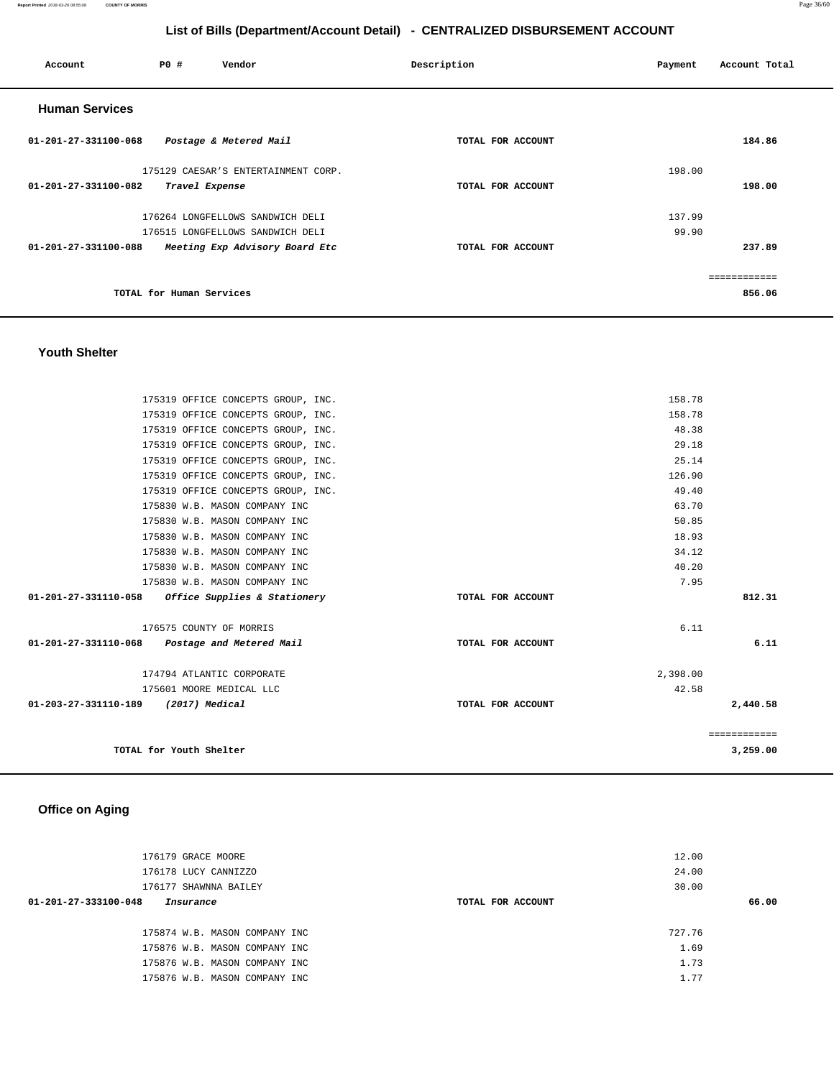**Report Printed** 2018-03-26 08:55:08 **COUNTY OF MORRIS** Page 36/60

## **List of Bills (Department/Account Detail) - CENTRALIZED DISBURSEMENT ACCOUNT**

| Account               | PO#                      | Vendor                              | Description       | Payment | Account Total |
|-----------------------|--------------------------|-------------------------------------|-------------------|---------|---------------|
| <b>Human Services</b> |                          |                                     |                   |         |               |
| 01-201-27-331100-068  |                          | Postage & Metered Mail              | TOTAL FOR ACCOUNT |         | 184.86        |
|                       |                          | 175129 CAESAR'S ENTERTAINMENT CORP. |                   | 198.00  |               |
| 01-201-27-331100-082  | Travel Expense           |                                     | TOTAL FOR ACCOUNT |         | 198.00        |
|                       |                          | 176264 LONGFELLOWS SANDWICH DELI    |                   | 137.99  |               |
|                       |                          | 176515 LONGFELLOWS SANDWICH DELI    |                   | 99.90   |               |
| 01-201-27-331100-088  |                          | Meeting Exp Advisory Board Etc      | TOTAL FOR ACCOUNT |         | 237.89        |
|                       |                          |                                     |                   |         |               |
|                       | TOTAL for Human Services |                                     |                   |         | 856.06        |

## **Youth Shelter**

|                                     | TOTAL for Youth Shelter                                        |                   | 3,259.00     |
|-------------------------------------|----------------------------------------------------------------|-------------------|--------------|
|                                     |                                                                |                   | ============ |
| 01-203-27-331110-189 (2017) Medical |                                                                | TOTAL FOR ACCOUNT | 2,440.58     |
|                                     | 175601 MOORE MEDICAL LLC                                       | 42.58             |              |
|                                     | 174794 ATLANTIC CORPORATE                                      | 2,398.00          |              |
|                                     |                                                                |                   |              |
|                                     | 01-201-27-331110-068 Postage and Metered Mail                  | TOTAL FOR ACCOUNT | 6.11         |
|                                     | 176575 COUNTY OF MORRIS                                        | 6.11              |              |
|                                     |                                                                |                   |              |
|                                     | 01-201-27-331110-058 Office Supplies & Stationery              | TOTAL FOR ACCOUNT | 812.31       |
|                                     | 175830 W.B. MASON COMPANY INC                                  | 7.95              |              |
|                                     | 175830 W.B. MASON COMPANY INC                                  | 40.20             |              |
|                                     | 175830 W.B. MASON COMPANY INC<br>175830 W.B. MASON COMPANY INC | 18.93<br>34.12    |              |
|                                     | 175830 W.B. MASON COMPANY INC                                  | 50.85             |              |
|                                     | 175830 W.B. MASON COMPANY INC                                  | 63.70             |              |
|                                     | 175319 OFFICE CONCEPTS GROUP, INC.                             | 49.40             |              |
|                                     | 175319 OFFICE CONCEPTS GROUP, INC.                             | 126.90            |              |
|                                     | 175319 OFFICE CONCEPTS GROUP, INC.                             | 25.14             |              |
|                                     | 175319 OFFICE CONCEPTS GROUP, INC.                             | 29.18             |              |
|                                     | 175319 OFFICE CONCEPTS GROUP, INC.                             | 48.38             |              |
|                                     | 175319 OFFICE CONCEPTS GROUP, INC.                             | 158.78            |              |
|                                     | 175319 OFFICE CONCEPTS GROUP, INC.                             | 158.78            |              |

# **Office on Aging**

| 176179 GRACE MOORE                |                   | 12.00  |       |
|-----------------------------------|-------------------|--------|-------|
| 176178 LUCY CANNIZZO              |                   | 24.00  |       |
| 176177 SHAWNNA BAILEY             |                   | 30.00  |       |
| 01-201-27-333100-048<br>Insurance | TOTAL FOR ACCOUNT |        | 66.00 |
|                                   |                   |        |       |
| 175874 W.B. MASON COMPANY INC     |                   | 727.76 |       |
| 175876 W.B. MASON COMPANY INC     |                   | 1.69   |       |
| 175876 W.B. MASON COMPANY INC     |                   | 1.73   |       |
| 175876 W.B. MASON COMPANY INC     |                   | 1.77   |       |
|                                   |                   |        |       |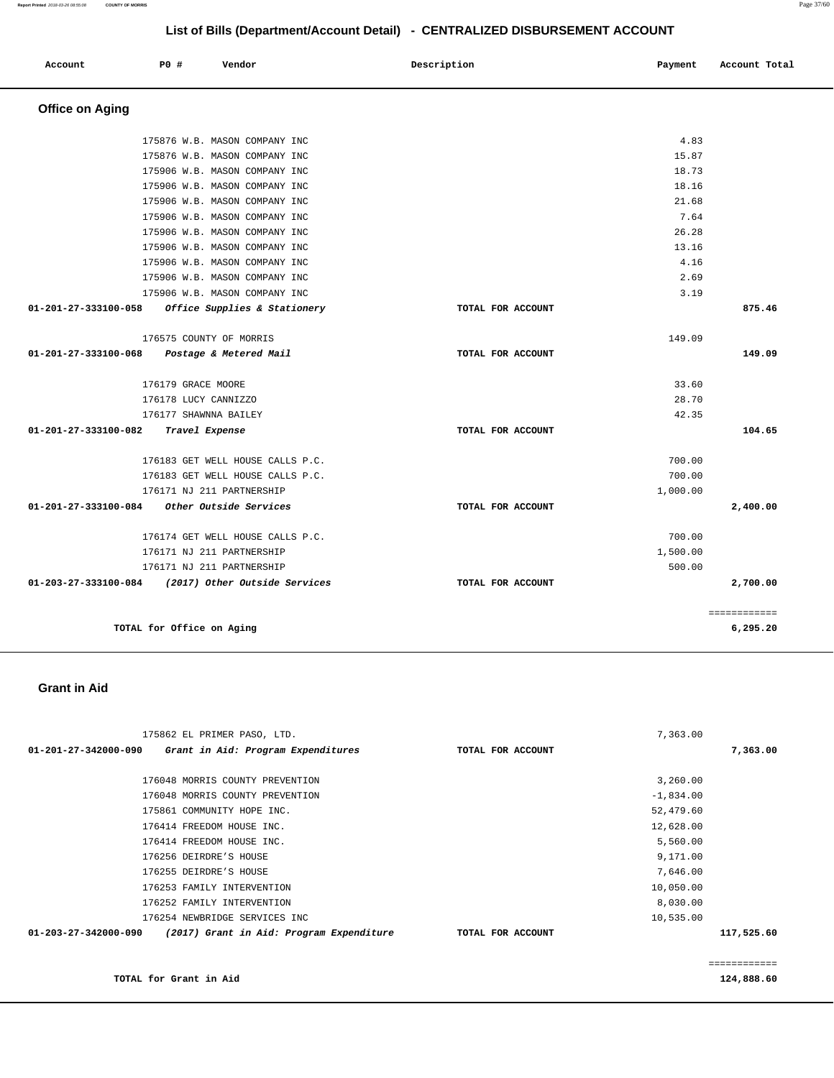| <b>ccount</b> | <b>PO #</b> | Vendor | Description   | Payment | Account Total |
|---------------|-------------|--------|---------------|---------|---------------|
| .             |             |        | $\sim$ $\sim$ |         |               |
|               |             |        |               |         |               |

# **Office on Aging**

| 175876 W.B. MASON COMPANY INC                            | 4.83              |              |
|----------------------------------------------------------|-------------------|--------------|
| 175876 W.B. MASON COMPANY INC                            | 15.87             |              |
| 175906 W.B. MASON COMPANY INC                            | 18.73             |              |
| 175906 W.B. MASON COMPANY INC                            | 18.16             |              |
| 175906 W.B. MASON COMPANY INC                            | 21.68             |              |
| 175906 W.B. MASON COMPANY INC                            | 7.64              |              |
| 175906 W.B. MASON COMPANY INC                            | 26.28             |              |
| 175906 W.B. MASON COMPANY INC                            | 13.16             |              |
| 175906 W.B. MASON COMPANY INC                            | 4.16              |              |
| 175906 W.B. MASON COMPANY INC                            | 2.69              |              |
| 175906 W.B. MASON COMPANY INC                            | 3.19              |              |
| Office Supplies & Stationery<br>01-201-27-333100-058     | TOTAL FOR ACCOUNT | 875.46       |
| 176575 COUNTY OF MORRIS                                  | 149.09            |              |
| 01-201-27-333100-068<br>Postage & Metered Mail           | TOTAL FOR ACCOUNT | 149.09       |
| 176179 GRACE MOORE                                       | 33.60             |              |
| 176178 LUCY CANNIZZO                                     | 28.70             |              |
| 176177 SHAWNNA BAILEY                                    | 42.35             |              |
| 01-201-27-333100-082 Travel Expense                      | TOTAL FOR ACCOUNT | 104.65       |
| 176183 GET WELL HOUSE CALLS P.C.                         | 700.00            |              |
| 176183 GET WELL HOUSE CALLS P.C.                         | 700.00            |              |
| 176171 NJ 211 PARTNERSHIP                                | 1,000.00          |              |
| $01 - 201 - 27 - 333100 - 084$<br>Other Outside Services | TOTAL FOR ACCOUNT | 2,400.00     |
| 176174 GET WELL HOUSE CALLS P.C.                         | 700.00            |              |
| 176171 NJ 211 PARTNERSHIP                                | 1,500.00          |              |
| 176171 NJ 211 PARTNERSHIP                                | 500.00            |              |
| 01-203-27-333100-084 (2017) Other Outside Services       | TOTAL FOR ACCOUNT | 2,700.00     |
|                                                          |                   | ============ |
| TOTAL for Office on Aging                                |                   | 6,295.20     |

## **Grant in Aid**

| 175862 EL PRIMER PASO, LTD.                                      |                   | 7,363.00    |
|------------------------------------------------------------------|-------------------|-------------|
| 01-201-27-342000-090<br>Grant in Aid: Program Expenditures       | TOTAL FOR ACCOUNT | 7,363.00    |
|                                                                  |                   |             |
| 176048 MORRIS COUNTY PREVENTION                                  |                   | 3,260.00    |
| 176048 MORRIS COUNTY PREVENTION                                  |                   | $-1,834.00$ |
| 175861 COMMUNITY HOPE INC.                                       |                   | 52,479.60   |
| 176414 FREEDOM HOUSE INC.                                        |                   | 12,628.00   |
| 176414 FREEDOM HOUSE INC.                                        |                   | 5,560.00    |
| 176256 DEIRDRE'S HOUSE                                           |                   | 9,171.00    |
| 176255 DEIRDRE'S HOUSE                                           |                   | 7,646.00    |
| 176253 FAMILY INTERVENTION                                       |                   | 10,050.00   |
| 176252 FAMILY INTERVENTION                                       |                   | 8,030.00    |
| 176254 NEWBRIDGE SERVICES INC                                    |                   | 10,535.00   |
| 01-203-27-342000-090<br>(2017) Grant in Aid: Program Expenditure | TOTAL FOR ACCOUNT | 117,525.60  |

**TOTAL for Grant in Aid** 

============

**124,888.60**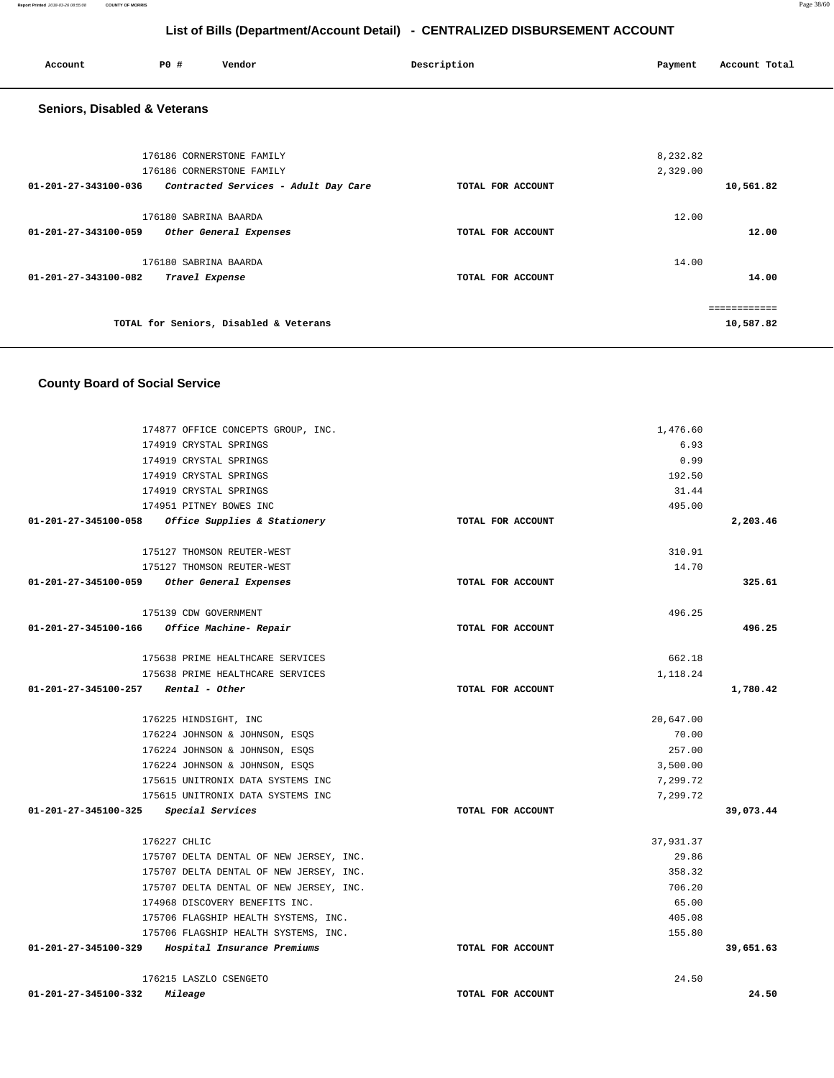174877 OFFICE CONCEPTS GROUP, INC. 174919 CRYSTAL SPRINGS 174919 CRYSTAL SPRINGS 174919 CRYSTAL SPRINGS 174919 CRYSTAL SPRINGS 174951 PITNEY BOWES INC **01-201-27-345100-058 Office Supplies & Stationery TOTAL FOR ACCOUNT**  1,476.60 6.93 0.99 192.50 31.44 495.00 **2,203.46** 175127 THOMSON REUTER-WEST 175127 THOMSON REUTER-WEST **01-201-27-345100-059 Other General Expenses TOTAL FOR ACCOUNT**  310.91 14.70 **325.61** 175139 CDW GOVERNMENT **01-201-27-345100-166 Office Machine- Repair TOTAL FOR ACCOUNT**  496.25 **496.25** 175638 PRIME HEALTHCARE SERVICES 175638 PRIME HEALTHCARE SERVICES **01-201-27-345100-257 Rental - Other TOTAL FOR ACCOUNT**  662.18 1,118.24 **1,780.42** 176225 HINDSIGHT, INC 176224 JOHNSON & JOHNSON, ESQS 176224 JOHNSON & JOHNSON, ESQS 176224 JOHNSON & JOHNSON, ESQS 175615 UNITRONIX DATA SYSTEMS INC 175615 UNITRONIX DATA SYSTEMS INC **01-201-27-345100-325 Special Services TOTAL FOR ACCOUNT**  20,647.00 70.00 257.00 3,500.00 7,299.72 7,299.72 **39,073.44** 176227 CHLIC 175707 DELTA DENTAL OF NEW JERSEY, INC. 175707 DELTA DENTAL OF NEW JERSEY, INC. 175707 DELTA DENTAL OF NEW JERSEY, INC. 174968 DISCOVERY BENEFITS INC. 175706 FLAGSHIP HEALTH SYSTEMS, INC. 175706 FLAGSHIP HEALTH SYSTEMS, INC. **01-201-27-345100-329 Hospital Insurance Premiums TOTAL FOR ACCOUNT**  37,931.37 29.86 358.32 706.20 65.00 405.08 155.80 **39,651.63** 176215 LASZLO CSENGETO **01-201-27-345100-332 Mileage TOTAL FOR ACCOUNT**  24.50 **24.50** 

#### **County Board of Social Service**

**Seniors, Disabled & Veterans**

| 176186 CORNERSTONE FAMILY                                    |                   | 8,232.82 |           |
|--------------------------------------------------------------|-------------------|----------|-----------|
| 176186 CORNERSTONE FAMILY                                    |                   | 2,329.00 |           |
| 01-201-27-343100-036<br>Contracted Services - Adult Day Care | TOTAL FOR ACCOUNT |          | 10,561.82 |
| 176180 SABRINA BAARDA                                        |                   | 12.00    |           |
| 01-201-27-343100-059<br>Other General Expenses               | TOTAL FOR ACCOUNT |          | 12.00     |
| 176180 SABRINA BAARDA                                        |                   | 14.00    |           |
| 01-201-27-343100-082<br>Travel Expense                       | TOTAL FOR ACCOUNT |          | 14.00     |
|                                                              |                   |          |           |
| TOTAL for Seniors, Disabled & Veterans                       |                   |          | 10,587.82 |

 **Account P0 # Vendor Description Payment Account Total**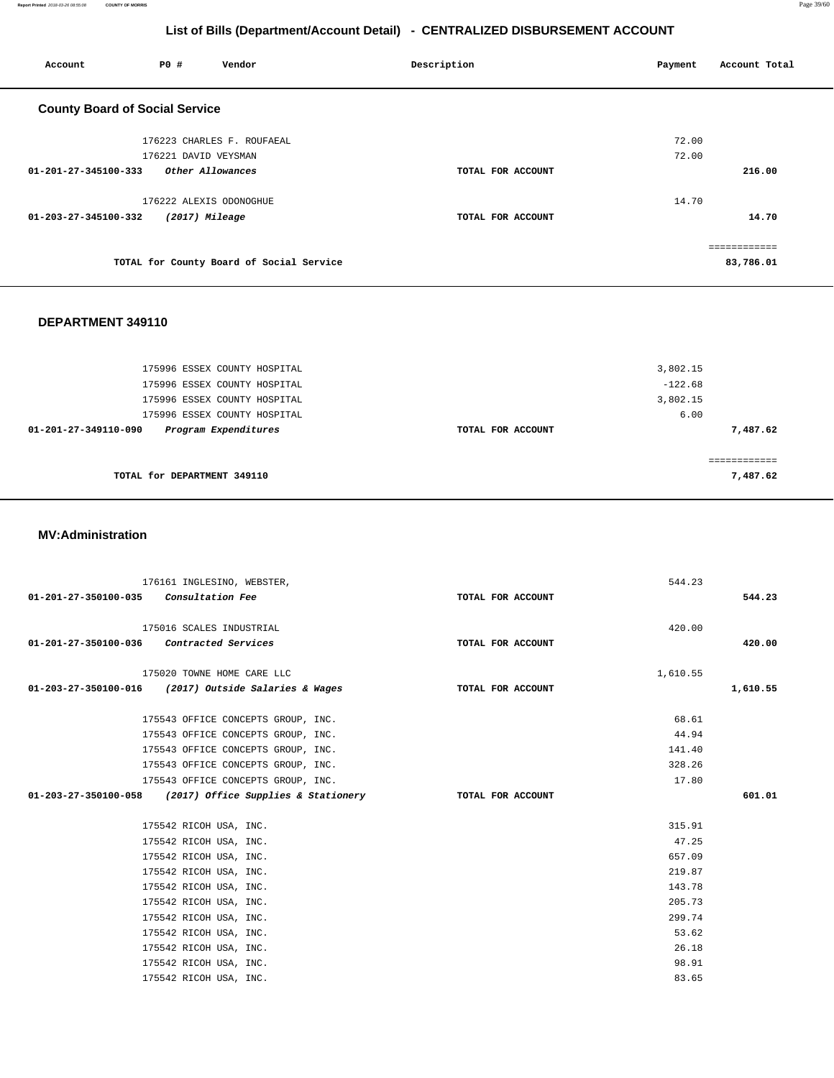**Report Printed** 2018-03-26 08:55:08 **COUNTY OF MORRIS** Page 39/60

# **List of Bills (Department/Account Detail) - CENTRALIZED DISBURSEMENT ACCOUNT**

| Account                               | P0 #                    | Vendor                                   | Description       | Payment | Account Total |
|---------------------------------------|-------------------------|------------------------------------------|-------------------|---------|---------------|
| <b>County Board of Social Service</b> |                         |                                          |                   |         |               |
|                                       |                         | 176223 CHARLES F. ROUFAEAL               |                   | 72.00   |               |
|                                       | 176221 DAVID VEYSMAN    |                                          |                   | 72.00   |               |
| 01-201-27-345100-333                  | Other Allowances        |                                          | TOTAL FOR ACCOUNT |         | 216.00        |
|                                       | 176222 ALEXIS ODONOGHUE |                                          |                   | 14.70   |               |
| 01-203-27-345100-332                  | (2017) Mileage          |                                          | TOTAL FOR ACCOUNT |         | 14.70         |
|                                       |                         |                                          |                   |         | ==========    |
|                                       |                         | TOTAL for County Board of Social Service |                   |         | 83,786.01     |

#### **DEPARTMENT 349110**

| 175996 ESSEX COUNTY HOSPITAL<br>175996 ESSEX COUNTY HOSPITAL<br>175996 ESSEX COUNTY HOSPITAL |                   | 3,802.15<br>$-122.68$<br>3,802.15 |
|----------------------------------------------------------------------------------------------|-------------------|-----------------------------------|
| 175996 ESSEX COUNTY HOSPITAL<br>Program Expenditures<br>01-201-27-349110-090                 | TOTAL FOR ACCOUNT | 6.00<br>7,487.62                  |
| TOTAL for DEPARTMENT 349110                                                                  |                   | 7,487.62                          |

#### **MV:Administration**

| 176161 INGLESINO, WEBSTER,                               |                   | 544.23   |          |
|----------------------------------------------------------|-------------------|----------|----------|
| 01-201-27-350100-035 Consultation Fee                    | TOTAL FOR ACCOUNT |          | 544.23   |
| 175016 SCALES INDUSTRIAL                                 |                   | 420.00   |          |
| 01-201-27-350100-036 Contracted Services                 | TOTAL FOR ACCOUNT |          | 420.00   |
| 175020 TOWNE HOME CARE LLC                               |                   | 1,610.55 |          |
| 01-203-27-350100-016 (2017) Outside Salaries & Wages     | TOTAL FOR ACCOUNT |          | 1,610.55 |
| 175543 OFFICE CONCEPTS GROUP, INC.                       |                   | 68.61    |          |
| 175543 OFFICE CONCEPTS GROUP, INC.                       |                   | 44.94    |          |
| 175543 OFFICE CONCEPTS GROUP, INC.                       |                   | 141.40   |          |
| 175543 OFFICE CONCEPTS GROUP, INC.                       |                   | 328.26   |          |
| 175543 OFFICE CONCEPTS GROUP, INC.                       |                   | 17.80    |          |
| 01-203-27-350100-058 (2017) Office Supplies & Stationery | TOTAL FOR ACCOUNT |          | 601.01   |
| 175542 RICOH USA, INC.                                   |                   | 315.91   |          |
| 175542 RICOH USA, INC.                                   |                   | 47.25    |          |
| 175542 RICOH USA, INC.                                   |                   | 657.09   |          |
| 175542 RICOH USA, INC.                                   |                   | 219.87   |          |
| 175542 RICOH USA, INC.                                   |                   | 143.78   |          |
| 175542 RICOH USA, INC.                                   |                   | 205.73   |          |
| 175542 RICOH USA, INC.                                   |                   | 299.74   |          |
| 175542 RICOH USA, INC.                                   |                   | 53.62    |          |
| 175542 RICOH USA, INC.                                   |                   | 26.18    |          |
| 175542 RICOH USA, INC.                                   |                   | 98.91    |          |
| 175542 RICOH USA, INC.                                   |                   | 83.65    |          |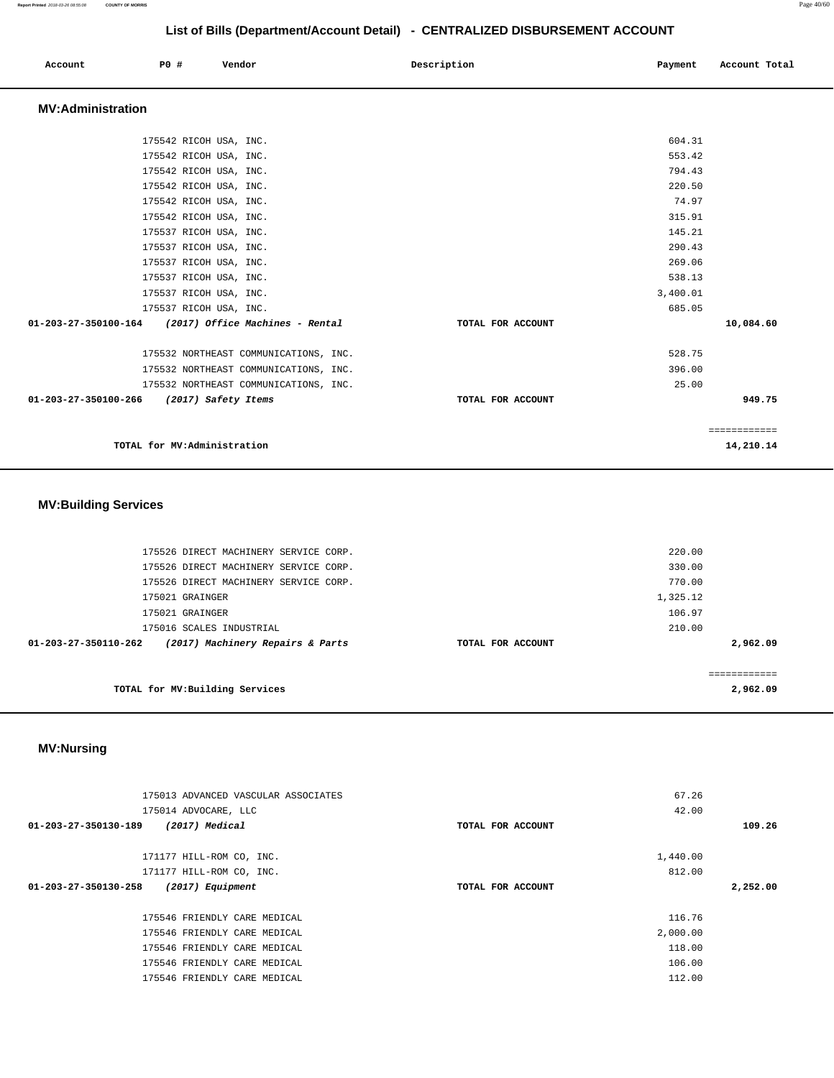| Account                  | <b>PO #</b><br>Vendor  | Description | Account Total<br>Payment |
|--------------------------|------------------------|-------------|--------------------------|
| <b>MV:Administration</b> |                        |             |                          |
|                          | 175542 RICOH USA, INC. |             | 604.31                   |
|                          | 175542 RICOH USA, INC. |             | 553.42                   |

| TOTAL for MV:Administration                             |                   | 14,210.14    |  |
|---------------------------------------------------------|-------------------|--------------|--|
|                                                         |                   | ============ |  |
| 01-203-27-350100-266<br>(2017) Safety Items             | TOTAL FOR ACCOUNT | 949.75       |  |
| 175532 NORTHEAST COMMUNICATIONS, INC.                   |                   | 25.00        |  |
| 175532 NORTHEAST COMMUNICATIONS, INC.                   |                   | 396.00       |  |
| 175532 NORTHEAST COMMUNICATIONS, INC.                   |                   | 528.75       |  |
| (2017) Office Machines - Rental<br>01-203-27-350100-164 | TOTAL FOR ACCOUNT | 10,084.60    |  |
| 175537 RICOH USA, INC.                                  |                   | 685.05       |  |
| 175537 RICOH USA, INC.                                  |                   | 3,400.01     |  |
| 175537 RICOH USA, INC.                                  |                   | 538.13       |  |
| 175537 RICOH USA, INC.                                  |                   | 269.06       |  |
| 175537 RICOH USA, INC.                                  |                   | 290.43       |  |
| 175537 RICOH USA, INC.                                  |                   | 145.21       |  |
| 175542 RICOH USA, INC.                                  |                   | 315.91       |  |
| 175542 RICOH USA, INC.                                  |                   | 74.97        |  |
| 175542 RICOH USA, INC.                                  |                   | 220.50       |  |
| 175542 RICOH USA, INC.                                  |                   | 794.43       |  |
| TISSES KILUM USA, INC.                                  |                   | 553.44       |  |

### **MV:Building Services**

| 175526 DIRECT MACHINERY SERVICE CORP.<br>175526 DIRECT MACHINERY SERVICE CORP. |                   | 220.00<br>330.00 |
|--------------------------------------------------------------------------------|-------------------|------------------|
| 175526 DIRECT MACHINERY SERVICE CORP.                                          |                   | 770.00           |
| 175021 GRAINGER                                                                |                   | 1,325.12         |
| 175021 GRAINGER                                                                |                   | 106.97           |
| 175016 SCALES INDUSTRIAL                                                       |                   | 210.00           |
| (2017) Machinery Repairs & Parts<br>01-203-27-350110-262                       | TOTAL FOR ACCOUNT | 2,962.09         |
| TOTAL for MV: Building Services                                                |                   | 2,962.09         |

## **MV:Nursing**

| 175013 ADVANCED VASCULAR ASSOCIATES<br>175014 ADVOCARE, LLC |                   | 67.26<br>42.00 |          |
|-------------------------------------------------------------|-------------------|----------------|----------|
| 01-203-27-350130-189<br>(2017) Medical                      | TOTAL FOR ACCOUNT |                | 109.26   |
| 171177 HILL-ROM CO, INC.                                    |                   | 1,440.00       |          |
| 171177 HILL-ROM CO, INC.                                    |                   | 812.00         |          |
| (2017) Equipment<br>01-203-27-350130-258                    | TOTAL FOR ACCOUNT |                | 2,252.00 |
|                                                             |                   |                |          |
| 175546 FRIENDLY CARE MEDICAL                                |                   | 116.76         |          |
| 175546 FRIENDLY CARE MEDICAL                                |                   | 2,000.00       |          |
| 175546 FRIENDLY CARE MEDICAL                                |                   | 118.00         |          |
| 175546 FRIENDLY CARE MEDICAL                                |                   | 106.00         |          |
| 175546 FRIENDLY CARE MEDICAL                                |                   | 112.00         |          |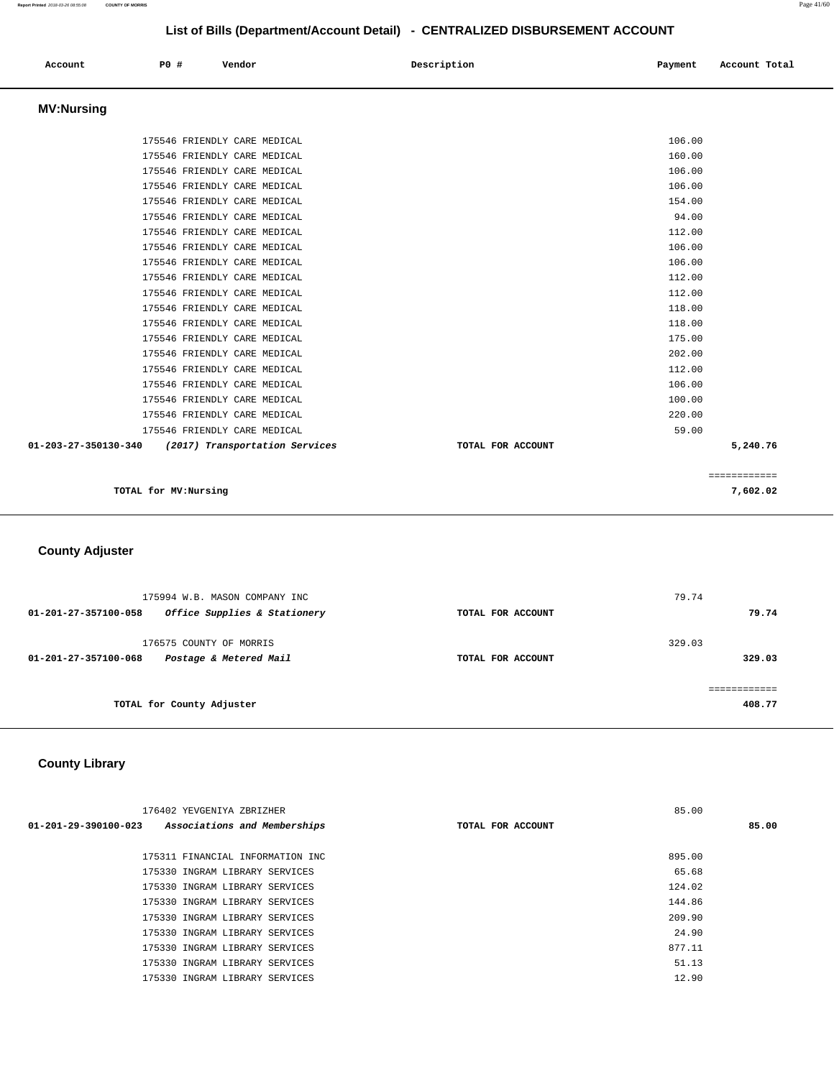| Account | <b>PO #</b> | Vendor | Description | Payment | Account Total |
|---------|-------------|--------|-------------|---------|---------------|
|         |             |        |             |         |               |

### **MV:Nursing**

| 175546 FRIENDLY CARE MEDICAL |                                |                   | 106.00       |
|------------------------------|--------------------------------|-------------------|--------------|
| 175546 FRIENDLY CARE MEDICAL |                                |                   | 160.00       |
| 175546 FRIENDLY CARE MEDICAL |                                |                   | 106.00       |
| 175546 FRIENDLY CARE MEDICAL |                                |                   | 106.00       |
| 175546 FRIENDLY CARE MEDICAL |                                |                   | 154.00       |
| 175546 FRIENDLY CARE MEDICAL |                                |                   | 94.00        |
| 175546 FRIENDLY CARE MEDICAL |                                |                   | 112.00       |
|                              |                                |                   |              |
| 175546 FRIENDLY CARE MEDICAL |                                |                   | 106.00       |
| 175546 FRIENDLY CARE MEDICAL |                                |                   | 106.00       |
| 175546 FRIENDLY CARE MEDICAL |                                |                   | 112.00       |
| 175546 FRIENDLY CARE MEDICAL |                                |                   | 112.00       |
| 175546 FRIENDLY CARE MEDICAL |                                |                   | 118.00       |
| 175546 FRIENDLY CARE MEDICAL |                                |                   | 118.00       |
| 175546 FRIENDLY CARE MEDICAL |                                |                   | 175.00       |
| 175546 FRIENDLY CARE MEDICAL |                                |                   | 202.00       |
| 175546 FRIENDLY CARE MEDICAL |                                |                   | 112.00       |
| 175546 FRIENDLY CARE MEDICAL |                                |                   | 106.00       |
| 175546 FRIENDLY CARE MEDICAL |                                |                   | 100.00       |
| 175546 FRIENDLY CARE MEDICAL |                                |                   | 220.00       |
| 175546 FRIENDLY CARE MEDICAL |                                |                   | 59.00        |
| 01-203-27-350130-340         | (2017) Transportation Services | TOTAL FOR ACCOUNT | 5,240.76     |
|                              |                                |                   |              |
|                              |                                |                   |              |
|                              |                                |                   | ============ |

**TOTAL for MV:Nursing 7,602.02** 

# **County Adjuster**

| 175994 W.B. MASON COMPANY INC<br>Office Supplies & Stationery<br>01-201-27-357100-058 | TOTAL FOR ACCOUNT | 79.74<br>79.74   |
|---------------------------------------------------------------------------------------|-------------------|------------------|
| 176575 COUNTY OF MORRIS<br>Postage & Metered Mail<br>01-201-27-357100-068             | TOTAL FOR ACCOUNT | 329.03<br>329.03 |
| TOTAL for County Adjuster                                                             |                   | 408.77           |

## **County Library**

| 176402 YEVGENIYA ZBRIZHER                            |                   | 85.00  |       |
|------------------------------------------------------|-------------------|--------|-------|
| 01-201-29-390100-023<br>Associations and Memberships | TOTAL FOR ACCOUNT |        | 85.00 |
|                                                      |                   |        |       |
| 175311 FINANCIAL INFORMATION INC                     |                   | 895.00 |       |
| 175330 INGRAM LIBRARY SERVICES                       |                   | 65.68  |       |
| 175330 INGRAM LIBRARY SERVICES                       |                   | 124.02 |       |
| 175330 INGRAM LIBRARY SERVICES                       |                   | 144.86 |       |
| 175330 INGRAM LIBRARY SERVICES                       |                   | 209.90 |       |
| 175330 INGRAM LIBRARY SERVICES                       |                   | 24.90  |       |
| 175330 INGRAM LIBRARY SERVICES                       |                   | 877.11 |       |
| 175330 INGRAM LIBRARY SERVICES                       |                   | 51.13  |       |
| 175330 INGRAM LIBRARY SERVICES                       |                   | 12.90  |       |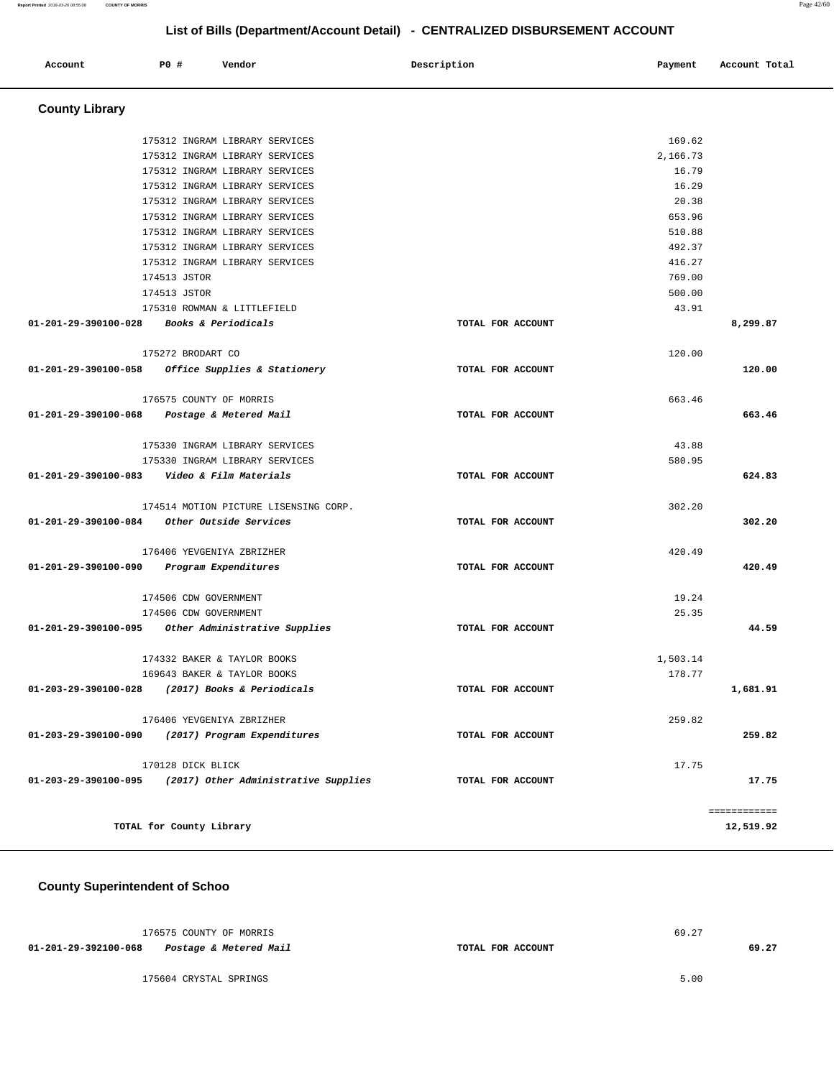**Report Printed** 2018-03-26 08:55:08 **COUNTY OF MORRIS** Page 42/60

# **List of Bills (Department/Account Detail) - CENTRALIZED DISBURSEMENT ACCOUNT**

| Account | PO# | Vendor | Description | Payment | Account Total |
|---------|-----|--------|-------------|---------|---------------|
|         |     |        |             |         |               |

# **County Library**

|                                          | 175312 INGRAM LIBRARY SERVICES                                                |                   | 169.62           |              |
|------------------------------------------|-------------------------------------------------------------------------------|-------------------|------------------|--------------|
|                                          | 175312 INGRAM LIBRARY SERVICES                                                |                   | 2,166.73         |              |
|                                          | 175312 INGRAM LIBRARY SERVICES                                                |                   | 16.79            |              |
|                                          | 175312 INGRAM LIBRARY SERVICES                                                |                   | 16.29            |              |
|                                          | 175312 INGRAM LIBRARY SERVICES                                                |                   | 20.38            |              |
|                                          | 175312 INGRAM LIBRARY SERVICES                                                |                   | 653.96           |              |
|                                          | 175312 INGRAM LIBRARY SERVICES                                                |                   | 510.88<br>492.37 |              |
|                                          | 175312 INGRAM LIBRARY SERVICES<br>175312 INGRAM LIBRARY SERVICES              |                   | 416.27           |              |
|                                          | 174513 JSTOR                                                                  |                   | 769.00           |              |
|                                          | 174513 JSTOR                                                                  |                   | 500.00           |              |
|                                          | 175310 ROWMAN & LITTLEFIELD                                                   |                   | 43.91            |              |
| 01-201-29-390100-028 Books & Periodicals |                                                                               | TOTAL FOR ACCOUNT |                  | 8,299.87     |
|                                          |                                                                               |                   |                  |              |
|                                          | 175272 BRODART CO                                                             |                   | 120.00           |              |
| 01-201-29-390100-058                     | Office Supplies & Stationery                                                  | TOTAL FOR ACCOUNT |                  | 120.00       |
|                                          |                                                                               |                   |                  |              |
|                                          | 176575 COUNTY OF MORRIS                                                       |                   | 663.46           |              |
| 01-201-29-390100-068                     | Postage & Metered Mail                                                        | TOTAL FOR ACCOUNT |                  | 663.46       |
|                                          |                                                                               |                   |                  |              |
|                                          | 175330 INGRAM LIBRARY SERVICES                                                |                   | 43.88            |              |
|                                          | 175330 INGRAM LIBRARY SERVICES                                                |                   | 580.95           |              |
|                                          | 01-201-29-390100-083    Video & Film Materials                                | TOTAL FOR ACCOUNT |                  | 624.83       |
|                                          | 174514 MOTION PICTURE LISENSING CORP.                                         |                   | 302.20           |              |
| 01-201-29-390100-084                     | Other Outside Services                                                        | TOTAL FOR ACCOUNT |                  | 302.20       |
|                                          |                                                                               |                   |                  |              |
|                                          | 176406 YEVGENIYA ZBRIZHER                                                     |                   | 420.49           |              |
| 01-201-29-390100-090                     | Program Expenditures                                                          | TOTAL FOR ACCOUNT |                  | 420.49       |
|                                          |                                                                               |                   |                  |              |
|                                          | 174506 CDW GOVERNMENT                                                         |                   | 19.24            |              |
|                                          | 174506 CDW GOVERNMENT                                                         |                   | 25.35            |              |
| 01-201-29-390100-095                     | Other Administrative Supplies                                                 | TOTAL FOR ACCOUNT |                  | 44.59        |
|                                          |                                                                               |                   |                  |              |
|                                          | 174332 BAKER & TAYLOR BOOKS                                                   |                   | 1,503.14         |              |
|                                          | 169643 BAKER & TAYLOR BOOKS                                                   |                   | 178.77           |              |
|                                          | 01-203-29-390100-028 (2017) Books & Periodicals                               | TOTAL FOR ACCOUNT |                  | 1,681.91     |
|                                          |                                                                               |                   | 259.82           |              |
|                                          | 176406 YEVGENIYA ZBRIZHER<br>01-203-29-390100-090 (2017) Program Expenditures | TOTAL FOR ACCOUNT |                  | 259.82       |
|                                          |                                                                               |                   |                  |              |
|                                          | 170128 DICK BLICK                                                             |                   | 17.75            |              |
|                                          | 01-203-29-390100-095 (2017) Other Administrative Supplies                     | TOTAL FOR ACCOUNT |                  | 17.75        |
|                                          |                                                                               |                   |                  |              |
|                                          |                                                                               |                   |                  | ============ |
|                                          | TOTAL for County Library                                                      |                   |                  | 12,519.92    |
|                                          |                                                                               |                   |                  |              |

# **County Superintendent of Schoo**

|                      | 176575 COUNTY OF MORRIS |                   | 69.27 |       |
|----------------------|-------------------------|-------------------|-------|-------|
| 01-201-29-392100-068 | Postage & Metered Mail  | TOTAL FOR ACCOUNT |       | 69.27 |
|                      | 175604 CRYSTAL SPRINGS  |                   | 5.00  |       |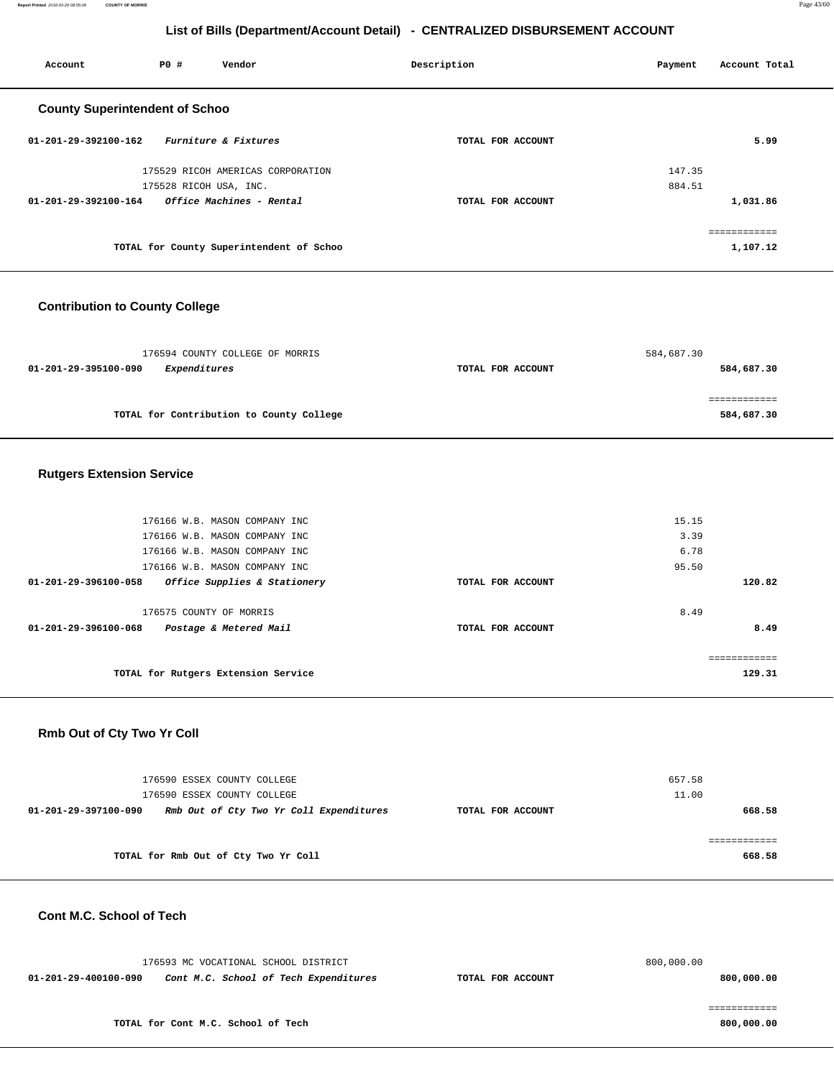**Report Printed** 2018-03-26 08:55:08 **COUNTY OF MORRIS** Page 43/60

## **List of Bills (Department/Account Detail) - CENTRALIZED DISBURSEMENT ACCOUNT**

| Account                                                 | <b>PO #</b>            | Vendor                                   | Description       | Payment | Account Total |
|---------------------------------------------------------|------------------------|------------------------------------------|-------------------|---------|---------------|
| <b>County Superintendent of Schoo</b>                   |                        |                                          |                   |         |               |
| 01-201-29-392100-162                                    |                        | <i>Furniture &amp; Fixtures</i>          | TOTAL FOR ACCOUNT |         | 5.99          |
|                                                         |                        | 175529 RICOH AMERICAS CORPORATION        |                   | 147.35  |               |
|                                                         | 175528 RICOH USA, INC. |                                          |                   | 884.51  |               |
| $01 - 201 - 29 - 392100 - 164$ Office Machines - Rental |                        |                                          | TOTAL FOR ACCOUNT |         | 1,031.86      |
|                                                         |                        |                                          |                   |         | ============  |
|                                                         |                        | TOTAL for County Superintendent of Schoo |                   |         | 1,107.12      |

### **Contribution to County College**

| 176594 COUNTY COLLEGE OF MORRIS          |                   | 584,687.30 |
|------------------------------------------|-------------------|------------|
| Expenditures<br>01-201-29-395100-090     | TOTAL FOR ACCOUNT | 584,687.30 |
|                                          |                   |            |
|                                          |                   |            |
| TOTAL for Contribution to County College |                   | 584,687.30 |

#### **Rutgers Extension Service**

| 176166 W.B. MASON COMPANY INC<br>176166 W.B. MASON COMPANY INC<br>176166 W.B. MASON COMPANY INC |                   | 15.15<br>3.39<br>6.78 |
|-------------------------------------------------------------------------------------------------|-------------------|-----------------------|
| 176166 W.B. MASON COMPANY INC                                                                   |                   | 95.50                 |
| Office Supplies & Stationery<br>01-201-29-396100-058                                            | TOTAL FOR ACCOUNT | 120.82                |
| 176575 COUNTY OF MORRIS<br>01-201-29-396100-068<br>Postage & Metered Mail                       | TOTAL FOR ACCOUNT | 8.49<br>8.49          |
|                                                                                                 |                   |                       |
| TOTAL for Rutgers Extension Service                                                             |                   | 129.31                |

### **Rmb Out of Cty Two Yr Coll**

| 176590 ESSEX COUNTY COLLEGE<br>176590 ESSEX COUNTY COLLEGE      |                   | 657.58<br>11.00 |
|-----------------------------------------------------------------|-------------------|-----------------|
| Rmb Out of Cty Two Yr Coll Expenditures<br>01-201-29-397100-090 | TOTAL FOR ACCOUNT | 668.58          |
| TOTAL for Rmb Out of Cty Two Yr Coll                            |                   | 668.58          |

### **Cont M.C. School of Tech**

| 176593 MC VOCATIONAL SCHOOL DISTRICT |                                       |                   | 800,000.00 |
|--------------------------------------|---------------------------------------|-------------------|------------|
| 01-201-29-400100-090                 | Cont M.C. School of Tech Expenditures | TOTAL FOR ACCOUNT | 800,000.00 |
|                                      |                                       |                   |            |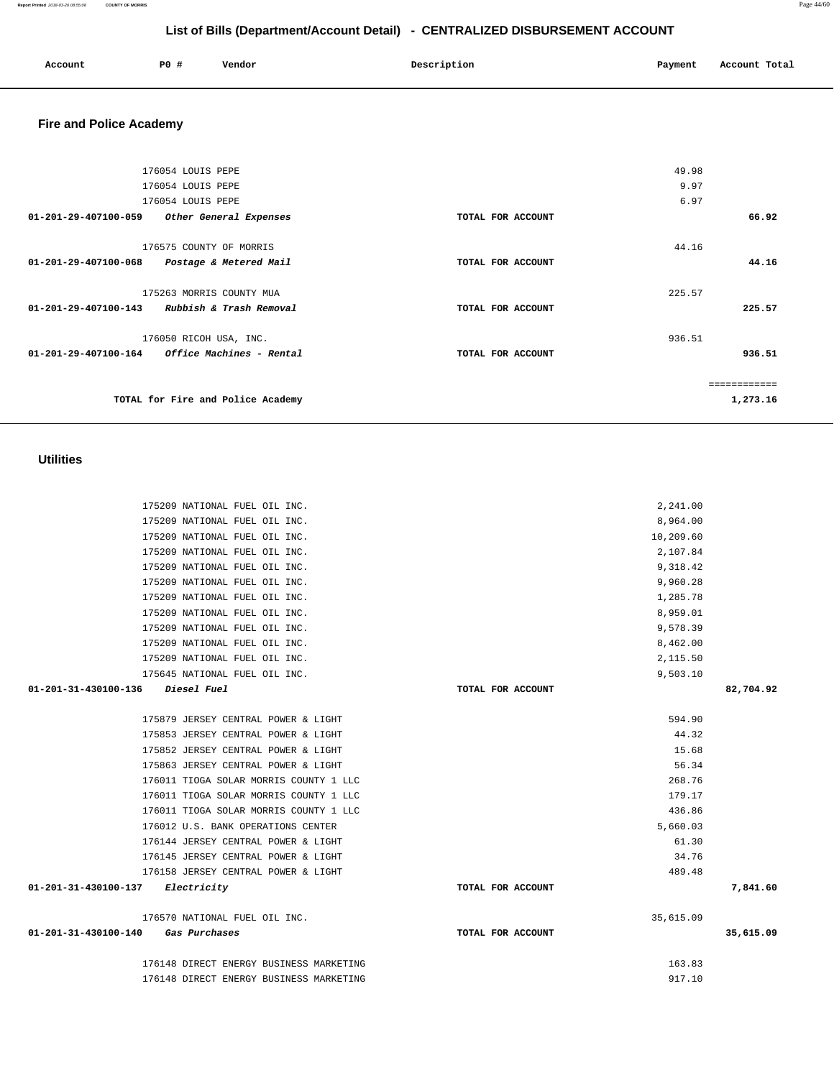| 175209 NATIONAL FUEL OIL INC.           |                   |           |           |
|-----------------------------------------|-------------------|-----------|-----------|
|                                         |                   | 2,241.00  |           |
| 175209 NATIONAL FUEL OIL INC.           |                   | 8,964.00  |           |
| 175209 NATIONAL FUEL OIL INC.           |                   | 10,209.60 |           |
| 175209 NATIONAL FUEL OIL INC.           |                   | 2,107.84  |           |
| 175209 NATIONAL FUEL OIL INC.           |                   | 9,318.42  |           |
| 175209 NATIONAL FUEL OIL INC.           |                   | 9,960.28  |           |
| 175209 NATIONAL FUEL OIL INC.           |                   | 1,285.78  |           |
| 175209 NATIONAL FUEL OIL INC.           |                   | 8,959.01  |           |
| 175209 NATIONAL FUEL OIL INC.           |                   | 9,578.39  |           |
| 175209 NATIONAL FUEL OIL INC.           |                   | 8,462.00  |           |
| 175209 NATIONAL FUEL OIL INC.           |                   | 2,115.50  |           |
| 175645 NATIONAL FUEL OIL INC.           |                   | 9,503.10  |           |
| 01-201-31-430100-136<br>Diesel Fuel     | TOTAL FOR ACCOUNT |           | 82,704.92 |
|                                         |                   |           |           |
| 175879 JERSEY CENTRAL POWER & LIGHT     |                   | 594.90    |           |
| 175853 JERSEY CENTRAL POWER & LIGHT     |                   | 44.32     |           |
| 175852 JERSEY CENTRAL POWER & LIGHT     |                   | 15.68     |           |
| 175863 JERSEY CENTRAL POWER & LIGHT     |                   | 56.34     |           |
| 176011 TIOGA SOLAR MORRIS COUNTY 1 LLC  |                   | 268.76    |           |
| 176011 TIOGA SOLAR MORRIS COUNTY 1 LLC  |                   | 179.17    |           |
| 176011 TIOGA SOLAR MORRIS COUNTY 1 LLC  |                   | 436.86    |           |
| 176012 U.S. BANK OPERATIONS CENTER      |                   | 5,660.03  |           |
| 176144 JERSEY CENTRAL POWER & LIGHT     |                   | 61.30     |           |
| 176145 JERSEY CENTRAL POWER & LIGHT     |                   | 34.76     |           |
| 176158 JERSEY CENTRAL POWER & LIGHT     |                   | 489.48    |           |
| 01-201-31-430100-137<br>Electricity     | TOTAL FOR ACCOUNT |           | 7,841.60  |
| 176570 NATIONAL FUEL OIL INC.           |                   | 35,615.09 |           |
| 01-201-31-430100-140<br>Gas Purchases   | TOTAL FOR ACCOUNT |           | 35,615.09 |
| 176148 DIRECT ENERGY BUSINESS MARKETING |                   | 163.83    |           |
| 176148 DIRECT ENERGY BUSINESS MARKETING |                   | 917.10    |           |

#### **Utilities**

| 49.98             |              |
|-------------------|--------------|
| 9.97              |              |
| 6.97              |              |
| TOTAL FOR ACCOUNT | 66.92        |
| 44.16             |              |
| TOTAL FOR ACCOUNT | 44.16        |
| 225.57            |              |
| TOTAL FOR ACCOUNT | 225.57       |
| 936.51            |              |
| TOTAL FOR ACCOUNT | 936.51       |
|                   | ============ |
|                   | 1,273.16     |
|                   |              |

 **Account P0 # Vendor Description Payment Account Total** 

### **Fire and Police Academy**

# **List of Bills (Department/Account Detail) - CENTRALIZED DISBURSEMENT ACCOUNT**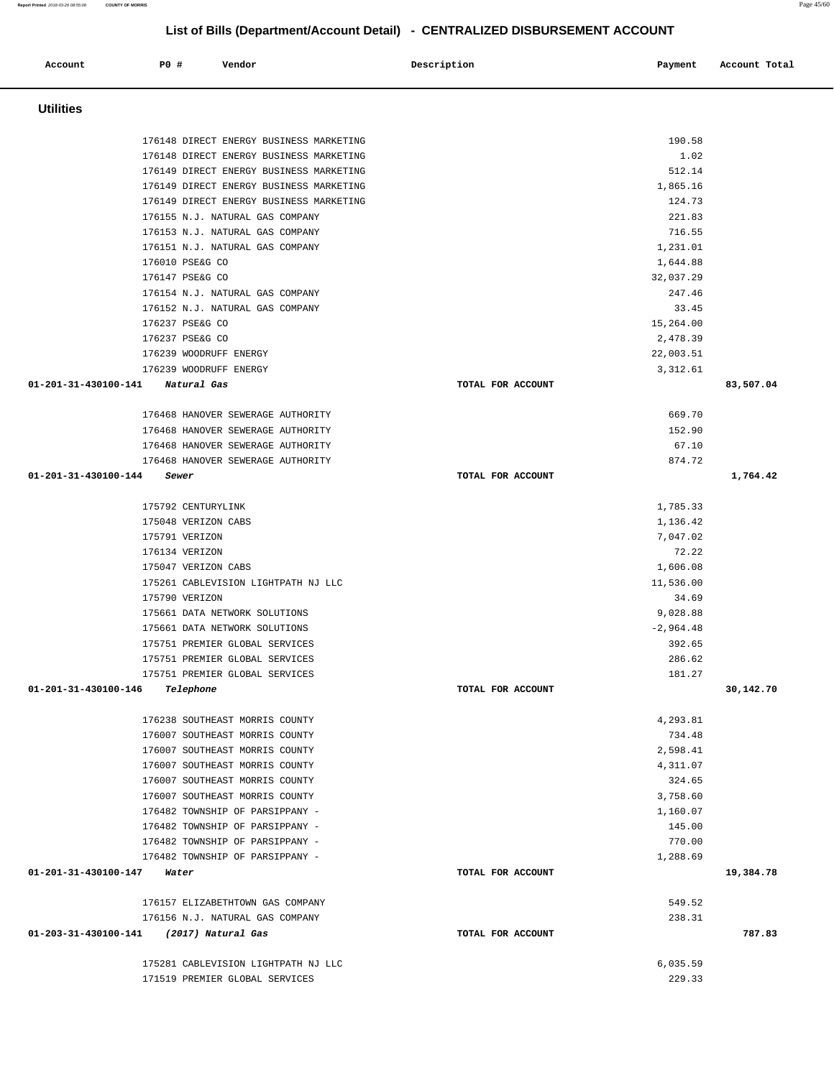| Account                                 | <b>PO #</b>        | Vendor                              | Description                                                                        | Payment           | Account Total |
|-----------------------------------------|--------------------|-------------------------------------|------------------------------------------------------------------------------------|-------------------|---------------|
| <b>Utilities</b>                        |                    |                                     |                                                                                    |                   |               |
|                                         |                    |                                     |                                                                                    |                   |               |
|                                         |                    |                                     | 176148 DIRECT ENERGY BUSINESS MARKETING                                            | 190.58            |               |
|                                         |                    |                                     | 176148 DIRECT ENERGY BUSINESS MARKETING                                            | 1.02<br>512.14    |               |
|                                         |                    |                                     | 176149 DIRECT ENERGY BUSINESS MARKETING<br>176149 DIRECT ENERGY BUSINESS MARKETING | 1,865.16          |               |
|                                         |                    |                                     | 176149 DIRECT ENERGY BUSINESS MARKETING                                            | 124.73            |               |
|                                         |                    | 176155 N.J. NATURAL GAS COMPANY     |                                                                                    | 221.83            |               |
|                                         |                    | 176153 N.J. NATURAL GAS COMPANY     |                                                                                    | 716.55            |               |
|                                         |                    | 176151 N.J. NATURAL GAS COMPANY     |                                                                                    | 1,231.01          |               |
|                                         | 176010 PSE&G CO    |                                     |                                                                                    | 1,644.88          |               |
|                                         | 176147 PSE&G CO    |                                     |                                                                                    | 32,037.29         |               |
|                                         |                    | 176154 N.J. NATURAL GAS COMPANY     |                                                                                    | 247.46            |               |
|                                         |                    | 176152 N.J. NATURAL GAS COMPANY     |                                                                                    | 33.45             |               |
|                                         | 176237 PSE&G CO    |                                     |                                                                                    | 15,264.00         |               |
|                                         | 176237 PSE&G CO    |                                     |                                                                                    | 2,478.39          |               |
|                                         |                    | 176239 WOODRUFF ENERGY              |                                                                                    | 22,003.51         |               |
|                                         |                    | 176239 WOODRUFF ENERGY              |                                                                                    | 3,312.61          |               |
| 01-201-31-430100-141                    | Natural Gas        |                                     | TOTAL FOR ACCOUNT                                                                  |                   | 83,507.04     |
|                                         |                    |                                     |                                                                                    |                   |               |
|                                         |                    | 176468 HANOVER SEWERAGE AUTHORITY   |                                                                                    | 669.70            |               |
|                                         |                    | 176468 HANOVER SEWERAGE AUTHORITY   |                                                                                    | 152.90            |               |
|                                         |                    | 176468 HANOVER SEWERAGE AUTHORITY   |                                                                                    | 67.10             |               |
| 01-201-31-430100-144                    | Sewer              | 176468 HANOVER SEWERAGE AUTHORITY   | TOTAL FOR ACCOUNT                                                                  | 874.72            | 1,764.42      |
|                                         |                    |                                     |                                                                                    |                   |               |
|                                         | 175792 CENTURYLINK |                                     |                                                                                    | 1,785.33          |               |
|                                         |                    | 175048 VERIZON CABS                 |                                                                                    | 1,136.42          |               |
|                                         | 175791 VERIZON     |                                     |                                                                                    | 7,047.02<br>72.22 |               |
|                                         | 176134 VERIZON     | 175047 VERIZON CABS                 |                                                                                    | 1,606.08          |               |
|                                         |                    | 175261 CABLEVISION LIGHTPATH NJ LLC |                                                                                    | 11,536.00         |               |
|                                         | 175790 VERIZON     |                                     |                                                                                    | 34.69             |               |
|                                         |                    | 175661 DATA NETWORK SOLUTIONS       |                                                                                    | 9,028.88          |               |
|                                         |                    | 175661 DATA NETWORK SOLUTIONS       |                                                                                    | $-2,964.48$       |               |
|                                         |                    | 175751 PREMIER GLOBAL SERVICES      |                                                                                    | 392.65            |               |
|                                         |                    | 175751 PREMIER GLOBAL SERVICES      |                                                                                    | 286.62            |               |
|                                         |                    | 175751 PREMIER GLOBAL SERVICES      |                                                                                    | 181.27            |               |
| 01-201-31-430100-146                    | Telephone          |                                     | TOTAL FOR ACCOUNT                                                                  |                   | 30,142.70     |
|                                         |                    | 176238 SOUTHEAST MORRIS COUNTY      |                                                                                    | 4,293.81          |               |
|                                         |                    | 176007 SOUTHEAST MORRIS COUNTY      |                                                                                    | 734.48            |               |
|                                         |                    | 176007 SOUTHEAST MORRIS COUNTY      |                                                                                    | 2,598.41          |               |
|                                         |                    | 176007 SOUTHEAST MORRIS COUNTY      |                                                                                    | 4,311.07          |               |
|                                         |                    | 176007 SOUTHEAST MORRIS COUNTY      |                                                                                    | 324.65            |               |
|                                         |                    | 176007 SOUTHEAST MORRIS COUNTY      |                                                                                    | 3,758.60          |               |
|                                         |                    | 176482 TOWNSHIP OF PARSIPPANY -     |                                                                                    | 1,160.07          |               |
|                                         |                    | 176482 TOWNSHIP OF PARSIPPANY -     |                                                                                    | 145.00            |               |
|                                         |                    | 176482 TOWNSHIP OF PARSIPPANY -     |                                                                                    | 770.00            |               |
|                                         |                    | 176482 TOWNSHIP OF PARSIPPANY -     |                                                                                    | 1,288.69          |               |
| $01 - 201 - 31 - 430100 - 147$ Water    |                    |                                     | TOTAL FOR ACCOUNT                                                                  |                   | 19,384.78     |
|                                         |                    | 176157 ELIZABETHTOWN GAS COMPANY    |                                                                                    | 549.52            |               |
|                                         |                    | 176156 N.J. NATURAL GAS COMPANY     |                                                                                    | 238.31            |               |
| 01-203-31-430100-141 (2017) Natural Gas |                    |                                     | TOTAL FOR ACCOUNT                                                                  |                   | 787.83        |
|                                         |                    | 175281 CABLEVISION LIGHTPATH NJ LLC |                                                                                    | 6,035.59          |               |
|                                         |                    | 171519 PREMIER GLOBAL SERVICES      |                                                                                    | 229.33            |               |

**Report Printed** 2018-03-26 08:55:08 **COUNTY OF MORRIS** Page 45/60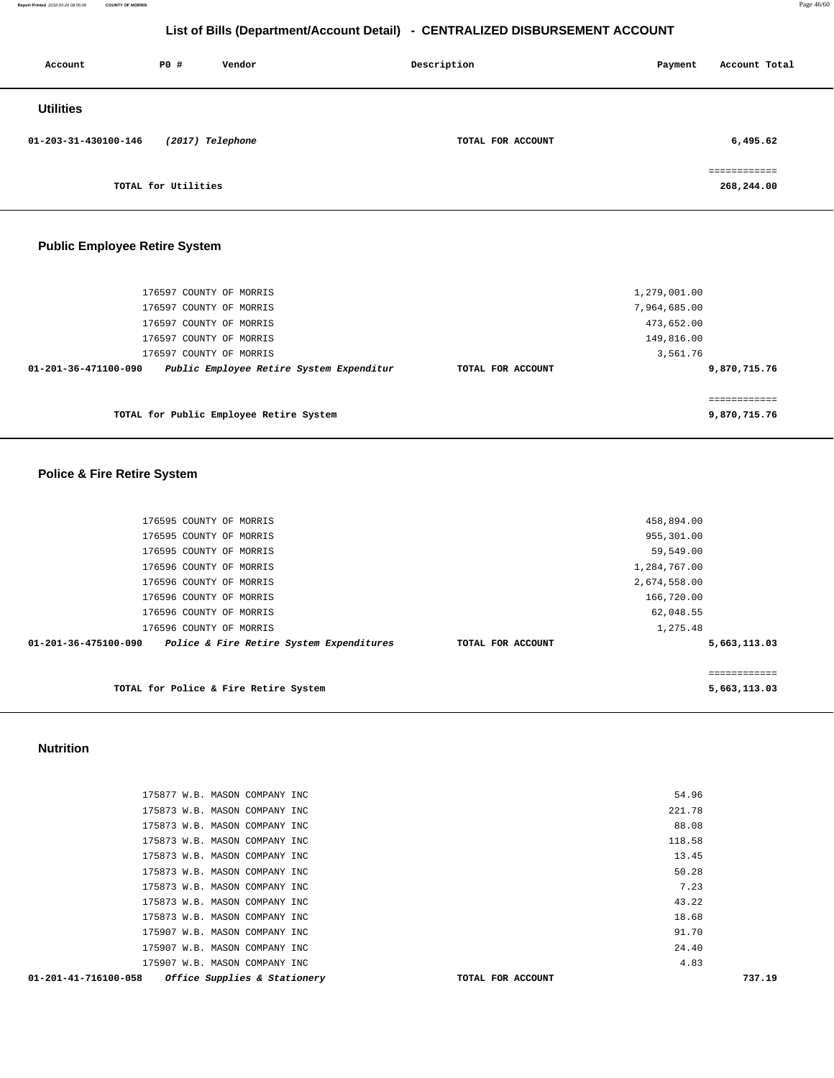**Report Printed** 2018-03-26 08:55:08 **COUNTY OF MORRIS** Page 46/60

## **List of Bills (Department/Account Detail) - CENTRALIZED DISBURSEMENT ACCOUNT**

| Account              | P0 #                | Vendor           | Description       | Payment | Account Total              |
|----------------------|---------------------|------------------|-------------------|---------|----------------------------|
| <b>Utilities</b>     |                     |                  |                   |         |                            |
| 01-203-31-430100-146 |                     | (2017) Telephone | TOTAL FOR ACCOUNT |         | 6,495.62                   |
|                      | TOTAL for Utilities |                  |                   |         | ------------<br>268,244.00 |

# **Public Employee Retire System**

| 176597 COUNTY OF MORRIS                                          | 1,279,001.00      |              |
|------------------------------------------------------------------|-------------------|--------------|
| 176597 COUNTY OF MORRIS                                          | 7,964,685.00      |              |
| 176597 COUNTY OF MORRIS                                          | 473,652.00        |              |
| 176597 COUNTY OF MORRIS                                          | 149,816.00        |              |
| 176597 COUNTY OF MORRIS                                          | 3,561.76          |              |
| Public Employee Retire System Expenditur<br>01-201-36-471100-090 | TOTAL FOR ACCOUNT | 9,870,715.76 |
|                                                                  |                   |              |
|                                                                  |                   | ------------ |
| TOTAL for Public Employee Retire System                          |                   | 9,870,715.76 |
|                                                                  |                   |              |

# **Police & Fire Retire System**

| 176595 COUNTY OF MORRIS                                          |                   | 458,894.00   |  |
|------------------------------------------------------------------|-------------------|--------------|--|
| 176595 COUNTY OF MORRIS                                          |                   | 955,301.00   |  |
| 176595 COUNTY OF MORRIS                                          |                   | 59,549.00    |  |
| 176596 COUNTY OF MORRIS                                          |                   | 1,284,767.00 |  |
| 176596 COUNTY OF MORRIS                                          |                   | 2,674,558.00 |  |
| 176596 COUNTY OF MORRIS                                          |                   | 166,720.00   |  |
| 176596 COUNTY OF MORRIS                                          |                   | 62,048.55    |  |
| 176596 COUNTY OF MORRIS                                          |                   | 1,275.48     |  |
| Police & Fire Retire System Expenditures<br>01-201-36-475100-090 | TOTAL FOR ACCOUNT | 5,663,113.03 |  |
|                                                                  |                   |              |  |
|                                                                  |                   | ============ |  |
| TOTAL for Police & Fire Retire System                            |                   | 5,663,113.03 |  |

#### **Nutrition**

| $01-201-41-716100-058$ Office Supplies & Stationery |                               | TOTAL FOR ACCOUNT | 737.19 |
|-----------------------------------------------------|-------------------------------|-------------------|--------|
|                                                     | 175907 W.B. MASON COMPANY INC | 4.83              |        |
|                                                     | 175907 W.B. MASON COMPANY INC | 24.40             |        |
|                                                     | 175907 W.B. MASON COMPANY INC | 91.70             |        |
|                                                     | 175873 W.B. MASON COMPANY INC | 18.68             |        |
|                                                     | 175873 W.B. MASON COMPANY INC | 43.22             |        |
|                                                     | 175873 W.B. MASON COMPANY INC | 7.23              |        |
|                                                     | 175873 W.B. MASON COMPANY INC | 50.28             |        |
|                                                     | 175873 W.B. MASON COMPANY INC | 13.45             |        |
|                                                     | 175873 W.B. MASON COMPANY INC | 118.58            |        |
|                                                     | 175873 W.B. MASON COMPANY INC | 88.08             |        |
|                                                     | 175873 W.B. MASON COMPANY INC | 221.78            |        |
|                                                     | 175877 W.B. MASON COMPANY INC | 54.96             |        |
|                                                     |                               |                   |        |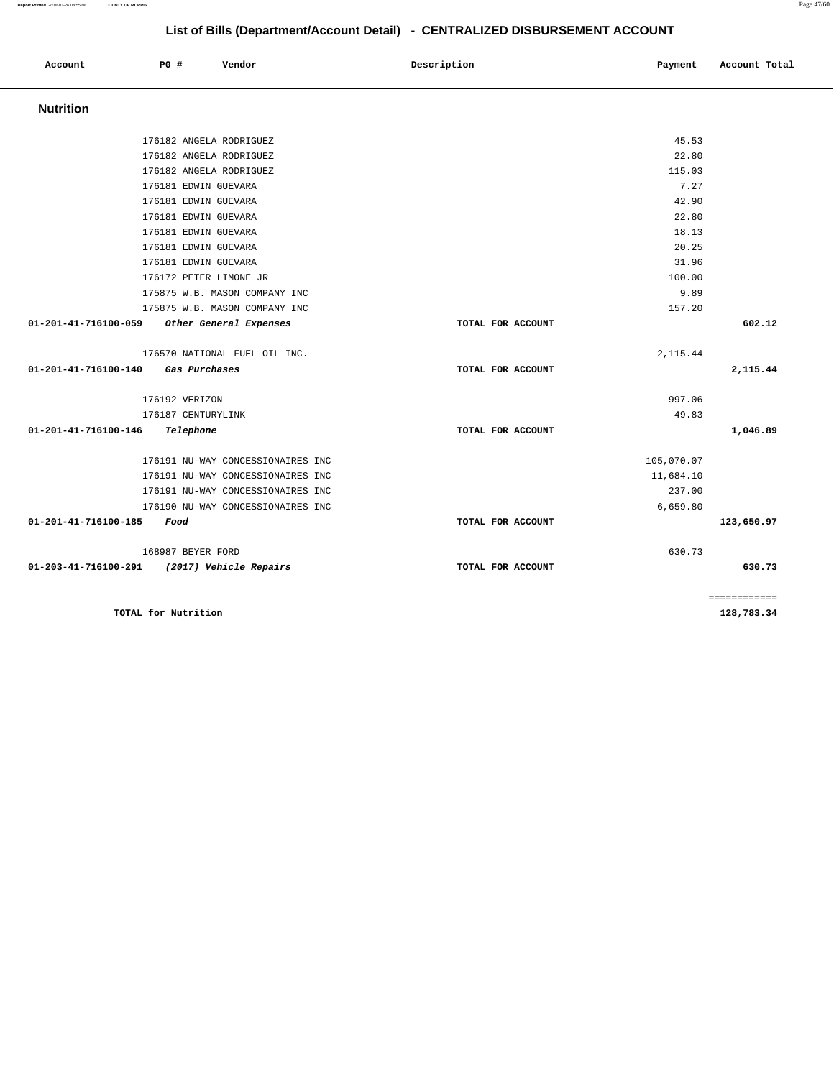**Report Printed** 2018-03-26 08:55:08 **COUNTY OF MORRIS** Page 47/60

# **List of Bills (Department/Account Detail) - CENTRALIZED DISBURSEMENT ACCOUNT**

| Account              | PO#                     | Vendor                            | Description       | Payment    | Account Total |
|----------------------|-------------------------|-----------------------------------|-------------------|------------|---------------|
| <b>Nutrition</b>     |                         |                                   |                   |            |               |
|                      | 176182 ANGELA RODRIGUEZ |                                   |                   | 45.53      |               |
|                      | 176182 ANGELA RODRIGUEZ |                                   |                   | 22.80      |               |
|                      | 176182 ANGELA RODRIGUEZ |                                   |                   | 115.03     |               |
|                      | 176181 EDWIN GUEVARA    |                                   |                   | 7.27       |               |
|                      | 176181 EDWIN GUEVARA    |                                   |                   | 42.90      |               |
|                      | 176181 EDWIN GUEVARA    |                                   |                   | 22.80      |               |
|                      | 176181 EDWIN GUEVARA    |                                   |                   | 18.13      |               |
|                      | 176181 EDWIN GUEVARA    |                                   |                   | 20.25      |               |
|                      | 176181 EDWIN GUEVARA    |                                   |                   | 31.96      |               |
|                      | 176172 PETER LIMONE JR  |                                   |                   | 100.00     |               |
|                      |                         | 175875 W.B. MASON COMPANY INC     |                   | 9.89       |               |
|                      |                         | 175875 W.B. MASON COMPANY INC     |                   | 157.20     |               |
| 01-201-41-716100-059 |                         | Other General Expenses            | TOTAL FOR ACCOUNT |            | 602.12        |
|                      |                         | 176570 NATIONAL FUEL OIL INC.     |                   | 2,115.44   |               |
| 01-201-41-716100-140 | Gas Purchases           |                                   | TOTAL FOR ACCOUNT |            | 2,115.44      |
|                      | 176192 VERIZON          |                                   |                   | 997.06     |               |
|                      | 176187 CENTURYLINK      |                                   |                   | 49.83      |               |
| 01-201-41-716100-146 | Telephone               |                                   | TOTAL FOR ACCOUNT |            | 1,046.89      |
|                      |                         | 176191 NU-WAY CONCESSIONAIRES INC |                   | 105,070.07 |               |
|                      |                         | 176191 NU-WAY CONCESSIONAIRES INC |                   | 11,684.10  |               |
|                      |                         | 176191 NU-WAY CONCESSIONAIRES INC |                   | 237.00     |               |
|                      |                         | 176190 NU-WAY CONCESSIONAIRES INC |                   | 6,659.80   |               |
| 01-201-41-716100-185 | Food                    |                                   | TOTAL FOR ACCOUNT |            | 123,650.97    |
|                      | 168987 BEYER FORD       |                                   |                   | 630.73     |               |
| 01-203-41-716100-291 |                         | (2017) Vehicle Repairs            | TOTAL FOR ACCOUNT |            | 630.73        |
|                      |                         |                                   |                   |            | ============  |
|                      | TOTAL for Nutrition     |                                   |                   |            | 128,783.34    |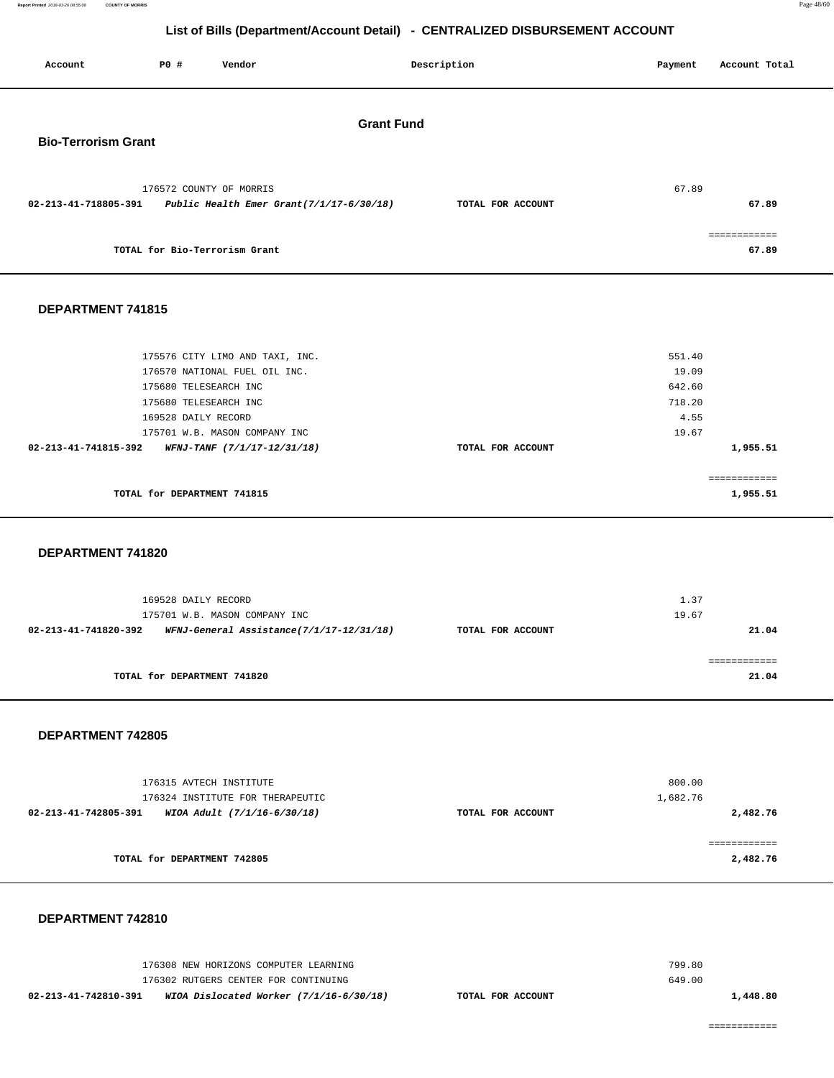**Report Printed** 2018-03-26 08:55:08 **COUNTY OF MORRIS** Page 48/60

# **List of Bills (Department/Account Detail) - CENTRALIZED DISBURSEMENT ACCOUNT**

| Account                                          | <b>PO #</b>                   | Vendor                                                           |                   | Description       | Payment         | Account Total            |
|--------------------------------------------------|-------------------------------|------------------------------------------------------------------|-------------------|-------------------|-----------------|--------------------------|
|                                                  |                               |                                                                  | <b>Grant Fund</b> |                   |                 |                          |
| <b>Bio-Terrorism Grant</b>                       |                               |                                                                  |                   |                   |                 |                          |
|                                                  |                               |                                                                  |                   |                   |                 |                          |
| 02-213-41-718805-391                             | 176572 COUNTY OF MORRIS       | Public Health Emer Grant(7/1/17-6/30/18)                         |                   | TOTAL FOR ACCOUNT | 67.89           | 67.89                    |
|                                                  |                               |                                                                  |                   |                   |                 | ============             |
|                                                  | TOTAL for Bio-Terrorism Grant |                                                                  |                   |                   |                 | 67.89                    |
| DEPARTMENT 741815                                |                               |                                                                  |                   |                   |                 |                          |
|                                                  |                               |                                                                  |                   |                   |                 |                          |
|                                                  |                               | 175576 CITY LIMO AND TAXI, INC.<br>176570 NATIONAL FUEL OIL INC. |                   |                   | 551.40<br>19.09 |                          |
|                                                  | 175680 TELESEARCH INC         |                                                                  |                   |                   | 642.60          |                          |
|                                                  | 175680 TELESEARCH INC         |                                                                  |                   |                   | 718.20          |                          |
|                                                  | 169528 DAILY RECORD           |                                                                  |                   |                   | 4.55            |                          |
|                                                  |                               | 175701 W.B. MASON COMPANY INC                                    |                   |                   | 19.67           |                          |
| 02-213-41-741815-392                             |                               | WFNJ-TANF (7/1/17-12/31/18)                                      |                   | TOTAL FOR ACCOUNT |                 | 1,955.51                 |
|                                                  | TOTAL for DEPARTMENT 741815   |                                                                  |                   |                   |                 | ============<br>1,955.51 |
| DEPARTMENT 741820                                |                               |                                                                  |                   |                   |                 |                          |
|                                                  |                               |                                                                  |                   |                   |                 |                          |
|                                                  | 169528 DAILY RECORD           | 175701 W.B. MASON COMPANY INC                                    |                   |                   | 1.37<br>19.67   |                          |
| 02-213-41-741820-392                             |                               | WFNJ-General Assistance(7/1/17-12/31/18)                         |                   | TOTAL FOR ACCOUNT |                 | 21.04                    |
|                                                  |                               |                                                                  |                   |                   |                 |                          |
|                                                  | TOTAL for DEPARTMENT 741820   |                                                                  |                   |                   |                 | 21.04                    |
| DEPARTMENT 742805                                |                               |                                                                  |                   |                   |                 |                          |
|                                                  |                               |                                                                  |                   |                   |                 |                          |
|                                                  | 176315 AVTECH INSTITUTE       |                                                                  |                   |                   | 800.00          |                          |
|                                                  |                               | 176324 INSTITUTE FOR THERAPEUTIC                                 |                   |                   | 1,682.76        |                          |
| 02-213-41-742805-391 WIOA Adult (7/1/16-6/30/18) |                               |                                                                  |                   | TOTAL FOR ACCOUNT |                 | 2,482.76                 |
|                                                  | TOTAL for DEPARTMENT 742805   |                                                                  |                   |                   |                 | ============<br>2,482.76 |
|                                                  |                               |                                                                  |                   |                   |                 |                          |

| 02-213-41-742810-391 | WIOA Dislocated Worker (7/1/16-6/30/18) | TOTAL FOR ACCOUNT |        | 1,448.80 |
|----------------------|-----------------------------------------|-------------------|--------|----------|
|                      | 176302 RUTGERS CENTER FOR CONTINUING    |                   | 649.00 |          |
|                      | 176308 NEW HORIZONS COMPUTER LEARNING   |                   | 799.80 |          |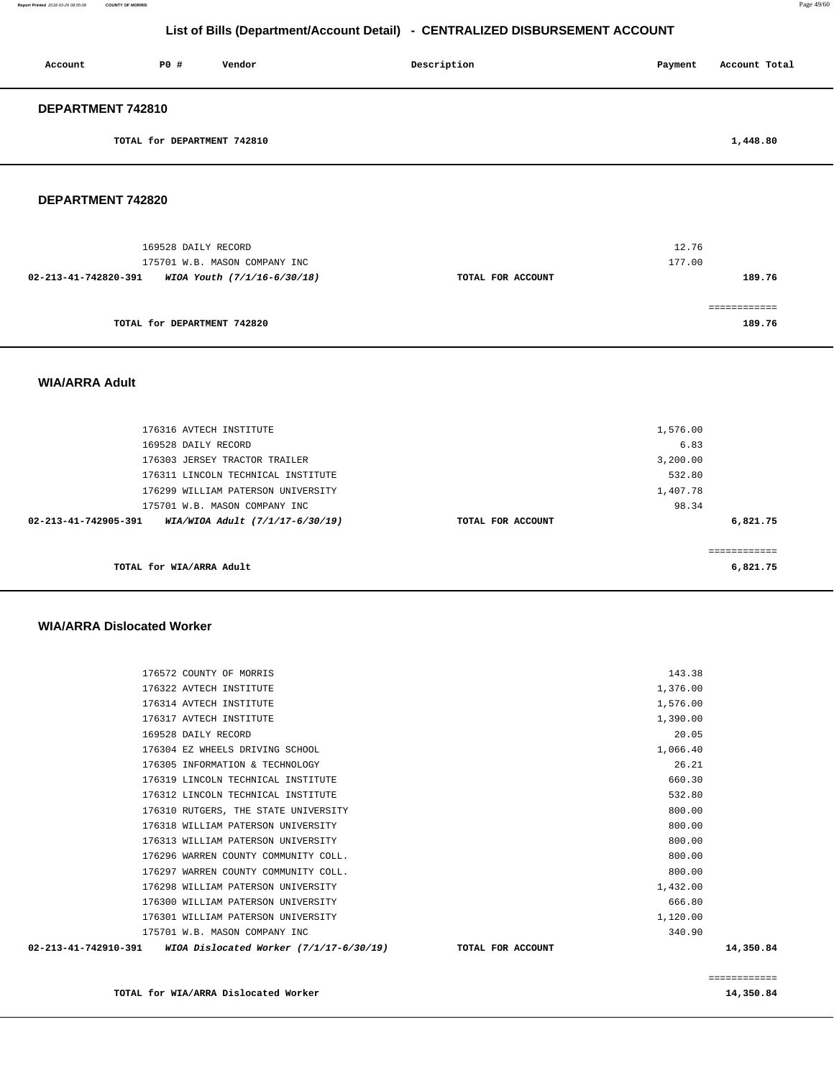| Account           | P0 #                        | Vendor | Description | Payment | Account Total |
|-------------------|-----------------------------|--------|-------------|---------|---------------|
| DEPARTMENT 742810 |                             |        |             |         |               |
|                   | TOTAL for DEPARTMENT 742810 |        |             |         | 1,448.80      |

**DEPARTMENT 742820** 

| 169528 DAILY RECORD<br>175701 W.B. MASON COMPANY INC |                   | 12.76<br>177.00 |
|------------------------------------------------------|-------------------|-----------------|
| 02-213-41-742820-391<br>WIOA Youth (7/1/16-6/30/18)  | TOTAL FOR ACCOUNT | 189.76          |
| TOTAL for DEPARTMENT 742820                          |                   | 189.76          |

## **WIA/ARRA Adult**

| 176316 AVTECH INSTITUTE                                           |                   | 1,576.00 |              |
|-------------------------------------------------------------------|-------------------|----------|--------------|
| 169528 DAILY RECORD                                               |                   | 6.83     |              |
| 176303 JERSEY TRACTOR TRAILER                                     |                   | 3,200.00 |              |
| 176311 LINCOLN TECHNICAL INSTITUTE                                |                   | 532.80   |              |
| 176299 WILLIAM PATERSON UNIVERSITY                                |                   | 1,407.78 |              |
| 175701 W.B. MASON COMPANY INC                                     |                   | 98.34    |              |
| $02 - 213 - 41 - 742905 - 391$<br>WIA/WIOA Adult (7/1/17-6/30/19) | TOTAL FOR ACCOUNT |          | 6,821.75     |
|                                                                   |                   |          |              |
|                                                                   |                   |          | ------------ |
| TOTAL for WIA/ARRA Adult                                          |                   |          | 6,821.75     |

#### **WIA/ARRA Dislocated Worker**

| 02-213-41-742910-391 | WIOA Dislocated Worker (7/1/17-6/30/19) | TOTAL FOR ACCOUNT | 14,350.84 |
|----------------------|-----------------------------------------|-------------------|-----------|
|                      | 175701 W.B. MASON COMPANY INC           | 340.90            |           |
|                      | 176301 WILLIAM PATERSON UNIVERSITY      | 1,120.00          |           |
|                      | 176300 WILLIAM PATERSON UNIVERSITY      | 666.80            |           |
|                      | 176298 WILLIAM PATERSON UNIVERSITY      | 1,432.00          |           |
|                      | 176297 WARREN COUNTY COMMUNITY COLL.    | 800.00            |           |
|                      | 176296 WARREN COUNTY COMMUNITY COLL.    | 800.00            |           |
|                      | 176313 WILLIAM PATERSON UNIVERSITY      | 800.00            |           |
|                      | 176318 WILLIAM PATERSON UNIVERSITY      | 800.00            |           |
|                      | 176310 RUTGERS, THE STATE UNIVERSITY    | 800.00            |           |
|                      | 176312 LINCOLN TECHNICAL INSTITUTE      | 532.80            |           |
|                      | 176319 LINCOLN TECHNICAL INSTITUTE      | 660.30            |           |
|                      | 176305 INFORMATION & TECHNOLOGY         | 26.21             |           |
|                      | 176304 EZ WHEELS DRIVING SCHOOL         | 1,066.40          |           |
|                      | 169528 DAILY RECORD                     | 20.05             |           |
|                      | 176317 AVTECH INSTITUTE                 | 1,390.00          |           |
|                      | 176314 AVTECH INSTITUTE                 | 1,576.00          |           |
|                      | 176322 AVTECH INSTITUTE                 | 1,376.00          |           |
|                      | 176572 COUNTY OF MORRIS                 | 143.38            |           |
|                      |                                         |                   |           |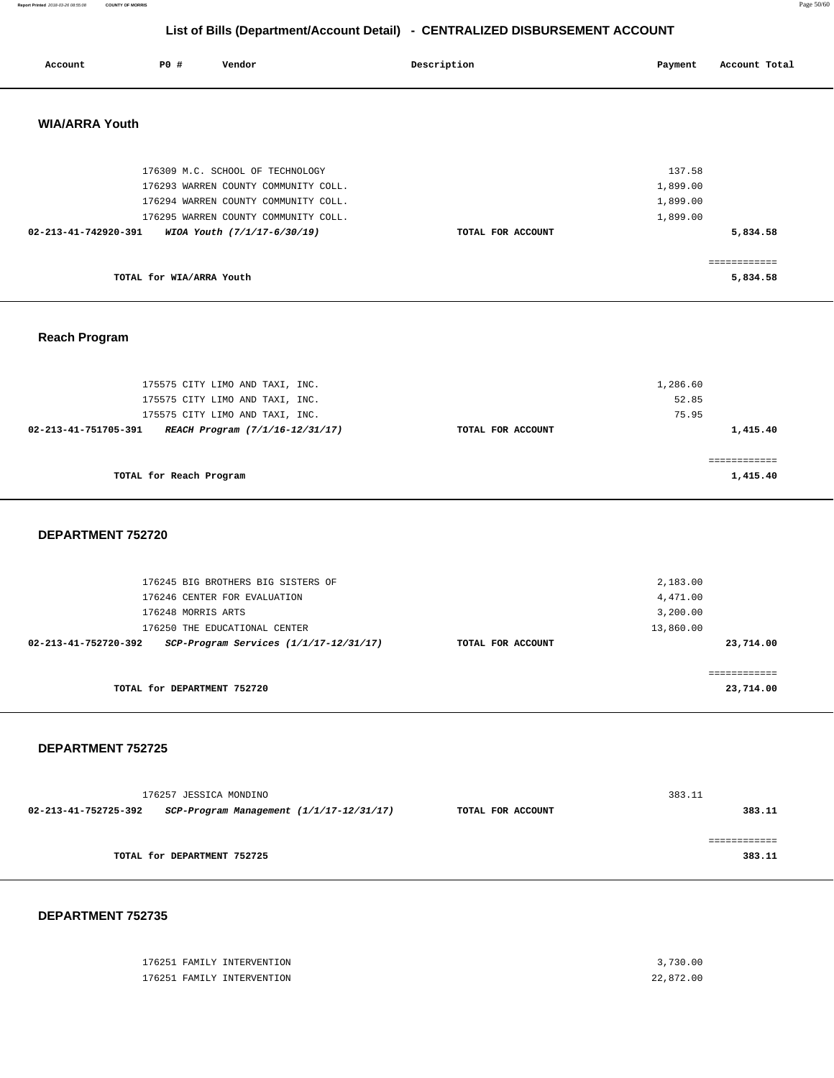**Report Printed** 2018-03-26 08:55:08 **COUNTY OF MORRIS** Page 50/60

## **List of Bills (Department/Account Detail) - CENTRALIZED DISBURSEMENT ACCOUNT**

| Account               | P0 #                     | Vendor                                                                       | Description |                   | Payment              | Account Total |
|-----------------------|--------------------------|------------------------------------------------------------------------------|-------------|-------------------|----------------------|---------------|
| <b>WIA/ARRA Youth</b> |                          |                                                                              |             |                   |                      |               |
|                       |                          | 176309 M.C. SCHOOL OF TECHNOLOGY                                             |             |                   | 137.58               |               |
|                       |                          | 176293 WARREN COUNTY COMMUNITY COLL.<br>176294 WARREN COUNTY COMMUNITY COLL. |             |                   | 1,899.00<br>1,899.00 |               |
|                       |                          | 176295 WARREN COUNTY COMMUNITY COLL.                                         |             |                   | 1,899.00             |               |
| 02-213-41-742920-391  |                          | WIOA Youth (7/1/17-6/30/19)                                                  |             | TOTAL FOR ACCOUNT |                      | 5,834.58      |
|                       |                          |                                                                              |             |                   |                      |               |
|                       | TOTAL for WIA/ARRA Youth |                                                                              |             |                   |                      | 5,834.58      |
|                       |                          |                                                                              |             |                   |                      |               |

### **Reach Program**

| 175575 CITY LIMO AND TAXI, INC.<br>175575 CITY LIMO AND TAXI, INC.                         |                   | 1,286.60<br>52.85 |
|--------------------------------------------------------------------------------------------|-------------------|-------------------|
| 175575 CITY LIMO AND TAXI, INC.<br>02-213-41-751705-391<br>REACH Program (7/1/16-12/31/17) | TOTAL FOR ACCOUNT | 75.95<br>1,415.40 |
| TOTAL for Reach Program                                                                    |                   | 1,415.40          |

#### **DEPARTMENT 752720**

| 176245 BIG BROTHERS BIG SISTERS OF                                 |                   | 2,183.00  |
|--------------------------------------------------------------------|-------------------|-----------|
| 176246 CENTER FOR EVALUATION                                       |                   | 4,471.00  |
| 176248 MORRIS ARTS                                                 |                   | 3,200.00  |
| 176250 THE EDUCATIONAL CENTER                                      |                   | 13,860.00 |
| $SCP-Program$ Services $(1/1/17-12/31/17)$<br>02-213-41-752720-392 | TOTAL FOR ACCOUNT | 23,714.00 |
|                                                                    |                   |           |
|                                                                    |                   |           |
| TOTAL for DEPARTMENT 752720                                        |                   | 23,714.00 |

#### **DEPARTMENT 752725**

|                      | 176257 JESSICA MONDINO                       |                   | 383.11 |
|----------------------|----------------------------------------------|-------------------|--------|
| 02-213-41-752725-392 | $SCP-Program$ Management $(1/1/17-12/31/17)$ | TOTAL FOR ACCOUNT | 383.11 |
|                      |                                              |                   |        |
|                      |                                              |                   |        |
|                      | TOTAL for DEPARTMENT 752725                  |                   | 383.11 |
|                      |                                              |                   |        |

| 176251 FAMILY INTERVENTION | 3,730.00  |
|----------------------------|-----------|
| 176251 FAMILY INTERVENTION | 22,872.00 |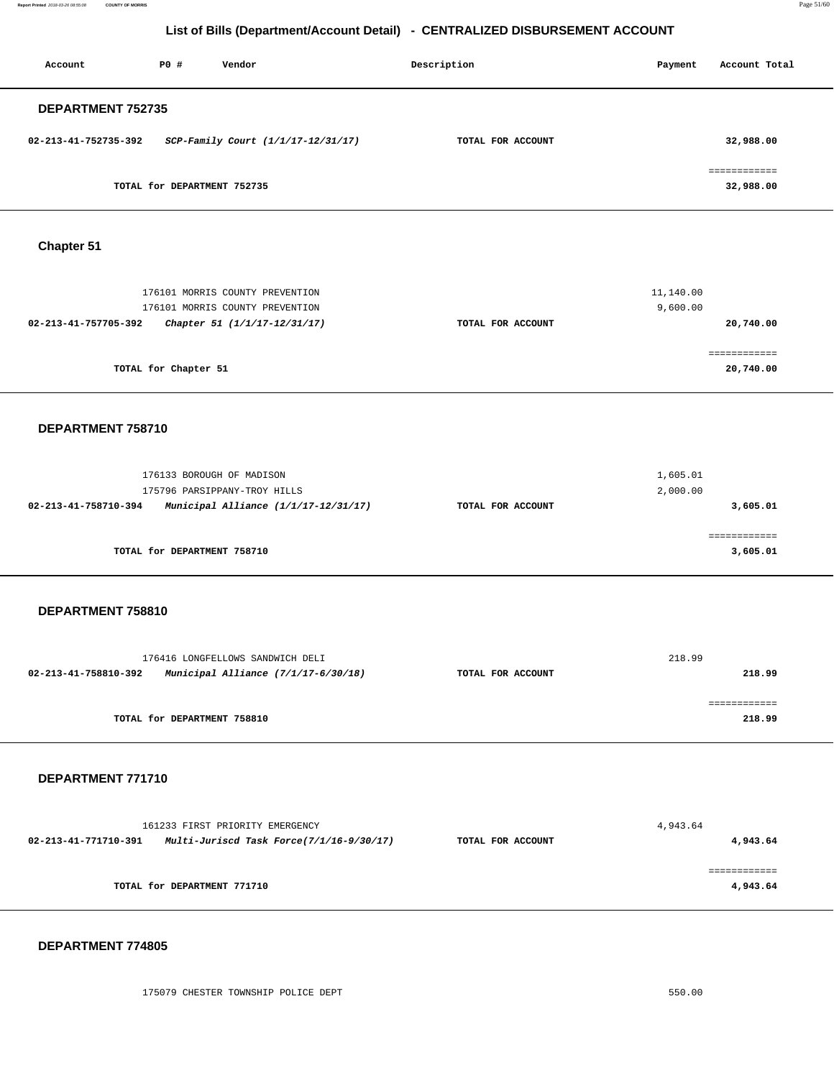**Report Printed** 2018-03-26 08:55:08 **COUNTY OF MORRIS** Page 51/60

#### **List of Bills (Department/Account Detail) - CENTRALIZED DISBURSEMENT ACCOUNT**

| Account                                     | <b>PO #</b>                 | Vendor                                                                                             | Description       | Payment               | Account Total                          |  |  |
|---------------------------------------------|-----------------------------|----------------------------------------------------------------------------------------------------|-------------------|-----------------------|----------------------------------------|--|--|
| DEPARTMENT 752735                           |                             |                                                                                                    |                   |                       |                                        |  |  |
| 02-213-41-752735-392                        |                             | SCP-Family Court (1/1/17-12/31/17)                                                                 | TOTAL FOR ACCOUNT |                       | 32,988.00                              |  |  |
| ============<br>TOTAL for DEPARTMENT 752735 |                             |                                                                                                    |                   |                       |                                        |  |  |
| Chapter 51                                  |                             |                                                                                                    |                   |                       |                                        |  |  |
| 02-213-41-757705-392                        | TOTAL for Chapter 51        | 176101 MORRIS COUNTY PREVENTION<br>176101 MORRIS COUNTY PREVENTION<br>Chapter 51 (1/1/17-12/31/17) | TOTAL FOR ACCOUNT | 11,140.00<br>9,600.00 | 20,740.00<br>============<br>20,740.00 |  |  |
|                                             |                             |                                                                                                    |                   |                       |                                        |  |  |
| DEPARTMENT 758710                           |                             |                                                                                                    |                   |                       |                                        |  |  |
| 02-213-41-758710-394                        | TOTAL for DEPARTMENT 758710 | 176133 BOROUGH OF MADISON<br>175796 PARSIPPANY-TROY HILLS<br>Municipal Alliance (1/1/17-12/31/17)  | TOTAL FOR ACCOUNT | 1,605.01<br>2,000.00  | 3,605.01<br>============<br>3,605.01   |  |  |
|                                             |                             |                                                                                                    |                   |                       |                                        |  |  |
| DEPARTMENT 758810                           |                             |                                                                                                    |                   |                       |                                        |  |  |
| 02-213-41-758810-392                        |                             | 176416 LONGFELLOWS SANDWICH DELI<br>Municipal Alliance (7/1/17-6/30/18)                            | TOTAL FOR ACCOUNT | 218.99                | 218.99                                 |  |  |
|                                             | TOTAL for DEPARTMENT 758810 |                                                                                                    |                   |                       | ============<br>218.99                 |  |  |
| DEPARTMENT 771710                           |                             |                                                                                                    |                   |                       |                                        |  |  |
| 02-213-41-771710-391                        |                             | 161233 FIRST PRIORITY EMERGENCY<br>Multi-Juriscd Task Force(7/1/16-9/30/17)                        | TOTAL FOR ACCOUNT | 4,943.64              | 4,943.64<br>============               |  |  |
|                                             | TOTAL for DEPARTMENT 771710 |                                                                                                    |                   |                       | 4,943.64                               |  |  |
| DEPARTMENT 774805                           |                             |                                                                                                    |                   |                       |                                        |  |  |

175079 CHESTER TOWNSHIP POLICE DEPT 550.00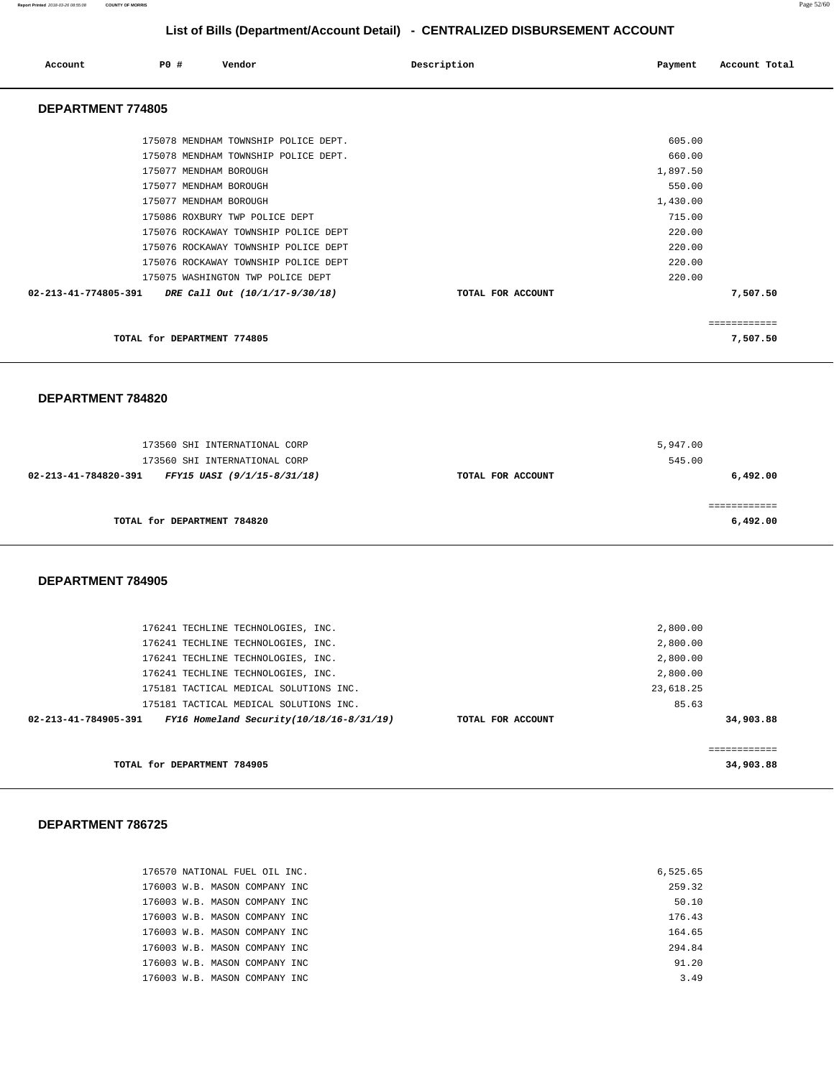**Report Printed** 2018-03-26 08:55:08 **COUNTY OF MORRIS** Page 52/60

# **List of Bills (Department/Account Detail) - CENTRALIZED DISBURSEMENT ACCOUNT**

| Account                  | <b>PO #</b>                                      | Vendor                                                                       | Description       | Payment            | Account Total            |
|--------------------------|--------------------------------------------------|------------------------------------------------------------------------------|-------------------|--------------------|--------------------------|
| <b>DEPARTMENT 774805</b> |                                                  |                                                                              |                   |                    |                          |
|                          |                                                  | 175078 MENDHAM TOWNSHIP POLICE DEPT.<br>175078 MENDHAM TOWNSHIP POLICE DEPT. |                   | 605.00<br>660.00   |                          |
|                          | 175077 MENDHAM BOROUGH<br>175077 MENDHAM BOROUGH |                                                                              |                   | 1,897.50<br>550.00 |                          |
|                          | 175077 MENDHAM BOROUGH                           | 175086 ROXBURY TWP POLICE DEPT                                               |                   | 1,430.00<br>715.00 |                          |
|                          |                                                  | 175076 ROCKAWAY TOWNSHIP POLICE DEPT<br>175076 ROCKAWAY TOWNSHIP POLICE DEPT |                   | 220.00<br>220.00   |                          |
|                          |                                                  | 175076 ROCKAWAY TOWNSHIP POLICE DEPT<br>175075 WASHINGTON TWP POLICE DEPT    |                   | 220.00<br>220.00   |                          |
|                          |                                                  | 02-213-41-774805-391 DRE Call Out (10/1/17-9/30/18)                          | TOTAL FOR ACCOUNT |                    | 7,507.50                 |
|                          | TOTAL for DEPARTMENT 774805                      |                                                                              |                   |                    | ============<br>7,507.50 |

### **DEPARTMENT 784820**

| 173560 SHI INTERNATIONAL CORP<br>173560 SHI INTERNATIONAL CORP |                   | 5,947.00<br>545.00 |
|----------------------------------------------------------------|-------------------|--------------------|
| 02-213-41-784820-391<br>FFY15 UASI (9/1/15-8/31/18)            | TOTAL FOR ACCOUNT | 6,492.00           |
| TOTAL for DEPARTMENT 784820                                    |                   | 6,492.00           |

### **DEPARTMENT 784905**

| 176241 TECHLINE TECHNOLOGIES, INC.                                     |                   | 2,800.00  |             |
|------------------------------------------------------------------------|-------------------|-----------|-------------|
| 176241 TECHLINE TECHNOLOGIES, INC.                                     |                   | 2,800.00  |             |
| 176241 TECHLINE TECHNOLOGIES, INC.                                     |                   | 2,800.00  |             |
| 176241 TECHLINE TECHNOLOGIES, INC.                                     |                   | 2,800.00  |             |
| 175181 TACTICAL MEDICAL SOLUTIONS INC.                                 |                   | 23,618.25 |             |
| 175181 TACTICAL MEDICAL SOLUTIONS INC.                                 |                   | 85.63     |             |
| $FY16$ Homeland Security( $10/18/16-8/31/19$ )<br>02-213-41-784905-391 | TOTAL FOR ACCOUNT |           | 34,903.88   |
|                                                                        |                   |           |             |
|                                                                        |                   |           | =========== |
| TOTAL for DEPARTMENT 784905                                            |                   |           | 34,903.88   |
|                                                                        |                   |           |             |

| 176570 NATIONAL FUEL OIL INC. | 6,525.65 |
|-------------------------------|----------|
| 176003 W.B. MASON COMPANY INC | 259.32   |
| 176003 W.B. MASON COMPANY INC | 50.10    |
| 176003 W.B. MASON COMPANY INC | 176.43   |
| 176003 W.B. MASON COMPANY INC | 164.65   |
| 176003 W.B. MASON COMPANY INC | 294.84   |
| 176003 W.B. MASON COMPANY INC | 91.20    |
| 176003 W.B. MASON COMPANY INC | 3.49     |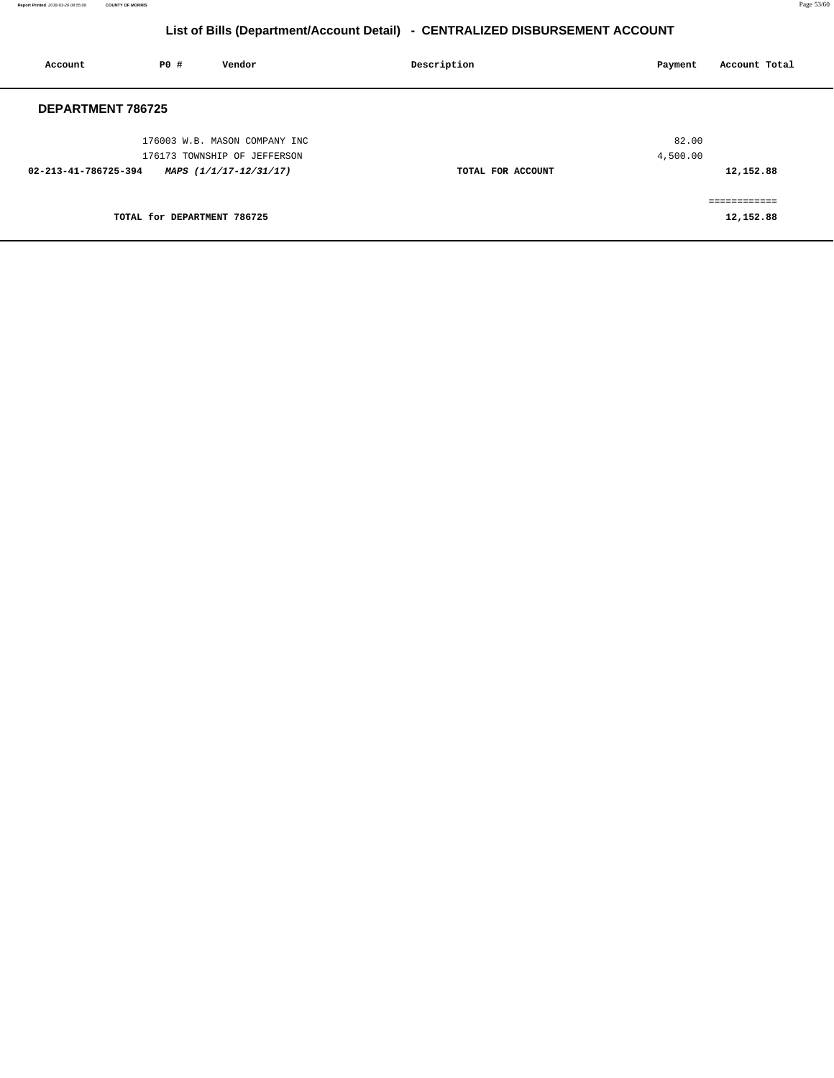| Account                                        | P0 #                        | Vendor                                                        | Description | Payment<br>Account Total  |  |
|------------------------------------------------|-----------------------------|---------------------------------------------------------------|-------------|---------------------------|--|
| <b>DEPARTMENT 786725</b>                       |                             |                                                               |             |                           |  |
|                                                |                             | 176003 W.B. MASON COMPANY INC<br>176173 TOWNSHIP OF JEFFERSON |             | 82.00<br>4,500.00         |  |
| 02-213-41-786725-394<br>MAPS (1/1/17-12/31/17) |                             | TOTAL FOR ACCOUNT                                             | 12,152.88   |                           |  |
|                                                | TOTAL for DEPARTMENT 786725 |                                                               |             | ============<br>12,152.88 |  |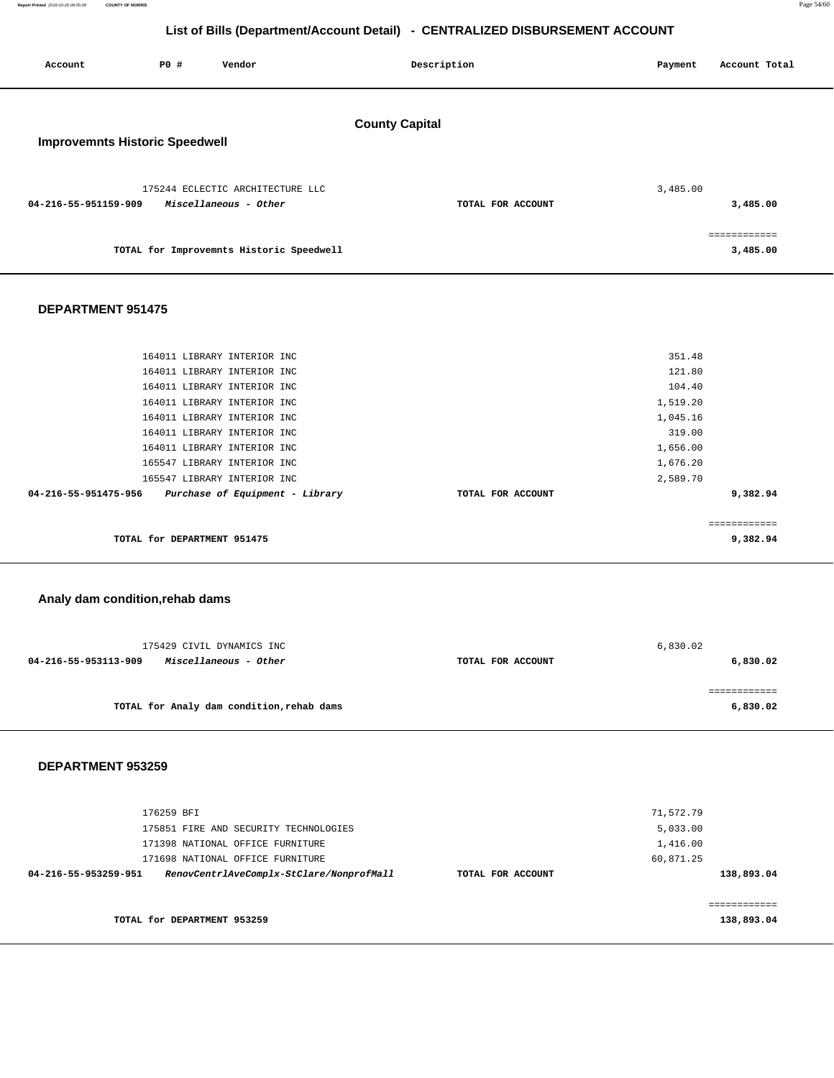| Report Printed 2018-03-26 08:55:08 | <b>COUNTY OF MORRIS</b> |  | Page 54/60 |
|------------------------------------|-------------------------|--|------------|
|                                    |                         |  |            |

| Account                               | <b>PO #</b> | Vendor                                                    | Description           | Payment  | Account Total |
|---------------------------------------|-------------|-----------------------------------------------------------|-----------------------|----------|---------------|
| <b>Improvemnts Historic Speedwell</b> |             |                                                           | <b>County Capital</b> |          |               |
| 04-216-55-951159-909                  |             | 175244 ECLECTIC ARCHITECTURE LLC<br>Miscellaneous - Other | TOTAL FOR ACCOUNT     | 3,485.00 | 3,485.00      |
|                                       |             | TOTAL for Improvemnts Historic Speedwell                  |                       |          | .<br>3,485.00 |

#### **DEPARTMENT 951475**

| 164011 LIBRARY INTERIOR INC                             |                   | 351.48   |
|---------------------------------------------------------|-------------------|----------|
| 164011 LIBRARY INTERIOR INC                             |                   | 121.80   |
| 164011 LIBRARY INTERIOR INC                             |                   | 104.40   |
| 164011 LIBRARY INTERIOR INC                             |                   | 1,519.20 |
| 164011 LIBRARY INTERIOR INC                             |                   | 1,045.16 |
| 164011 LIBRARY INTERIOR INC                             |                   | 319.00   |
| 164011 LIBRARY INTERIOR INC                             |                   | 1,656.00 |
| 165547 LIBRARY INTERIOR INC                             |                   | 1,676.20 |
| 165547 LIBRARY INTERIOR INC                             |                   | 2,589.70 |
| 04-216-55-951475-956<br>Purchase of Equipment - Library | TOTAL FOR ACCOUNT | 9,382.94 |
|                                                         |                   |          |
|                                                         |                   |          |
| TOTAL for DEPARTMENT 951475                             |                   | 9,382.94 |
|                                                         |                   |          |

## **Analy dam condition,rehab dams**

|                   | 6,830.02 |
|-------------------|----------|
| TOTAL FOR ACCOUNT | 6,830.02 |
|                   |          |
|                   |          |
|                   | 6,830.02 |
|                   |          |

| TOTAL for DEPARTMENT 953259 |                                          |                   | =========== |
|-----------------------------|------------------------------------------|-------------------|-------------|
| 04-216-55-953259-951        | RenovCentrlAveComplx-StClare/NonprofMall | TOTAL FOR ACCOUNT | 138,893.04  |
|                             | 171698 NATIONAL OFFICE FURNITURE         | 60,871.25         |             |
|                             | 171398 NATIONAL OFFICE FURNITURE         | 1,416.00          |             |
|                             | 175851 FIRE AND SECURITY TECHNOLOGIES    | 5,033.00          |             |
|                             | 176259 BFI                               | 71,572.79         |             |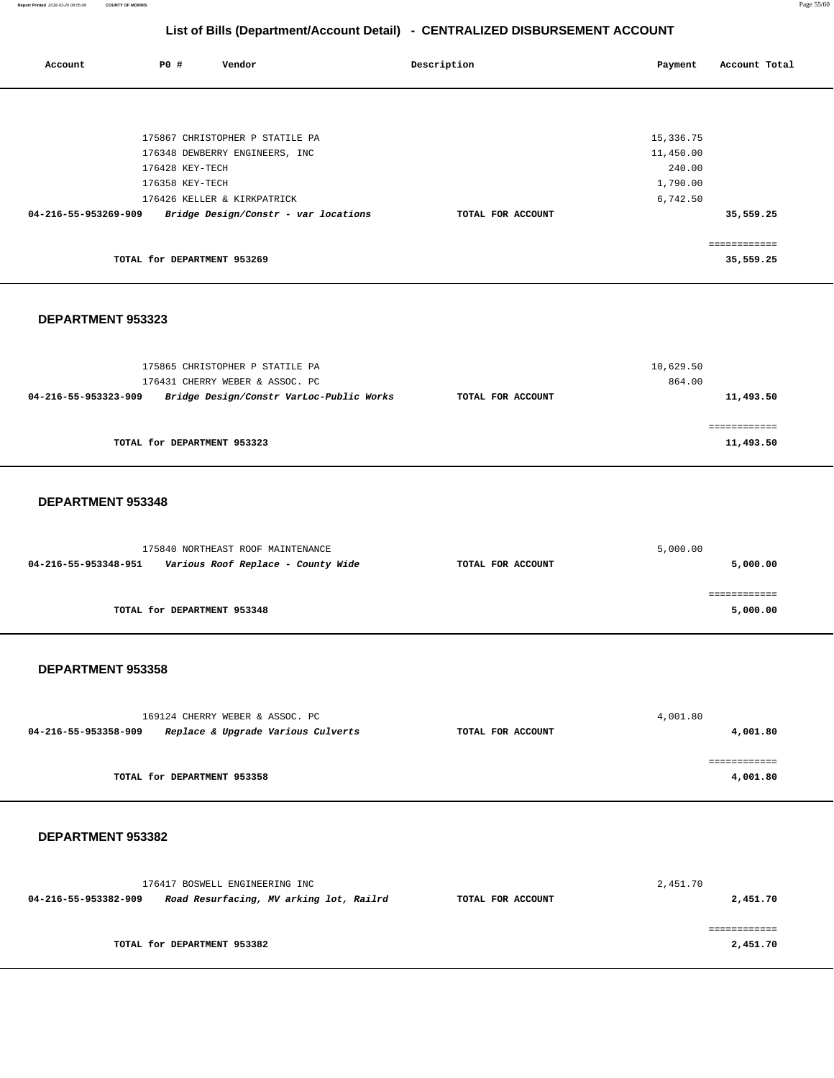| Account              | <b>PO #</b>                 | Vendor                               | Description       | Payment   | Account Total |
|----------------------|-----------------------------|--------------------------------------|-------------------|-----------|---------------|
|                      |                             |                                      |                   |           |               |
|                      |                             |                                      |                   |           |               |
|                      |                             | 175867 CHRISTOPHER P STATILE PA      |                   | 15,336.75 |               |
|                      |                             | 176348 DEWBERRY ENGINEERS, INC       |                   | 11,450.00 |               |
|                      | 176428 KEY-TECH             |                                      |                   | 240.00    |               |
|                      | 176358 KEY-TECH             |                                      |                   | 1,790.00  |               |
|                      |                             | 176426 KELLER & KIRKPATRICK          |                   | 6,742.50  |               |
| 04-216-55-953269-909 |                             | Bridge Design/Constr - var locations | TOTAL FOR ACCOUNT |           | 35,559.25     |
|                      |                             |                                      |                   |           |               |
|                      | TOTAL for DEPARTMENT 953269 |                                      |                   |           | 35,559.25     |

#### **DEPARTMENT 953323**

|                   | 10,629.50 |
|-------------------|-----------|
|                   | 864.00    |
| TOTAL FOR ACCOUNT | 11,493.50 |
|                   |           |
|                   |           |
|                   | 11,493.50 |
|                   |           |

#### **DEPARTMENT 953348**

| 175840 NORTHEAST ROOF MAINTENANCE                          |                   | 5,000.00 |
|------------------------------------------------------------|-------------------|----------|
| Various Roof Replace - County Wide<br>04-216-55-953348-951 | TOTAL FOR ACCOUNT | 5,000.00 |
|                                                            |                   |          |
|                                                            |                   |          |
| TOTAL for DEPARTMENT 953348                                |                   | 5,000.00 |

#### **DEPARTMENT 953358**

|                      | 169124 CHERRY WEBER & ASSOC. PC    |                   | 4,001.80 |
|----------------------|------------------------------------|-------------------|----------|
| 04-216-55-953358-909 | Replace & Upgrade Various Culverts | TOTAL FOR ACCOUNT | 4,001.80 |
|                      |                                    |                   |          |
|                      |                                    |                   |          |
|                      | TOTAL for DEPARTMENT 953358        |                   | 4,001.80 |

|                      | 176417 BOSWELL ENGINEERING INC          |                   | 2,451.70 |
|----------------------|-----------------------------------------|-------------------|----------|
| 04-216-55-953382-909 | Road Resurfacing, MV arking lot, Railrd | TOTAL FOR ACCOUNT | 2,451.70 |
|                      |                                         |                   |          |
|                      |                                         |                   |          |
|                      | TOTAL for DEPARTMENT 953382             |                   | 2,451.70 |
|                      |                                         |                   |          |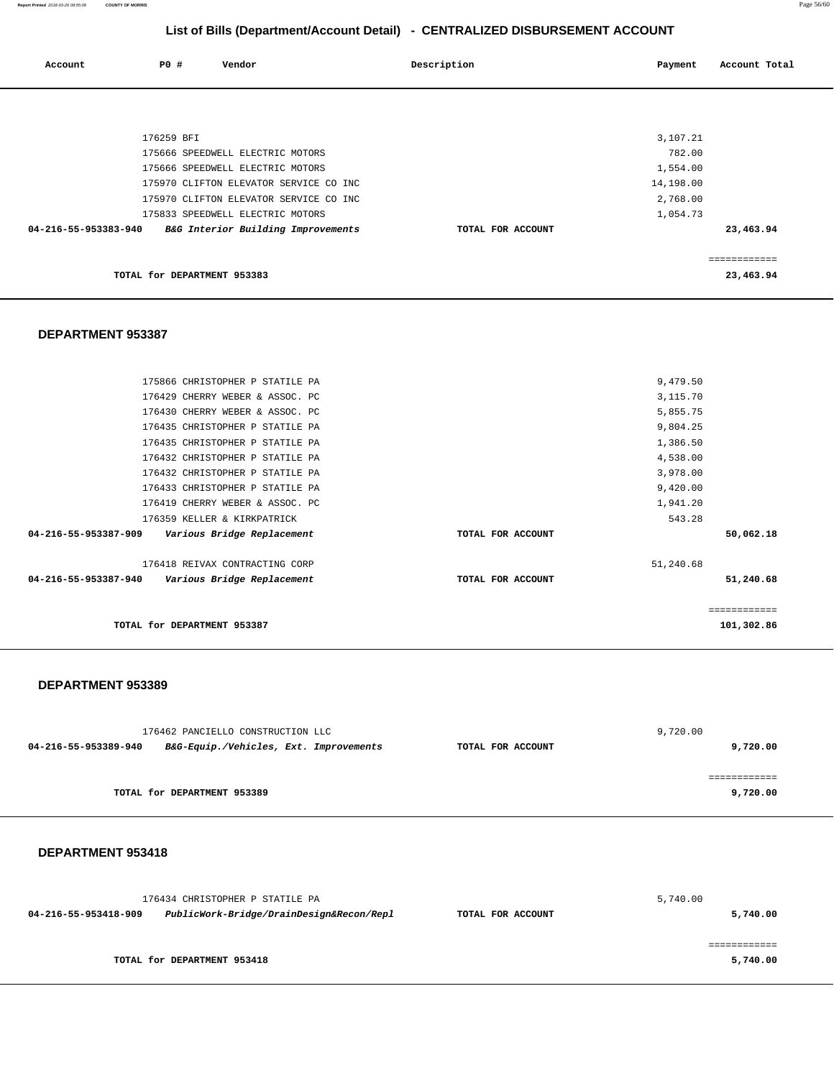**Report Printed** 2018-03-26 08:55:08 **COUNTY OF MORRIS** Page 56/60

# **List of Bills (Department/Account Detail) - CENTRALIZED DISBURSEMENT ACCOUNT**

| Account              | <b>PO #</b> | Vendor                                 | Description       | Payment   | Account Total |
|----------------------|-------------|----------------------------------------|-------------------|-----------|---------------|
|                      |             |                                        |                   |           |               |
|                      |             |                                        |                   |           |               |
|                      | 176259 BFI  |                                        |                   | 3,107.21  |               |
|                      |             | 175666 SPEEDWELL ELECTRIC MOTORS       |                   | 782.00    |               |
|                      |             | 175666 SPEEDWELL ELECTRIC MOTORS       |                   | 1,554.00  |               |
|                      |             | 175970 CLIFTON ELEVATOR SERVICE CO INC |                   | 14,198.00 |               |
|                      |             | 175970 CLIFTON ELEVATOR SERVICE CO INC |                   | 2,768.00  |               |
|                      |             | 175833 SPEEDWELL ELECTRIC MOTORS       |                   | 1,054.73  |               |
| 04-216-55-953383-940 |             | B&G Interior Building Improvements     | TOTAL FOR ACCOUNT |           | 23,463.94     |
|                      |             |                                        |                   |           | ============  |
|                      |             | TOTAL for DEPARTMENT 953383            |                   |           | 23,463.94     |

#### **DEPARTMENT 953387**

| TOTAL for DEPARTMENT 953387                        |                   | 101,302.86 |
|----------------------------------------------------|-------------------|------------|
|                                                    |                   |            |
| 04-216-55-953387-940<br>Various Bridge Replacement | TOTAL FOR ACCOUNT | 51,240.68  |
| 176418 REIVAX CONTRACTING CORP                     |                   | 51,240.68  |
| 04-216-55-953387-909<br>Various Bridge Replacement | TOTAL FOR ACCOUNT | 50,062.18  |
| 176359 KELLER & KIRKPATRICK                        |                   | 543.28     |
| 176419 CHERRY WEBER & ASSOC. PC                    |                   | 1,941.20   |
| 176433 CHRISTOPHER P STATILE PA                    |                   | 9,420.00   |
| 176432 CHRISTOPHER P STATILE PA                    |                   | 3,978.00   |
| 176432 CHRISTOPHER P STATILE PA                    |                   | 4,538.00   |
| 176435 CHRISTOPHER P STATILE PA                    |                   | 1,386.50   |
| 176435 CHRISTOPHER P STATILE PA                    |                   | 9,804.25   |
| 176430 CHERRY WEBER & ASSOC. PC                    |                   | 5,855.75   |
| 176429 CHERRY WEBER & ASSOC. PC                    |                   | 3,115.70   |
| 175866 CHRISTOPHER P STATILE PA                    |                   | 9,479.50   |
|                                                    |                   |            |

#### **DEPARTMENT 953389**

| 176462 PANCIELLO CONSTRUCTION LLC                                                   |                             |  | 9,720.00 |
|-------------------------------------------------------------------------------------|-----------------------------|--|----------|
| B&G-Equip./Vehicles, Ext. Improvements<br>04-216-55-953389-940<br>TOTAL FOR ACCOUNT |                             |  | 9,720.00 |
|                                                                                     |                             |  |          |
|                                                                                     | TOTAL for DEPARTMENT 953389 |  | 9,720.00 |

|                                                                                       | 176434 CHRISTOPHER P STATILE PA |          | 5,740.00 |
|---------------------------------------------------------------------------------------|---------------------------------|----------|----------|
| PublicWork-Bridge/DrainDesign&Recon/Repl<br>04-216-55-953418-909<br>TOTAL FOR ACCOUNT |                                 | 5,740.00 |          |
|                                                                                       |                                 |          |          |
|                                                                                       |                                 |          |          |
|                                                                                       | TOTAL for DEPARTMENT 953418     |          | 5,740.00 |
|                                                                                       |                                 |          |          |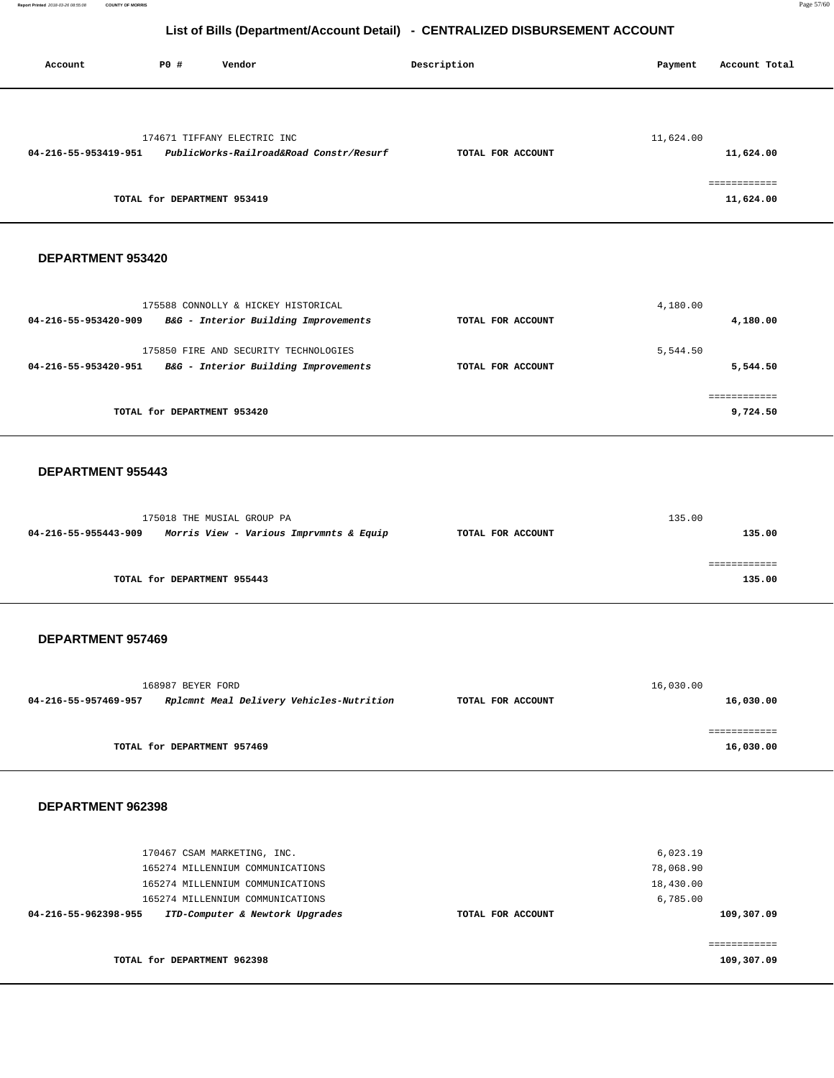============ **109,307.09** 

#### **List of Bills (Department/Account Detail) - CENTRALIZED DISBURSEMENT ACCOUNT**

| P0 #<br>Vendor<br>Account                                                                             | Description       | Payment                | Account Total             |
|-------------------------------------------------------------------------------------------------------|-------------------|------------------------|---------------------------|
|                                                                                                       |                   |                        |                           |
| 174671 TIFFANY ELECTRIC INC                                                                           |                   | 11,624.00              |                           |
| 04-216-55-953419-951<br>PublicWorks-Railroad&Road Constr/Resurf                                       | TOTAL FOR ACCOUNT |                        | 11,624.00                 |
| TOTAL for DEPARTMENT 953419                                                                           |                   |                        | ============<br>11,624.00 |
| DEPARTMENT 953420                                                                                     |                   |                        |                           |
|                                                                                                       |                   |                        |                           |
| 175588 CONNOLLY & HICKEY HISTORICAL                                                                   |                   | 4,180.00               |                           |
| 04-216-55-953420-909<br>B&G - Interior Building Improvements                                          | TOTAL FOR ACCOUNT |                        | 4,180.00                  |
| 175850 FIRE AND SECURITY TECHNOLOGIES<br>04-216-55-953420-951<br>B&G - Interior Building Improvements | TOTAL FOR ACCOUNT | 5,544.50               | 5,544.50                  |
|                                                                                                       |                   |                        | ============              |
| TOTAL for DEPARTMENT 953420                                                                           |                   |                        | 9,724.50                  |
|                                                                                                       |                   |                        |                           |
| <b>DEPARTMENT 955443</b>                                                                              |                   |                        |                           |
| 175018 THE MUSIAL GROUP PA                                                                            |                   | 135.00                 |                           |
| 04-216-55-955443-909<br>Morris View - Various Imprvmnts & Equip                                       | TOTAL FOR ACCOUNT |                        | 135.00                    |
| TOTAL for DEPARTMENT 955443                                                                           |                   |                        | ============              |
|                                                                                                       |                   |                        | 135.00                    |
| DEPARTMENT 957469                                                                                     |                   |                        |                           |
|                                                                                                       |                   |                        |                           |
| 168987 BEYER FORD                                                                                     |                   | 16,030.00              |                           |
| 04-216-55-957469-957<br>Rplcmnt Meal Delivery Vehicles-Nutrition                                      | TOTAL FOR ACCOUNT |                        | 16,030.00                 |
| TOTAL for DEPARTMENT 957469                                                                           |                   |                        | ============<br>16,030.00 |
|                                                                                                       |                   |                        |                           |
| DEPARTMENT 962398                                                                                     |                   |                        |                           |
| 170467 CSAM MARKETING, INC.                                                                           |                   | 6,023.19               |                           |
| 165274 MILLENNIUM COMMUNICATIONS<br>165274 MILLENNIUM COMMUNICATIONS                                  |                   | 78,068.90<br>18,430.00 |                           |
| 165274 MILLENNIUM COMMUNICATIONS                                                                      |                   | 6,785.00               |                           |
| 04-216-55-962398-955<br>ITD-Computer & Newtork Upgrades                                               | TOTAL FOR ACCOUNT |                        | 109,307.09                |

**TOTAL for DEPARTMENT 962398**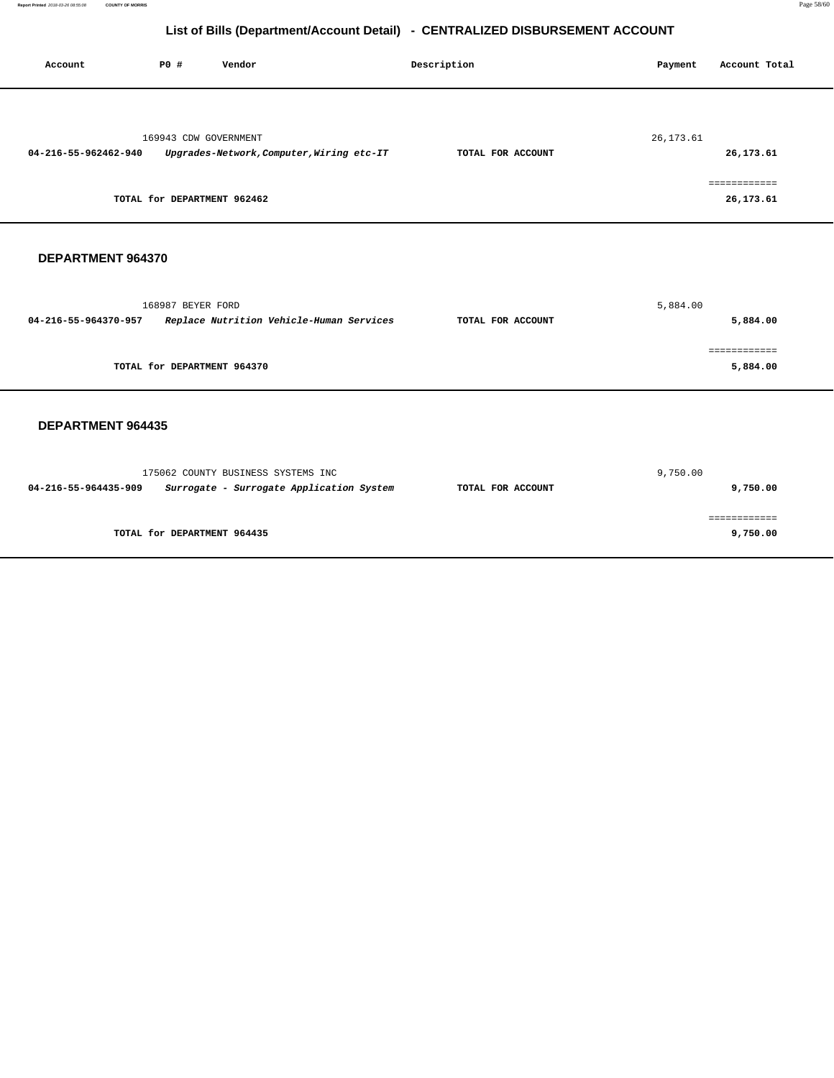**Report Printed** 2018-03-26 08:55:08 **COUNTY OF MORRIS** Page 58/60

# **List of Bills (Department/Account Detail) - CENTRALIZED DISBURSEMENT ACCOUNT**

| Account              | PO#                         | Vendor                             |                                           | Description       | Payment    | Account Total               |
|----------------------|-----------------------------|------------------------------------|-------------------------------------------|-------------------|------------|-----------------------------|
| 04-216-55-962462-940 | 169943 CDW GOVERNMENT       |                                    | Upgrades-Network, Computer, Wiring etc-IT | TOTAL FOR ACCOUNT | 26, 173.61 | 26, 173. 61<br>============ |
|                      | TOTAL for DEPARTMENT 962462 |                                    |                                           |                   |            | 26,173.61                   |
| DEPARTMENT 964370    |                             |                                    |                                           |                   |            |                             |
| 04-216-55-964370-957 | 168987 BEYER FORD           |                                    | Replace Nutrition Vehicle-Human Services  | TOTAL FOR ACCOUNT | 5,884.00   | 5,884.00                    |
|                      | TOTAL for DEPARTMENT 964370 |                                    |                                           |                   |            | ============<br>5,884.00    |
| DEPARTMENT 964435    |                             |                                    |                                           |                   |            |                             |
| 04-216-55-964435-909 |                             | 175062 COUNTY BUSINESS SYSTEMS INC | Surrogate - Surrogate Application System  | TOTAL FOR ACCOUNT | 9,750.00   | 9,750.00                    |
|                      | TOTAL for DEPARTMENT 964435 |                                    |                                           |                   |            | ============<br>9,750.00    |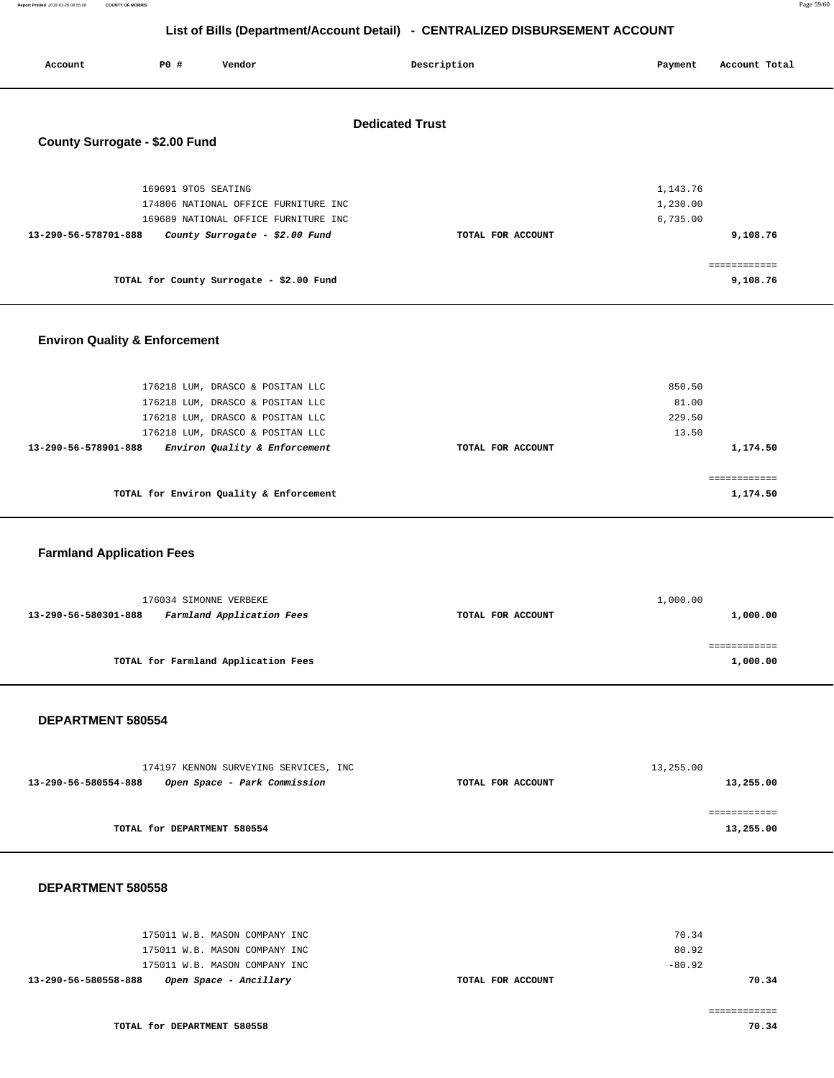| Report Printed 2018-03-26 08:55:08 | <b>COUNTY OF MORRIS</b> | Page 59/60 |
|------------------------------------|-------------------------|------------|

| Account                                  | P0 #                                     | Vendor                               |  | Description            | Payment  | Account Total |
|------------------------------------------|------------------------------------------|--------------------------------------|--|------------------------|----------|---------------|
|                                          |                                          |                                      |  | <b>Dedicated Trust</b> |          |               |
|                                          | County Surrogate - \$2.00 Fund           |                                      |  |                        |          |               |
|                                          |                                          |                                      |  |                        |          |               |
|                                          | 169691 9TO5 SEATING                      |                                      |  |                        | 1,143.76 |               |
|                                          |                                          | 174806 NATIONAL OFFICE FURNITURE INC |  |                        | 1,230.00 |               |
|                                          |                                          | 169689 NATIONAL OFFICE FURNITURE INC |  |                        | 6,735.00 |               |
| 13-290-56-578701-888                     |                                          | County Surrogate - \$2.00 Fund       |  | TOTAL FOR ACCOUNT      |          | 9,108.76      |
|                                          |                                          |                                      |  |                        |          | ============  |
| TOTAL for County Surrogate - \$2.00 Fund |                                          |                                      |  |                        | 9,108.76 |               |
|                                          | <b>Environ Quality &amp; Enforcement</b> |                                      |  |                        |          |               |
|                                          |                                          | 176218 LUM, DRASCO & POSITAN LLC     |  |                        | 850.50   |               |
|                                          |                                          | 176218 LUM, DRASCO & POSITAN LLC     |  |                        | 81.00    |               |
|                                          |                                          | 176218 LUM, DRASCO & POSITAN LLC     |  |                        | 229.50   |               |
|                                          |                                          | 176218 LUM, DRASCO & POSITAN LLC     |  |                        | 13.50    |               |
| 13-290-56-578901-888                     |                                          | Environ Quality & Enforcement        |  | TOTAL FOR ACCOUNT      |          | 1,174.50      |
|                                          |                                          |                                      |  |                        |          | ============  |

**TOTAL for Environ Quality & Enforcement** 1,174.50

#### **Farmland Application Fees**

|                                                   | 176034 SIMONNE VERBEKE              | 1,000.00          |          |  |
|---------------------------------------------------|-------------------------------------|-------------------|----------|--|
| Farmland Application Fees<br>13-290-56-580301-888 |                                     | TOTAL FOR ACCOUNT | 1,000.00 |  |
|                                                   | TOTAL for Farmland Application Fees |                   | 1,000.00 |  |

#### **DEPARTMENT 580554**

| 174197 KENNON SURVEYING SERVICES, INC                |                   | 13,255.00 |  |
|------------------------------------------------------|-------------------|-----------|--|
| 13-290-56-580554-888<br>Open Space - Park Commission | TOTAL FOR ACCOUNT | 13,255.00 |  |
|                                                      |                   |           |  |
|                                                      |                   |           |  |
| TOTAL for DEPARTMENT 580554                          |                   | 13,255.00 |  |
|                                                      |                   |           |  |

| 13-290-56-580558-888<br>Open Space - Ancillary | TOTAL FOR ACCOUNT | 70.34    |
|------------------------------------------------|-------------------|----------|
| 175011 W.B. MASON COMPANY INC                  |                   | $-80.92$ |
| 175011 W.B. MASON COMPANY INC                  |                   | 80.92    |
| 175011 W.B. MASON COMPANY INC                  |                   | 70.34    |
|                                                |                   |          |